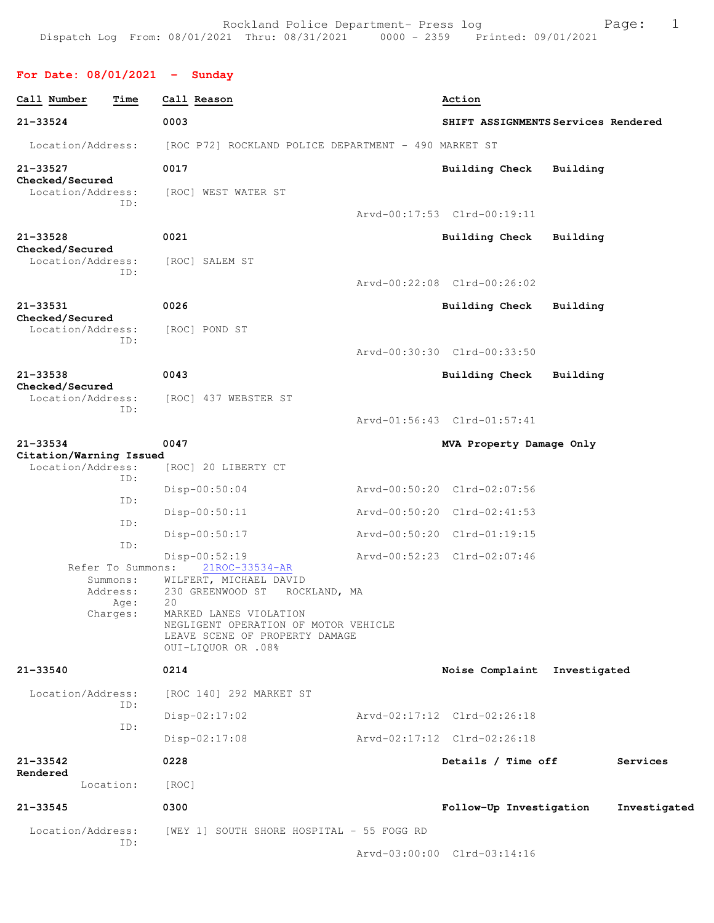## **For Date: 08/01/2021 - Sunday**

| Call Number                                  | Time                         | Call Reason                                                                                                            | Action                             |          |              |
|----------------------------------------------|------------------------------|------------------------------------------------------------------------------------------------------------------------|------------------------------------|----------|--------------|
| $21 - 33524$                                 |                              | 0003                                                                                                                   | SHIFT ASSIGNMENTSServices Rendered |          |              |
| Location/Address:                            |                              | [ROC P72] ROCKLAND POLICE DEPARTMENT - 490 MARKET ST                                                                   |                                    |          |              |
| 21-33527<br>Checked/Secured                  |                              | 0017                                                                                                                   | <b>Building Check</b>              | Building |              |
| Location/Address:                            | ID:                          | [ROC] WEST WATER ST                                                                                                    |                                    |          |              |
|                                              |                              |                                                                                                                        | Arvd-00:17:53 Clrd-00:19:11        |          |              |
| $21 - 33528$<br>Checked/Secured              |                              | 0021                                                                                                                   | <b>Building Check</b>              | Building |              |
| Location/Address:                            | ID:                          | [ROC] SALEM ST                                                                                                         |                                    |          |              |
|                                              |                              |                                                                                                                        | Arvd-00:22:08 Clrd-00:26:02        |          |              |
| 21-33531<br>Checked/Secured                  |                              | 0026                                                                                                                   | <b>Building Check</b>              | Building |              |
| Location/Address:                            |                              | [ROC] POND ST                                                                                                          |                                    |          |              |
|                                              | ID:                          |                                                                                                                        | Arvd-00:30:30 Clrd-00:33:50        |          |              |
| 21-33538                                     |                              | 0043                                                                                                                   | <b>Building Check</b>              | Building |              |
| Checked/Secured<br>Location/Address:         |                              | [ROC] 437 WEBSTER ST                                                                                                   |                                    |          |              |
|                                              | ID:                          |                                                                                                                        | Arvd-01:56:43 Clrd-01:57:41        |          |              |
| $21 - 33534$                                 |                              | 0047                                                                                                                   | MVA Property Damage Only           |          |              |
| Citation/Warning Issued<br>Location/Address: |                              | [ROC] 20 LIBERTY CT                                                                                                    |                                    |          |              |
|                                              | ID:                          | Disp-00:50:04                                                                                                          | Arvd-00:50:20 Clrd-02:07:56        |          |              |
|                                              | ID:                          | Disp-00:50:11                                                                                                          | Arvd-00:50:20 Clrd-02:41:53        |          |              |
|                                              | ID:                          |                                                                                                                        |                                    |          |              |
|                                              | ID:                          | Disp-00:50:17                                                                                                          | Arvd-00:50:20 Clrd-01:19:15        |          |              |
|                                              | Refer To Summons:            | Disp-00:52:19<br>21ROC-33534-AR                                                                                        | Arvd-00:52:23 Clrd-02:07:46        |          |              |
|                                              | Summons:<br>Address:<br>Age: | WILFERT, MICHAEL DAVID<br>230 GREENWOOD ST<br>ROCKLAND, MA<br>20                                                       |                                    |          |              |
|                                              | Charges:                     | MARKED LANES VIOLATION<br>NEGLIGENT OPERATION OF MOTOR VEHICLE<br>LEAVE SCENE OF PROPERTY DAMAGE<br>OUI-LIQUOR OR .08% |                                    |          |              |
| 21-33540                                     |                              | 0214                                                                                                                   | Noise Complaint Investigated       |          |              |
| Location/Address:                            |                              | [ROC 140] 292 MARKET ST                                                                                                |                                    |          |              |
|                                              | ID:                          | $Disp-02:17:02$                                                                                                        | Arvd-02:17:12 Clrd-02:26:18        |          |              |
|                                              | ID:                          | $Disp-02:17:08$                                                                                                        | Arvd-02:17:12 Clrd-02:26:18        |          |              |
| 21-33542                                     |                              | 0228                                                                                                                   | Details / Time off                 |          | Services     |
| Rendered                                     | Location:                    | [ROC]                                                                                                                  |                                    |          |              |
| 21-33545                                     |                              | 0300                                                                                                                   | Follow-Up Investigation            |          | Investigated |
| Location/Address:                            |                              | [WEY 1] SOUTH SHORE HOSPITAL - 55 FOGG RD                                                                              |                                    |          |              |
|                                              | ID:                          |                                                                                                                        | Arvd-03:00:00 Clrd-03:14:16        |          |              |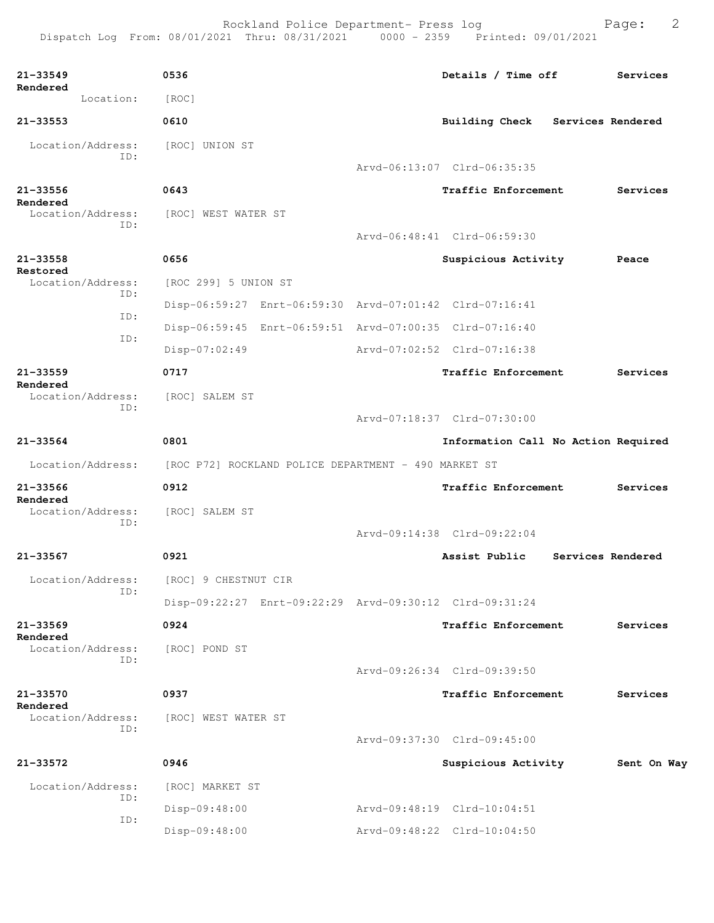| 21-33549                      | 0536                                                                   | Details / Time off                  | Services          |
|-------------------------------|------------------------------------------------------------------------|-------------------------------------|-------------------|
| Rendered<br>Location:         | [ROC]                                                                  |                                     |                   |
| 21-33553                      | 0610                                                                   | Building Check Services Rendered    |                   |
| Location/Address:             | [ROC] UNION ST                                                         |                                     |                   |
| ID:                           |                                                                        | Arvd-06:13:07 Clrd-06:35:35         |                   |
| 21-33556                      | 0643                                                                   | Traffic Enforcement                 | Services          |
| Rendered<br>Location/Address: | [ROC] WEST WATER ST                                                    |                                     |                   |
| ID:                           |                                                                        | Arvd-06:48:41 Clrd-06:59:30         |                   |
| 21-33558                      | 0656                                                                   | Suspicious Activity                 | Peace             |
| Restored<br>Location/Address: | [ROC 299] 5 UNION ST                                                   |                                     |                   |
| ID:                           | Disp-06:59:27 Enrt-06:59:30 Arvd-07:01:42 Clrd-07:16:41                |                                     |                   |
| ID:                           | Disp-06:59:45 Enrt-06:59:51 Arvd-07:00:35 Clrd-07:16:40                |                                     |                   |
| ID:                           | $Disp-07:02:49$                                                        | Arvd-07:02:52 Clrd-07:16:38         |                   |
| 21-33559                      | 0717                                                                   | Traffic Enforcement                 | Services          |
| Rendered<br>Location/Address: | [ROC] SALEM ST                                                         |                                     |                   |
| ID:                           |                                                                        | Arvd-07:18:37 Clrd-07:30:00         |                   |
| 21-33564                      | 0801                                                                   | Information Call No Action Required |                   |
|                               | Location/Address: [ROC P72] ROCKLAND POLICE DEPARTMENT - 490 MARKET ST |                                     |                   |
| 21-33566                      | 0912                                                                   | Traffic Enforcement                 | Services          |
| Rendered<br>Location/Address: | [ROC] SALEM ST                                                         |                                     |                   |
| ID:                           |                                                                        | Arvd-09:14:38 Clrd-09:22:04         |                   |
| 21-33567                      | 0921                                                                   | Assist Public                       | Services Rendered |
| Location/Address:             | [ROC] 9 CHESTNUT CIR                                                   |                                     |                   |
| ID:                           | Disp-09:22:27 Enrt-09:22:29 Arvd-09:30:12 Clrd-09:31:24                |                                     |                   |
| 21-33569                      | 0924                                                                   | Traffic Enforcement                 | Services          |
| Rendered<br>Location/Address: | [ROC] POND ST                                                          |                                     |                   |
| ID:                           |                                                                        | Arvd-09:26:34 Clrd-09:39:50         |                   |
| 21-33570                      | 0937                                                                   | Traffic Enforcement                 | Services          |
| Rendered<br>Location/Address: | [ROC] WEST WATER ST                                                    |                                     |                   |
| ID:                           |                                                                        | Arvd-09:37:30 Clrd-09:45:00         |                   |
| 21-33572                      | 0946                                                                   | Suspicious Activity                 | Sent On Way       |
| Location/Address:             | [ROC] MARKET ST                                                        |                                     |                   |
| ID:                           | Disp-09:48:00                                                          | Arvd-09:48:19 Clrd-10:04:51         |                   |
| ID:                           | Disp-09:48:00                                                          | Arvd-09:48:22 Clrd-10:04:50         |                   |
|                               |                                                                        |                                     |                   |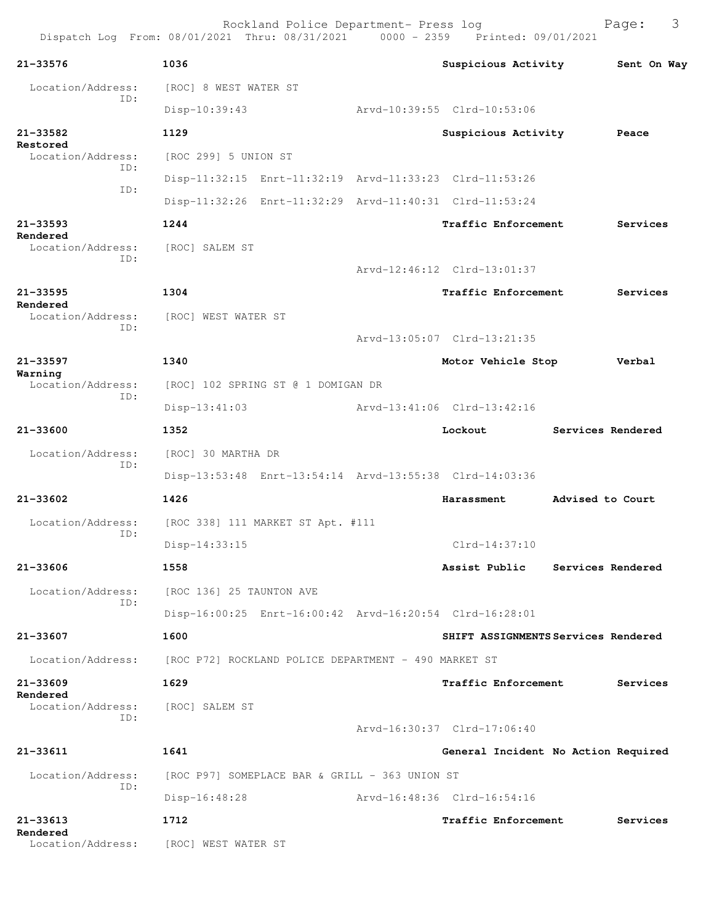| 21-33576                             | 1036                                                    | Suspicious Activity                 |                  | Sent On Way       |
|--------------------------------------|---------------------------------------------------------|-------------------------------------|------------------|-------------------|
| Location/Address:                    | [ROC] 8 WEST WATER ST                                   |                                     |                  |                   |
| ID:                                  | Disp-10:39:43                                           | Arvd-10:39:55 Clrd-10:53:06         |                  |                   |
| 21-33582                             | 1129                                                    | Suspicious Activity                 |                  | Peace             |
| Restored<br>Location/Address:        | [ROC 299] 5 UNION ST                                    |                                     |                  |                   |
| ID:                                  | Disp-11:32:15 Enrt-11:32:19 Arvd-11:33:23 Clrd-11:53:26 |                                     |                  |                   |
| ID:                                  | Disp-11:32:26 Enrt-11:32:29 Arvd-11:40:31 Clrd-11:53:24 |                                     |                  |                   |
| 21-33593                             | 1244                                                    | Traffic Enforcement                 |                  | Services          |
| Rendered<br>Location/Address:<br>ID: | [ROC] SALEM ST                                          |                                     |                  |                   |
|                                      |                                                         | Arvd-12:46:12 Clrd-13:01:37         |                  |                   |
| 21-33595<br>Rendered                 | 1304                                                    | Traffic Enforcement                 |                  | Services          |
| Location/Address:<br>ID:             | [ROC] WEST WATER ST                                     |                                     |                  |                   |
|                                      |                                                         | Arvd-13:05:07 Clrd-13:21:35         |                  |                   |
| 21-33597<br>Warning                  | 1340                                                    | Motor Vehicle Stop                  |                  | Verbal            |
| Location/Address:<br>ID:             | [ROC] 102 SPRING ST @ 1 DOMIGAN DR                      |                                     |                  |                   |
|                                      | $Disp-13:41:03$                                         | Arvd-13:41:06 Clrd-13:42:16         |                  |                   |
| 21-33600                             | 1352                                                    | Lockout                             |                  | Services Rendered |
| Location/Address:<br>ID:             | [ROC] 30 MARTHA DR                                      |                                     |                  |                   |
|                                      | Disp-13:53:48 Enrt-13:54:14 Arvd-13:55:38 Clrd-14:03:36 |                                     |                  |                   |
| 21-33602                             | 1426                                                    | Harassment                          | Advised to Court |                   |
| Location/Address:<br>ID:             | [ROC 338] 111 MARKET ST Apt. #111                       |                                     |                  |                   |
|                                      | Disp-14:33:15                                           | $Clrd-14:37:10$                     |                  |                   |
| 21-33606                             | 1558                                                    | Assist Public Services Rendered     |                  |                   |
| Location/Address:                    | [ROC 136] 25 TAUNTON AVE                                |                                     |                  |                   |
| ID:                                  | Disp-16:00:25 Enrt-16:00:42 Arvd-16:20:54 Clrd-16:28:01 |                                     |                  |                   |
| 21-33607                             | 1600                                                    | SHIFT ASSIGNMENTS Services Rendered |                  |                   |
| Location/Address:                    | [ROC P72] ROCKLAND POLICE DEPARTMENT - 490 MARKET ST    |                                     |                  |                   |
| 21-33609                             | 1629                                                    | <b>Traffic Enforcement</b>          |                  | Services          |
| Rendered<br>Location/Address:<br>ID: | [ROC] SALEM ST                                          |                                     |                  |                   |
|                                      |                                                         | Arvd-16:30:37 Clrd-17:06:40         |                  |                   |
| 21-33611                             | 1641                                                    | General Incident No Action Required |                  |                   |
| Location/Address:                    | [ROC P97] SOMEPLACE BAR & GRILL - 363 UNION ST          |                                     |                  |                   |
| ID:                                  | $Disp-16:48:28$                                         | Arvd-16:48:36 Clrd-16:54:16         |                  |                   |
| 21-33613                             | 1712                                                    | <b>Traffic Enforcement</b>          |                  | Services          |
| Rendered<br>Location/Address:        | [ROC] WEST WATER ST                                     |                                     |                  |                   |
|                                      |                                                         |                                     |                  |                   |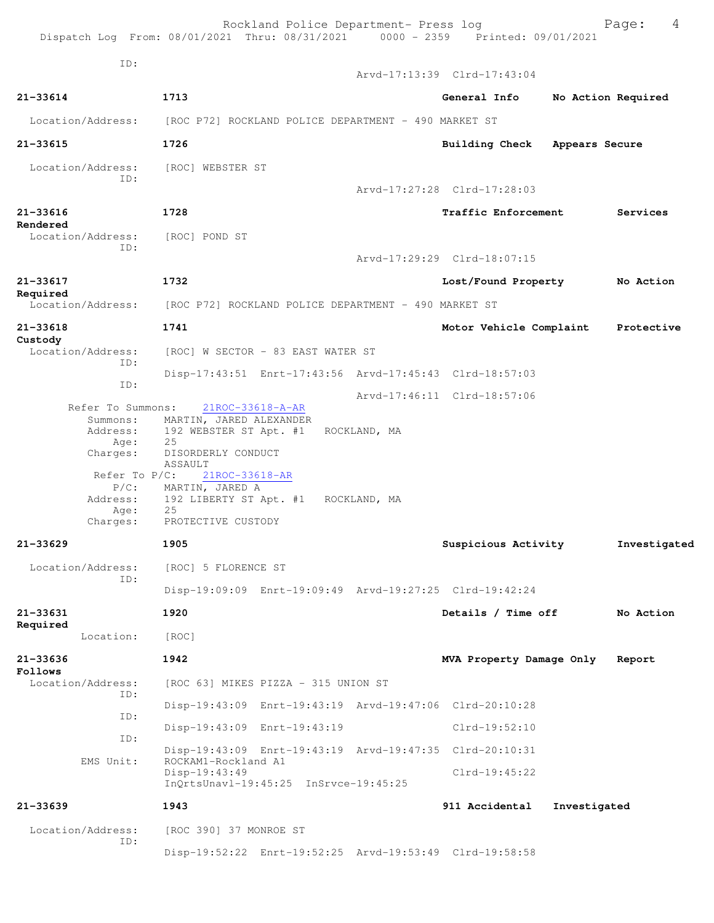| Dispatch Log From: 08/01/2021 Thru: 08/31/2021 0000 - 2359 Printed: 09/01/2021               |                                                                                                                               | Rockland Police Department- Press log |              |                                                         |                | 4<br>Page:         |
|----------------------------------------------------------------------------------------------|-------------------------------------------------------------------------------------------------------------------------------|---------------------------------------|--------------|---------------------------------------------------------|----------------|--------------------|
| ID:                                                                                          |                                                                                                                               |                                       |              | Arvd-17:13:39 Clrd-17:43:04                             |                |                    |
| $21 - 33614$                                                                                 | 1713                                                                                                                          |                                       |              | General Info                                            |                | No Action Required |
| Location/Address:                                                                            |                                                                                                                               |                                       |              |                                                         |                |                    |
| $21 - 33615$                                                                                 | [ROC P72] ROCKLAND POLICE DEPARTMENT - 490 MARKET ST<br>1726                                                                  |                                       |              |                                                         |                |                    |
|                                                                                              |                                                                                                                               |                                       |              | <b>Building Check</b>                                   | Appears Secure |                    |
| Location/Address:<br>ID:                                                                     | [ROC] WEBSTER ST                                                                                                              |                                       |              |                                                         |                |                    |
|                                                                                              |                                                                                                                               |                                       |              | Arvd-17:27:28 Clrd-17:28:03                             |                |                    |
| $21 - 33616$<br>Rendered                                                                     | 1728                                                                                                                          |                                       |              | <b>Traffic Enforcement</b>                              |                | Services           |
| Location/Address:<br>ID:                                                                     | [ROC] POND ST                                                                                                                 |                                       |              |                                                         |                |                    |
|                                                                                              |                                                                                                                               |                                       |              | Arvd-17:29:29 Clrd-18:07:15                             |                |                    |
| 21-33617<br>Required                                                                         | 1732                                                                                                                          |                                       |              | Lost/Found Property                                     |                | No Action          |
| Location/Address:                                                                            | [ROC P72] ROCKLAND POLICE DEPARTMENT - 490 MARKET ST                                                                          |                                       |              |                                                         |                |                    |
| $21 - 33618$                                                                                 | 1741                                                                                                                          |                                       |              | Motor Vehicle Complaint                                 |                | Protective         |
| Custody<br>Location/Address:                                                                 |                                                                                                                               | [ROC] W SECTOR - 83 EAST WATER ST     |              |                                                         |                |                    |
| ID:                                                                                          |                                                                                                                               |                                       |              | Disp-17:43:51 Enrt-17:43:56 Arvd-17:45:43 Clrd-18:57:03 |                |                    |
| ID:                                                                                          |                                                                                                                               |                                       |              | Arvd-17:46:11 Clrd-18:57:06                             |                |                    |
| Refer To Summons:<br>Summons:<br>Address:<br>Age:<br>Charges:<br>Refer To $P/C$ :<br>$P/C$ : | MARTIN, JARED ALEXANDER<br>192 WEBSTER ST Apt. #1<br>25<br>DISORDERLY CONDUCT<br>ASSAULT<br>21ROC-33618-AR<br>MARTIN, JARED A | 21ROC-33618-A-AR                      | ROCKLAND, MA |                                                         |                |                    |
| Address:<br>Age:                                                                             | 192 LIBERTY ST Apt. #1 ROCKLAND, MA<br>25                                                                                     |                                       |              |                                                         |                |                    |
| Charges:                                                                                     | PROTECTIVE CUSTODY                                                                                                            |                                       |              |                                                         |                |                    |
| 21-33629                                                                                     | 1905                                                                                                                          |                                       |              | Suspicious Activity                                     |                | Investigated       |
| Location/Address:<br>ID:                                                                     | [ROC] 5 FLORENCE ST                                                                                                           |                                       |              |                                                         |                |                    |
|                                                                                              |                                                                                                                               |                                       |              | Disp-19:09:09 Enrt-19:09:49 Arvd-19:27:25 Clrd-19:42:24 |                |                    |
| $21 - 33631$<br>Required                                                                     | 1920                                                                                                                          |                                       |              | Details / Time off                                      |                | No Action          |
| Location:                                                                                    | [ROC]                                                                                                                         |                                       |              |                                                         |                |                    |
| $21 - 33636$<br>Follows                                                                      | 1942                                                                                                                          |                                       |              | MVA Property Damage Only                                |                | Report             |
| Location/Address:<br>ID:                                                                     |                                                                                                                               | [ROC 63] MIKES PIZZA - 315 UNION ST   |              |                                                         |                |                    |
| ID:                                                                                          |                                                                                                                               |                                       |              | Disp-19:43:09 Enrt-19:43:19 Arvd-19:47:06 Clrd-20:10:28 |                |                    |
| TD:                                                                                          |                                                                                                                               | Disp-19:43:09 Enrt-19:43:19           |              | $Clrd-19:52:10$                                         |                |                    |
|                                                                                              |                                                                                                                               |                                       |              | Disp-19:43:09 Enrt-19:43:19 Arvd-19:47:35 Clrd-20:10:31 |                |                    |
| EMS Unit:                                                                                    | ROCKAM1-Rockland A1<br>Disp-19:43:49                                                                                          | InQrtsUnavl-19:45:25 InSrvce-19:45:25 |              | $Clrd-19:45:22$                                         |                |                    |
| $21 - 33639$                                                                                 | 1943                                                                                                                          |                                       |              | 911 Accidental                                          | Investigated   |                    |
| Location/Address:                                                                            |                                                                                                                               |                                       |              |                                                         |                |                    |
| ID:                                                                                          | [ROC 390] 37 MONROE ST                                                                                                        |                                       |              |                                                         |                |                    |
|                                                                                              |                                                                                                                               |                                       |              | Disp-19:52:22 Enrt-19:52:25 Arvd-19:53:49 Clrd-19:58:58 |                |                    |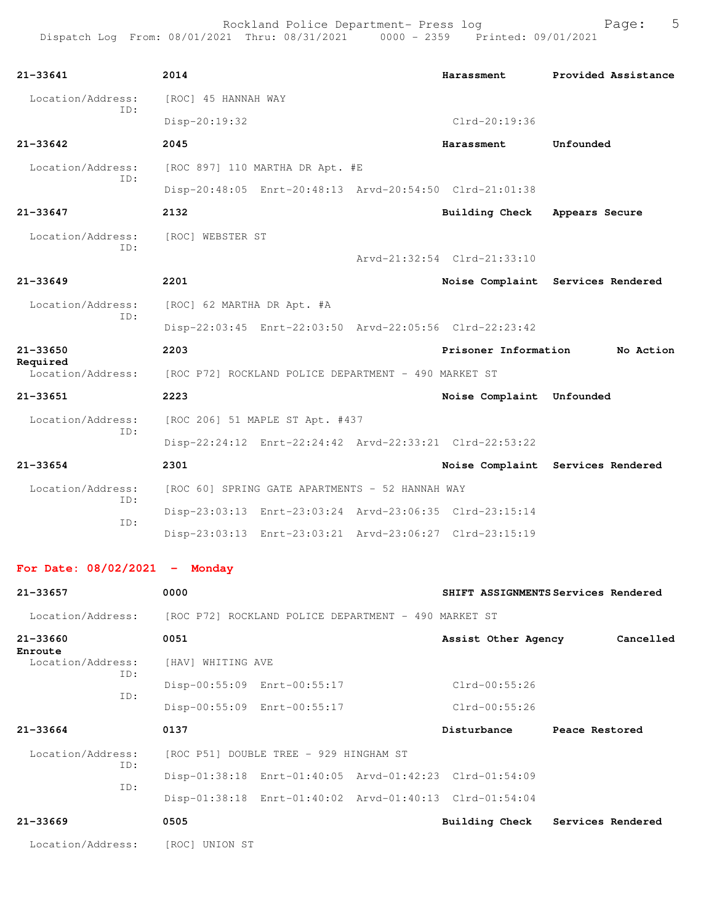| $21 - 33641$                  | 2014                                                    | Harassment                  | Provided Assistance               |  |  |
|-------------------------------|---------------------------------------------------------|-----------------------------|-----------------------------------|--|--|
| Location/Address:             | [ROC] 45 HANNAH WAY                                     |                             |                                   |  |  |
| ID:                           | $Disp-20:19:32$                                         | $Clrd-20:19:36$             |                                   |  |  |
| $21 - 33642$                  | 2045                                                    | Harassment                  | Unfounded                         |  |  |
| Location/Address:             | [ROC 897] 110 MARTHA DR Apt. #E                         |                             |                                   |  |  |
| TD:                           | Disp-20:48:05 Enrt-20:48:13 Arvd-20:54:50 Clrd-21:01:38 |                             |                                   |  |  |
| $21 - 33647$                  | 2132                                                    | Building Check              | Appears Secure                    |  |  |
| Location/Address:             | [ROC] WEBSTER ST                                        |                             |                                   |  |  |
| TD:                           |                                                         | Arvd-21:32:54 Clrd-21:33:10 |                                   |  |  |
| $21 - 33649$                  | 2201                                                    |                             | Noise Complaint Services Rendered |  |  |
| Location/Address:             | [ROC] 62 MARTHA DR Apt. #A                              |                             |                                   |  |  |
| TD:                           | Disp-22:03:45 Enrt-22:03:50 Arvd-22:05:56 Clrd-22:23:42 |                             |                                   |  |  |
| $21 - 33650$                  | 2203                                                    | Prisoner Information        | No Action                         |  |  |
| Required<br>Location/Address: | [ROC P72] ROCKLAND POLICE DEPARTMENT - 490 MARKET ST    |                             |                                   |  |  |
| $21 - 33651$                  | 2223                                                    | Noise Complaint Unfounded   |                                   |  |  |
| Location/Address:             | [ROC 206] 51 MAPLE ST Apt. #437                         |                             |                                   |  |  |
| TD:                           | Disp-22:24:12 Enrt-22:24:42 Arvd-22:33:21 Clrd-22:53:22 |                             |                                   |  |  |
| $21 - 33654$                  | 2301                                                    |                             | Noise Complaint Services Rendered |  |  |
| Location/Address:             | [ROC 60] SPRING GATE APARTMENTS - 52 HANNAH WAY         |                             |                                   |  |  |
| ID:                           | Disp-23:03:13 Enrt-23:03:24 Arvd-23:06:35 Clrd-23:15:14 |                             |                                   |  |  |
| TD:                           | Disp-23:03:13 Enrt-23:03:21 Arvd-23:06:27 Clrd-23:15:19 |                             |                                   |  |  |
|                               |                                                         |                             |                                   |  |  |

## **For Date: 08/02/2021 - Monday**

| 21-33657                                               | 0000                                                                                                                                                         | SHIFT ASSIGNMENTS Services Rendered               |
|--------------------------------------------------------|--------------------------------------------------------------------------------------------------------------------------------------------------------------|---------------------------------------------------|
| Location/Address:                                      | [ROC P72] ROCKLAND POLICE DEPARTMENT - 490 MARKET ST                                                                                                         |                                                   |
| 21-33660<br>Enroute<br>Location/Address:<br>ID:<br>ID: | 0051<br>[HAV] WHITING AVE<br>Disp-00:55:09 Enrt-00:55:17                                                                                                     | Assist Other Agency<br>Cancelled<br>Clrd-00:55:26 |
| $21 - 33664$                                           | Disp-00:55:09 Enrt-00:55:17<br>0137                                                                                                                          | $Clrd-00:55:26$<br>Disturbance<br>Peace Restored  |
| Location/Address:<br>ID:<br>ID:                        | [ROC P51] DOUBLE TREE - 929 HINGHAM ST<br>Disp-01:38:18 Enrt-01:40:05 Arvd-01:42:23 Clrd-01:54:09<br>Disp-01:38:18 Enrt-01:40:02 Arvd-01:40:13 Clrd-01:54:04 |                                                   |
| $21 - 33669$<br>Location/Address:                      | 0505<br>[ROC] UNION ST                                                                                                                                       | Building Check Services Rendered                  |
|                                                        |                                                                                                                                                              |                                                   |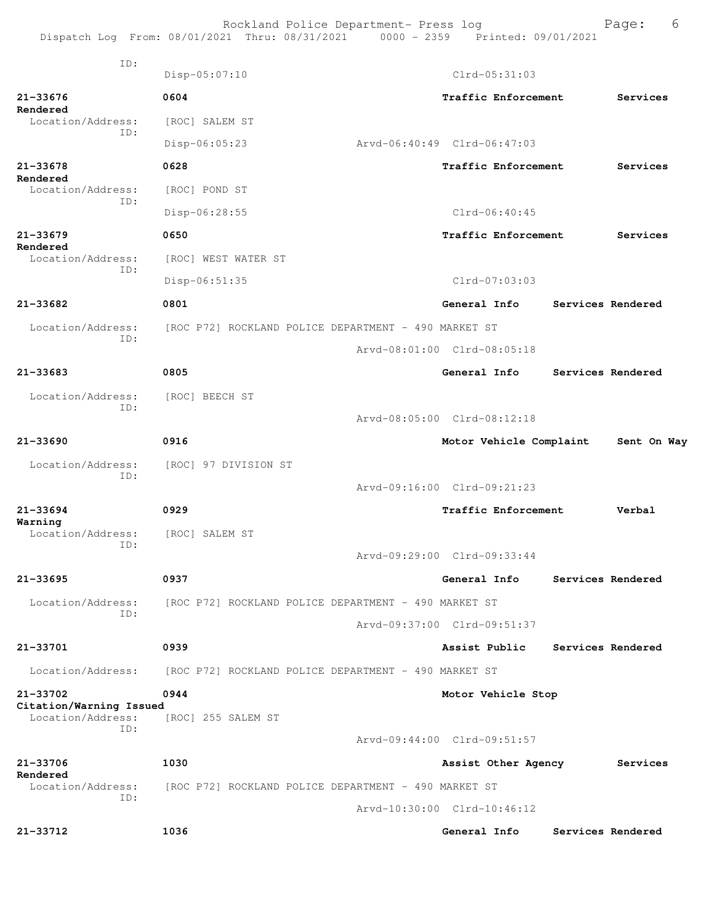|                                                     | Rockland Police Department- Press log<br>Dispatch Log From: 08/01/2021 Thru: 08/31/2021 0000 - 2359 Printed: 09/01/2021 |                             | 6<br>Page:        |
|-----------------------------------------------------|-------------------------------------------------------------------------------------------------------------------------|-----------------------------|-------------------|
| TD:                                                 | $Disp-05:07:10$                                                                                                         | $Clrd-05:31:03$             |                   |
| 21-33676                                            | 0604                                                                                                                    | Traffic Enforcement         | Services          |
| Rendered<br>Location/Address:<br>ID:                | [ROC] SALEM ST                                                                                                          |                             |                   |
|                                                     | Disp-06:05:23                                                                                                           | Arvd-06:40:49 Clrd-06:47:03 |                   |
| 21-33678<br>Rendered                                | 0628                                                                                                                    | Traffic Enforcement         | Services          |
| Location/Address:<br>ID:                            | [ROC] POND ST                                                                                                           |                             |                   |
|                                                     | Disp-06:28:55                                                                                                           | $Clrd-06:40:45$             |                   |
| $21 - 33679$<br>Rendered                            | 0650                                                                                                                    | Traffic Enforcement         | Services          |
| Location/Address:<br>TD:                            | [ROC] WEST WATER ST                                                                                                     |                             |                   |
|                                                     | Disp-06:51:35                                                                                                           | $Clrd-07:03:03$             |                   |
| 21-33682                                            | 0801                                                                                                                    | General Info                | Services Rendered |
| Location/Address:<br>ID:                            | [ROC P72] ROCKLAND POLICE DEPARTMENT - 490 MARKET ST                                                                    |                             |                   |
|                                                     |                                                                                                                         | Arvd-08:01:00 Clrd-08:05:18 |                   |
| $21 - 33683$                                        | 0805                                                                                                                    | General Info                | Services Rendered |
| Location/Address:                                   | [ROC] BEECH ST                                                                                                          |                             |                   |
| ID:                                                 |                                                                                                                         | Arvd-08:05:00 Clrd-08:12:18 |                   |
| $21 - 33690$                                        | 0916                                                                                                                    | Motor Vehicle Complaint     | Sent On Way       |
| Location/Address:<br>ID:                            | [ROC] 97 DIVISION ST                                                                                                    |                             |                   |
|                                                     |                                                                                                                         | Arvd-09:16:00 Clrd-09:21:23 |                   |
| 21-33694                                            | 0929                                                                                                                    | Traffic Enforcement         | Verbal            |
| Warning<br>Location/Address:                        | [ROC] SALEM ST                                                                                                          |                             |                   |
| ID:                                                 |                                                                                                                         | Arvd-09:29:00 Clrd-09:33:44 |                   |
| $21 - 33695$                                        | 0937                                                                                                                    | General Info                | Services Rendered |
| Location/Address:                                   | [ROC P72] ROCKLAND POLICE DEPARTMENT - 490 MARKET ST                                                                    |                             |                   |
| ID:                                                 |                                                                                                                         | Arvd-09:37:00 Clrd-09:51:37 |                   |
| 21-33701                                            | 0939                                                                                                                    | Assist Public               | Services Rendered |
| Location/Address:                                   | [ROC P72] ROCKLAND POLICE DEPARTMENT - 490 MARKET ST                                                                    |                             |                   |
| 21-33702                                            | 0944                                                                                                                    | Motor Vehicle Stop          |                   |
| Citation/Warning Issued<br>Location/Address:<br>ID: | [ROC] 255 SALEM ST                                                                                                      |                             |                   |
|                                                     |                                                                                                                         | Arvd-09:44:00 Clrd-09:51:57 |                   |
| 21-33706<br>Rendered                                | 1030                                                                                                                    | Assist Other Agency         | Services          |
| Location/Address:<br>ID:                            | [ROC P72] ROCKLAND POLICE DEPARTMENT - 490 MARKET ST                                                                    |                             |                   |
|                                                     |                                                                                                                         | Arvd-10:30:00 Clrd-10:46:12 |                   |
| 21-33712                                            | 1036                                                                                                                    | General Info                | Services Rendered |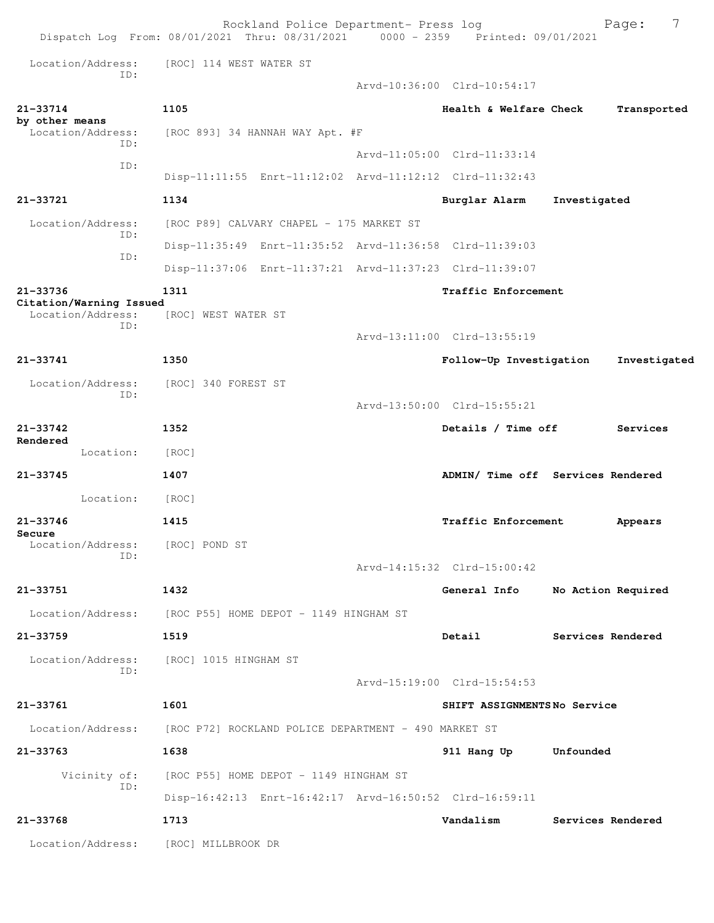|                                     |     |                                                          | Rockland Police Department- Press log    | Dispatch Log From: 08/01/2021 Thru: 08/31/2021 0000 - 2359 Printed: 09/01/2021 |                   | 7<br>Page:         |
|-------------------------------------|-----|----------------------------------------------------------|------------------------------------------|--------------------------------------------------------------------------------|-------------------|--------------------|
| Location/Address:                   | ID: | [ROC] 114 WEST WATER ST                                  |                                          |                                                                                |                   |                    |
|                                     |     |                                                          |                                          | Arvd-10:36:00 Clrd-10:54:17                                                    |                   |                    |
| 21-33714<br>by other means          |     | 1105                                                     |                                          | Health & Welfare Check                                                         |                   | Transported        |
| Location/Address:                   | ID: |                                                          | [ROC 893] 34 HANNAH WAY Apt. #F          |                                                                                |                   |                    |
|                                     | ID: |                                                          |                                          | Arvd-11:05:00 Clrd-11:33:14                                                    |                   |                    |
|                                     |     |                                                          |                                          | Disp-11:11:55 Enrt-11:12:02 Arvd-11:12:12 Clrd-11:32:43                        |                   |                    |
| 21-33721                            |     | 1134                                                     |                                          | Burglar Alarm                                                                  | Investigated      |                    |
| Location/Address:                   | ID: |                                                          | [ROC P89] CALVARY CHAPEL - 175 MARKET ST |                                                                                |                   |                    |
|                                     | ID: |                                                          |                                          | Disp-11:35:49 Enrt-11:35:52 Arvd-11:36:58 Clrd-11:39:03                        |                   |                    |
|                                     |     |                                                          |                                          | Disp-11:37:06 Enrt-11:37:21 Arvd-11:37:23 Clrd-11:39:07                        |                   |                    |
| 21-33736<br>Citation/Warning Issued |     | 1311                                                     |                                          | Traffic Enforcement                                                            |                   |                    |
| Location/Address:                   | TD: | [ROC] WEST WATER ST                                      |                                          |                                                                                |                   |                    |
|                                     |     |                                                          |                                          | Arvd-13:11:00 Clrd-13:55:19                                                    |                   |                    |
| 21-33741                            |     | 1350                                                     |                                          | Follow-Up Investigation                                                        |                   | Investigated       |
| Location/Address:                   |     | [ROC] 340 FOREST ST                                      |                                          |                                                                                |                   |                    |
|                                     | ID: |                                                          |                                          | Arvd-13:50:00 Clrd-15:55:21                                                    |                   |                    |
| $21 - 33742$                        |     | 1352                                                     |                                          | Details / Time off                                                             |                   | Services           |
| Rendered<br>Location:               |     | [ROC]                                                    |                                          |                                                                                |                   |                    |
| 21-33745                            |     | 1407                                                     |                                          | ADMIN/ Time off Services Rendered                                              |                   |                    |
| Location:                           |     | [ROC]                                                    |                                          |                                                                                |                   |                    |
| $21 - 33746$                        |     | 1415                                                     |                                          | Traffic Enforcement                                                            |                   | Appears            |
| Secure<br>Location/Address:         |     | [ROC] POND ST                                            |                                          |                                                                                |                   |                    |
|                                     | ID: |                                                          |                                          | Arvd-14:15:32 Clrd-15:00:42                                                    |                   |                    |
| 21-33751                            |     | 1432                                                     |                                          | General Info                                                                   |                   | No Action Required |
|                                     |     | Location/Address: [ROC P55] HOME DEPOT - 1149 HINGHAM ST |                                          |                                                                                |                   |                    |
| 21-33759                            |     | 1519                                                     |                                          | Detail                                                                         | Services Rendered |                    |
|                                     |     | Location/Address: [ROC] 1015 HINGHAM ST                  |                                          |                                                                                |                   |                    |
|                                     | ID: |                                                          |                                          | Arvd-15:19:00 Clrd-15:54:53                                                    |                   |                    |
| 21-33761                            |     | 1601                                                     |                                          | SHIFT ASSIGNMENTSNo Service                                                    |                   |                    |
| Location/Address:                   |     | [ROC P72] ROCKLAND POLICE DEPARTMENT - 490 MARKET ST     |                                          |                                                                                |                   |                    |
| 21-33763                            |     | 1638                                                     |                                          | 911 Hang Up                                                                    | Unfounded         |                    |
| Vicinity of:                        |     |                                                          | [ROC P55] HOME DEPOT - 1149 HINGHAM ST   |                                                                                |                   |                    |
|                                     | ID: |                                                          |                                          | Disp-16:42:13 Enrt-16:42:17 Arvd-16:50:52 Clrd-16:59:11                        |                   |                    |
| 21-33768                            |     | 1713                                                     |                                          | Vandalism                                                                      | Services Rendered |                    |
|                                     |     |                                                          |                                          |                                                                                |                   |                    |
| Location/Address:                   |     | [ROC] MILLBROOK DR                                       |                                          |                                                                                |                   |                    |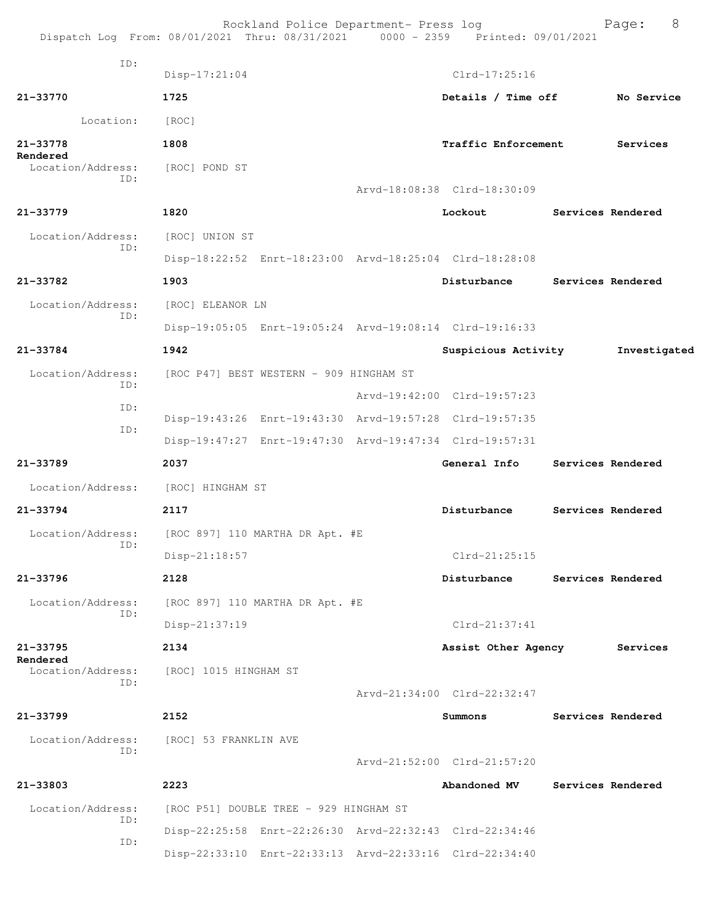|                               | Rockland Police Department- Press log<br>Dispatch Log From: 08/01/2021 Thru: 08/31/2021 0000 - 2359 Printed: 09/01/2021 |                             | 8<br>Page:        |
|-------------------------------|-------------------------------------------------------------------------------------------------------------------------|-----------------------------|-------------------|
| ID:                           | $Disp-17:21:04$                                                                                                         | $Clrd-17:25:16$             |                   |
| 21-33770                      | 1725                                                                                                                    | Details / Time off          | No Service        |
| Location:                     | [ROC]                                                                                                                   |                             |                   |
| 21-33778                      | 1808                                                                                                                    | Traffic Enforcement         | Services          |
| Rendered<br>Location/Address: | [ROC] POND ST                                                                                                           |                             |                   |
| ID:                           |                                                                                                                         | Arvd-18:08:38 Clrd-18:30:09 |                   |
| 21-33779                      | 1820                                                                                                                    | Lockout                     | Services Rendered |
| Location/Address:             | [ROC] UNION ST                                                                                                          |                             |                   |
| ID:                           | Disp-18:22:52 Enrt-18:23:00 Arvd-18:25:04 Clrd-18:28:08                                                                 |                             |                   |
| 21-33782                      | 1903                                                                                                                    | Disturbance                 | Services Rendered |
| Location/Address:             | [ROC] ELEANOR LN                                                                                                        |                             |                   |
| ID:                           | Disp-19:05:05 Enrt-19:05:24 Arvd-19:08:14 Clrd-19:16:33                                                                 |                             |                   |
| 21-33784                      | 1942                                                                                                                    | Suspicious Activity         | Investigated      |
| Location/Address:             | [ROC P47] BEST WESTERN - 909 HINGHAM ST                                                                                 |                             |                   |
| ID:<br>ID:                    |                                                                                                                         | Arvd-19:42:00 Clrd-19:57:23 |                   |
| ID:                           | Disp-19:43:26 Enrt-19:43:30 Arvd-19:57:28 Clrd-19:57:35                                                                 |                             |                   |
|                               | Disp-19:47:27 Enrt-19:47:30 Arvd-19:47:34 Clrd-19:57:31                                                                 |                             |                   |
| 21-33789                      | 2037                                                                                                                    | General Info                | Services Rendered |
| Location/Address:             | [ROC] HINGHAM ST                                                                                                        |                             |                   |
| 21-33794                      | 2117                                                                                                                    | Disturbance                 | Services Rendered |
| Location/Address:<br>ID:      | [ROC 897] 110 MARTHA DR Apt. #E                                                                                         |                             |                   |
|                               | Disp-21:18:57                                                                                                           | $Clrd-21:25:15$             |                   |
| 21-33796                      | 2128                                                                                                                    | Disturbance                 | Services Rendered |
| Location/Address:<br>ID:      | [ROC 897] 110 MARTHA DR Apt. #E                                                                                         |                             |                   |
|                               | Disp-21:37:19                                                                                                           | Clrd-21:37:41               |                   |
| $21 - 33795$<br>Rendered      | 2134                                                                                                                    | Assist Other Agency         | Services          |
| Location/Address:<br>ID:      | [ROC] 1015 HINGHAM ST                                                                                                   |                             |                   |
|                               |                                                                                                                         | Arvd-21:34:00 Clrd-22:32:47 |                   |
| 21-33799                      | 2152                                                                                                                    | Summons                     | Services Rendered |
| Location/Address:<br>ID:      | [ROC] 53 FRANKLIN AVE                                                                                                   |                             |                   |
|                               |                                                                                                                         | Arvd-21:52:00 Clrd-21:57:20 |                   |
| 21-33803                      | 2223                                                                                                                    | Abandoned MV                | Services Rendered |
| Location/Address:<br>ID:      | [ROC P51] DOUBLE TREE - 929 HINGHAM ST                                                                                  |                             |                   |
| ID:                           | Disp-22:25:58 Enrt-22:26:30 Arvd-22:32:43 Clrd-22:34:46                                                                 |                             |                   |
|                               | Disp-22:33:10 Enrt-22:33:13 Arvd-22:33:16 Clrd-22:34:40                                                                 |                             |                   |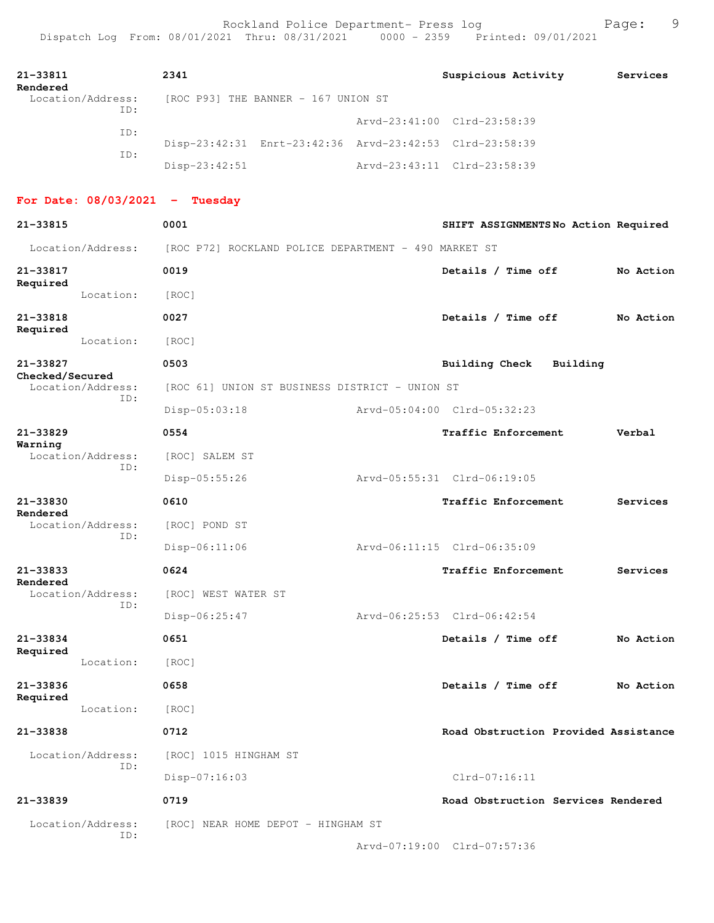| 21-33811<br>Rendered                 | 2341                                                    | Suspicious Activity                  | Services  |
|--------------------------------------|---------------------------------------------------------|--------------------------------------|-----------|
| Location/Address:                    | [ROC P93] THE BANNER - 167 UNION ST                     |                                      |           |
| ID:                                  |                                                         | Arvd-23:41:00 Clrd-23:58:39          |           |
| ID:                                  | Disp-23:42:31 Enrt-23:42:36 Arvd-23:42:53 Clrd-23:58:39 |                                      |           |
| ID:                                  | Disp-23:42:51                                           | Arvd-23:43:11 Clrd-23:58:39          |           |
| For Date: $08/03/2021$ - Tuesday     |                                                         |                                      |           |
| 21-33815                             | 0001                                                    | SHIFT ASSIGNMENTSNo Action Required  |           |
| Location/Address:                    | [ROC P72] ROCKLAND POLICE DEPARTMENT - 490 MARKET ST    |                                      |           |
| 21-33817                             | 0019                                                    | Details / Time off                   | No Action |
| Required<br>Location:                | [ROC]                                                   |                                      |           |
| 21-33818                             | 0027                                                    | Details / Time off                   | No Action |
| Required<br>Location:                | [ROC]                                                   |                                      |           |
| 21-33827                             | 0503                                                    | <b>Building Check</b><br>Building    |           |
| Checked/Secured<br>Location/Address: | [ROC 61] UNION ST BUSINESS DISTRICT - UNION ST          |                                      |           |
| ID:                                  | Disp-05:03:18                                           | Arvd-05:04:00 Clrd-05:32:23          |           |
| $21 - 33829$                         | 0554                                                    | Traffic Enforcement                  | Verbal    |
| Warning<br>Location/Address:         | [ROC] SALEM ST                                          |                                      |           |
| ID:                                  | Disp-05:55:26                                           | Arvd-05:55:31 Clrd-06:19:05          |           |
| 21-33830                             | 0610                                                    | Traffic Enforcement                  | Services  |
| Rendered<br>Location/Address:        | [ROC] POND ST                                           |                                      |           |
| ID:                                  | $Disp-06:11:06$                                         | Arvd-06:11:15 Clrd-06:35:09          |           |
| $21 - 33833$                         | 0624                                                    | Traffic Enforcement                  | Services  |
| Rendered<br>Location/Address:        | [ROC] WEST WATER ST                                     |                                      |           |
| ID:                                  | Disp-06:25:47                                           | Arvd-06:25:53 Clrd-06:42:54          |           |
| 21-33834                             | 0651                                                    | Details / Time off                   | No Action |
| Required<br>Location:                | [ROC]                                                   |                                      |           |
| 21-33836                             | 0658                                                    | Details / Time off                   | No Action |
| Required<br>Location:                | [ROC]                                                   |                                      |           |
|                                      |                                                         |                                      |           |
| 21-33838                             | 0712                                                    | Road Obstruction Provided Assistance |           |
| Location/Address:<br>ID:             | [ROC] 1015 HINGHAM ST                                   |                                      |           |
|                                      | Disp-07:16:03                                           | Clrd-07:16:11                        |           |
| $21 - 33839$                         | 0719                                                    | Road Obstruction Services Rendered   |           |
| Location/Address:<br>ID:             | [ROC] NEAR HOME DEPOT - HINGHAM ST                      |                                      |           |
|                                      |                                                         | Arvd-07:19:00 Clrd-07:57:36          |           |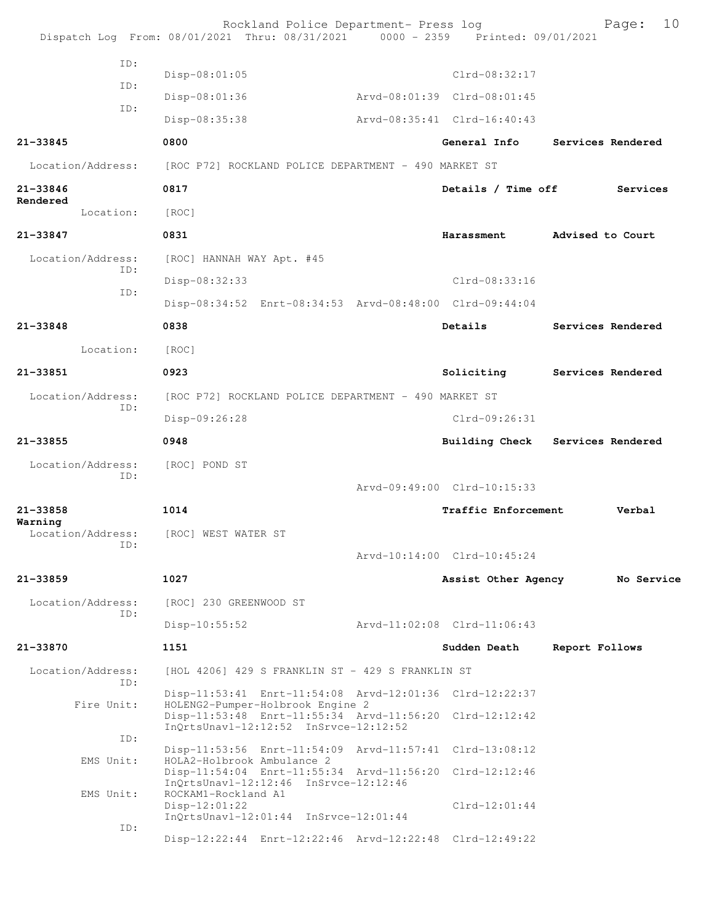|                                     | Rockland Police Department- Press log<br>Dispatch Log From: 08/01/2021 Thru: 08/31/2021 0000 - 2359 Printed: 09/01/2021              |                             | 10<br>Page:       |
|-------------------------------------|--------------------------------------------------------------------------------------------------------------------------------------|-----------------------------|-------------------|
| TD:                                 | $Disp-08:01:05$                                                                                                                      | Clrd-08:32:17               |                   |
| ID:                                 |                                                                                                                                      | Arvd-08:01:39 Clrd-08:01:45 |                   |
| ID:                                 | Disp-08:01:36                                                                                                                        |                             |                   |
|                                     | Disp-08:35:38                                                                                                                        | Arvd-08:35:41 Clrd-16:40:43 |                   |
| 21-33845                            | 0800                                                                                                                                 | General Info                | Services Rendered |
| Location/Address:                   | [ROC P72] ROCKLAND POLICE DEPARTMENT - 490 MARKET ST                                                                                 |                             |                   |
| 21-33846<br>Rendered                | 0817                                                                                                                                 | Details / Time off          | Services          |
| Location:                           | [ROC]                                                                                                                                |                             |                   |
| 21-33847                            | 0831                                                                                                                                 | Harassment                  | Advised to Court  |
| Location/Address:<br>TD:            | [ROC] HANNAH WAY Apt. #45                                                                                                            |                             |                   |
| ID:                                 | Disp-08:32:33                                                                                                                        | Clrd-08:33:16               |                   |
|                                     | Disp-08:34:52 Enrt-08:34:53 Arvd-08:48:00 Clrd-09:44:04                                                                              |                             |                   |
| $21 - 33848$                        | 0838                                                                                                                                 | Details                     | Services Rendered |
| Location:                           | [ROC]                                                                                                                                |                             |                   |
| 21-33851                            | 0923                                                                                                                                 | Soliciting                  | Services Rendered |
| Location/Address:                   | [ROC P72] ROCKLAND POLICE DEPARTMENT - 490 MARKET ST                                                                                 |                             |                   |
| ID:                                 | Disp-09:26:28                                                                                                                        | $Clrd-09:26:31$             |                   |
| 21-33855                            | 0948                                                                                                                                 | Building Check              | Services Rendered |
| Location/Address:<br>ID:            | [ROC] POND ST                                                                                                                        |                             |                   |
|                                     |                                                                                                                                      | Arvd-09:49:00 Clrd-10:15:33 |                   |
| 21-33858                            | 1014                                                                                                                                 | Traffic Enforcement         | Verbal            |
| Warning<br>Location/Address:<br>ID: | [ROC] WEST WATER ST                                                                                                                  |                             |                   |
|                                     |                                                                                                                                      | Arvd-10:14:00 Clrd-10:45:24 |                   |
| $21 - 33859$                        | 1027                                                                                                                                 | Assist Other Agency         | No Service        |
| Location/Address:<br>ID:            | [ROC] 230 GREENWOOD ST                                                                                                               |                             |                   |
|                                     | $Disp-10:55:52$                                                                                                                      | Arvd-11:02:08 Clrd-11:06:43 |                   |
| 21-33870                            | 1151                                                                                                                                 | Sudden Death                | Report Follows    |
| Location/Address:                   | [HOL 4206] 429 S FRANKLIN ST - 429 S FRANKLIN ST                                                                                     |                             |                   |
| TD:                                 | Disp-11:53:41 Enrt-11:54:08 Arvd-12:01:36 Clrd-12:22:37                                                                              |                             |                   |
| Fire Unit:                          | HOLENG2-Pumper-Holbrook Engine 2<br>Disp-11:53:48 Enrt-11:55:34 Arvd-11:56:20 Clrd-12:12:42<br>InQrtsUnavl-12:12:52 InSrvce-12:12:52 |                             |                   |
| ID:                                 | Disp-11:53:56 Enrt-11:54:09 Arvd-11:57:41 Clrd-13:08:12                                                                              |                             |                   |
| EMS Unit:                           | HOLA2-Holbrook Ambulance 2<br>Disp-11:54:04 Enrt-11:55:34 Arvd-11:56:20 Clrd-12:12:46                                                |                             |                   |
| EMS Unit:                           | InQrtsUnavl-12:12:46 InSrvce-12:12:46<br>ROCKAM1-Rockland A1                                                                         |                             |                   |
|                                     | $Disp-12:01:22$<br>$InQrtsUnav1-12:01:44 InSrvce-12:01:44$                                                                           | $Clrd-12:01:44$             |                   |
| ID:                                 | Disp-12:22:44 Enrt-12:22:46 Arvd-12:22:48 Clrd-12:49:22                                                                              |                             |                   |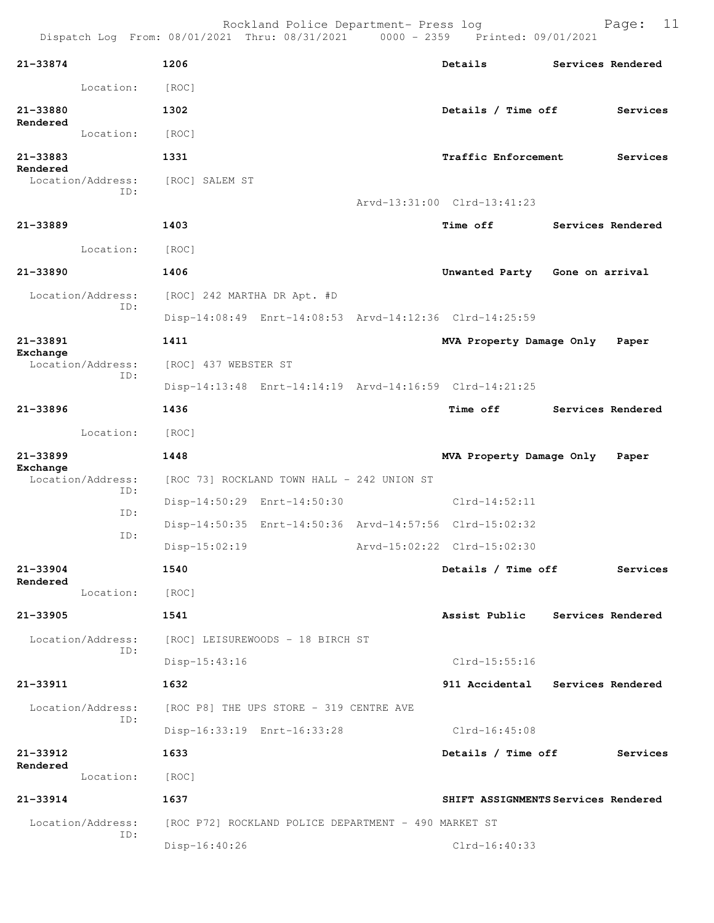| 21-33874     |                          | 1206                             |                                                         | Details                                                 | Services Rendered |
|--------------|--------------------------|----------------------------------|---------------------------------------------------------|---------------------------------------------------------|-------------------|
|              | Location:                | [ROC]                            |                                                         |                                                         |                   |
| 21-33880     |                          | 1302                             |                                                         | Details / Time off                                      | Services          |
| Rendered     | Location:                | [ROC]                            |                                                         |                                                         |                   |
| 21-33883     |                          | 1331                             |                                                         | Traffic Enforcement                                     | Services          |
| Rendered     | Location/Address:        | [ROC] SALEM ST                   |                                                         |                                                         |                   |
|              | TD:                      |                                  |                                                         | Arvd-13:31:00 Clrd-13:41:23                             |                   |
| 21-33889     |                          | 1403                             |                                                         | <b>Time off</b>                                         | Services Rendered |
|              | Location:                | [ROC]                            |                                                         |                                                         |                   |
| $21 - 33890$ |                          | 1406                             |                                                         | Unwanted Party Gone on arrival                          |                   |
|              | Location/Address:        | [ROC] 242 MARTHA DR Apt. #D      |                                                         |                                                         |                   |
|              | ID:                      |                                  | Disp-14:08:49 Enrt-14:08:53 Arvd-14:12:36 Clrd-14:25:59 |                                                         |                   |
| 21-33891     |                          | 1411                             |                                                         | MVA Property Damage Only                                | Paper             |
| Exchange     | Location/Address:        | [ROC] 437 WEBSTER ST             |                                                         |                                                         |                   |
|              | ID:                      |                                  |                                                         | Disp-14:13:48 Enrt-14:14:19 Arvd-14:16:59 Clrd-14:21:25 |                   |
| 21-33896     |                          | 1436                             |                                                         | <b>Time off</b>                                         | Services Rendered |
|              | Location:                | [ROC]                            |                                                         |                                                         |                   |
| 21-33899     |                          | 1448                             |                                                         | MVA Property Damage Only                                | Paper             |
| Exchange     |                          |                                  |                                                         |                                                         |                   |
|              | Location/Address:        |                                  | [ROC 73] ROCKLAND TOWN HALL - 242 UNION ST              |                                                         |                   |
|              | ID:                      | Disp-14:50:29 Enrt-14:50:30      |                                                         | $Clrd-14:52:11$                                         |                   |
|              | ID:                      |                                  | Disp-14:50:35 Enrt-14:50:36 Arvd-14:57:56 Clrd-15:02:32 |                                                         |                   |
|              | ID:                      | $Disp-15:02:19$                  |                                                         | Arvd-15:02:22 Clrd-15:02:30                             |                   |
| 21-33904     |                          | 1540                             |                                                         | Details / Time off                                      | Services          |
| Rendered     | Location:                | [ROC]                            |                                                         |                                                         |                   |
| $21 - 33905$ |                          | 1541                             |                                                         | Assist Public                                           | Services Rendered |
|              | Location/Address:        | [ROC] LEISUREWOODS - 18 BIRCH ST |                                                         |                                                         |                   |
|              | ID:                      | $Disp-15:43:16$                  |                                                         | $Clrd-15:55:16$                                         |                   |
| 21-33911     |                          | 1632                             |                                                         | 911 Accidental                                          | Services Rendered |
|              | Location/Address:        |                                  | [ROC P8] THE UPS STORE - 319 CENTRE AVE                 |                                                         |                   |
|              | ID:                      |                                  | Disp-16:33:19 Enrt-16:33:28                             | $Clrd-16:45:08$                                         |                   |
| 21-33912     |                          | 1633                             |                                                         | Details / Time off                                      | Services          |
| Rendered     | Location:                | [ROC]                            |                                                         |                                                         |                   |
| 21-33914     |                          | 1637                             |                                                         | SHIFT ASSIGNMENTS Services Rendered                     |                   |
|              | Location/Address:<br>ID: |                                  | [ROC P72] ROCKLAND POLICE DEPARTMENT - 490 MARKET ST    |                                                         |                   |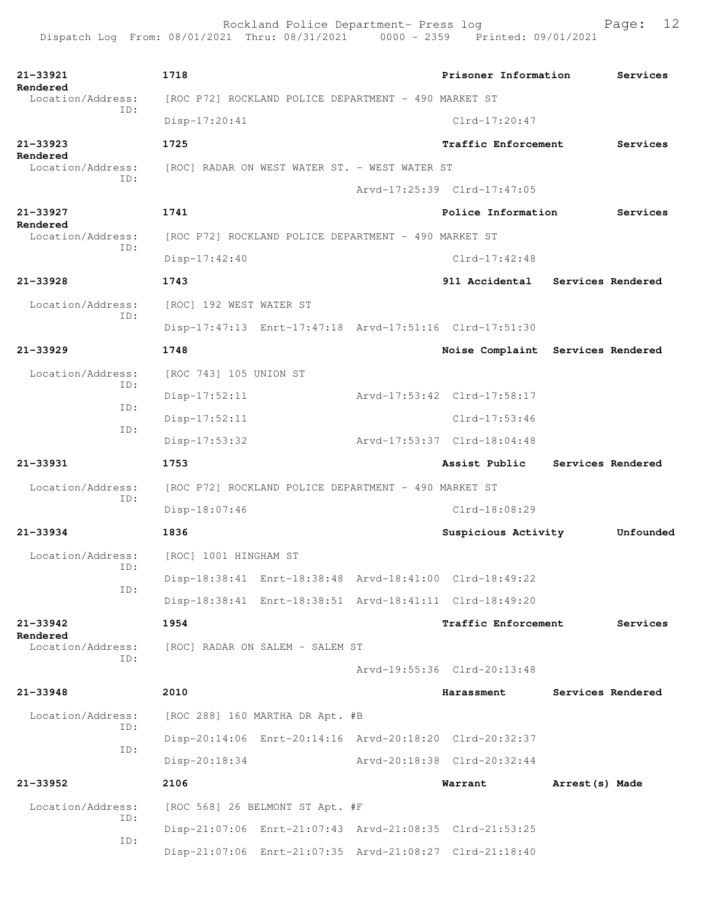Rockland Police Department- Press log Page: 12 Dispatch Log From: 08/01/2021 Thru: 08/31/2021 0000 - 2359 **21-33921 1718 Prisoner Information Services Rendered**<br>Location/Address: [ROC P72] ROCKLAND POLICE DEPARTMENT - 490 MARKET ST ID: Disp-17:20:41 Clrd-17:20:47 **21-33923 1725 Traffic Enforcement Services Rendered**<br>Location/Address: [ROC] RADAR ON WEST WATER ST. - WEST WATER ST ID: Arvd-17:25:39 Clrd-17:47:05 **21-33927 1741 Police Information Services Rendered**  Location/Address: [ROC P72] ROCKLAND POLICE DEPARTMENT - 490 MARKET ST ID: Disp-17:42:40 Clrd-17:42:48 **21-33928 1743 911 Accidental Services Rendered** Location/Address: [ROC] 192 WEST WATER ST ID: Disp-17:47:13 Enrt-17:47:18 Arvd-17:51:16 Clrd-17:51:30 **21-33929 1748 Noise Complaint Services Rendered** Location/Address: [ROC 743] 105 UNION ST ID: Disp-17:52:11 Arvd-17:53:42 Clrd-17:58:17 ID: Disp-17:52:11 Clrd-17:53:46 ID: Disp-17:53:32 Arvd-17:53:37 Clrd-18:04:48 **21-33931 1753 Assist Public Services Rendered** Location/Address: [ROC P72] ROCKLAND POLICE DEPARTMENT - 490 MARKET ST ID: Disp-18:07:46 Clrd-18:08:29 **21-33934 1836 Suspicious Activity Unfounded** Location/Address: [ROC] 1001 HINGHAM ST ID: Disp-18:38:41 Enrt-18:38:48 Arvd-18:41:00 Clrd-18:49:22 ID: Disp-18:38:41 Enrt-18:38:51 Arvd-18:41:11 Clrd-18:49:20

**21-33942 1954 Traffic Enforcement Services**

**Rendered**<br>Location/Address: ID:

**21-33948 2010 Harassment Services Rendered**

 Location/Address: [ROC 288] 160 MARTHA DR Apt. #B ID: ID:

ID:

 Disp-20:18:34 Arvd-20:18:38 Clrd-20:32:44 **21-33952 2106 Warrant Arrest(s) Made** Location/Address: [ROC 568] 26 BELMONT ST Apt. #F ID: Disp-21:07:06 Enrt-21:07:43 Arvd-21:08:35 Clrd-21:53:25

[ROC] RADAR ON SALEM - SALEM ST

Disp-21:07:06 Enrt-21:07:35 Arvd-21:08:27 Clrd-21:18:40

Disp-20:14:06 Enrt-20:14:16 Arvd-20:18:20 Clrd-20:32:37

Arvd-19:55:36 Clrd-20:13:48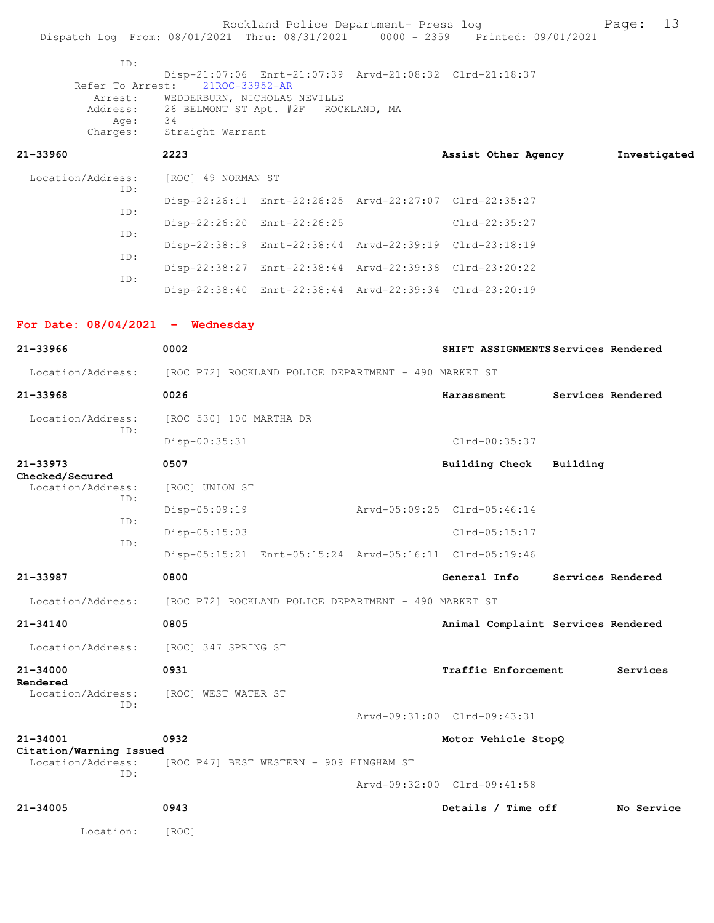Rockland Police Department- Press log Fage: 13 Dispatch Log From: 08/01/2021 Thru: 08/31/2021 0000 - 2359 Printed: 09/01/2021 ID: Disp-21:07:06 Enrt-21:07:39 Arvd-21:08:32 Clrd-21:18:37<br>Refer To Arrest: 21ROC-33952-AR Refer To Arrest: 21ROC-33952-AR Arrest: WEDDERBURN, NICHOLAS NEVILLE Address: 26 BELMONT ST Apt. #2F ROCKLAND, MA<br>Age: 34 Age: Charges: Straight Warrant **21-33960 2223 Assist Other Agency Investigated** Location/Address: [ROC] 49 NORMAN ST ID: Disp-22:26:11 Enrt-22:26:25 Arvd-22:27:07 Clrd-22:35:27 ID: Disp-22:26:20 Enrt-22:26:25 Clrd-22:35:27 ID: Disp-22:38:19 Enrt-22:38:44 Arvd-22:39:19 Clrd-23:18:19 ID: Disp-22:38:27 Enrt-22:38:44 Arvd-22:39:38 Clrd-23:20:22 ID: Disp-22:38:40 Enrt-22:38:44 Arvd-22:39:34 Clrd-23:20:19 **For Date: 08/04/2021 - Wednesday 21-33966 0002 SHIFT ASSIGNMENTS Services Rendered** Location/Address: [ROC P72] ROCKLAND POLICE DEPARTMENT - 490 MARKET ST **21-33968 0026 Harassment Services Rendered** Location/Address: [ROC 530] 100 MARTHA DR ID: Disp-00:35:31 Clrd-00:35:37 **21-33973 0507 Building Check Building Checked/Secured**  Location/Address: [ROC] UNION ST ID: Disp-05:09:19 Arvd-05:09:25 Clrd-05:46:14 ID: Disp-05:15:03 Clrd-05:15:17 ID: Disp-05:15:21 Enrt-05:15:24 Arvd-05:16:11 Clrd-05:19:46 **21-33987 0800 General Info Services Rendered** Location/Address: [ROC P72] ROCKLAND POLICE DEPARTMENT - 490 MARKET ST **21-34140 0805 Animal Complaint Services Rendered** Location/Address: [ROC] 347 SPRING ST **21-34000 0931 Traffic Enforcement Services Rendered**  [ROC] WEST WATER ST ID: Arvd-09:31:00 Clrd-09:43:31 **21-34001 0932 Motor Vehicle StopQ Citation/Warning Issued**  Location/Address: [ROC P47] BEST WESTERN - 909 HINGHAM ST ID: Arvd-09:32:00 Clrd-09:41:58 **21-34005 0943 Details / Time off No Service** Location: [ROC]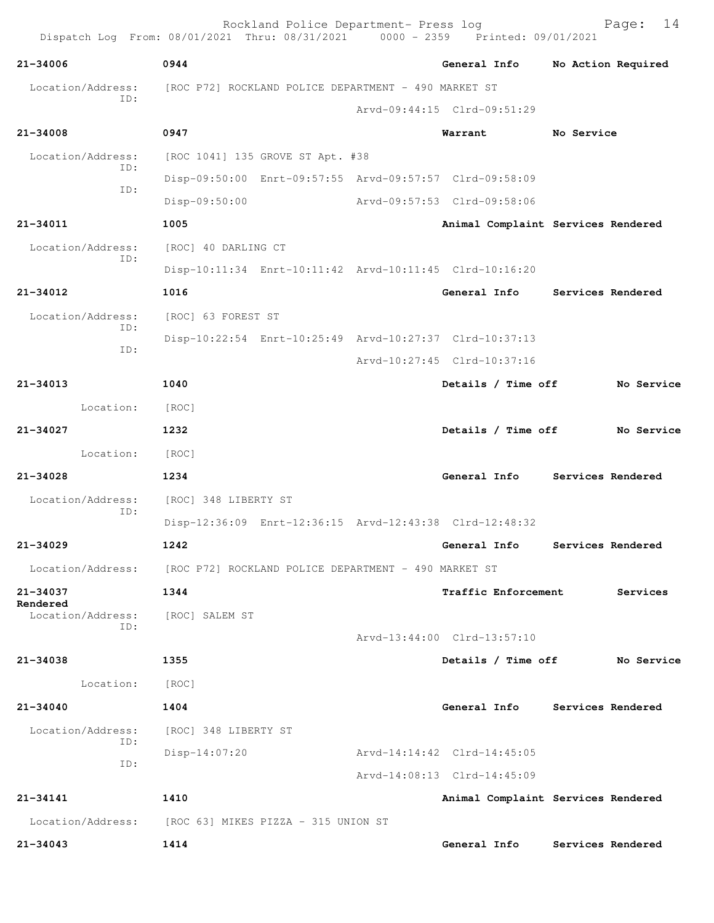|                               | Rockland Police Department- Press log<br>Dispatch Log From: 08/01/2021 Thru: 08/31/2021 0000 - 2359 Printed: 09/01/2021 |  |                                    |            | 14<br>Page:        |  |  |
|-------------------------------|-------------------------------------------------------------------------------------------------------------------------|--|------------------------------------|------------|--------------------|--|--|
| 21-34006                      | 0944                                                                                                                    |  | General Info                       |            | No Action Required |  |  |
| Location/Address:             | [ROC P72] ROCKLAND POLICE DEPARTMENT - 490 MARKET ST                                                                    |  |                                    |            |                    |  |  |
| ID:                           |                                                                                                                         |  | Arvd-09:44:15 Clrd-09:51:29        |            |                    |  |  |
| $21 - 34008$                  | 0947                                                                                                                    |  | Warrant                            | No Service |                    |  |  |
| Location/Address:             | [ROC 1041] 135 GROVE ST Apt. #38                                                                                        |  |                                    |            |                    |  |  |
| ID:                           | Disp-09:50:00 Enrt-09:57:55 Arvd-09:57:57 Clrd-09:58:09                                                                 |  |                                    |            |                    |  |  |
| ID:                           | Disp-09:50:00                                                                                                           |  | Arvd-09:57:53 Clrd-09:58:06        |            |                    |  |  |
| 21-34011                      | 1005                                                                                                                    |  | Animal Complaint Services Rendered |            |                    |  |  |
| Location/Address:             | [ROC] 40 DARLING CT                                                                                                     |  |                                    |            |                    |  |  |
| ID:                           | Disp-10:11:34 Enrt-10:11:42 Arvd-10:11:45 Clrd-10:16:20                                                                 |  |                                    |            |                    |  |  |
| $21 - 34012$                  | 1016                                                                                                                    |  | General Info Services Rendered     |            |                    |  |  |
| Location/Address:             | [ROC] 63 FOREST ST                                                                                                      |  |                                    |            |                    |  |  |
| ID:                           | Disp-10:22:54 Enrt-10:25:49 Arvd-10:27:37 Clrd-10:37:13                                                                 |  |                                    |            |                    |  |  |
| ID:                           |                                                                                                                         |  | Arvd-10:27:45 Clrd-10:37:16        |            |                    |  |  |
| 21-34013                      | 1040                                                                                                                    |  | Details / Time off                 |            | No Service         |  |  |
| Location:                     | [ROC]                                                                                                                   |  |                                    |            |                    |  |  |
| 21-34027                      | 1232                                                                                                                    |  | Details / Time off<br>No Service   |            |                    |  |  |
| Location:                     | [ROC]                                                                                                                   |  |                                    |            |                    |  |  |
| $21 - 34028$                  | 1234                                                                                                                    |  | General Info Services Rendered     |            |                    |  |  |
| Location/Address:             | [ROC] 348 LIBERTY ST                                                                                                    |  |                                    |            |                    |  |  |
| ID:                           | Disp-12:36:09 Enrt-12:36:15 Arvd-12:43:38 Clrd-12:48:32                                                                 |  |                                    |            |                    |  |  |
| 21-34029                      | 1242                                                                                                                    |  | General Info                       |            | Services Rendered  |  |  |
|                               | Location/Address: [ROC P72] ROCKLAND POLICE DEPARTMENT - 490 MARKET ST                                                  |  |                                    |            |                    |  |  |
| 21-34037                      | 1344                                                                                                                    |  | <b>Traffic Enforcement</b>         |            | Services           |  |  |
| Rendered<br>Location/Address: | [ROC] SALEM ST                                                                                                          |  |                                    |            |                    |  |  |
| ID:                           |                                                                                                                         |  | Arvd-13:44:00 Clrd-13:57:10        |            |                    |  |  |
| 21-34038                      | 1355                                                                                                                    |  | Details / Time off                 |            | No Service         |  |  |
| Location:                     | [ROC]                                                                                                                   |  |                                    |            |                    |  |  |
| $21 - 34040$                  | 1404                                                                                                                    |  | General Info Services Rendered     |            |                    |  |  |
| Location/Address:             | [ROC] 348 LIBERTY ST                                                                                                    |  |                                    |            |                    |  |  |
| ID:                           | $Disp-14:07:20$                                                                                                         |  | Arvd-14:14:42 Clrd-14:45:05        |            |                    |  |  |
| ID:                           |                                                                                                                         |  | Arvd-14:08:13 Clrd-14:45:09        |            |                    |  |  |
| $21 - 34141$                  | 1410                                                                                                                    |  | Animal Complaint Services Rendered |            |                    |  |  |
|                               | Location/Address: [ROC 63] MIKES PIZZA - 315 UNION ST                                                                   |  |                                    |            |                    |  |  |
| $21 - 34043$                  | 1414                                                                                                                    |  | General Info                       |            | Services Rendered  |  |  |
|                               |                                                                                                                         |  |                                    |            |                    |  |  |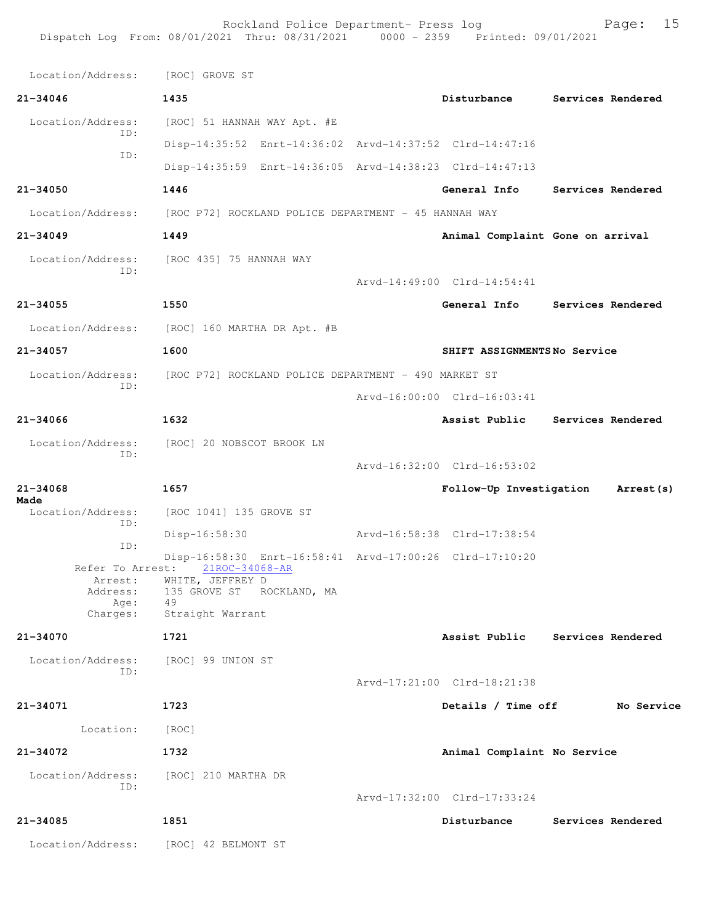Location/Address: [ROC] GROVE ST **21-34046 1435 Disturbance Services Rendered** Location/Address: [ROC] 51 HANNAH WAY Apt. #E ID: Disp-14:35:52 Enrt-14:36:02 Arvd-14:37:52 Clrd-14:47:16 ID: Disp-14:35:59 Enrt-14:36:05 Arvd-14:38:23 Clrd-14:47:13 **21-34050 1446 General Info Services Rendered** Location/Address: [ROC P72] ROCKLAND POLICE DEPARTMENT - 45 HANNAH WAY **21-34049 1449 Animal Complaint Gone on arrival** Location/Address: [ROC 435] 75 HANNAH WAY ID: Arvd-14:49:00 Clrd-14:54:41 **21-34055 1550 General Info Services Rendered** Location/Address: [ROC] 160 MARTHA DR Apt. #B **21-34057 1600 SHIFT ASSIGNMENTS No Service** Location/Address: [ROC P72] ROCKLAND POLICE DEPARTMENT - 490 MARKET ST ID: Arvd-16:00:00 Clrd-16:03:41 **21-34066 1632 Assist Public Services Rendered** Location/Address: [ROC] 20 NOBSCOT BROOK LN ID: Arvd-16:32:00 Clrd-16:53:02 **21-34068 1657 Follow-Up Investigation Arrest(s) Made**  Location/Address: [ROC 1041] 135 GROVE ST ID: Disp-16:58:30 Arvd-16:58:38 Clrd-17:38:54 ID: Disp-16:58:30 Enrt-16:58:41 Arvd-17:00:26 Clrd-17:10:20 Refer To Arrest: 21ROC-34068-AR Arrest: WHITE, JEFFREY D<br>Address: 135 GROVE ST RC 135 GROVE ST ROCKLAND, MA<br>49 Age: Charges: Straight Warrant **21-34070 1721 Assist Public Services Rendered** Location/Address: [ROC] 99 UNION ST ID: Arvd-17:21:00 Clrd-18:21:38 **21-34071 1723 Details / Time off No Service** Location: [ROC] **21-34072 1732 Animal Complaint No Service** Location/Address: [ROC] 210 MARTHA DR ID: Arvd-17:32:00 Clrd-17:33:24 **21-34085 1851 Disturbance Services Rendered** Location/Address: [ROC] 42 BELMONT ST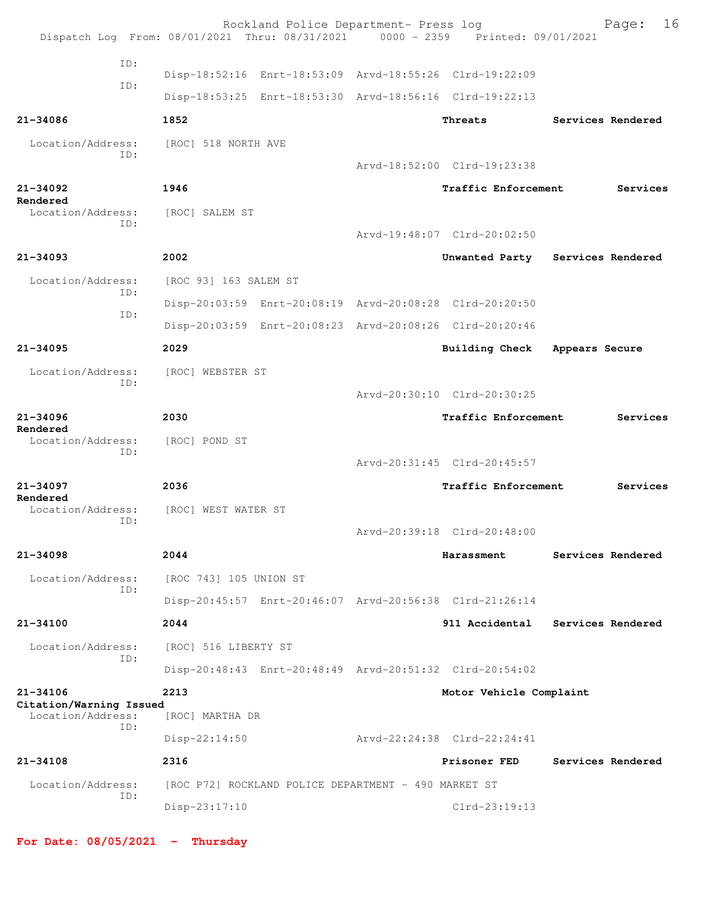|                                              | Rockland Police Department- Press log<br>Dispatch Log From: 08/01/2021 Thru: 08/31/2021 0000 - 2359 Printed: 09/01/2021 |                             | 16<br>Page:                      |
|----------------------------------------------|-------------------------------------------------------------------------------------------------------------------------|-----------------------------|----------------------------------|
| ID:<br>TD:                                   | Disp-18:52:16 Enrt-18:53:09 Arvd-18:55:26 Clrd-19:22:09                                                                 |                             |                                  |
|                                              | Disp-18:53:25 Enrt-18:53:30 Arvd-18:56:16 Clrd-19:22:13                                                                 |                             |                                  |
| 21-34086                                     | 1852                                                                                                                    | Threats                     | Services Rendered                |
| Location/Address:<br>ID:                     | [ROC] 518 NORTH AVE                                                                                                     |                             |                                  |
|                                              |                                                                                                                         | Arvd-18:52:00 Clrd-19:23:38 |                                  |
| $21 - 34092$                                 | 1946                                                                                                                    | <b>Traffic Enforcement</b>  | Services                         |
| Rendered<br>Location/Address:<br>ID:         | [ROC] SALEM ST                                                                                                          |                             |                                  |
|                                              |                                                                                                                         | Arvd-19:48:07 Clrd-20:02:50 |                                  |
| $21 - 34093$                                 | 2002                                                                                                                    |                             | Unwanted Party Services Rendered |
| Location/Address:<br>ID:                     | [ROC 93] 163 SALEM ST                                                                                                   |                             |                                  |
| ID:                                          | Disp-20:03:59 Enrt-20:08:19 Arvd-20:08:28 Clrd-20:20:50                                                                 |                             |                                  |
|                                              | Disp-20:03:59 Enrt-20:08:23 Arvd-20:08:26 Clrd-20:20:46                                                                 |                             |                                  |
| $21 - 34095$                                 | 2029                                                                                                                    | Building Check              | Appears Secure                   |
| Location/Address:<br>TD:                     | [ROC] WEBSTER ST                                                                                                        |                             |                                  |
|                                              |                                                                                                                         | Arvd-20:30:10 Clrd-20:30:25 |                                  |
| $21 - 34096$<br>Rendered                     | 2030                                                                                                                    | Traffic Enforcement         | Services                         |
| Location/Address:<br>ID:                     | [ROC] POND ST                                                                                                           |                             |                                  |
|                                              |                                                                                                                         | Arvd-20:31:45 Clrd-20:45:57 |                                  |
| $21 - 34097$<br>Rendered                     | 2036                                                                                                                    | Traffic Enforcement         | Services                         |
| Location/Address:<br>ID:                     | [ROC] WEST WATER ST                                                                                                     |                             |                                  |
|                                              |                                                                                                                         | Arvd-20:39:18 Clrd-20:48:00 |                                  |
| $21 - 34098$                                 | 2044                                                                                                                    | Harassment                  | Services Rendered                |
| Location/Address:                            | [ROC 743] 105 UNION ST                                                                                                  |                             |                                  |
| TD:                                          | Disp-20:45:57 Enrt-20:46:07 Arvd-20:56:38 Clrd-21:26:14                                                                 |                             |                                  |
| 21-34100                                     | 2044                                                                                                                    |                             | 911 Accidental Services Rendered |
| Location/Address:                            | [ROC] 516 LIBERTY ST                                                                                                    |                             |                                  |
| ID:                                          | Disp-20:48:43 Enrt-20:48:49 Arvd-20:51:32 Clrd-20:54:02                                                                 |                             |                                  |
| 21-34106                                     | 2213                                                                                                                    | Motor Vehicle Complaint     |                                  |
| Citation/Warning Issued<br>Location/Address: | [ROC] MARTHA DR                                                                                                         |                             |                                  |
| ID:                                          | $Disp-22:14:50$                                                                                                         | Arvd-22:24:38 Clrd-22:24:41 |                                  |
| 21-34108                                     | 2316                                                                                                                    | Prisoner FED                | Services Rendered                |
| Location/Address:                            | [ROC P72] ROCKLAND POLICE DEPARTMENT - 490 MARKET ST                                                                    |                             |                                  |
| ID:                                          | $Disp-23:17:10$                                                                                                         | $Clrd-23:19:13$             |                                  |

**For Date: 08/05/2021 - Thursday**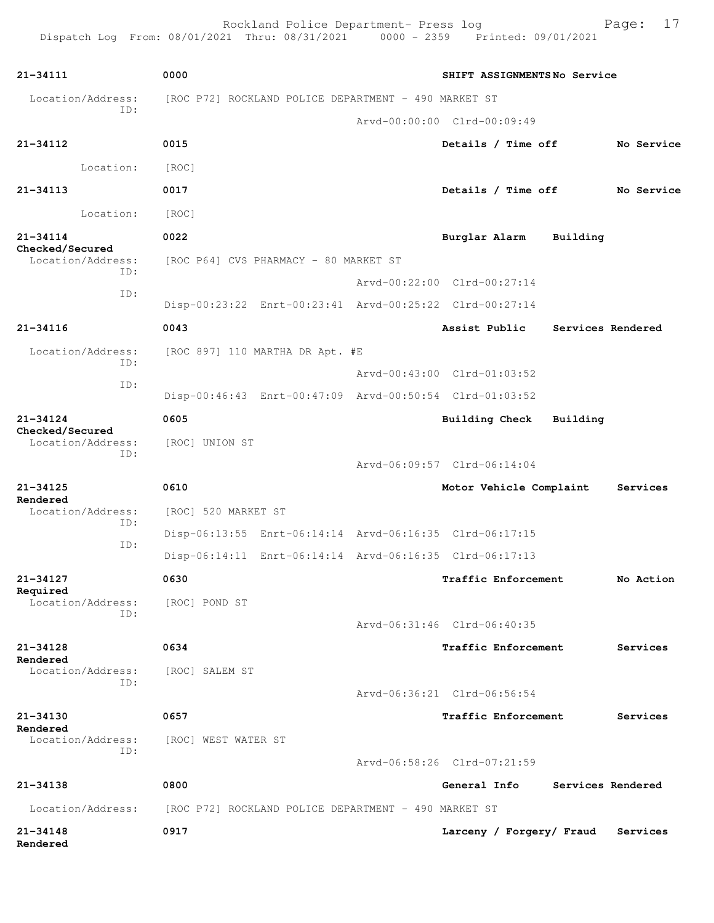| 21-34111                             | 0000                                                    | SHIFT ASSIGNMENTSNo Service |                   |            |
|--------------------------------------|---------------------------------------------------------|-----------------------------|-------------------|------------|
| Location/Address:                    | [ROC P72] ROCKLAND POLICE DEPARTMENT - 490 MARKET ST    |                             |                   |            |
| TD:                                  |                                                         | Arvd-00:00:00 Clrd-00:09:49 |                   |            |
| 21-34112                             | 0015                                                    | Details / Time off          |                   | No Service |
| Location:                            | [ROC]                                                   |                             |                   |            |
| $21 - 34113$                         | 0017                                                    | Details / Time off          |                   | No Service |
| Location:                            | [ROC]                                                   |                             |                   |            |
| $21 - 34114$                         | 0022                                                    | Burglar Alarm               | Building          |            |
| Checked/Secured<br>Location/Address: | [ROC P64] CVS PHARMACY - 80 MARKET ST                   |                             |                   |            |
| ID:                                  |                                                         | Arvd-00:22:00 Clrd-00:27:14 |                   |            |
| ID:                                  | Disp-00:23:22 Enrt-00:23:41 Arvd-00:25:22 Clrd-00:27:14 |                             |                   |            |
| 21-34116                             | 0043                                                    | Assist Public               | Services Rendered |            |
| Location/Address:                    | [ROC 897] 110 MARTHA DR Apt. #E                         |                             |                   |            |
| ID:                                  |                                                         | Arvd-00:43:00 Clrd-01:03:52 |                   |            |
| ID:                                  | Disp-00:46:43 Enrt-00:47:09 Arvd-00:50:54 Clrd-01:03:52 |                             |                   |            |
| $21 - 34124$                         | 0605                                                    | Building Check              | Building          |            |
| Checked/Secured<br>Location/Address: | [ROC] UNION ST                                          |                             |                   |            |
| ID:                                  |                                                         | Arvd-06:09:57 Clrd-06:14:04 |                   |            |
| $21 - 34125$                         | 0610                                                    | Motor Vehicle Complaint     |                   | Services   |
| Rendered<br>Location/Address:        | [ROC] 520 MARKET ST                                     |                             |                   |            |
| ID:<br>ID:                           | Disp-06:13:55 Enrt-06:14:14 Arvd-06:16:35 Clrd-06:17:15 |                             |                   |            |
|                                      | Disp-06:14:11 Enrt-06:14:14 Arvd-06:16:35 Clrd-06:17:13 |                             |                   |            |
| 21-34127<br>Required                 | 0630                                                    | <b>Traffic Enforcement</b>  |                   | No Action  |
| Location/Address:<br>ID:             | [ROC] POND ST                                           |                             |                   |            |
|                                      |                                                         | Arvd-06:31:46 Clrd-06:40:35 |                   |            |
| 21-34128<br>Rendered                 | 0634                                                    | Traffic Enforcement         |                   | Services   |
| Location/Address:<br>ID:             | [ROC] SALEM ST                                          |                             |                   |            |
|                                      |                                                         | Arvd-06:36:21 Clrd-06:56:54 |                   |            |
| 21-34130<br>Rendered                 | 0657                                                    | Traffic Enforcement         |                   | Services   |
| Location/Address:<br>ID:             | [ROC] WEST WATER ST                                     |                             |                   |            |
|                                      |                                                         | Arvd-06:58:26 Clrd-07:21:59 |                   |            |
| 21-34138                             | 0800                                                    | General Info                | Services Rendered |            |
| Location/Address:                    | [ROC P72] ROCKLAND POLICE DEPARTMENT - 490 MARKET ST    |                             |                   |            |
| $21 - 34148$<br>Rendered             | 0917                                                    | Larceny / Forgery/ Fraud    |                   | Services   |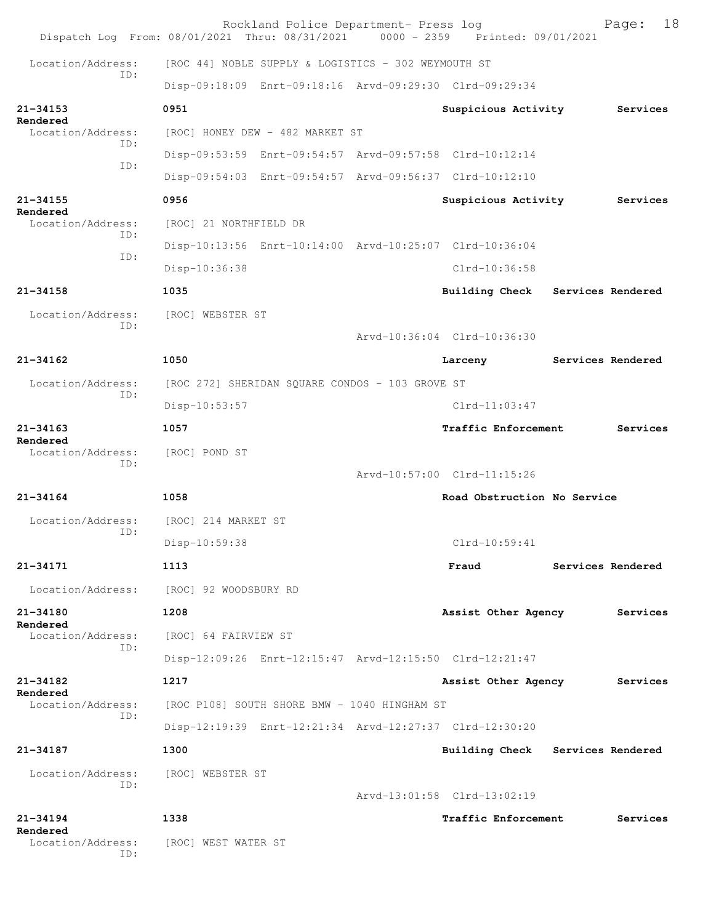|                               | Rockland Police Department- Press log<br>Dispatch Log From: 08/01/2021 Thru: 08/31/2021 0000 - 2359 Printed: 09/01/2021 |                                  |                   | Page:             | 18 |
|-------------------------------|-------------------------------------------------------------------------------------------------------------------------|----------------------------------|-------------------|-------------------|----|
| Location/Address:             | [ROC 44] NOBLE SUPPLY & LOGISTICS - 302 WEYMOUTH ST                                                                     |                                  |                   |                   |    |
| TD:                           | Disp-09:18:09 Enrt-09:18:16 Arvd-09:29:30 Clrd-09:29:34                                                                 |                                  |                   |                   |    |
| $21 - 34153$                  | 0951                                                                                                                    | Suspicious Activity              |                   | Services          |    |
| Rendered<br>Location/Address: | [ROC] HONEY DEW - 482 MARKET ST                                                                                         |                                  |                   |                   |    |
| ID:                           | Disp-09:53:59 Enrt-09:54:57 Arvd-09:57:58 Clrd-10:12:14                                                                 |                                  |                   |                   |    |
| ID:                           | Disp-09:54:03 Enrt-09:54:57 Arvd-09:56:37 Clrd-10:12:10                                                                 |                                  |                   |                   |    |
| $21 - 34155$<br>Rendered      | 0956                                                                                                                    | Suspicious Activity              |                   | Services          |    |
| Location/Address:<br>ID:      | [ROC] 21 NORTHFIELD DR                                                                                                  |                                  |                   |                   |    |
| ID:                           | Disp-10:13:56 Enrt-10:14:00 Arvd-10:25:07 Clrd-10:36:04                                                                 |                                  |                   |                   |    |
|                               | Disp-10:36:38                                                                                                           | $C1rd-10:36:58$                  |                   |                   |    |
| $21 - 34158$                  | 1035                                                                                                                    | Building Check Services Rendered |                   |                   |    |
| Location/Address:<br>TD:      | [ROC] WEBSTER ST                                                                                                        |                                  |                   |                   |    |
|                               |                                                                                                                         | Arvd-10:36:04 Clrd-10:36:30      |                   |                   |    |
| $21 - 34162$                  | 1050                                                                                                                    | Larceny                          | Services Rendered |                   |    |
| Location/Address:<br>ID:      | [ROC 272] SHERIDAN SQUARE CONDOS - 103 GROVE ST                                                                         |                                  |                   |                   |    |
|                               | Disp-10:53:57                                                                                                           | $Clrd-11:03:47$                  |                   |                   |    |
| $21 - 34163$<br>Rendered      | 1057                                                                                                                    | Traffic Enforcement              |                   | Services          |    |
| Location/Address:<br>ID:      | [ROC] POND ST                                                                                                           |                                  |                   |                   |    |
|                               |                                                                                                                         | Arvd-10:57:00 Clrd-11:15:26      |                   |                   |    |
| $21 - 34164$                  | 1058                                                                                                                    | Road Obstruction No Service      |                   |                   |    |
| Location/Address:<br>TD:      | [ROC] 214 MARKET ST                                                                                                     |                                  |                   |                   |    |
|                               | Disp-10:59:38                                                                                                           | $C1rd-10:59:41$                  |                   |                   |    |
| 21-34171                      | 1113                                                                                                                    | Fraud                            |                   | Services Rendered |    |
| Location/Address:             | [ROC] 92 WOODSBURY RD                                                                                                   |                                  |                   |                   |    |
| 21-34180<br>Rendered          | 1208                                                                                                                    | Assist Other Agency              |                   | Services          |    |
| Location/Address:<br>ID:      | [ROC] 64 FAIRVIEW ST                                                                                                    |                                  |                   |                   |    |
|                               | Disp-12:09:26 Enrt-12:15:47 Arvd-12:15:50 Clrd-12:21:47                                                                 |                                  |                   |                   |    |
| $21 - 34182$<br>Rendered      | 1217                                                                                                                    | Assist Other Agency              |                   | Services          |    |
| Location/Address:<br>TD:      | [ROC P108] SOUTH SHORE BMW - 1040 HINGHAM ST                                                                            |                                  |                   |                   |    |
|                               | Disp-12:19:39 Enrt-12:21:34 Arvd-12:27:37 Clrd-12:30:20                                                                 |                                  |                   |                   |    |
| 21-34187                      | 1300                                                                                                                    | <b>Building Check</b>            | Services Rendered |                   |    |
| Location/Address:<br>ID:      | [ROC] WEBSTER ST                                                                                                        |                                  |                   |                   |    |
|                               |                                                                                                                         | Arvd-13:01:58 Clrd-13:02:19      |                   |                   |    |
| $21 - 34194$<br>Rendered      | 1338                                                                                                                    | Traffic Enforcement              |                   | Services          |    |
| Location/Address:<br>ID:      | [ROC] WEST WATER ST                                                                                                     |                                  |                   |                   |    |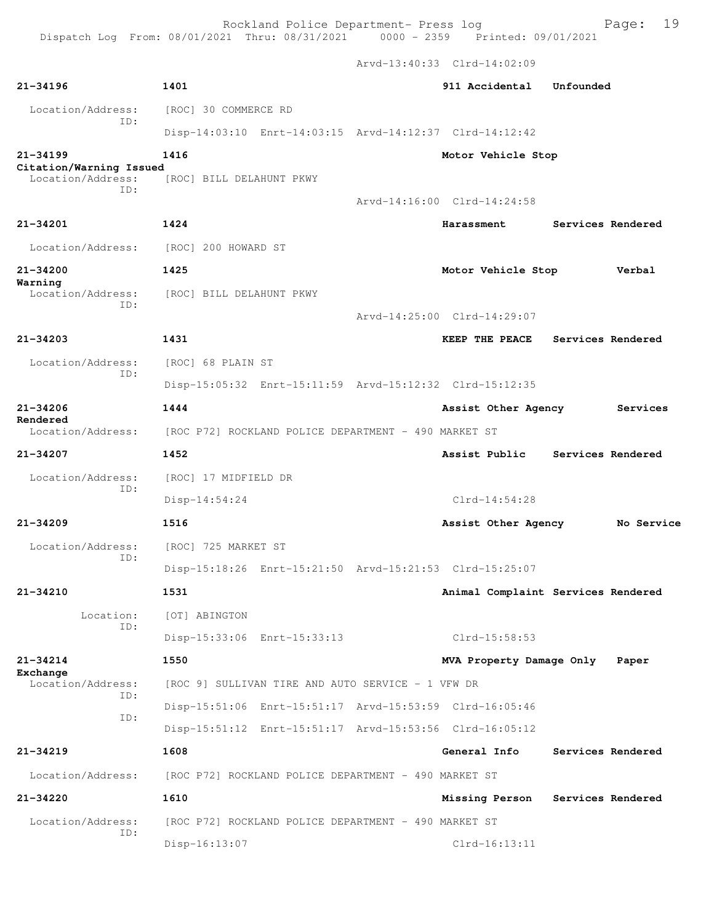Arvd-13:40:33 Clrd-14:02:09

| $21 - 34196$                            | 1401                                                    | 911 Accidental              | Unfounded                          |
|-----------------------------------------|---------------------------------------------------------|-----------------------------|------------------------------------|
| Location/Address:<br>ID:                | [ROC] 30 COMMERCE RD                                    |                             |                                    |
|                                         | Disp-14:03:10 Enrt-14:03:15 Arvd-14:12:37 Clrd-14:12:42 |                             |                                    |
| $21 - 34199$<br>Citation/Warning Issued | 1416                                                    | Motor Vehicle Stop          |                                    |
| Location/Address:<br>TD:                | [ROC] BILL DELAHUNT PKWY                                |                             |                                    |
|                                         |                                                         | Arvd-14:16:00 Clrd-14:24:58 |                                    |
| 21-34201                                | 1424                                                    | Harassment                  | Services Rendered                  |
| Location/Address:                       | [ROC] 200 HOWARD ST                                     |                             |                                    |
| $21 - 34200$<br>Warning                 | 1425                                                    | Motor Vehicle Stop          | Verbal                             |
| Location/Address:<br>TD:                | [ROC] BILL DELAHUNT PKWY                                |                             |                                    |
|                                         |                                                         | Arvd-14:25:00 Clrd-14:29:07 |                                    |
| $21 - 34203$                            | 1431                                                    | KEEP THE PEACE              | Services Rendered                  |
| Location/Address:                       | [ROC] 68 PLAIN ST                                       |                             |                                    |
| TD:                                     | Disp-15:05:32 Enrt-15:11:59 Arvd-15:12:32 Clrd-15:12:35 |                             |                                    |
| $21 - 34206$                            | 1444                                                    | Assist Other Agency         | Services                           |
| Rendered<br>Location/Address:           | [ROC P72] ROCKLAND POLICE DEPARTMENT - 490 MARKET ST    |                             |                                    |
| 21-34207                                | 1452                                                    |                             | Assist Public Services Rendered    |
| Location/Address:                       | [ROC] 17 MIDFIELD DR                                    |                             |                                    |
| ID:                                     | $Disp-14:54:24$                                         | $Clrd-14:54:28$             |                                    |
| $21 - 34209$                            | 1516                                                    | Assist Other Agency         | No Service                         |
| Location/Address:                       | [ROC] 725 MARKET ST                                     |                             |                                    |
| ID:                                     | Disp-15:18:26 Enrt-15:21:50 Arvd-15:21:53 Clrd-15:25:07 |                             |                                    |
| $21 - 34210$                            | 1531                                                    |                             | Animal Complaint Services Rendered |
| Location:<br>ID:                        | [OT] ABINGTON                                           |                             |                                    |
|                                         | Disp-15:33:06 Enrt-15:33:13                             | $Clrd-15:58:53$             |                                    |
| $21 - 34214$                            | 1550                                                    | MVA Property Damage Only    | Paper                              |
| Exchange<br>Location/Address:<br>TD:    | [ROC 9] SULLIVAN TIRE AND AUTO SERVICE - 1 VFW DR       |                             |                                    |
| ID:                                     | Disp-15:51:06 Enrt-15:51:17 Arvd-15:53:59 Clrd-16:05:46 |                             |                                    |
|                                         | Disp-15:51:12 Enrt-15:51:17 Arvd-15:53:56 Clrd-16:05:12 |                             |                                    |
| $21 - 34219$                            | 1608                                                    | General Info                | Services Rendered                  |
| Location/Address:                       | [ROC P72] ROCKLAND POLICE DEPARTMENT - 490 MARKET ST    |                             |                                    |
| $21 - 34220$                            | 1610                                                    | Missing Person              | Services Rendered                  |
| Location/Address:<br>ID:                | [ROC P72] ROCKLAND POLICE DEPARTMENT - 490 MARKET ST    |                             |                                    |
|                                         | Disp-16:13:07                                           | $Clrd-16:13:11$             |                                    |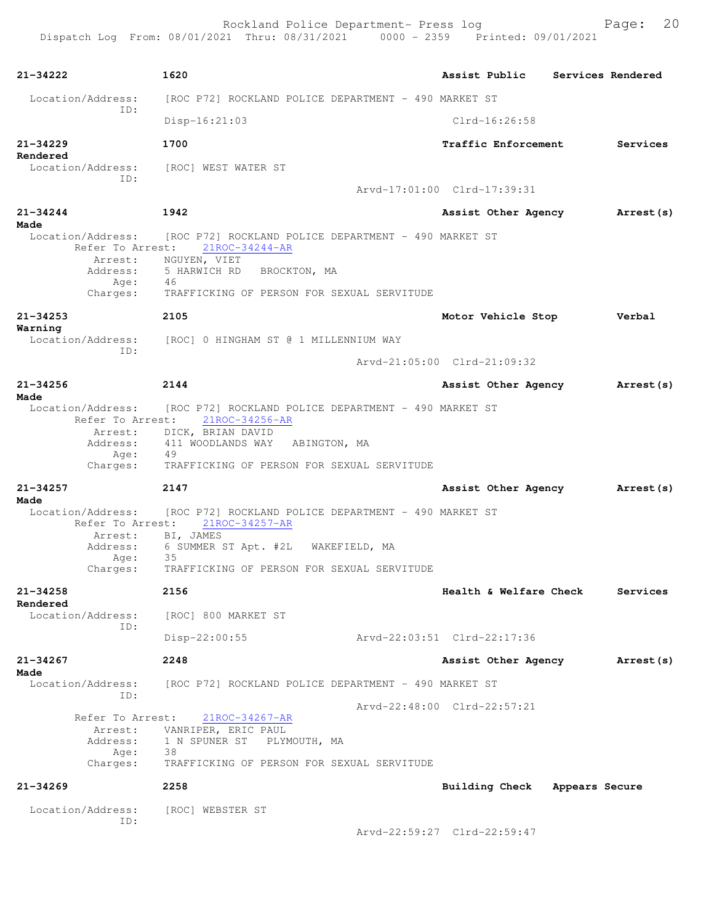| 21-34222                                      | 1620                                                                   |                             |                        | Assist Public Services Rendered |                   |
|-----------------------------------------------|------------------------------------------------------------------------|-----------------------------|------------------------|---------------------------------|-------------------|
| Location/Address:<br>TD:                      | [ROC P72] ROCKLAND POLICE DEPARTMENT - 490 MARKET ST                   |                             |                        |                                 |                   |
|                                               | $Disp-16:21:03$                                                        |                             | $Clrd-16:26:58$        |                                 |                   |
| $21 - 34229$<br>Rendered                      | 1700                                                                   |                             | Traffic Enforcement    |                                 | Services          |
| ID:                                           | Location/Address: [ROC] WEST WATER ST                                  |                             |                        |                                 |                   |
|                                               |                                                                        | Arvd-17:01:00 Clrd-17:39:31 |                        |                                 |                   |
| 21-34244<br>Made                              | 1942                                                                   |                             | Assist Other Agency    |                                 | Arrest (s)        |
| Location/Address:                             | [ROC P72] ROCKLAND POLICE DEPARTMENT - 490 MARKET ST                   |                             |                        |                                 |                   |
| Refer To Arrest:<br>Arrest:                   | $21$ ROC-34244-AR<br>NGUYEN, VIET                                      |                             |                        |                                 |                   |
| Address:                                      | 5 HARWICH RD<br>BROCKTON, MA                                           |                             |                        |                                 |                   |
| Age:                                          | 46                                                                     |                             |                        |                                 |                   |
| Charges:                                      | TRAFFICKING OF PERSON FOR SEXUAL SERVITUDE                             |                             |                        |                                 |                   |
| $21 - 34253$<br>Warning                       | 2105                                                                   |                             | Motor Vehicle Stop     |                                 | Verbal            |
| Location/Address:<br>TD:                      | [ROC] 0 HINGHAM ST @ 1 MILLENNIUM WAY                                  |                             |                        |                                 |                   |
|                                               |                                                                        | Arvd-21:05:00 Clrd-21:09:32 |                        |                                 |                   |
| $21 - 34256$                                  | 2144                                                                   |                             | Assist Other Agency    |                                 | <b>Arrest (s)</b> |
| Made<br>Location/Address:<br>Refer To Arrest: | [ROC P72] ROCKLAND POLICE DEPARTMENT - 490 MARKET ST<br>21ROC-34256-AR |                             |                        |                                 |                   |
| Arrest:                                       | DICK, BRIAN DAVID                                                      |                             |                        |                                 |                   |
| Address:                                      | 411 WOODLANDS WAY<br>ABINGTON, MA                                      |                             |                        |                                 |                   |
| Age:<br>Charges:                              | 49<br>TRAFFICKING OF PERSON FOR SEXUAL SERVITUDE                       |                             |                        |                                 |                   |
| 21-34257                                      | 2147                                                                   |                             | Assist Other Agency    |                                 | Arrest (s)        |
| Made                                          |                                                                        |                             |                        |                                 |                   |
| Location/Address:<br>Refer To Arrest:         | [ROC P72] ROCKLAND POLICE DEPARTMENT - 490 MARKET ST<br>21ROC-34257-AR |                             |                        |                                 |                   |
| Arrest:                                       | BI, JAMES                                                              |                             |                        |                                 |                   |
| Address:<br>Age:                              | 6 SUMMER ST Apt. #2L<br>35                                             | WAKEFIELD, MA               |                        |                                 |                   |
| Charges:                                      | TRAFFICKING OF PERSON FOR SEXUAL SERVITUDE                             |                             |                        |                                 |                   |
| 21-34258<br>Rendered                          | 2156                                                                   |                             | Health & Welfare Check |                                 | Services          |
| Location/Address:                             | [ROC] 800 MARKET ST                                                    |                             |                        |                                 |                   |
| ID:                                           | $Disp-22:00:55$                                                        | Arvd-22:03:51 Clrd-22:17:36 |                        |                                 |                   |
| $21 - 34267$<br>Made                          | 2248                                                                   |                             | Assist Other Agency    |                                 | Arrest (s)        |
| Location/Address:<br>ID:                      | [ROC P72] ROCKLAND POLICE DEPARTMENT - 490 MARKET ST                   |                             |                        |                                 |                   |
|                                               |                                                                        | Arvd-22:48:00 Clrd-22:57:21 |                        |                                 |                   |
| Refer To Arrest:                              | $21ROC - 34267 - AR$                                                   |                             |                        |                                 |                   |
| Arrest:<br>Address:                           | VANRIPER, ERIC PAUL<br>1 N SPUNER ST<br>PLYMOUTH, MA                   |                             |                        |                                 |                   |
| Age:                                          | - 38                                                                   |                             |                        |                                 |                   |
| Charges:                                      | TRAFFICKING OF PERSON FOR SEXUAL SERVITUDE                             |                             |                        |                                 |                   |
| $21 - 34269$                                  | 2258                                                                   |                             | <b>Building Check</b>  |                                 | Appears Secure    |
| Location/Address:<br>ID:                      | [ROC] WEBSTER ST                                                       |                             |                        |                                 |                   |
|                                               |                                                                        | Arvd-22:59:27 Clrd-22:59:47 |                        |                                 |                   |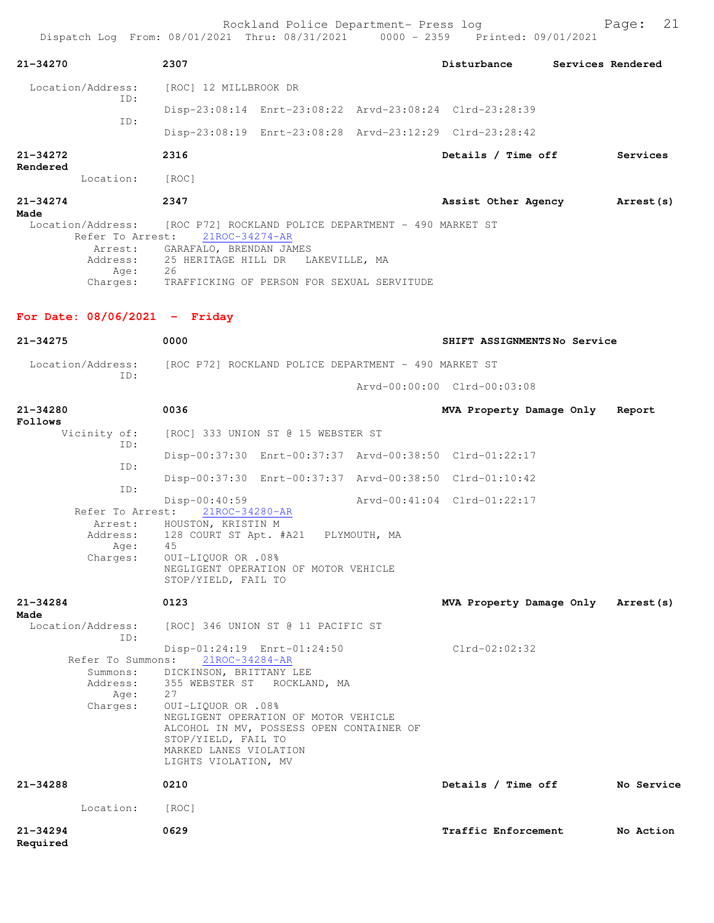| 21-34270                                                                                   | 2307                                       |               | Disturbance                                             | Services Rendered |
|--------------------------------------------------------------------------------------------|--------------------------------------------|---------------|---------------------------------------------------------|-------------------|
| Location/Address:<br>ID:                                                                   | [ROC] 12 MILLBROOK DR                      |               |                                                         |                   |
|                                                                                            |                                            |               | Disp-23:08:14 Enrt-23:08:22 Arvd-23:08:24 Clrd-23:28:39 |                   |
| ID:                                                                                        |                                            |               | Disp-23:08:19 Enrt-23:08:28 Arvd-23:12:29 Clrd-23:28:42 |                   |
| $21 - 34272$<br>Rendered                                                                   | 2316                                       |               | Details / Time off                                      | Services          |
| Location:                                                                                  | [ROC]                                      |               |                                                         |                   |
| $21 - 34274$<br>Made                                                                       | 2347                                       |               | Assist Other Agency                                     | Arrest (s)        |
| Location/Address: [ROC P72] ROCKLAND POLICE DEPARTMENT - 490 MARKET ST<br>Refer To Arrest: | 21ROC-34274-AR                             |               |                                                         |                   |
|                                                                                            | Arrest: GARAFALO, BRENDAN JAMES            |               |                                                         |                   |
| Age:                                                                                       | Address: 25 HERITAGE HILL DR<br>26         | LAKEVILLE, MA |                                                         |                   |
| Charges:                                                                                   | TRAFFICKING OF PERSON FOR SEXUAL SERVITUDE |               |                                                         |                   |

## **For Date: 08/06/2021 - Friday**

| $21 - 34275$                                                  | 0000                                                                                                                                                                                                                                                                                             | SHIFT ASSIGNMENTSNo Service |            |
|---------------------------------------------------------------|--------------------------------------------------------------------------------------------------------------------------------------------------------------------------------------------------------------------------------------------------------------------------------------------------|-----------------------------|------------|
| Location/Address:<br>TD:                                      | [ROC P72] ROCKLAND POLICE DEPARTMENT - 490 MARKET ST                                                                                                                                                                                                                                             |                             |            |
|                                                               |                                                                                                                                                                                                                                                                                                  | Arvd-00:00:00 Clrd-00:03:08 |            |
| $21 - 34280$<br>Follows                                       | 0036                                                                                                                                                                                                                                                                                             | MVA Property Damage Only    | Report     |
| Vicinity of:<br>TD:                                           | [ROC] 333 UNION ST @ 15 WEBSTER ST                                                                                                                                                                                                                                                               |                             |            |
| ID:                                                           | Disp-00:37:30 Enrt-00:37:37 Arvd-00:38:50 Clrd-01:22:17                                                                                                                                                                                                                                          |                             |            |
| TD:                                                           | Disp-00:37:30 Enrt-00:37:37 Arvd-00:38:50 Clrd-01:10:42                                                                                                                                                                                                                                          |                             |            |
| Refer To Arrest:<br>Arrest:<br>Address:<br>Age:<br>Charges:   | $Disp-00:40:59$<br>21ROC-34280-AR<br>HOUSTON, KRISTIN M<br>128 COURT ST Apt. #A21 PLYMOUTH, MA<br>45<br>0UI-LIQUOR OR .08%<br>NEGLIGENT OPERATION OF MOTOR VEHICLE<br>STOP/YIELD, FAIL TO                                                                                                        | Arvd-00:41:04 Clrd-01:22:17 |            |
|                                                               |                                                                                                                                                                                                                                                                                                  |                             |            |
| $21 - 34284$<br>Made                                          | 0123                                                                                                                                                                                                                                                                                             | MVA Property Damage Only    | Arrest (s) |
| Location/Address:<br>TD:                                      | [ROC] 346 UNION ST @ 11 PACIFIC ST                                                                                                                                                                                                                                                               |                             |            |
| Refer To Summons:<br>Summons:<br>Address:<br>Age:<br>Charges: | Disp-01:24:19 Enrt-01:24:50<br>21ROC-34284-AR<br>DICKINSON, BRITTANY LEE<br>355 WEBSTER ST ROCKLAND, MA<br>27<br>0UI-LIQUOR OR .08%<br>NEGLIGENT OPERATION OF MOTOR VEHICLE<br>ALCOHOL IN MV, POSSESS OPEN CONTAINER OF<br>STOP/YIELD, FAIL TO<br>MARKED LANES VIOLATION<br>LIGHTS VIOLATION, MV | $Clrd-02:02:32$             |            |
| $21 - 34288$                                                  | 0210                                                                                                                                                                                                                                                                                             | Details / Time off          | No Service |
| Location:                                                     | [ROC]                                                                                                                                                                                                                                                                                            |                             |            |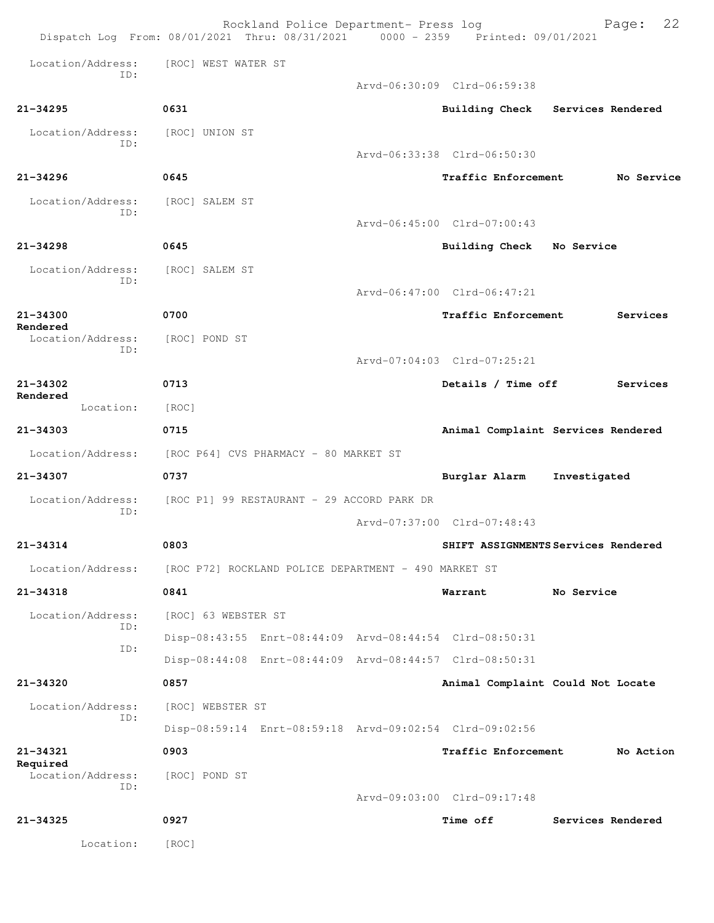|                          | Rockland Police Department- Press log<br>Dispatch Log From: 08/01/2021 Thru: 08/31/2021 0000 - 2359 Printed: 09/01/2021 |                             | 22<br>Page:                         |
|--------------------------|-------------------------------------------------------------------------------------------------------------------------|-----------------------------|-------------------------------------|
| Location/Address:<br>TD: | [ROC] WEST WATER ST                                                                                                     |                             |                                     |
|                          |                                                                                                                         | Aryd-06:30:09 Clrd-06:59:38 |                                     |
| $21 - 34295$             | 0631                                                                                                                    |                             | Building Check Services Rendered    |
| Location/Address:        | [ROC] UNION ST                                                                                                          |                             |                                     |
| TD:                      |                                                                                                                         | Arvd-06:33:38 Clrd-06:50:30 |                                     |
| $21 - 34296$             | 0645                                                                                                                    | Traffic Enforcement         | No Service                          |
| Location/Address:<br>TD: | [ROC] SALEM ST                                                                                                          |                             |                                     |
|                          |                                                                                                                         | Arvd-06:45:00 Clrd-07:00:43 |                                     |
| $21 - 34298$             | 0645                                                                                                                    | Building Check              | No Service                          |
| Location/Address:<br>ID: | [ROC] SALEM ST                                                                                                          |                             |                                     |
|                          |                                                                                                                         | Arvd-06:47:00 Clrd-06:47:21 |                                     |
| $21 - 34300$<br>Rendered | 0700                                                                                                                    | Traffic Enforcement         | Services                            |
| Location/Address:<br>ID: | [ROC] POND ST                                                                                                           |                             |                                     |
|                          |                                                                                                                         | Arvd-07:04:03 Clrd-07:25:21 |                                     |
| 21-34302<br>Rendered     | 0713                                                                                                                    | Details / Time off          | Services                            |
| Location:                | [ROC]                                                                                                                   |                             |                                     |
| 21-34303                 | 0715                                                                                                                    |                             | Animal Complaint Services Rendered  |
| Location/Address:        | [ROC P64] CVS PHARMACY - 80 MARKET ST                                                                                   |                             |                                     |
| 21-34307                 | 0737                                                                                                                    | Burglar Alarm               | Investigated                        |
| Location/Address:<br>ID: | [ROC P1] 99 RESTAURANT - 29 ACCORD PARK DR                                                                              |                             |                                     |
|                          |                                                                                                                         | Arvd-07:37:00 Clrd-07:48:43 |                                     |
| $21 - 34314$             | 0803                                                                                                                    |                             | SHIFT ASSIGNMENTS Services Rendered |
| Location/Address:        | [ROC P72] ROCKLAND POLICE DEPARTMENT - 490 MARKET ST                                                                    |                             |                                     |
| 21-34318                 | 0841                                                                                                                    | Warrant                     | No Service                          |
| Location/Address:<br>TD: | [ROC] 63 WEBSTER ST                                                                                                     |                             |                                     |
| ID:                      | Disp-08:43:55 Enrt-08:44:09 Arvd-08:44:54 Clrd-08:50:31                                                                 |                             |                                     |
|                          | Disp-08:44:08 Enrt-08:44:09 Arvd-08:44:57 Clrd-08:50:31                                                                 |                             |                                     |
| 21-34320                 | 0857                                                                                                                    |                             | Animal Complaint Could Not Locate   |
| Location/Address:<br>ID: | [ROC] WEBSTER ST                                                                                                        |                             |                                     |
|                          | Disp-08:59:14 Enrt-08:59:18 Arvd-09:02:54 Clrd-09:02:56                                                                 |                             |                                     |
| 21-34321<br>Required     | 0903                                                                                                                    | <b>Traffic Enforcement</b>  | No Action                           |
| Location/Address:<br>ID: | [ROC] POND ST                                                                                                           |                             |                                     |
|                          |                                                                                                                         | Arvd-09:03:00 Clrd-09:17:48 |                                     |
| 21-34325                 | 0927                                                                                                                    | <b>Time off</b>             | Services Rendered                   |
| Location:                | [ROC]                                                                                                                   |                             |                                     |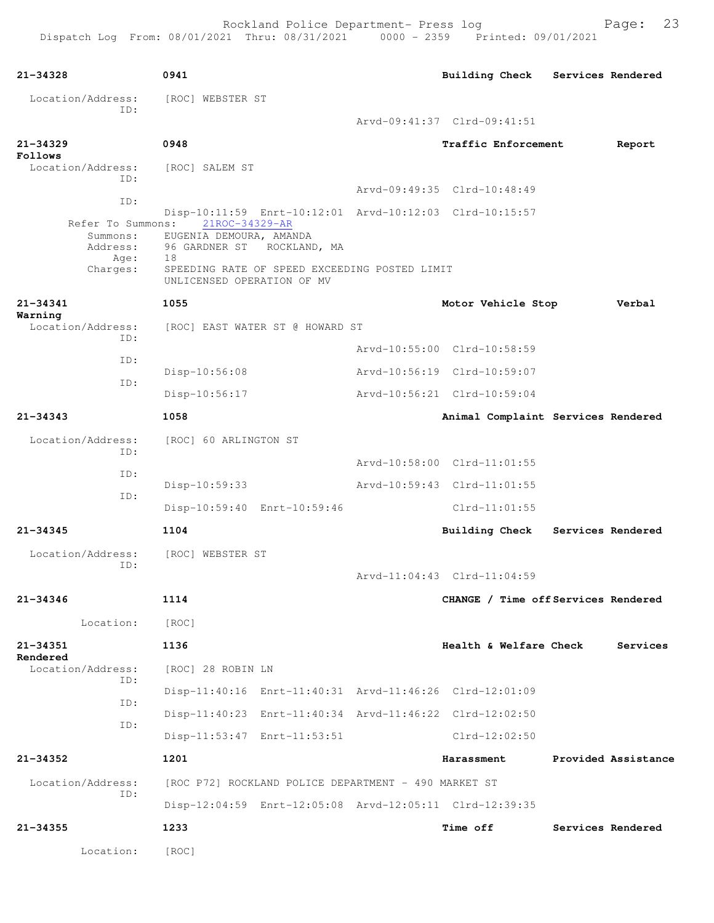| 0941<br>[ROC] WEBSTER ST<br>0948                                           | Arvd-09:41:37 Clrd-09:41:51 | Building Check Services Rendered                               |                                                                                                                                                                                                                                                                                                                                                                                                                                                                                                                                                                            |                                                                                                                                                                           |
|----------------------------------------------------------------------------|-----------------------------|----------------------------------------------------------------|----------------------------------------------------------------------------------------------------------------------------------------------------------------------------------------------------------------------------------------------------------------------------------------------------------------------------------------------------------------------------------------------------------------------------------------------------------------------------------------------------------------------------------------------------------------------------|---------------------------------------------------------------------------------------------------------------------------------------------------------------------------|
|                                                                            |                             |                                                                |                                                                                                                                                                                                                                                                                                                                                                                                                                                                                                                                                                            |                                                                                                                                                                           |
|                                                                            |                             |                                                                |                                                                                                                                                                                                                                                                                                                                                                                                                                                                                                                                                                            |                                                                                                                                                                           |
|                                                                            |                             |                                                                |                                                                                                                                                                                                                                                                                                                                                                                                                                                                                                                                                                            |                                                                                                                                                                           |
|                                                                            |                             |                                                                |                                                                                                                                                                                                                                                                                                                                                                                                                                                                                                                                                                            | Report                                                                                                                                                                    |
| [ROC] SALEM ST                                                             |                             |                                                                |                                                                                                                                                                                                                                                                                                                                                                                                                                                                                                                                                                            |                                                                                                                                                                           |
|                                                                            |                             |                                                                |                                                                                                                                                                                                                                                                                                                                                                                                                                                                                                                                                                            |                                                                                                                                                                           |
|                                                                            |                             |                                                                |                                                                                                                                                                                                                                                                                                                                                                                                                                                                                                                                                                            |                                                                                                                                                                           |
| Refer To Summons:<br>EUGENIA DEMOURA, AMANDA<br>96 GARDNER ST ROCKLAND, MA |                             |                                                                |                                                                                                                                                                                                                                                                                                                                                                                                                                                                                                                                                                            |                                                                                                                                                                           |
| UNLICENSED OPERATION OF MV                                                 |                             |                                                                |                                                                                                                                                                                                                                                                                                                                                                                                                                                                                                                                                                            |                                                                                                                                                                           |
| 1055                                                                       |                             |                                                                |                                                                                                                                                                                                                                                                                                                                                                                                                                                                                                                                                                            | Verbal                                                                                                                                                                    |
|                                                                            |                             |                                                                |                                                                                                                                                                                                                                                                                                                                                                                                                                                                                                                                                                            |                                                                                                                                                                           |
|                                                                            |                             |                                                                |                                                                                                                                                                                                                                                                                                                                                                                                                                                                                                                                                                            |                                                                                                                                                                           |
| Disp-10:56:08                                                              |                             |                                                                |                                                                                                                                                                                                                                                                                                                                                                                                                                                                                                                                                                            |                                                                                                                                                                           |
| Disp-10:56:17                                                              |                             |                                                                |                                                                                                                                                                                                                                                                                                                                                                                                                                                                                                                                                                            |                                                                                                                                                                           |
| 1058                                                                       |                             |                                                                |                                                                                                                                                                                                                                                                                                                                                                                                                                                                                                                                                                            |                                                                                                                                                                           |
| [ROC] 60 ARLINGTON ST                                                      |                             |                                                                |                                                                                                                                                                                                                                                                                                                                                                                                                                                                                                                                                                            |                                                                                                                                                                           |
|                                                                            |                             |                                                                |                                                                                                                                                                                                                                                                                                                                                                                                                                                                                                                                                                            |                                                                                                                                                                           |
| $Disp-10:59:33$                                                            |                             |                                                                |                                                                                                                                                                                                                                                                                                                                                                                                                                                                                                                                                                            |                                                                                                                                                                           |
| Disp-10:59:40 Enrt-10:59:46                                                |                             | $Clrd-11:01:55$                                                |                                                                                                                                                                                                                                                                                                                                                                                                                                                                                                                                                                            |                                                                                                                                                                           |
| 1104                                                                       |                             |                                                                |                                                                                                                                                                                                                                                                                                                                                                                                                                                                                                                                                                            | Services Rendered                                                                                                                                                         |
| [ROC] WEBSTER ST                                                           |                             |                                                                |                                                                                                                                                                                                                                                                                                                                                                                                                                                                                                                                                                            |                                                                                                                                                                           |
|                                                                            |                             |                                                                |                                                                                                                                                                                                                                                                                                                                                                                                                                                                                                                                                                            |                                                                                                                                                                           |
| 1114                                                                       |                             |                                                                |                                                                                                                                                                                                                                                                                                                                                                                                                                                                                                                                                                            |                                                                                                                                                                           |
| [ROC]                                                                      |                             |                                                                |                                                                                                                                                                                                                                                                                                                                                                                                                                                                                                                                                                            |                                                                                                                                                                           |
| 1136                                                                       |                             |                                                                |                                                                                                                                                                                                                                                                                                                                                                                                                                                                                                                                                                            | Services                                                                                                                                                                  |
| [ROC] 28 ROBIN LN                                                          |                             |                                                                |                                                                                                                                                                                                                                                                                                                                                                                                                                                                                                                                                                            |                                                                                                                                                                           |
|                                                                            |                             |                                                                |                                                                                                                                                                                                                                                                                                                                                                                                                                                                                                                                                                            |                                                                                                                                                                           |
|                                                                            |                             |                                                                |                                                                                                                                                                                                                                                                                                                                                                                                                                                                                                                                                                            |                                                                                                                                                                           |
|                                                                            |                             | Clrd-12:02:50                                                  |                                                                                                                                                                                                                                                                                                                                                                                                                                                                                                                                                                            |                                                                                                                                                                           |
| 1201                                                                       |                             | Harassment                                                     |                                                                                                                                                                                                                                                                                                                                                                                                                                                                                                                                                                            | Provided Assistance                                                                                                                                                       |
|                                                                            |                             |                                                                |                                                                                                                                                                                                                                                                                                                                                                                                                                                                                                                                                                            |                                                                                                                                                                           |
|                                                                            |                             |                                                                |                                                                                                                                                                                                                                                                                                                                                                                                                                                                                                                                                                            |                                                                                                                                                                           |
| 1233                                                                       |                             | <b>Time off</b>                                                |                                                                                                                                                                                                                                                                                                                                                                                                                                                                                                                                                                            | Services Rendered                                                                                                                                                         |
| [ROC]                                                                      |                             |                                                                |                                                                                                                                                                                                                                                                                                                                                                                                                                                                                                                                                                            |                                                                                                                                                                           |
|                                                                            | 21ROC-34329-AR<br>18        | [ROC] EAST WATER ST @ HOWARD ST<br>Disp-11:53:47 Enrt-11:53:51 | Arvd-09:49:35 Clrd-10:48:49<br>Disp-10:11:59 Enrt-10:12:01 Arvd-10:12:03 Clrd-10:15:57<br>SPEEDING RATE OF SPEED EXCEEDING POSTED LIMIT<br>Arvd-10:55:00 Clrd-10:58:59<br>Arvd-10:56:19 Clrd-10:59:07<br>Arvd-10:56:21 Clrd-10:59:04<br>Arvd-10:58:00 Clrd-11:01:55<br>Arvd-10:59:43 Clrd-11:01:55<br>Arvd-11:04:43 Clrd-11:04:59<br>Disp-11:40:16 Enrt-11:40:31 Arvd-11:46:26 Clrd-12:01:09<br>Disp-11:40:23 Enrt-11:40:34 Arvd-11:46:22 Clrd-12:02:50<br>[ROC P72] ROCKLAND POLICE DEPARTMENT - 490 MARKET ST<br>Disp-12:04:59 Enrt-12:05:08 Arvd-12:05:11 Clrd-12:39:35 | Traffic Enforcement<br>Motor Vehicle Stop<br>Animal Complaint Services Rendered<br><b>Building Check</b><br>CHANGE / Time off Services Rendered<br>Health & Welfare Check |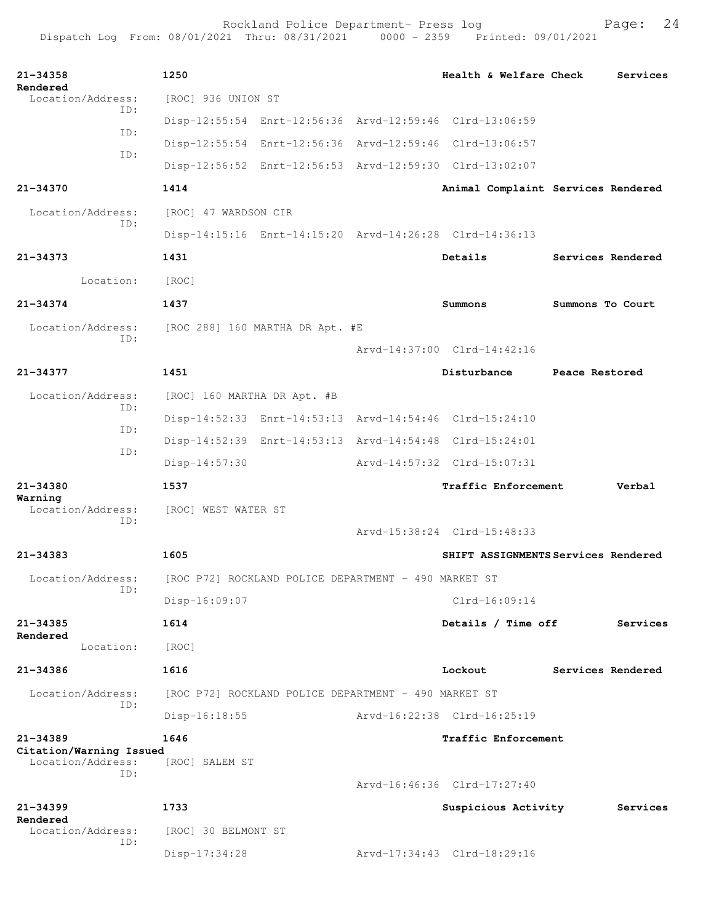Rockland Police Department- Press log Fage: 24 Dispatch Log From: 08/01/2021 Thru: 08/31/2021 0000 - 2359 Printed: 09/01/2021

**21-34358 1250 Health & Welfare Check Services Rendered**<br>Location/Address: [ROC] 936 UNION ST ID: Disp-12:55:54 Enrt-12:56:36 Arvd-12:59:46 Clrd-13:06:59 ID: Disp-12:55:54 Enrt-12:56:36 Arvd-12:59:46 Clrd-13:06:57 ID: Disp-12:56:52 Enrt-12:56:53 Arvd-12:59:30 Clrd-13:02:07 **21-34370 1414 Animal Complaint Services Rendered** Location/Address: [ROC] 47 WARDSON CIR ID: Disp-14:15:16 Enrt-14:15:20 Arvd-14:26:28 Clrd-14:36:13 **21-34373 1431 Details Services Rendered** Location: [ROC] **21-34374 1437 Summons Summons To Court** Location/Address: [ROC 288] 160 MARTHA DR Apt. #E ID: Arvd-14:37:00 Clrd-14:42:16 **21-34377 1451 Disturbance Peace Restored** Location/Address: [ROC] 160 MARTHA DR Apt. #B ID: Disp-14:52:33 Enrt-14:53:13 Arvd-14:54:46 Clrd-15:24:10 ID: Disp-14:52:39 Enrt-14:53:13 Arvd-14:54:48 Clrd-15:24:01 ID: Disp-14:57:30 Arvd-14:57:32 Clrd-15:07:31 **21-34380 1537 Traffic Enforcement Verbal Warning**  Location/Address: [ROC] WEST WATER ST ID: Arvd-15:38:24 Clrd-15:48:33 **21-34383 1605 SHIFT ASSIGNMENTS Services Rendered** Location/Address: [ROC P72] ROCKLAND POLICE DEPARTMENT - 490 MARKET ST ID: Disp-16:09:07 Clrd-16:09:14 **21-34385 1614 Details / Time off Services Rendered**  Location: [ROC] **21-34386 1616 Lockout Services Rendered** Location/Address: [ROC P72] ROCKLAND POLICE DEPARTMENT - 490 MARKET ST ID: Disp-16:18:55 Arvd-16:22:38 Clrd-16:25:19 **21-34389 1646 Traffic Enforcement Citation/Warning Issued**  Location/Address: [ROC] SALEM ST ID: Arvd-16:46:36 Clrd-17:27:40 **21-34399 1733 Suspicious Activity Services Rendered**<br>Location/Address: [ROC] 30 BELMONT ST ID: Disp-17:34:28 Arvd-17:34:43 Clrd-18:29:16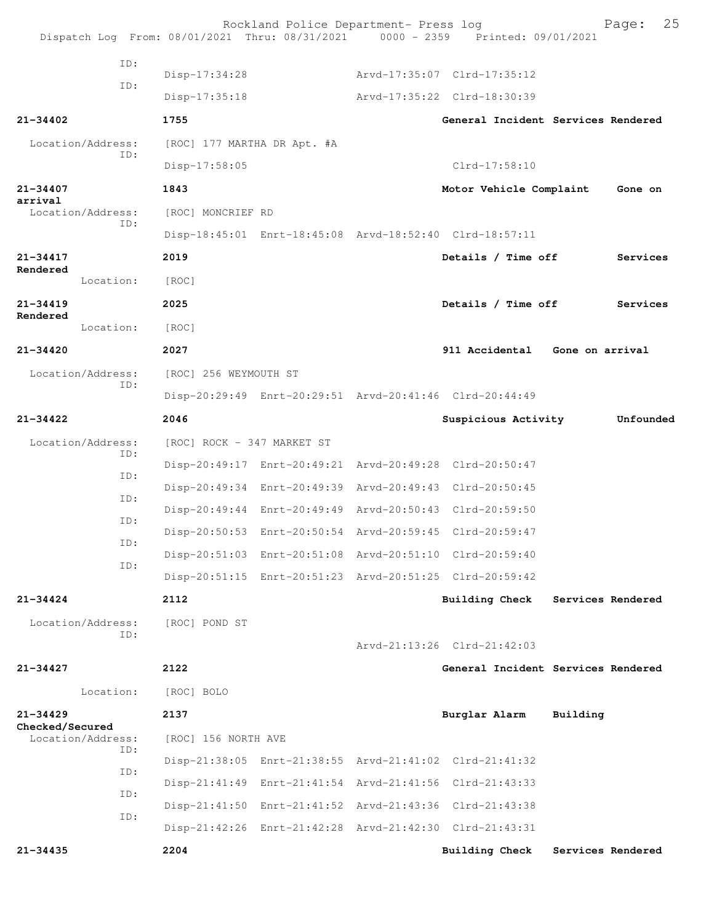| Dispatch Log From: 08/01/2021 Thru: 08/31/2021 0000 - 2359 Printed: 09/01/2021 |                             | Rockland Police Department- Press log |                                                         |                   | 25<br>Page:       |
|--------------------------------------------------------------------------------|-----------------------------|---------------------------------------|---------------------------------------------------------|-------------------|-------------------|
| ID:                                                                            | Disp-17:34:28               |                                       | Arvd-17:35:07 Clrd-17:35:12                             |                   |                   |
| ID:                                                                            |                             |                                       | Arvd-17:35:22 Clrd-18:30:39                             |                   |                   |
|                                                                                | $Disp-17:35:18$             |                                       |                                                         |                   |                   |
| $21 - 34402$                                                                   | 1755                        |                                       | General Incident Services Rendered                      |                   |                   |
| Location/Address:<br>ID:                                                       | [ROC] 177 MARTHA DR Apt. #A |                                       |                                                         |                   |                   |
|                                                                                | $Disp-17:58:05$             |                                       | Clrd-17:58:10                                           |                   |                   |
| 21-34407<br>arrival                                                            | 1843                        |                                       | Motor Vehicle Complaint                                 |                   | Gone on           |
| Location/Address:<br>ID:                                                       | [ROC] MONCRIEF RD           |                                       |                                                         |                   |                   |
|                                                                                |                             |                                       | Disp-18:45:01 Enrt-18:45:08 Arvd-18:52:40 Clrd-18:57:11 |                   |                   |
| 21-34417<br>Rendered                                                           | 2019                        |                                       | Details / Time off                                      |                   | Services          |
| Location:                                                                      | [ROC]                       |                                       |                                                         |                   |                   |
| $21 - 34419$                                                                   | 2025                        |                                       | Details / Time off                                      |                   | Services          |
| Rendered<br>Location:                                                          | [ROC]                       |                                       |                                                         |                   |                   |
| $21 - 34420$                                                                   | 2027                        |                                       | 911 Accidental Gone on arrival                          |                   |                   |
| Location/Address:                                                              | [ROC] 256 WEYMOUTH ST       |                                       |                                                         |                   |                   |
| ID:                                                                            |                             |                                       | Disp-20:29:49 Enrt-20:29:51 Arvd-20:41:46 Clrd-20:44:49 |                   |                   |
| $21 - 34422$                                                                   | 2046                        |                                       | Suspicious Activity                                     |                   | Unfounded         |
| Location/Address:<br>ID:                                                       | [ROC] ROCK - 347 MARKET ST  |                                       |                                                         |                   |                   |
| ID:                                                                            |                             |                                       | Disp-20:49:17 Enrt-20:49:21 Arvd-20:49:28 Clrd-20:50:47 |                   |                   |
| ID:                                                                            |                             |                                       | Disp-20:49:34 Enrt-20:49:39 Arvd-20:49:43 Clrd-20:50:45 |                   |                   |
| ID:                                                                            |                             |                                       | Disp-20:49:44 Enrt-20:49:49 Arvd-20:50:43 Clrd-20:59:50 |                   |                   |
|                                                                                |                             |                                       | Disp-20:50:53 Enrt-20:50:54 Arvd-20:59:45 Clrd-20:59:47 |                   |                   |
| ID:<br>ID:                                                                     |                             |                                       | Disp-20:51:03 Enrt-20:51:08 Arvd-20:51:10 Clrd-20:59:40 |                   |                   |
|                                                                                |                             |                                       | Disp-20:51:15 Enrt-20:51:23 Arvd-20:51:25 Clrd-20:59:42 |                   |                   |
| $21 - 34424$                                                                   | 2112                        |                                       | <b>Building Check</b>                                   | Services Rendered |                   |
| Location/Address:                                                              | [ROC] POND ST               |                                       |                                                         |                   |                   |
| ID:                                                                            |                             |                                       | Arvd-21:13:26 Clrd-21:42:03                             |                   |                   |
| $21 - 34427$                                                                   | 2122                        |                                       | General Incident Services Rendered                      |                   |                   |
| Location:                                                                      | [ROC] BOLO                  |                                       |                                                         |                   |                   |
| $21 - 34429$                                                                   | 2137                        |                                       | Burglar Alarm                                           | Building          |                   |
| Checked/Secured<br>Location/Address:                                           | [ROC] 156 NORTH AVE         |                                       |                                                         |                   |                   |
| ID:                                                                            |                             |                                       | Disp-21:38:05 Enrt-21:38:55 Arvd-21:41:02 Clrd-21:41:32 |                   |                   |
| ID:                                                                            |                             |                                       | Disp-21:41:49 Enrt-21:41:54 Arvd-21:41:56 Clrd-21:43:33 |                   |                   |
| ID:                                                                            |                             |                                       | Disp-21:41:50 Enrt-21:41:52 Arvd-21:43:36 Clrd-21:43:38 |                   |                   |
| ID:                                                                            |                             |                                       | Disp-21:42:26 Enrt-21:42:28 Arvd-21:42:30 Clrd-21:43:31 |                   |                   |
| $21 - 34435$                                                                   | 2204                        |                                       | Building Check                                          |                   | Services Rendered |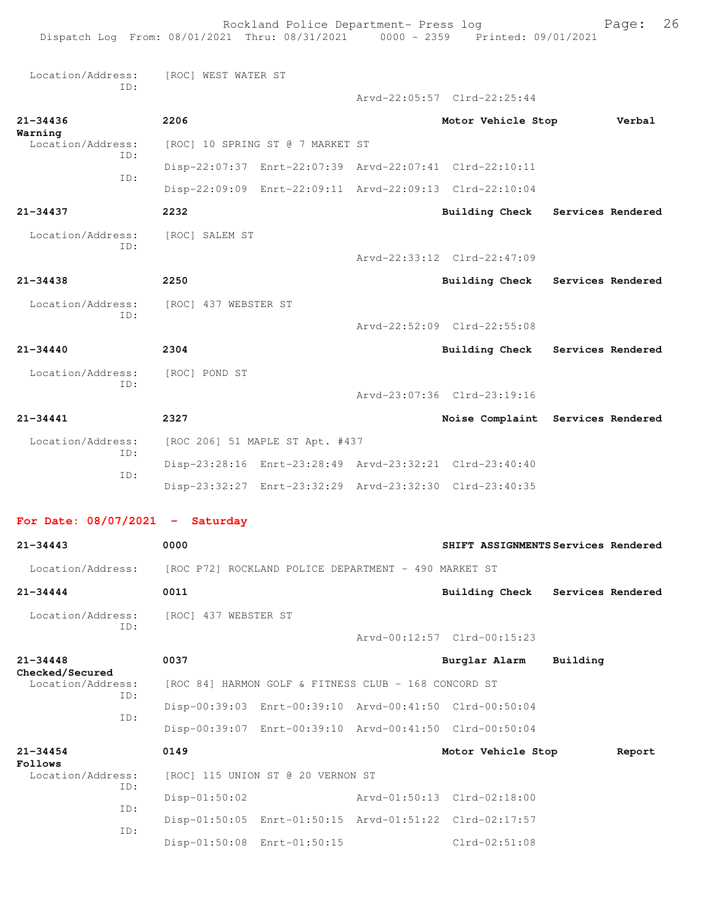|                                             | Dispatch Log From: 08/01/2021 Thru: 08/31/2021 0000 - 2359 Printed: 09/01/2021 | Rockland Police Department- Press log                   |                                                         |                          | Page:  | 26 |
|---------------------------------------------|--------------------------------------------------------------------------------|---------------------------------------------------------|---------------------------------------------------------|--------------------------|--------|----|
| Location/Address:                           | [ROC] WEST WATER ST                                                            |                                                         |                                                         |                          |        |    |
| ID:                                         |                                                                                |                                                         | Arvd-22:05:57 Clrd-22:25:44                             |                          |        |    |
| $21 - 34436$                                | 2206                                                                           |                                                         | Motor Vehicle Stop                                      |                          | Verbal |    |
| Warning<br>Location/Address:                |                                                                                | [ROC] 10 SPRING ST @ 7 MARKET ST                        |                                                         |                          |        |    |
| TD:                                         |                                                                                |                                                         | Disp-22:07:37 Enrt-22:07:39 Arvd-22:07:41 Clrd-22:10:11 |                          |        |    |
| ID:                                         |                                                                                |                                                         | Disp-22:09:09 Enrt-22:09:11 Arvd-22:09:13 Clrd-22:10:04 |                          |        |    |
| 21-34437                                    | 2232                                                                           |                                                         | Building Check                                          | Services Rendered        |        |    |
| Location/Address:<br>ID:                    | [ROC] SALEM ST                                                                 |                                                         |                                                         |                          |        |    |
|                                             |                                                                                |                                                         | Arvd-22:33:12 Clrd-22:47:09                             |                          |        |    |
| $21 - 34438$                                | 2250                                                                           |                                                         | <b>Building Check</b>                                   | <b>Services Rendered</b> |        |    |
| Location/Address:<br>ID:                    | [ROC] 437 WEBSTER ST                                                           |                                                         |                                                         |                          |        |    |
|                                             |                                                                                |                                                         | Arvd-22:52:09 Clrd-22:55:08                             |                          |        |    |
| $21 - 34440$                                | 2304                                                                           |                                                         | Building Check Services Rendered                        |                          |        |    |
| Location/Address:<br>ID:                    | [ROC] POND ST                                                                  |                                                         |                                                         |                          |        |    |
|                                             |                                                                                |                                                         | Arvd-23:07:36 Clrd-23:19:16                             |                          |        |    |
| $21 - 34441$                                | 2327                                                                           |                                                         | Noise Complaint Services Rendered                       |                          |        |    |
| Location/Address:<br>ID:                    |                                                                                | [ROC 206] 51 MAPLE ST Apt. #437                         |                                                         |                          |        |    |
| ID:                                         |                                                                                |                                                         | Disp-23:28:16 Enrt-23:28:49 Arvd-23:32:21 Clrd-23:40:40 |                          |        |    |
|                                             |                                                                                |                                                         | Disp-23:32:27 Enrt-23:32:29 Arvd-23:32:30 Clrd-23:40:35 |                          |        |    |
| For Date: $08/07/2021$ - Saturday           |                                                                                |                                                         |                                                         |                          |        |    |
| $21 - 34443$                                | 0000                                                                           |                                                         | SHIFT ASSIGNMENTS Services Rendered                     |                          |        |    |
| Location/Address:                           |                                                                                | [ROC P72] ROCKLAND POLICE DEPARTMENT - 490 MARKET ST    |                                                         |                          |        |    |
| 21-34444                                    | 0011                                                                           |                                                         | Building Check Services Rendered                        |                          |        |    |
| Location/Address:                           | [ROC] 437 WEBSTER ST                                                           |                                                         |                                                         |                          |        |    |
| ID:                                         |                                                                                |                                                         | Arvd-00:12:57 Clrd-00:15:23                             |                          |        |    |
| $21 - 34448$                                | 0037                                                                           |                                                         | Burglar Alarm                                           | Building                 |        |    |
| Checked/Secured<br>Location/Address:<br>ID: |                                                                                | [ROC 84] HARMON GOLF & FITNESS CLUB - 168 CONCORD ST    |                                                         |                          |        |    |
| ID:                                         |                                                                                | Disp-00:39:03 Enrt-00:39:10 Arvd-00:41:50 Clrd-00:50:04 |                                                         |                          |        |    |
|                                             |                                                                                |                                                         | Disp-00:39:07 Enrt-00:39:10 Arvd-00:41:50 Clrd-00:50:04 |                          |        |    |
| $21 - 34454$<br>Follows                     | 0149                                                                           |                                                         | Motor Vehicle Stop                                      |                          | Report |    |
| Location/Address:<br>ID:                    |                                                                                | [ROC] 115 UNION ST @ 20 VERNON ST                       |                                                         |                          |        |    |
| ID:                                         | $Disp-01:50:02$                                                                |                                                         | Arvd-01:50:13 Clrd-02:18:00                             |                          |        |    |
| ID:                                         |                                                                                |                                                         | Disp-01:50:05 Enrt-01:50:15 Arvd-01:51:22 Clrd-02:17:57 |                          |        |    |
|                                             |                                                                                | Disp-01:50:08 Enrt-01:50:15                             | $Clrd-02:51:08$                                         |                          |        |    |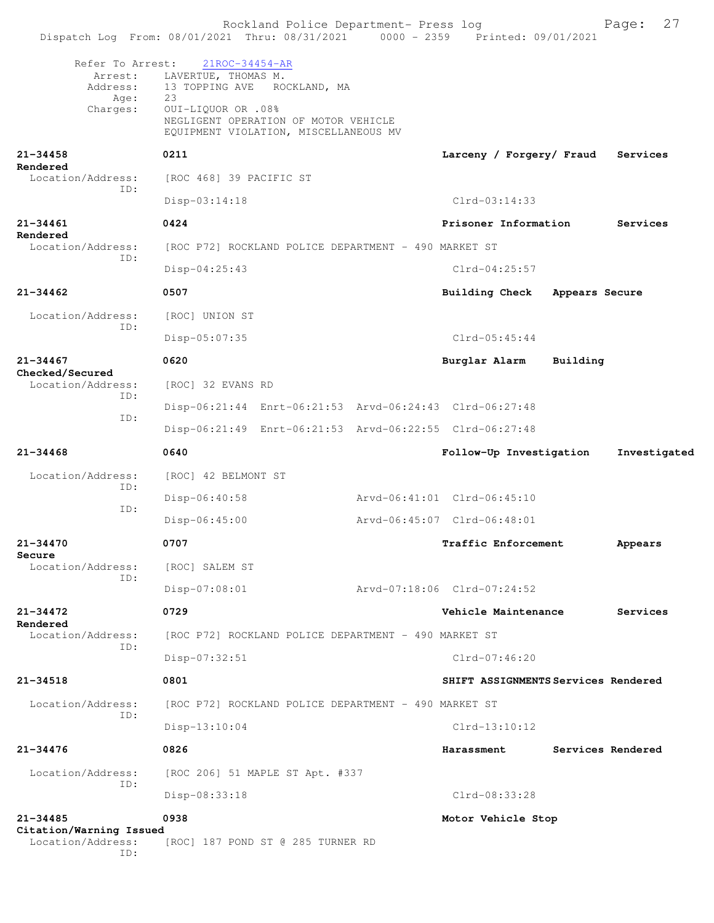Rockland Police Department- Press log Fage: 27 Dispatch Log From: 08/01/2021 Thru: 08/31/2021 0000 - 2359 Printed: 09/01/2021 Refer To Arrest: 21ROC-34454-AR Arrest: LAVERTUE, THOMAS M.<br>Address: 13 TOPPING AVE ROO 13 TOPPING AVE ROCKLAND, MA Age: 23 Charges: OUI-LIQUOR OR .08% NEGLIGENT OPERATION OF MOTOR VEHICLE EQUIPMENT VIOLATION, MISCELLANEOUS MV **21-34458 0211 Larceny / Forgery/ Fraud Services Rendered**  Location/Address: [ROC 468] 39 PACIFIC ST ID: Disp-03:14:18 Clrd-03:14:33 **21-34461 0424 Prisoner Information Services Rendered**  Location/Address: [ROC P72] ROCKLAND POLICE DEPARTMENT - 490 MARKET ST ID: Disp-04:25:43 Clrd-04:25:57 **21-34462 0507 Building Check Appears Secure** Location/Address: [ROC] UNION ST ID: Disp-05:07:35 Clrd-05:45:44 **21-34467 0620 Burglar Alarm Building Checked/Secured**  Location/Address: [ROC] 32 EVANS RD ID: Disp-06:21:44 Enrt-06:21:53 Arvd-06:24:43 Clrd-06:27:48 ID: Disp-06:21:49 Enrt-06:21:53 Arvd-06:22:55 Clrd-06:27:48 **21-34468 0640 Follow-Up Investigation Investigated** Location/Address: [ROC] 42 BELMONT ST ID: Disp-06:40:58 Arvd-06:41:01 Clrd-06:45:10 ID: Disp-06:45:00 Arvd-06:45:07 Clrd-06:48:01 **21-34470 0707 Traffic Enforcement Appears Secure**  Location/Address: [ROC] SALEM ST ID: Disp-07:08:01 Arvd-07:18:06 Clrd-07:24:52 **21-34472 0729 Vehicle Maintenance Services Rendered**  Location/Address: [ROC P72] ROCKLAND POLICE DEPARTMENT - 490 MARKET ST ID: Disp-07:32:51 Clrd-07:46:20 **21-34518 0801 SHIFT ASSIGNMENTS Services Rendered** Location/Address: [ROC P72] ROCKLAND POLICE DEPARTMENT - 490 MARKET ST ID: Disp-13:10:04 Clrd-13:10:12 **21-34476 0826 Harassment Services Rendered** Location/Address: [ROC 206] 51 MAPLE ST Apt. #337 ID: Disp-08:33:18 Clrd-08:33:28 **21-34485 0938 Motor Vehicle Stop Citation/Warning Issued**  Location/Address: [ROC] 187 POND ST @ 285 TURNER RD ID: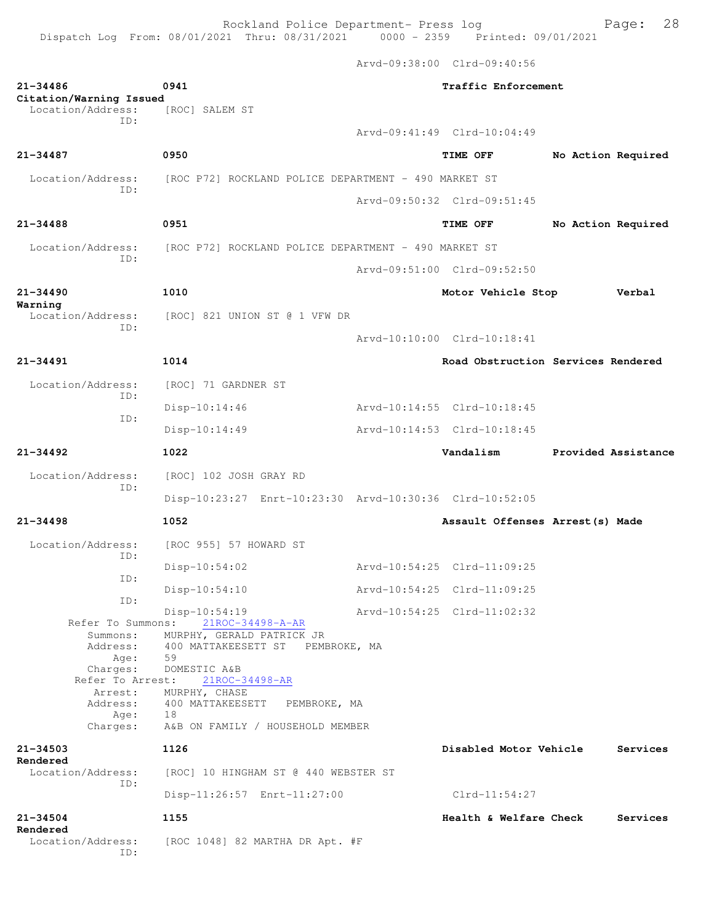Dispatch Log From: 08/01/2021 Thru: 08/31/2021 0000 - 2359 Printed: 09/01/2021

Arvd-09:38:00 Clrd-09:40:56

| $21 - 34486$<br>Citation/Warning Issued                                                                                      | 0941                                                                                                                                                                                                                  | Traffic Enforcement |                                    |                    |                     |
|------------------------------------------------------------------------------------------------------------------------------|-----------------------------------------------------------------------------------------------------------------------------------------------------------------------------------------------------------------------|---------------------|------------------------------------|--------------------|---------------------|
| Location/Address:<br>TD:                                                                                                     | [ROC] SALEM ST                                                                                                                                                                                                        |                     |                                    |                    |                     |
|                                                                                                                              |                                                                                                                                                                                                                       |                     | Arvd-09:41:49 Clrd-10:04:49        |                    |                     |
| $21 - 34487$                                                                                                                 | 0950                                                                                                                                                                                                                  |                     | TIME OFF                           | No Action Required |                     |
| Location/Address:<br>ID:                                                                                                     | [ROC P72] ROCKLAND POLICE DEPARTMENT - 490 MARKET ST                                                                                                                                                                  |                     |                                    |                    |                     |
|                                                                                                                              |                                                                                                                                                                                                                       |                     | Arvd-09:50:32 Clrd-09:51:45        |                    |                     |
| $21 - 34488$                                                                                                                 | 0951                                                                                                                                                                                                                  |                     | TIME OFF                           | No Action Required |                     |
| Location/Address:<br>ID:                                                                                                     | [ROC P72] ROCKLAND POLICE DEPARTMENT - 490 MARKET ST                                                                                                                                                                  |                     |                                    |                    |                     |
|                                                                                                                              |                                                                                                                                                                                                                       |                     | Arvd-09:51:00 Clrd-09:52:50        |                    |                     |
| $21 - 34490$                                                                                                                 | 1010                                                                                                                                                                                                                  |                     | Motor Vehicle Stop                 |                    | Verbal              |
| Warning<br>Location/Address:                                                                                                 | [ROC] 821 UNION ST @ 1 VFW DR                                                                                                                                                                                         |                     |                                    |                    |                     |
| TD:                                                                                                                          |                                                                                                                                                                                                                       |                     | Arvd-10:10:00 Clrd-10:18:41        |                    |                     |
| $21 - 34491$                                                                                                                 | 1014                                                                                                                                                                                                                  |                     | Road Obstruction Services Rendered |                    |                     |
| Location/Address:                                                                                                            | [ROC] 71 GARDNER ST                                                                                                                                                                                                   |                     |                                    |                    |                     |
| ID:                                                                                                                          | $Disp-10:14:46$                                                                                                                                                                                                       |                     | Arvd-10:14:55 Clrd-10:18:45        |                    |                     |
| ID:                                                                                                                          | $Disp-10:14:49$                                                                                                                                                                                                       |                     | Arvd-10:14:53 Clrd-10:18:45        |                    |                     |
| $21 - 34492$                                                                                                                 | 1022                                                                                                                                                                                                                  |                     | Vandalism                          |                    | Provided Assistance |
| Location/Address:<br>ID:                                                                                                     | [ROC] 102 JOSH GRAY RD                                                                                                                                                                                                |                     |                                    |                    |                     |
|                                                                                                                              | Disp-10:23:27 Enrt-10:23:30 Arvd-10:30:36 Clrd-10:52:05                                                                                                                                                               |                     |                                    |                    |                     |
| $21 - 34498$                                                                                                                 | 1052                                                                                                                                                                                                                  |                     | Assault Offenses Arrest (s) Made   |                    |                     |
| Location/Address:                                                                                                            | [ROC 955] 57 HOWARD ST                                                                                                                                                                                                |                     |                                    |                    |                     |
| ID:                                                                                                                          | Disp-10:54:02                                                                                                                                                                                                         |                     | Arvd-10:54:25 Clrd-11:09:25        |                    |                     |
| ID:                                                                                                                          | $Disp-10:54:10$                                                                                                                                                                                                       |                     | Arvd-10:54:25 Clrd-11:09:25        |                    |                     |
| ID:                                                                                                                          | $Disp-10:54:19$                                                                                                                                                                                                       |                     | Arvd-10:54:25 Clrd-11:02:32        |                    |                     |
| Refer To Summons:<br>Summons:<br>Address:<br>Age:<br>Charges:<br>Refer To Arrest:<br>Arrest:<br>Address:<br>Age:<br>Charges: | 21ROC-34498-A-AR<br>MURPHY, GERALD PATRICK JR<br>400 MATTAKEESETT ST PEMBROKE, MA<br>59<br>DOMESTIC A&B<br>21ROC-34498-AR<br>MURPHY, CHASE<br>400 MATTAKEESETT PEMBROKE, MA<br>18<br>A&B ON FAMILY / HOUSEHOLD MEMBER |                     |                                    |                    |                     |
| $21 - 34503$<br>Rendered                                                                                                     | 1126                                                                                                                                                                                                                  |                     | Disabled Motor Vehicle             |                    | Services            |
| Location/Address:<br>TD:                                                                                                     | [ROC] 10 HINGHAM ST @ 440 WEBSTER ST                                                                                                                                                                                  |                     |                                    |                    |                     |
|                                                                                                                              | Disp-11:26:57 Enrt-11:27:00                                                                                                                                                                                           |                     | $Clrd-11:54:27$                    |                    |                     |
| $21 - 34504$<br>Rendered                                                                                                     | 1155                                                                                                                                                                                                                  |                     | Health & Welfare Check             |                    | Services            |
| Location/Address:<br>ID:                                                                                                     | [ROC 1048] 82 MARTHA DR Apt. #F                                                                                                                                                                                       |                     |                                    |                    |                     |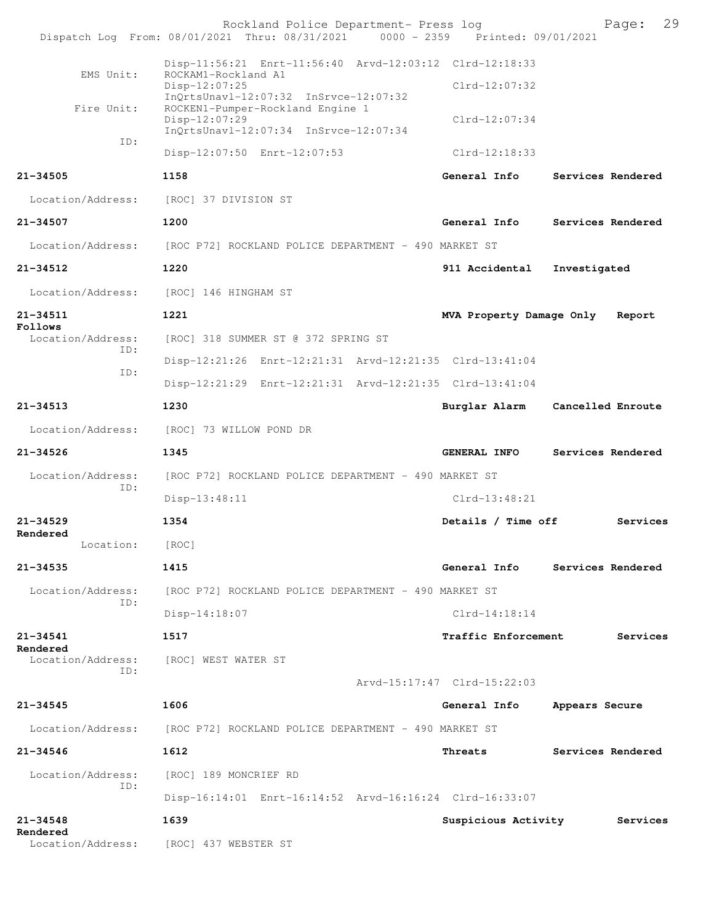|                              | Rockland Police Department- Press log<br>Dispatch Log From: 08/01/2021 Thru: 08/31/2021 0000 - 2359 Printed: 09/01/2021                  |                             | 29<br>Page:                    |
|------------------------------|------------------------------------------------------------------------------------------------------------------------------------------|-----------------------------|--------------------------------|
| EMS Unit:                    | Disp-11:56:21 Enrt-11:56:40 Arvd-12:03:12 Clrd-12:18:33<br>ROCKAM1-Rockland A1<br>Disp-12:07:25<br>InQrtsUnavl-12:07:32 InSrvce-12:07:32 | Clrd-12:07:32               |                                |
| Fire Unit:                   | ROCKEN1-Pumper-Rockland Engine 1<br>Disp-12:07:29<br>InQrtsUnavl-12:07:34 InSrvce-12:07:34                                               | Clrd-12:07:34               |                                |
| ID:                          | Disp-12:07:50 Enrt-12:07:53                                                                                                              | $Clrd-12:18:33$             |                                |
| 21-34505                     | 1158                                                                                                                                     | General Info                | Services Rendered              |
| Location/Address:            | [ROC] 37 DIVISION ST                                                                                                                     |                             |                                |
| 21-34507                     | 1200                                                                                                                                     | General Info                | Services Rendered              |
| Location/Address:            | [ROC P72] ROCKLAND POLICE DEPARTMENT - 490 MARKET ST                                                                                     |                             |                                |
| 21-34512                     | 1220                                                                                                                                     | 911 Accidental              | Investigated                   |
| Location/Address:            | [ROC] 146 HINGHAM ST                                                                                                                     |                             |                                |
| 21-34511                     | 1221                                                                                                                                     | MVA Property Damage Only    | Report                         |
| Follows<br>Location/Address: | [ROC] 318 SUMMER ST @ 372 SPRING ST                                                                                                      |                             |                                |
| ID:                          | Disp-12:21:26 Enrt-12:21:31 Arvd-12:21:35 Clrd-13:41:04                                                                                  |                             |                                |
| ID:                          | Disp-12:21:29 Enrt-12:21:31 Arvd-12:21:35 Clrd-13:41:04                                                                                  |                             |                                |
| 21-34513                     | 1230                                                                                                                                     | Burglar Alarm               | Cancelled Enroute              |
| Location/Address:            | [ROC] 73 WILLOW POND DR                                                                                                                  |                             |                                |
| 21-34526                     | 1345                                                                                                                                     | GENERAL INFO                | Services Rendered              |
| Location/Address:            | [ROC P72] ROCKLAND POLICE DEPARTMENT - 490 MARKET ST                                                                                     |                             |                                |
| ID:                          | Disp-13:48:11                                                                                                                            | $Clrd-13:48:21$             |                                |
| 21-34529                     | 1354                                                                                                                                     | Details / Time off          | Services                       |
| Rendered<br>Location:        | [ROC]                                                                                                                                    |                             |                                |
| 21-34535                     | 1415                                                                                                                                     |                             | General Info Services Rendered |
| Location/Address:            | [ROC P72] ROCKLAND POLICE DEPARTMENT - 490 MARKET ST                                                                                     |                             |                                |
| TD:                          | Disp-14:18:07                                                                                                                            | $Clrd-14:18:14$             |                                |
| 21-34541                     | 1517                                                                                                                                     | <b>Traffic Enforcement</b>  | Services                       |
| Rendered<br>ID:              | Location/Address: [ROC] WEST WATER ST                                                                                                    |                             |                                |
|                              |                                                                                                                                          | Arvd-15:17:47 Clrd-15:22:03 |                                |
| 21-34545                     | 1606                                                                                                                                     | General Info                | Appears Secure                 |
|                              | Location/Address: [ROC P72] ROCKLAND POLICE DEPARTMENT - 490 MARKET ST                                                                   |                             |                                |
| 21-34546                     | 1612                                                                                                                                     | Threats                     | Services Rendered              |
| Location/Address:<br>ID:     | [ROC] 189 MONCRIEF RD                                                                                                                    |                             |                                |
|                              | Disp-16:14:01 Enrt-16:14:52 Arvd-16:16:24 Clrd-16:33:07                                                                                  |                             |                                |
| 21-34548<br>Rendered         | 1639                                                                                                                                     | Suspicious Activity         | Services                       |
| Location/Address:            | [ROC] 437 WEBSTER ST                                                                                                                     |                             |                                |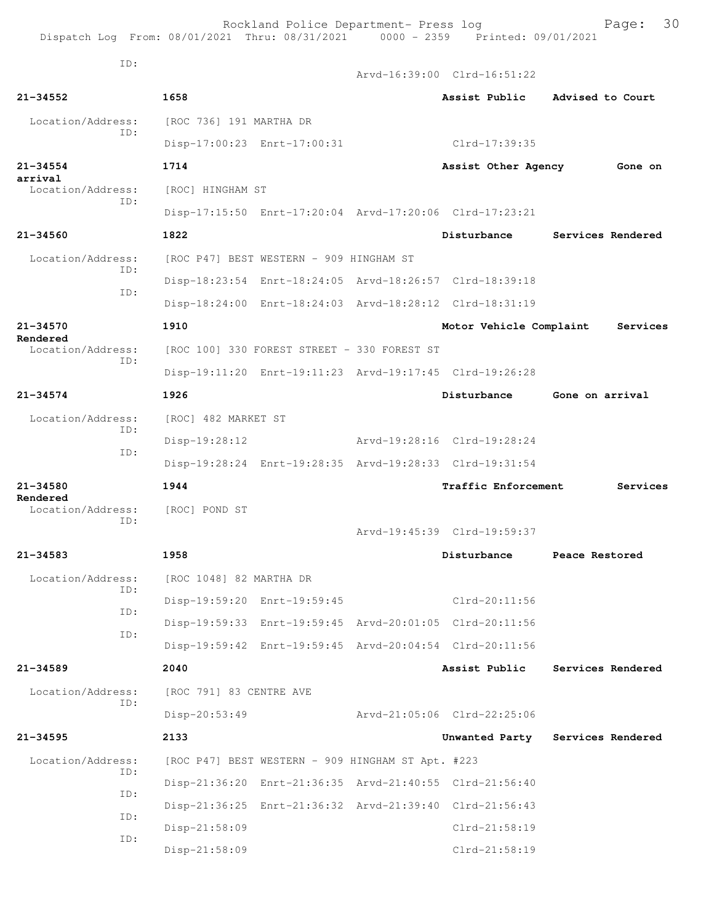ID:

 Arvd-16:39:00 Clrd-16:51:22 **21-34552 1658 Assist Public Advised to Court** Location/Address: [ROC 736] 191 MARTHA DR ID: Disp-17:00:23 Enrt-17:00:31 Clrd-17:39:35 **21-34554 1714 Assist Other Agency Gone on arrival**  Location/Address: [ROC] HINGHAM ST ID: Disp-17:15:50 Enrt-17:20:04 Arvd-17:20:06 Clrd-17:23:21 **21-34560 1822 Disturbance Services Rendered** Location/Address: [ROC P47] BEST WESTERN - 909 HINGHAM ST ID: Disp-18:23:54 Enrt-18:24:05 Arvd-18:26:57 Clrd-18:39:18 ID: Disp-18:24:00 Enrt-18:24:03 Arvd-18:28:12 Clrd-18:31:19 **21-34570 1910 Motor Vehicle Complaint Services Rendered**  Location/Address: [ROC 100] 330 FOREST STREET - 330 FOREST ST ID: Disp-19:11:20 Enrt-19:11:23 Arvd-19:17:45 Clrd-19:26:28 **21-34574 1926 Disturbance Gone on arrival** Location/Address: [ROC] 482 MARKET ST ID: Disp-19:28:12 Arvd-19:28:16 Clrd-19:28:24 ID: Disp-19:28:24 Enrt-19:28:35 Arvd-19:28:33 Clrd-19:31:54 **21-34580 1944 Traffic Enforcement Services Rendered**  Location/Address: [ROC] POND ST ID: Arvd-19:45:39 Clrd-19:59:37 **21-34583 1958 Disturbance Peace Restored** Location/Address: [ROC 1048] 82 MARTHA DR ID: Disp-19:59:20 Enrt-19:59:45 Clrd-20:11:56 ID: Disp-19:59:33 Enrt-19:59:45 Arvd-20:01:05 Clrd-20:11:56 ID: Disp-19:59:42 Enrt-19:59:45 Arvd-20:04:54 Clrd-20:11:56 **21-34589 2040 Assist Public Services Rendered** Location/Address: [ROC 791] 83 CENTRE AVE ID: Disp-20:53:49 Arvd-21:05:06 Clrd-22:25:06 **21-34595 2133 Unwanted Party Services Rendered** Location/Address: [ROC P47] BEST WESTERN - 909 HINGHAM ST Apt. #223 ID: Disp-21:36:20 Enrt-21:36:35 Arvd-21:40:55 Clrd-21:56:40 ID: Disp-21:36:25 Enrt-21:36:32 Arvd-21:39:40 Clrd-21:56:43 ID: Disp-21:58:09 Clrd-21:58:19 ID: Disp-21:58:09 Clrd-21:58:19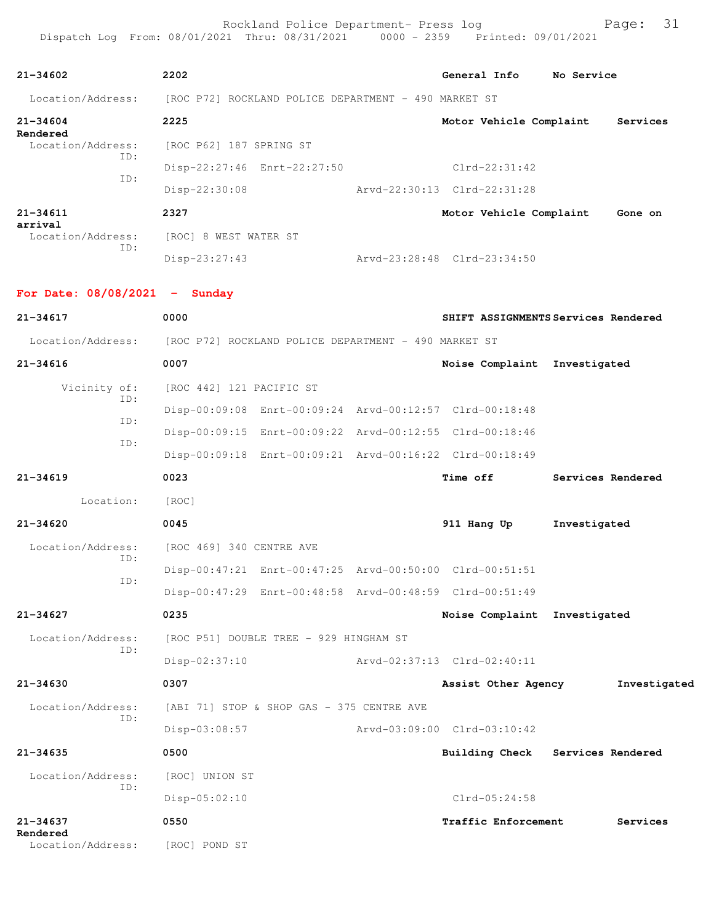| $21 - 34602$                    |                          | 2202                     |                                                                        |                                                         | General Info                                            | No Service        |              |  |  |
|---------------------------------|--------------------------|--------------------------|------------------------------------------------------------------------|---------------------------------------------------------|---------------------------------------------------------|-------------------|--------------|--|--|
| Location/Address:               |                          |                          | [ROC P72] ROCKLAND POLICE DEPARTMENT - 490 MARKET ST                   |                                                         |                                                         |                   |              |  |  |
| $21 - 34604$                    |                          | 2225                     |                                                                        |                                                         | Motor Vehicle Complaint                                 |                   | Services     |  |  |
| Rendered<br>Location/Address:   | ID:                      | [ROC P62] 187 SPRING ST  |                                                                        |                                                         |                                                         |                   |              |  |  |
|                                 | ID:                      |                          | Disp-22:27:46 Enrt-22:27:50                                            |                                                         | $Clrd-22:31:42$                                         |                   |              |  |  |
|                                 |                          | Disp-22:30:08            |                                                                        |                                                         | Arvd-22:30:13 Clrd-22:31:28                             |                   |              |  |  |
| $21 - 34611$<br>arrival         |                          | 2327                     |                                                                        |                                                         | Motor Vehicle Complaint                                 |                   | Gone on      |  |  |
| Location/Address:               | ID:                      |                          | [ROC] 8 WEST WATER ST                                                  |                                                         |                                                         |                   |              |  |  |
|                                 |                          | Disp-23:27:43            |                                                                        |                                                         | Arvd-23:28:48 Clrd-23:34:50                             |                   |              |  |  |
| For Date: $08/08/2021$ - Sunday |                          |                          |                                                                        |                                                         |                                                         |                   |              |  |  |
| 21-34617                        |                          | 0000                     |                                                                        |                                                         | SHIFT ASSIGNMENTS Services Rendered                     |                   |              |  |  |
|                                 |                          |                          | Location/Address: [ROC P72] ROCKLAND POLICE DEPARTMENT - 490 MARKET ST |                                                         |                                                         |                   |              |  |  |
| $21 - 34616$                    |                          | 0007                     |                                                                        |                                                         | Noise Complaint Investigated                            |                   |              |  |  |
| Vicinity of:<br>ID:<br>ID:      | [ROC 442] 121 PACIFIC ST |                          |                                                                        |                                                         |                                                         |                   |              |  |  |
|                                 |                          |                          |                                                                        | Disp-00:09:08 Enrt-00:09:24 Arvd-00:12:57 Clrd-00:18:48 |                                                         |                   |              |  |  |
|                                 |                          |                          |                                                                        | Disp-00:09:15 Enrt-00:09:22 Arvd-00:12:55 Clrd-00:18:46 |                                                         |                   |              |  |  |
|                                 | ID:                      |                          |                                                                        |                                                         | Disp-00:09:18 Enrt-00:09:21 Arvd-00:16:22 Clrd-00:18:49 |                   |              |  |  |
| 21-34619                        |                          | 0023                     |                                                                        |                                                         | <b>Time off</b>                                         | Services Rendered |              |  |  |
| Location:                       |                          | [ROC]                    |                                                                        |                                                         |                                                         |                   |              |  |  |
| $21 - 34620$                    |                          | 0045                     |                                                                        |                                                         | 911 Hang Up                                             | Investigated      |              |  |  |
| Location/Address:               | ID:                      | [ROC 469] 340 CENTRE AVE |                                                                        |                                                         |                                                         |                   |              |  |  |
|                                 | TD:                      |                          |                                                                        |                                                         | Disp-00:47:21 Enrt-00:47:25 Arvd-00:50:00 Clrd-00:51:51 |                   |              |  |  |
|                                 |                          |                          |                                                                        |                                                         | Disp-00:47:29 Enrt-00:48:58 Arvd-00:48:59 Clrd-00:51:49 |                   |              |  |  |
| $21 - 34627$                    |                          | 0235                     |                                                                        |                                                         | Noise Complaint Investigated                            |                   |              |  |  |
| Location/Address:               | ID:                      |                          | [ROC P51] DOUBLE TREE - 929 HINGHAM ST                                 |                                                         |                                                         |                   |              |  |  |
|                                 |                          | $Disp-02:37:10$          |                                                                        |                                                         | Arvd-02:37:13 Clrd-02:40:11                             |                   |              |  |  |
| $21 - 34630$                    |                          | 0307                     |                                                                        |                                                         | Assist Other Agency                                     |                   | Investigated |  |  |
| Location/Address:               | ID:                      |                          | [ABI 71] STOP & SHOP GAS - 375 CENTRE AVE                              |                                                         |                                                         |                   |              |  |  |
|                                 |                          | Disp-03:08:57            |                                                                        |                                                         | Arvd-03:09:00 Clrd-03:10:42                             |                   |              |  |  |
| $21 - 34635$                    |                          | 0500                     |                                                                        |                                                         | <b>Building Check</b>                                   | Services Rendered |              |  |  |
| Location/Address:               | ID:                      | [ROC] UNION ST           |                                                                        |                                                         |                                                         |                   |              |  |  |
|                                 |                          | $Disp-05:02:10$          |                                                                        |                                                         | Clrd-05:24:58                                           |                   |              |  |  |
| 21-34637<br>Rendered            |                          | 0550                     |                                                                        |                                                         | Traffic Enforcement                                     |                   | Services     |  |  |
| Location/Address:               |                          | [ROC] POND ST            |                                                                        |                                                         |                                                         |                   |              |  |  |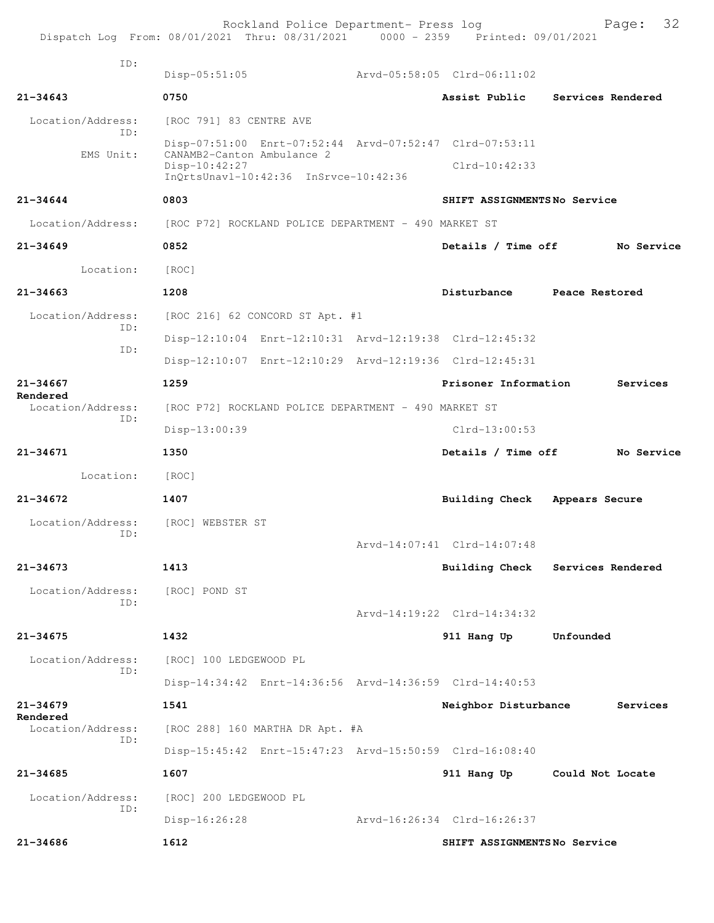|                               | Rockland Police Department- Press log<br>Dispatch Log From: 08/01/2021 Thru: 08/31/2021 0000 - 2359 Printed: 09/01/2021 |                                                      |                             | 32<br>Page:                      |  |  |  |
|-------------------------------|-------------------------------------------------------------------------------------------------------------------------|------------------------------------------------------|-----------------------------|----------------------------------|--|--|--|
| TD:                           |                                                                                                                         |                                                      |                             |                                  |  |  |  |
|                               | $Disp-05:51:05$                                                                                                         |                                                      | Arvd-05:58:05 Clrd-06:11:02 |                                  |  |  |  |
| $21 - 34643$                  | 0750                                                                                                                    |                                                      | Assist Public               | Services Rendered                |  |  |  |
| Location/Address:<br>TD:      | [ROC 791] 83 CENTRE AVE                                                                                                 |                                                      |                             |                                  |  |  |  |
| EMS Unit:                     | Disp-07:51:00 Enrt-07:52:44 Arvd-07:52:47 Clrd-07:53:11<br>CANAMB2-Canton Ambulance 2                                   |                                                      |                             |                                  |  |  |  |
|                               | $Disp-10:42:27$<br>InOrtsUnavl-10:42:36 InSrvce-10:42:36                                                                |                                                      | $Clrd-10:42:33$             |                                  |  |  |  |
|                               |                                                                                                                         |                                                      |                             |                                  |  |  |  |
| $21 - 34644$                  | 0803                                                                                                                    |                                                      | SHIFT ASSIGNMENTSNo Service |                                  |  |  |  |
| Location/Address:             | [ROC P72] ROCKLAND POLICE DEPARTMENT - 490 MARKET ST                                                                    |                                                      |                             |                                  |  |  |  |
| $21 - 34649$                  | 0852                                                                                                                    |                                                      | Details / Time off          | No Service                       |  |  |  |
| Location:                     | [ROC]                                                                                                                   |                                                      |                             |                                  |  |  |  |
| $21 - 34663$                  | 1208                                                                                                                    |                                                      | Disturbance                 | Peace Restored                   |  |  |  |
| Location/Address:<br>TD:      | [ROC 216] 62 CONCORD ST Apt. #1                                                                                         |                                                      |                             |                                  |  |  |  |
| ID:                           | Disp-12:10:04 Enrt-12:10:31 Arvd-12:19:38 Clrd-12:45:32                                                                 |                                                      |                             |                                  |  |  |  |
|                               | Disp-12:10:07 Enrt-12:10:29 Arvd-12:19:36 Clrd-12:45:31                                                                 |                                                      |                             |                                  |  |  |  |
| 21-34667                      | 1259                                                                                                                    |                                                      | Prisoner Information        | Services                         |  |  |  |
| Rendered<br>Location/Address: |                                                                                                                         | [ROC P72] ROCKLAND POLICE DEPARTMENT - 490 MARKET ST |                             |                                  |  |  |  |
| TD:                           | Disp-13:00:39                                                                                                           |                                                      | $Clrd-13:00:53$             |                                  |  |  |  |
| 21-34671                      | 1350                                                                                                                    |                                                      | Details / Time off          | No Service                       |  |  |  |
| Location:                     | [ROC]                                                                                                                   |                                                      |                             |                                  |  |  |  |
| $21 - 34672$                  | 1407                                                                                                                    |                                                      | <b>Building Check</b>       | Appears Secure                   |  |  |  |
| Location/Address:<br>ID:      | [ROC] WEBSTER ST                                                                                                        |                                                      |                             |                                  |  |  |  |
|                               |                                                                                                                         |                                                      | Arvd-14:07:41 Clrd-14:07:48 |                                  |  |  |  |
| $21 - 34673$                  | 1413                                                                                                                    |                                                      |                             | Building Check Services Rendered |  |  |  |
| Location/Address:             | [ROC] POND ST                                                                                                           |                                                      |                             |                                  |  |  |  |
| TD:                           |                                                                                                                         |                                                      | Arvd-14:19:22 Clrd-14:34:32 |                                  |  |  |  |
| $21 - 34675$                  | 1432                                                                                                                    |                                                      | 911 Hang Up                 | Unfounded                        |  |  |  |
| Location/Address:             | [ROC] 100 LEDGEWOOD PL                                                                                                  |                                                      |                             |                                  |  |  |  |
| ID:                           | Disp-14:34:42 Enrt-14:36:56 Arvd-14:36:59 Clrd-14:40:53                                                                 |                                                      |                             |                                  |  |  |  |
| $21 - 34679$                  | 1541                                                                                                                    |                                                      | Neighbor Disturbance        | Services                         |  |  |  |
| Rendered<br>Location/Address: | [ROC 288] 160 MARTHA DR Apt. #A                                                                                         |                                                      |                             |                                  |  |  |  |
| ID:                           | Disp-15:45:42 Enrt-15:47:23 Arvd-15:50:59 Clrd-16:08:40                                                                 |                                                      |                             |                                  |  |  |  |
| $21 - 34685$                  | 1607                                                                                                                    |                                                      | 911 Hang Up                 | Could Not Locate                 |  |  |  |
| Location/Address:             | [ROC] 200 LEDGEWOOD PL                                                                                                  |                                                      |                             |                                  |  |  |  |
| ID:                           | $Disp-16:26:28$                                                                                                         |                                                      | Arvd-16:26:34 Clrd-16:26:37 |                                  |  |  |  |
| $21 - 34686$                  | 1612                                                                                                                    |                                                      | SHIFT ASSIGNMENTSNo Service |                                  |  |  |  |
|                               |                                                                                                                         |                                                      |                             |                                  |  |  |  |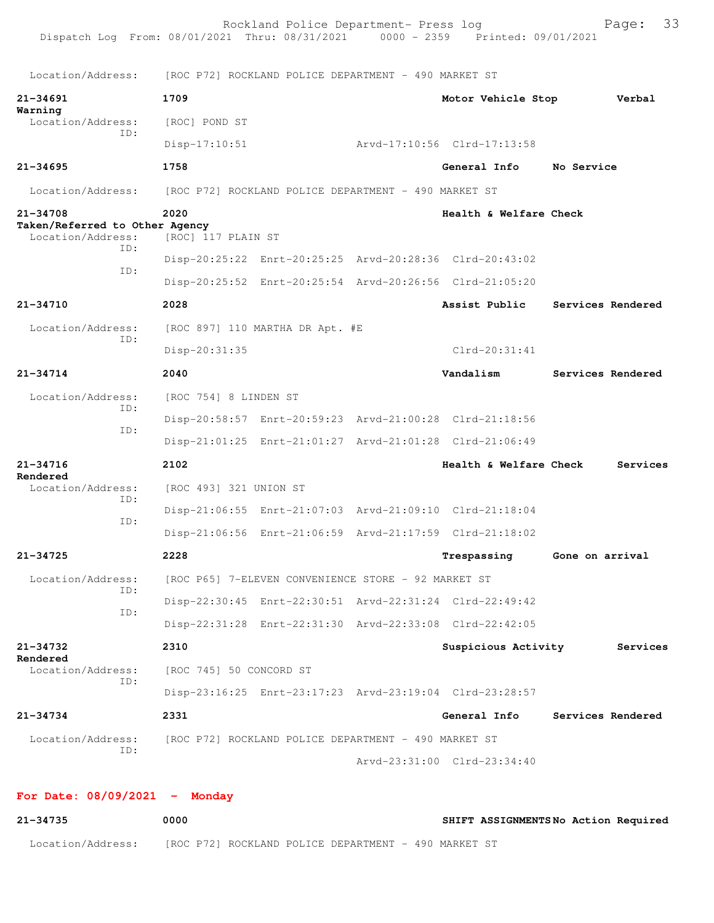| Dispatch Log From: 08/01/2021 Thru: 08/31/2021 0000 - 2359 Printed: 09/01/2021 |                                                      | Rockland Police Department- Press log |  |                                                         |                   | Page:    | 33 |
|--------------------------------------------------------------------------------|------------------------------------------------------|---------------------------------------|--|---------------------------------------------------------|-------------------|----------|----|
| Location/Address:                                                              | [ROC P72] ROCKLAND POLICE DEPARTMENT - 490 MARKET ST |                                       |  |                                                         |                   |          |    |
| $21 - 34691$                                                                   | 1709                                                 |                                       |  | Motor Vehicle Stop                                      |                   | Verbal   |    |
| Warning<br>Location/Address:                                                   | [ROC] POND ST                                        |                                       |  |                                                         |                   |          |    |
| ID:                                                                            | $Disp-17:10:51$                                      |                                       |  | Arvd-17:10:56 Clrd-17:13:58                             |                   |          |    |
| $21 - 34695$                                                                   | 1758                                                 |                                       |  | <b>General Info</b>                                     | No Service        |          |    |
| Location/Address:                                                              | [ROC P72] ROCKLAND POLICE DEPARTMENT - 490 MARKET ST |                                       |  |                                                         |                   |          |    |
| 21-34708<br>Taken/Referred to Other Agency<br>Location/Address:<br>ID:<br>ID:  | 2020<br>[ROC] 117 PLAIN ST                           |                                       |  | Health & Welfare Check                                  |                   |          |    |
|                                                                                |                                                      |                                       |  | Disp-20:25:22 Enrt-20:25:25 Arvd-20:28:36 Clrd-20:43:02 |                   |          |    |
|                                                                                |                                                      |                                       |  | Disp-20:25:52 Enrt-20:25:54 Arvd-20:26:56 Clrd-21:05:20 |                   |          |    |
| 21-34710                                                                       | 2028                                                 |                                       |  | Assist Public                                           | Services Rendered |          |    |
| Location/Address:                                                              |                                                      | [ROC 897] 110 MARTHA DR Apt. #E       |  |                                                         |                   |          |    |
| ID:                                                                            | Disp-20:31:35                                        |                                       |  | $Clrd-20:31:41$                                         |                   |          |    |
| 21-34714                                                                       | 2040                                                 |                                       |  | Vandalism                                               | Services Rendered |          |    |
| Location/Address:                                                              | [ROC 754] 8 LINDEN ST                                |                                       |  |                                                         |                   |          |    |
| ID:                                                                            |                                                      |                                       |  | Disp-20:58:57 Enrt-20:59:23 Arvd-21:00:28 Clrd-21:18:56 |                   |          |    |
| ID:                                                                            |                                                      |                                       |  | Disp-21:01:25 Enrt-21:01:27 Arvd-21:01:28 Clrd-21:06:49 |                   |          |    |
| $21 - 34716$                                                                   | 2102                                                 |                                       |  | Health & Welfare Check                                  |                   | Services |    |
| Rendered<br>Location/Address:                                                  | [ROC 493] 321 UNION ST                               |                                       |  |                                                         |                   |          |    |
| ID:                                                                            |                                                      |                                       |  | Disp-21:06:55 Enrt-21:07:03 Arvd-21:09:10 Clrd-21:18:04 |                   |          |    |
| ID:                                                                            |                                                      |                                       |  | Disp-21:06:56 Enrt-21:06:59 Arvd-21:17:59 Clrd-21:18:02 |                   |          |    |
| 21-34725                                                                       | 2228                                                 |                                       |  | Trespassing Gone on arrival                             |                   |          |    |
| Location/Address:                                                              | [ROC P65] 7-ELEVEN CONVENIENCE STORE - 92 MARKET ST  |                                       |  |                                                         |                   |          |    |
| ID:                                                                            |                                                      |                                       |  | Disp-22:30:45 Enrt-22:30:51 Arvd-22:31:24 Clrd-22:49:42 |                   |          |    |
| ID:                                                                            |                                                      |                                       |  | Disp-22:31:28 Enrt-22:31:30 Arvd-22:33:08 Clrd-22:42:05 |                   |          |    |
| 21-34732                                                                       | 2310                                                 |                                       |  | Suspicious Activity                                     |                   | Services |    |
| Rendered<br>Location/Address:                                                  | [ROC 745] 50 CONCORD ST                              |                                       |  |                                                         |                   |          |    |
| ID:                                                                            |                                                      |                                       |  | Disp-23:16:25 Enrt-23:17:23 Arvd-23:19:04 Clrd-23:28:57 |                   |          |    |
| 21-34734                                                                       | 2331                                                 |                                       |  | General Info                                            | Services Rendered |          |    |
| Location/Address:                                                              | [ROC P72] ROCKLAND POLICE DEPARTMENT - 490 MARKET ST |                                       |  |                                                         |                   |          |    |
| ID:                                                                            |                                                      |                                       |  | Arvd-23:31:00 Clrd-23:34:40                             |                   |          |    |

## **For Date: 08/09/2021 - Monday**

| 21-34735          | 0000 |                                                      |  | SHIFT ASSIGNMENTSNo Action Required |  |
|-------------------|------|------------------------------------------------------|--|-------------------------------------|--|
| Location/Address: |      | [ROC P72] ROCKLAND POLICE DEPARTMENT - 490 MARKET ST |  |                                     |  |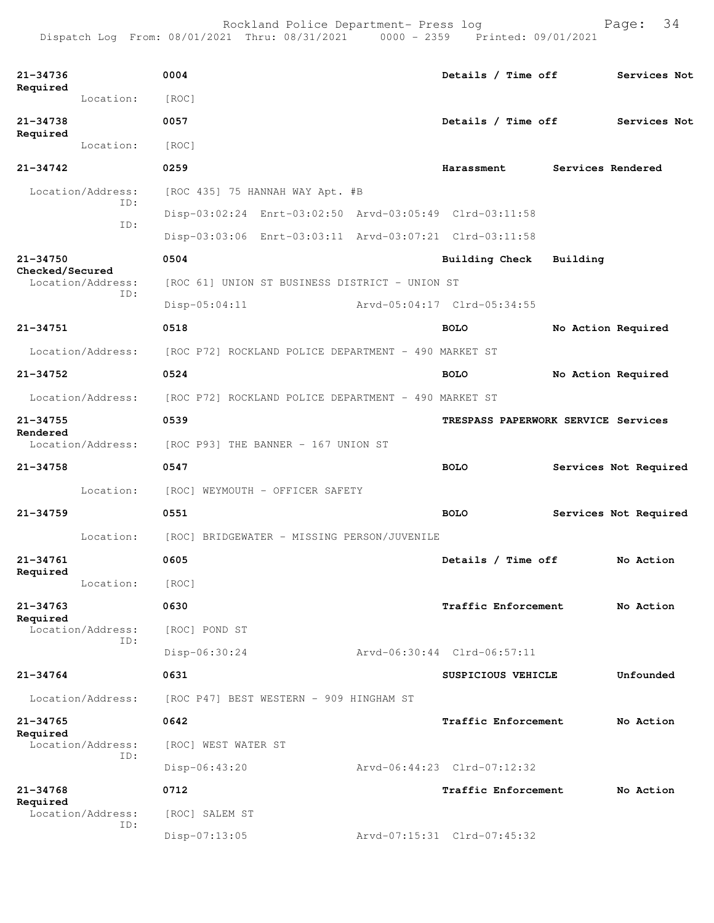Dispatch Log From: 08/01/2021 Thru: 08/31/2021 0000 - 2359 Printed: 09/01/2021

| 21-34736<br>Required        |                          | 0004                                                    |                             | Details / Time off                  |                    | Services Not          |  |  |
|-----------------------------|--------------------------|---------------------------------------------------------|-----------------------------|-------------------------------------|--------------------|-----------------------|--|--|
|                             | Location:                | [ROC]                                                   |                             |                                     |                    |                       |  |  |
| $21 - 34738$<br>Required    |                          | 0057                                                    |                             | Details / Time off                  |                    | Services Not          |  |  |
|                             | Location:                | [ROC]                                                   |                             |                                     |                    |                       |  |  |
| $21 - 34742$                |                          | 0259                                                    |                             | Harassment                          | Services Rendered  |                       |  |  |
|                             | Location/Address:<br>ID: | [ROC 435] 75 HANNAH WAY Apt. #B                         |                             |                                     |                    |                       |  |  |
|                             | ID:                      | Disp-03:02:24 Enrt-03:02:50 Arvd-03:05:49 Clrd-03:11:58 |                             |                                     |                    |                       |  |  |
|                             |                          | Disp-03:03:06 Enrt-03:03:11 Arvd-03:07:21 Clrd-03:11:58 |                             |                                     |                    |                       |  |  |
| 21-34750<br>Checked/Secured |                          | 0504                                                    |                             | <b>Building Check</b>               | Building           |                       |  |  |
|                             | Location/Address:<br>ID: | [ROC 61] UNION ST BUSINESS DISTRICT - UNION ST          |                             |                                     |                    |                       |  |  |
|                             | Disp-05:04:11            |                                                         | Arvd-05:04:17 Clrd-05:34:55 |                                     |                    |                       |  |  |
| 21-34751                    |                          | 0518                                                    |                             | <b>BOLO</b>                         | No Action Required |                       |  |  |
|                             | Location/Address:        | [ROC P72] ROCKLAND POLICE DEPARTMENT - 490 MARKET ST    |                             |                                     |                    |                       |  |  |
| 21-34752                    |                          | 0524                                                    |                             | <b>BOLO</b>                         | No Action Required |                       |  |  |
|                             | Location/Address:        | [ROC P72] ROCKLAND POLICE DEPARTMENT - 490 MARKET ST    |                             |                                     |                    |                       |  |  |
| $21 - 34755$                |                          | 0539                                                    |                             | TRESPASS PAPERWORK SERVICE Services |                    |                       |  |  |
| Rendered                    | Location/Address:        | [ROC P93] THE BANNER - 167 UNION ST                     |                             |                                     |                    |                       |  |  |
| $21 - 34758$                |                          | 0547                                                    |                             | <b>BOLO</b>                         |                    | Services Not Required |  |  |
|                             | Location:                | [ROC] WEYMOUTH - OFFICER SAFETY                         |                             |                                     |                    |                       |  |  |
| $21 - 34759$                |                          | 0551                                                    |                             | <b>BOLO</b>                         |                    | Services Not Required |  |  |
|                             | Location:                | [ROC] BRIDGEWATER - MISSING PERSON/JUVENILE             |                             |                                     |                    |                       |  |  |
| 21-34761                    |                          | 0605                                                    |                             | Details / Time off                  |                    | No Action             |  |  |
| Required                    | Location:                | [ROC]                                                   |                             |                                     |                    |                       |  |  |
| $21 - 34763$                |                          | 0630                                                    |                             | Traffic Enforcement                 |                    | No Action             |  |  |
| Required                    | Location/Address:        | [ROC] POND ST                                           |                             |                                     |                    |                       |  |  |
|                             | ID:                      | Disp-06:30:24                                           |                             | Arvd-06:30:44 Clrd-06:57:11         |                    |                       |  |  |
| 21-34764                    |                          | 0631                                                    |                             | SUSPICIOUS VEHICLE                  |                    | Unfounded             |  |  |
|                             | Location/Address:        | [ROC P47] BEST WESTERN - 909 HINGHAM ST                 |                             |                                     |                    |                       |  |  |
| $21 - 34765$                |                          | 0642                                                    |                             | Traffic Enforcement                 |                    | No Action             |  |  |
| Required                    | Location/Address:        | [ROC] WEST WATER ST                                     |                             |                                     |                    |                       |  |  |
|                             | ID:                      | Disp-06:43:20                                           |                             | Arvd-06:44:23 Clrd-07:12:32         |                    |                       |  |  |
| $21 - 34768$                |                          | 0712                                                    |                             | <b>Traffic Enforcement</b>          |                    | No Action             |  |  |
| Required                    | Location/Address:        | [ROC] SALEM ST                                          |                             |                                     |                    |                       |  |  |
|                             | ID:                      |                                                         |                             |                                     |                    |                       |  |  |
|                             |                          | $Disp-07:13:05$                                         |                             | Arvd-07:15:31 Clrd-07:45:32         |                    |                       |  |  |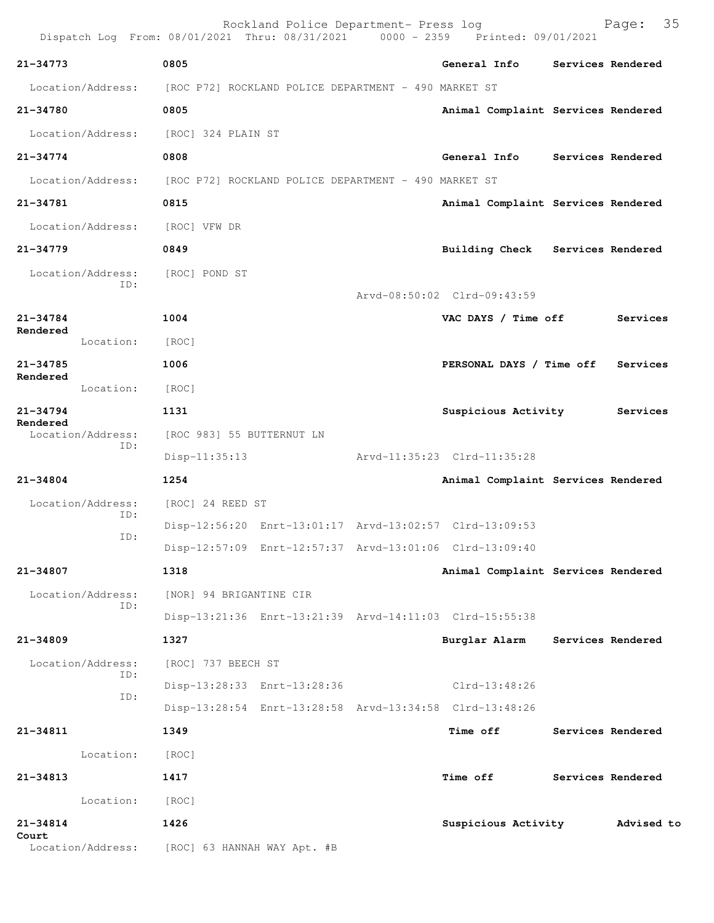| Dispatch Log From: 08/01/2021 Thru: 08/31/2021 0000 - 2359 Printed: 09/01/2021 |                           | Rockland Police Department- Press log |                                                         |                   | Page: 35          |  |
|--------------------------------------------------------------------------------|---------------------------|---------------------------------------|---------------------------------------------------------|-------------------|-------------------|--|
| 21-34773                                                                       | 0805                      |                                       | General Info                                            |                   | Services Rendered |  |
| Location/Address: [ROC P72] ROCKLAND POLICE DEPARTMENT - 490 MARKET ST         |                           |                                       |                                                         |                   |                   |  |
| 21-34780                                                                       | 0805                      |                                       | Animal Complaint Services Rendered                      |                   |                   |  |
| Location/Address:                                                              | [ROC] 324 PLAIN ST        |                                       |                                                         |                   |                   |  |
| 21-34774                                                                       | 0808                      |                                       | General Info Services Rendered                          |                   |                   |  |
| Location/Address: [ROC P72] ROCKLAND POLICE DEPARTMENT - 490 MARKET ST         |                           |                                       |                                                         |                   |                   |  |
| 21-34781                                                                       | 0815                      |                                       | Animal Complaint Services Rendered                      |                   |                   |  |
| Location/Address:                                                              | [ROC] VFW DR              |                                       |                                                         |                   |                   |  |
| $21 - 34779$                                                                   | 0849                      |                                       | Building Check Services Rendered                        |                   |                   |  |
| Location/Address: [ROC] POND ST<br>ID:                                         |                           |                                       | Arvd-08:50:02 Clrd-09:43:59                             |                   |                   |  |
| $21 - 34784$                                                                   | 1004                      |                                       | VAC DAYS / Time off                                     |                   | Services          |  |
| Rendered<br>Location:                                                          | [ROC]                     |                                       |                                                         |                   |                   |  |
| $21 - 34785$                                                                   | 1006                      |                                       | PERSONAL DAYS / Time off                                |                   | Services          |  |
| Rendered<br>Location:                                                          | [ROC]                     |                                       |                                                         |                   |                   |  |
| $21 - 34794$                                                                   | 1131                      |                                       | Suspicious Activity                                     |                   | Services          |  |
| Rendered<br>Location/Address:                                                  | [ROC 983] 55 BUTTERNUT LN |                                       |                                                         |                   |                   |  |
| ID:                                                                            | $Disp-11:35:13$           |                                       | Arvd-11:35:23 Clrd-11:35:28                             |                   |                   |  |
| $21 - 34804$                                                                   | 1254                      |                                       | Animal Complaint Services Rendered                      |                   |                   |  |
| Location/Address:                                                              | [ROC] 24 REED ST          |                                       |                                                         |                   |                   |  |
| ID:                                                                            |                           |                                       | Disp-12:56:20 Enrt-13:01:17 Arvd-13:02:57 Clrd-13:09:53 |                   |                   |  |
| ID:                                                                            |                           |                                       | Disp-12:57:09 Enrt-12:57:37 Arvd-13:01:06 Clrd-13:09:40 |                   |                   |  |
| 21-34807                                                                       | 1318                      |                                       | Animal Complaint Services Rendered                      |                   |                   |  |
| Location/Address:                                                              | [NOR] 94 BRIGANTINE CIR   |                                       |                                                         |                   |                   |  |
| ID:                                                                            |                           |                                       | Disp-13:21:36 Enrt-13:21:39 Arvd-14:11:03 Clrd-15:55:38 |                   |                   |  |
| 21-34809                                                                       | 1327                      |                                       | Burglar Alarm                                           | Services Rendered |                   |  |
| Location/Address:                                                              | [ROC] 737 BEECH ST        |                                       |                                                         |                   |                   |  |
| ID:                                                                            |                           | Disp-13:28:33 Enrt-13:28:36           | Clrd-13:48:26                                           |                   |                   |  |
| ID:                                                                            |                           |                                       | Disp-13:28:54 Enrt-13:28:58 Arvd-13:34:58 Clrd-13:48:26 |                   |                   |  |
| 21-34811                                                                       | 1349                      |                                       | Time off                                                |                   | Services Rendered |  |
| Location:                                                                      | [ROC]                     |                                       |                                                         |                   |                   |  |
| 21-34813                                                                       | 1417                      |                                       | <b>Time off</b>                                         |                   | Services Rendered |  |
| Location:                                                                      | [ROC]                     |                                       |                                                         |                   |                   |  |
| 21-34814                                                                       | 1426                      |                                       | Suspicious Activity                                     |                   | Advised to        |  |
| Court<br>Location/Address: [ROC] 63 HANNAH WAY Apt. #B                         |                           |                                       |                                                         |                   |                   |  |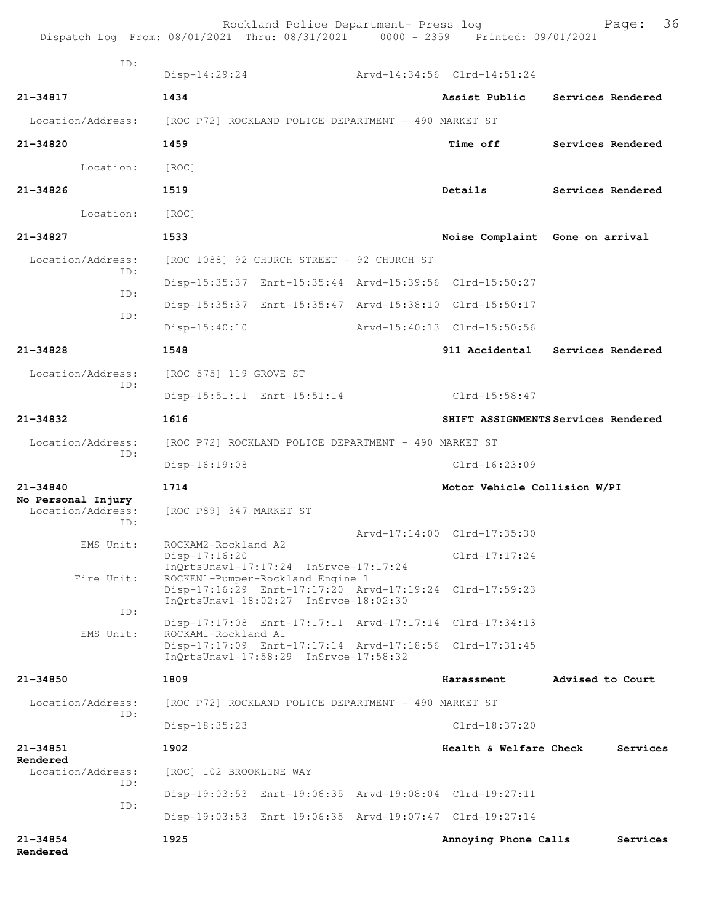| Dispatch Log From: 08/01/2021 Thru: 08/31/2021 0000 - 2359 Printed: 09/01/2021 |                                                      | Rockland Police Department- Press log                                     |  |                                                         |                   | Page:    | 36 |
|--------------------------------------------------------------------------------|------------------------------------------------------|---------------------------------------------------------------------------|--|---------------------------------------------------------|-------------------|----------|----|
| ID:                                                                            | $Disp-14:29:24$                                      |                                                                           |  | Arvd-14:34:56 Clrd-14:51:24                             |                   |          |    |
| $21 - 34817$                                                                   | 1434                                                 |                                                                           |  | Assist Public                                           | Services Rendered |          |    |
| Location/Address:                                                              | [ROC P72] ROCKLAND POLICE DEPARTMENT - 490 MARKET ST |                                                                           |  |                                                         |                   |          |    |
| 21-34820                                                                       | 1459                                                 |                                                                           |  | <b>Time off</b>                                         | Services Rendered |          |    |
| Location:                                                                      | [ROC]                                                |                                                                           |  |                                                         |                   |          |    |
| $21 - 34826$                                                                   | 1519                                                 |                                                                           |  | Details                                                 | Services Rendered |          |    |
| Location:                                                                      | [ROC]                                                |                                                                           |  |                                                         |                   |          |    |
| 21-34827                                                                       | 1533                                                 |                                                                           |  | Noise Complaint Gone on arrival                         |                   |          |    |
| Location/Address:                                                              |                                                      | [ROC 1088] 92 CHURCH STREET - 92 CHURCH ST                                |  |                                                         |                   |          |    |
| TD:                                                                            |                                                      |                                                                           |  | Disp-15:35:37 Enrt-15:35:44 Arvd-15:39:56 Clrd-15:50:27 |                   |          |    |
| ID:                                                                            |                                                      |                                                                           |  | Disp-15:35:37 Enrt-15:35:47 Arvd-15:38:10 Clrd-15:50:17 |                   |          |    |
| ID:                                                                            | $Disp-15:40:10$                                      |                                                                           |  | Arvd-15:40:13 Clrd-15:50:56                             |                   |          |    |
| 21-34828                                                                       | 1548                                                 |                                                                           |  | 911 Accidental Services Rendered                        |                   |          |    |
| Location/Address:                                                              | [ROC 575] 119 GROVE ST                               |                                                                           |  |                                                         |                   |          |    |
| TD:                                                                            |                                                      | Disp-15:51:11 Enrt-15:51:14                                               |  | Clrd-15:58:47                                           |                   |          |    |
| 21-34832                                                                       | 1616                                                 |                                                                           |  | SHIFT ASSIGNMENTS Services Rendered                     |                   |          |    |
| Location/Address:<br>ID:                                                       | [ROC P72] ROCKLAND POLICE DEPARTMENT - 490 MARKET ST |                                                                           |  |                                                         |                   |          |    |
|                                                                                | Disp-16:19:08                                        |                                                                           |  | $Clrd-16:23:09$                                         |                   |          |    |
| $21 - 34840$<br>No Personal Injury                                             | 1714<br>Motor Vehicle Collision W/PI                 |                                                                           |  |                                                         |                   |          |    |
| Location/Address:<br>TD:                                                       | [ROC P89] 347 MARKET ST                              |                                                                           |  |                                                         |                   |          |    |
| EMS Unit:                                                                      | ROCKAM2-Rockland A2                                  |                                                                           |  | Arvd-17:14:00 Clrd-17:35:30                             |                   |          |    |
|                                                                                | Disp-17:16:20                                        | $InOrtsUnav1-17:17:24$ $InStvee-17:17:24$                                 |  | $Clrd-17:17:24$                                         |                   |          |    |
| Fire Unit:                                                                     |                                                      | ROCKEN1-Pumper-Rockland Engine 1<br>InQrtsUnavl-18:02:27 InSrvce-18:02:30 |  | Disp-17:16:29 Enrt-17:17:20 Arvd-17:19:24 Clrd-17:59:23 |                   |          |    |
| ID:                                                                            |                                                      |                                                                           |  | Disp-17:17:08 Enrt-17:17:11 Arvd-17:17:14 Clrd-17:34:13 |                   |          |    |
| EMS Unit:                                                                      | ROCKAM1-Rockland A1                                  |                                                                           |  | Disp-17:17:09 Enrt-17:17:14 Arvd-17:18:56 Clrd-17:31:45 |                   |          |    |
|                                                                                |                                                      | InOrtsUnavl-17:58:29 InSrvce-17:58:32                                     |  |                                                         |                   |          |    |
| $21 - 34850$                                                                   | 1809                                                 |                                                                           |  | Harassment                                              | Advised to Court  |          |    |
| Location/Address:<br>TD:                                                       |                                                      | [ROC P72] ROCKLAND POLICE DEPARTMENT - 490 MARKET ST                      |  |                                                         |                   |          |    |
|                                                                                | $Disp-18:35:23$                                      |                                                                           |  | Clrd-18:37:20                                           |                   |          |    |
| $21 - 34851$<br>Rendered                                                       | 1902                                                 |                                                                           |  | Health & Welfare Check                                  |                   | Services |    |
| Location/Address:<br>ID:                                                       | [ROC] 102 BROOKLINE WAY                              |                                                                           |  |                                                         |                   |          |    |
| ID:                                                                            |                                                      |                                                                           |  | Disp-19:03:53 Enrt-19:06:35 Arvd-19:08:04 Clrd-19:27:11 |                   |          |    |
|                                                                                |                                                      |                                                                           |  | Disp-19:03:53 Enrt-19:06:35 Arvd-19:07:47 Clrd-19:27:14 |                   |          |    |
| $21 - 34854$<br>Rendered                                                       | 1925                                                 |                                                                           |  | Annoying Phone Calls                                    |                   | Services |    |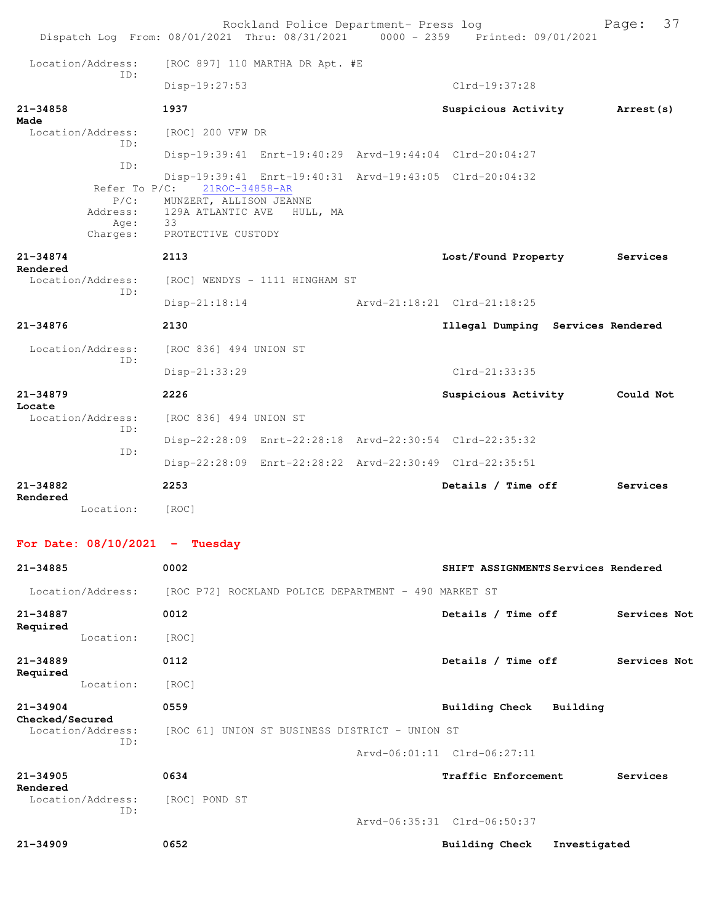|                                 |                                                             | Rockland Police Department- Press log<br>Dispatch Log From: 08/01/2021 Thru: 08/31/2021 0000 - 2359 Printed: 09/01/2021                                             |                                     | 37<br>Page:       |
|---------------------------------|-------------------------------------------------------------|---------------------------------------------------------------------------------------------------------------------------------------------------------------------|-------------------------------------|-------------------|
|                                 | Location/Address:                                           | [ROC 897] 110 MARTHA DR Apt. #E                                                                                                                                     |                                     |                   |
|                                 | ID:                                                         | Disp-19:27:53                                                                                                                                                       | $Clrd-19:37:28$                     |                   |
| 21-34858<br>Made                |                                                             | 1937                                                                                                                                                                | Suspicious Activity                 | <b>Arrest (s)</b> |
|                                 | Location/Address:<br>TD:                                    | [ROC] 200 VFW DR                                                                                                                                                    |                                     |                   |
|                                 | ID:                                                         | Disp-19:39:41 Enrt-19:40:29 Arvd-19:44:04 Clrd-20:04:27                                                                                                             |                                     |                   |
|                                 | Refer To $P/C$ :<br>$P/C$ :<br>Address:<br>Age:<br>Charges: | Disp-19:39:41 Enrt-19:40:31 Arvd-19:43:05 Clrd-20:04:32<br>21ROC-34858-AR<br>MUNZERT, ALLISON JEANNE<br>129A ATLANTIC AVE<br>HULL, MA<br>- 33<br>PROTECTIVE CUSTODY |                                     |                   |
| $21 - 34874$<br>Rendered        |                                                             | 2113                                                                                                                                                                | Lost/Found Property                 | Services          |
|                                 | Location/Address:<br>TD:                                    | [ROC] WENDYS - 1111 HINGHAM ST                                                                                                                                      |                                     |                   |
|                                 |                                                             | Disp-21:18:14 Arvd-21:18:21 Clrd-21:18:25                                                                                                                           |                                     |                   |
| 21-34876                        |                                                             | 2130                                                                                                                                                                | Illegal Dumping Services Rendered   |                   |
|                                 | Location/Address:<br>ID:                                    | [ROC 836] 494 UNION ST                                                                                                                                              |                                     |                   |
|                                 |                                                             | Disp-21:33:29                                                                                                                                                       | $Clrd-21:33:35$                     |                   |
| $21 - 34879$<br>Locate          |                                                             | 2226                                                                                                                                                                | Suspicious Activity                 | Could Not         |
|                                 | Location/Address:<br>ID:                                    | [ROC 836] 494 UNION ST                                                                                                                                              |                                     |                   |
|                                 | ID:                                                         | Disp-22:28:09 Enrt-22:28:18 Arvd-22:30:54 Clrd-22:35:32                                                                                                             |                                     |                   |
|                                 |                                                             | Disp-22:28:09 Enrt-22:28:22 Arvd-22:30:49 Clrd-22:35:51                                                                                                             |                                     |                   |
| $21 - 34882$<br>Rendered        |                                                             | 2253                                                                                                                                                                | Details / Time off                  | Services          |
|                                 | Location:                                                   | [ROC]                                                                                                                                                               |                                     |                   |
|                                 |                                                             | For Date: $08/10/2021$ - Tuesday                                                                                                                                    |                                     |                   |
| 21-34885                        |                                                             | 0002                                                                                                                                                                | SHIFT ASSIGNMENTS Services Rendered |                   |
|                                 | Location/Address:                                           | [ROC P72] ROCKLAND POLICE DEPARTMENT - 490 MARKET ST                                                                                                                |                                     |                   |
| 21-34887                        |                                                             | 0012                                                                                                                                                                | Details / Time off                  | Services Not      |
| Required                        | Location:                                                   | [ROC]                                                                                                                                                               |                                     |                   |
| $21 - 34889$                    |                                                             | 0112                                                                                                                                                                | Details / Time off                  | Services Not      |
| Required                        | Location:                                                   | [ROC]                                                                                                                                                               |                                     |                   |
| $21 - 34904$<br>Checked/Secured |                                                             | 0559                                                                                                                                                                | Building Check Building             |                   |

Location/Address: [ROC 61] UNION ST BUSINESS DISTRICT - UNION ST ID:

Arvd-06:01:11 Clrd-06:27:11

| 21-34905<br>Rendered     | 0634          | Traffic Enforcement         | Services     |
|--------------------------|---------------|-----------------------------|--------------|
| Location/Address:<br>ID: | [ROC] POND ST |                             |              |
|                          |               | Arvd-06:35:31 Clrd-06:50:37 |              |
| 21-34909                 | 0652          | Building Check              | Investigated |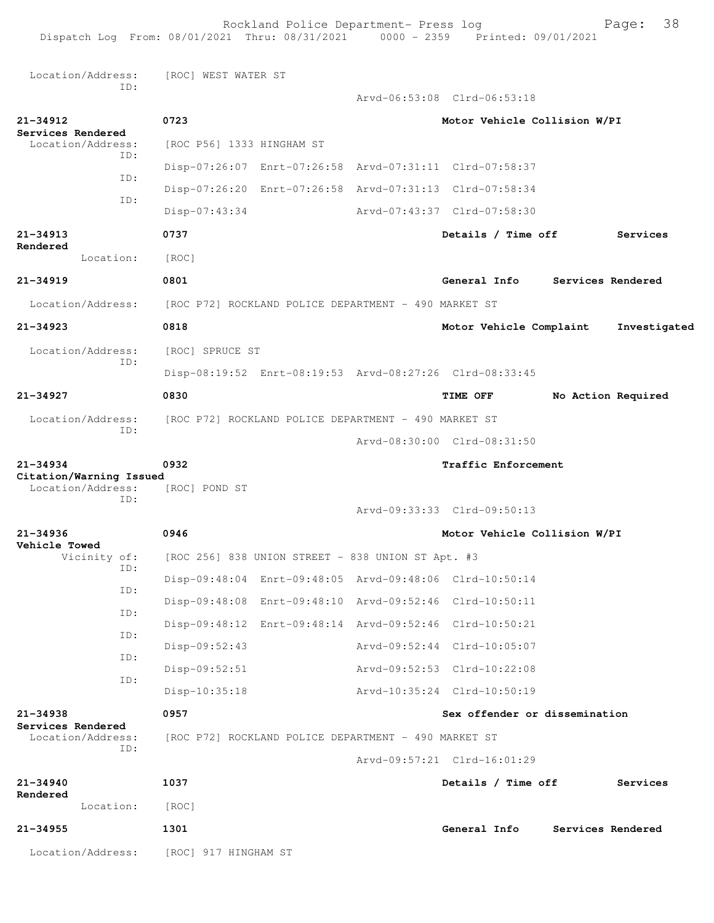Rockland Police Department- Press log Fage: 38 Dispatch Log From: 08/01/2021 Thru: 08/31/2021 0000 - 2359 Printed: 09/01/2021 Location/Address: [ROC] WEST WATER ST ID: Arvd-06:53:08 Clrd-06:53:18 **21-34912 0723 Motor Vehicle Collision W/PI Services Rendered**  Location/Address: [ROC P56] 1333 HINGHAM ST ID: Disp-07:26:07 Enrt-07:26:58 Arvd-07:31:11 Clrd-07:58:37 ID: Disp-07:26:20 Enrt-07:26:58 Arvd-07:31:13 Clrd-07:58:34 ID: Disp-07:43:34 Arvd-07:43:37 Clrd-07:58:30 **21-34913 0737 Details / Time off Services Rendered**  Location: [ROC] **21-34919 0801 General Info Services Rendered** Location/Address: [ROC P72] ROCKLAND POLICE DEPARTMENT - 490 MARKET ST **21-34923 0818 Motor Vehicle Complaint Investigated** Location/Address: [ROC] SPRUCE ST ID: Disp-08:19:52 Enrt-08:19:53 Arvd-08:27:26 Clrd-08:33:45 **21-34927 0830 TIME OFF No Action Required** Location/Address: [ROC P72] ROCKLAND POLICE DEPARTMENT - 490 MARKET ST ID: Arvd-08:30:00 Clrd-08:31:50 **21-34934 0932 Traffic Enforcement Citation/Warning Issued**  Location/Address: [ROC] POND ST ID: Arvd-09:33:33 Clrd-09:50:13 **21-34936 0946 Motor Vehicle Collision W/PI Vehicle Towed**  Vicinity of: [ROC 256] 838 UNION STREET - 838 UNION ST Apt. #3 ID: Disp-09:48:04 Enrt-09:48:05 Arvd-09:48:06 Clrd-10:50:14 ID: Disp-09:48:08 Enrt-09:48:10 Arvd-09:52:46 Clrd-10:50:11 ID: Disp-09:48:12 Enrt-09:48:14 Arvd-09:52:46 Clrd-10:50:21 ID: Disp-09:52:43 Arvd-09:52:44 Clrd-10:05:07 ID: Disp-09:52:51 Arvd-09:52:53 Clrd-10:22:08 ID: Disp-10:35:18 Arvd-10:35:24 Clrd-10:50:19 **21-34938 0957 Sex offender or dissemination Services Rendered**  [ROC P72] ROCKLAND POLICE DEPARTMENT - 490 MARKET ST ID: Arvd-09:57:21 Clrd-16:01:29 **21-34940 1037 Details / Time off Services Rendered**  Location: [ROC] **21-34955 1301 General Info Services Rendered** Location/Address: [ROC] 917 HINGHAM ST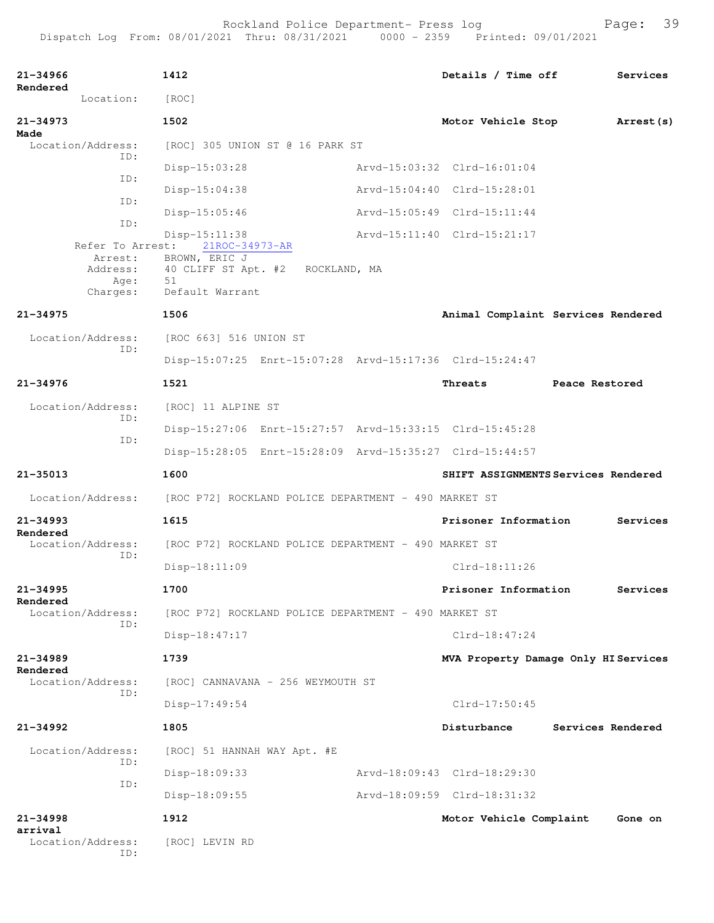| 21-34966<br>Rendered                    | 1412                                                                                                          | Details / Time off          | Services                             |
|-----------------------------------------|---------------------------------------------------------------------------------------------------------------|-----------------------------|--------------------------------------|
| Location:                               | [ROC]                                                                                                         |                             |                                      |
| 21-34973                                | 1502                                                                                                          | Motor Vehicle Stop          | Arrest (s)                           |
| Made<br>Location/Address:               | [ROC] 305 UNION ST @ 16 PARK ST                                                                               |                             |                                      |
| ID:                                     | $Disp-15:03:28$                                                                                               | Arvd-15:03:32 Clrd-16:01:04 |                                      |
| ID:                                     | $Disp-15:04:38$                                                                                               | Arvd-15:04:40 Clrd-15:28:01 |                                      |
| TD:                                     | $Disp-15:05:46$                                                                                               | Arvd-15:05:49 Clrd-15:11:44 |                                      |
| ID:                                     | $Disp-15:11:38$                                                                                               | Arvd-15:11:40 Clrd-15:21:17 |                                      |
| Arrest:<br>Address:<br>Age:<br>Charges: | Refer To Arrest: 21ROC-34973-AR<br>BROWN, ERIC J<br>40 CLIFF ST Apt. #2 ROCKLAND, MA<br>51<br>Default Warrant |                             |                                      |
| $21 - 34975$                            | 1506                                                                                                          |                             | Animal Complaint Services Rendered   |
| Location/Address:                       | [ROC 663] 516 UNION ST                                                                                        |                             |                                      |
| ID:                                     | Disp-15:07:25 Enrt-15:07:28 Arvd-15:17:36 Clrd-15:24:47                                                       |                             |                                      |
| $21 - 34976$                            | 1521                                                                                                          | Threats                     | Peace Restored                       |
| Location/Address:                       | [ROC] 11 ALPINE ST                                                                                            |                             |                                      |
| ID:                                     | Disp-15:27:06 Enrt-15:27:57 Arvd-15:33:15 Clrd-15:45:28                                                       |                             |                                      |
| ID:                                     | Disp-15:28:05 Enrt-15:28:09 Arvd-15:35:27 Clrd-15:44:57                                                       |                             |                                      |
| $21 - 35013$                            | 1600                                                                                                          |                             | SHIFT ASSIGNMENTS Services Rendered  |
| Location/Address:                       | [ROC P72] ROCKLAND POLICE DEPARTMENT - 490 MARKET ST                                                          |                             |                                      |
| $21 - 34993$                            | 1615                                                                                                          | Prisoner Information        | Services                             |
| Rendered<br>Location/Address:           | [ROC P72] ROCKLAND POLICE DEPARTMENT - 490 MARKET ST                                                          |                             |                                      |
| ID:                                     | $Disp-18:11:09$                                                                                               | $Clrd-18:11:26$             |                                      |
| 21-34995                                | 1700                                                                                                          | Prisoner Information        | Services                             |
| Rendered<br>Location/Address:           | [ROC P72] ROCKLAND POLICE DEPARTMENT - 490 MARKET ST                                                          |                             |                                      |
| ID:                                     | Disp-18:47:17                                                                                                 | $Clrd-18:47:24$             |                                      |
| $21 - 34989$                            | 1739                                                                                                          |                             | MVA Property Damage Only HI Services |
| Rendered<br>Location/Address:           | [ROC] CANNAVANA - 256 WEYMOUTH ST                                                                             |                             |                                      |
| ID:                                     | Disp-17:49:54                                                                                                 | $Clrd-17:50:45$             |                                      |
| $21 - 34992$                            | 1805                                                                                                          | Disturbance                 | Services Rendered                    |
| Location/Address:                       | [ROC] 51 HANNAH WAY Apt. #E                                                                                   |                             |                                      |
| ID:                                     | Disp-18:09:33                                                                                                 | Arvd-18:09:43 Clrd-18:29:30 |                                      |
| ID:                                     | Disp-18:09:55                                                                                                 | Arvd-18:09:59 Clrd-18:31:32 |                                      |
| $21 - 34998$                            | 1912                                                                                                          | Motor Vehicle Complaint     | Gone on                              |
| arrival<br>Location/Address:<br>ID:     | [ROC] LEVIN RD                                                                                                |                             |                                      |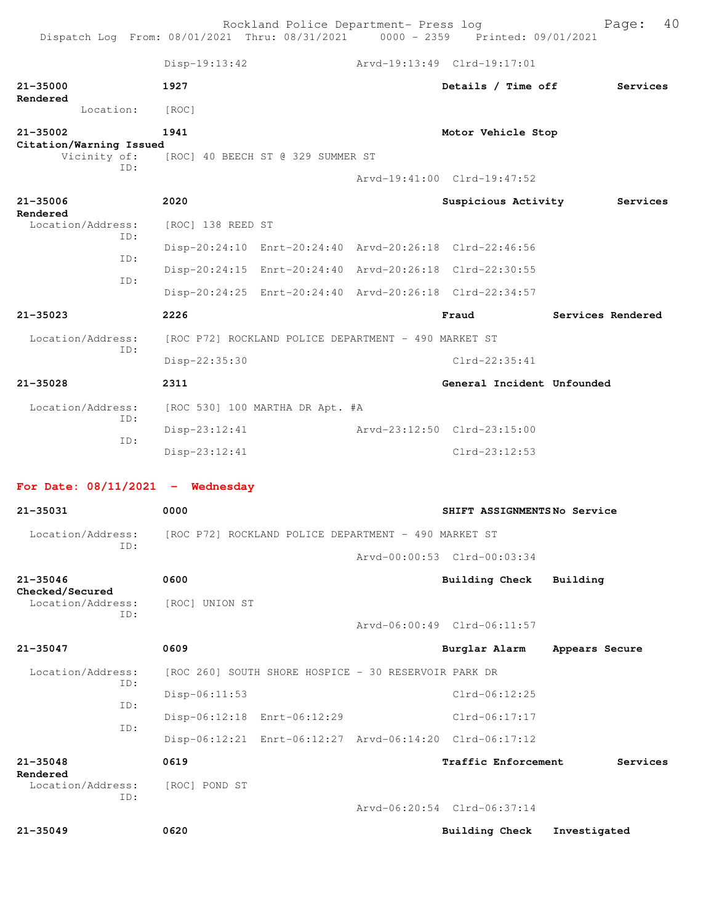Rockland Police Department- Press log extending Page: 40 Dispatch Log From: 08/01/2021 Thru: 08/31/2021 0000 - 2359 Printed: 09/01/2021

|                                                | $Disp-19:13:42$                                         |                             | Arvd-19:13:49 Clrd-19:17:01                   |                   |
|------------------------------------------------|---------------------------------------------------------|-----------------------------|-----------------------------------------------|-------------------|
| 21-35000<br>Rendered                           | 1927                                                    |                             | Details / Time off                            | Services          |
| Location:                                      | [ROC]                                                   |                             |                                               |                   |
| 21-35002                                       | 1941                                                    |                             | Motor Vehicle Stop                            |                   |
| Citation/Warning Issued<br>Vicinity of:<br>ID: | [ROC] 40 BEECH ST @ 329 SUMMER ST                       |                             |                                               |                   |
|                                                |                                                         |                             | Arvd-19:41:00 Clrd-19:47:52                   |                   |
| 21-35006                                       | 2020                                                    |                             | Suspicious Activity                           | Services          |
| Rendered<br>Location/Address:                  | [ROC] 138 REED ST                                       |                             |                                               |                   |
| ID:                                            | Disp-20:24:10 Enrt-20:24:40 Arvd-20:26:18 Clrd-22:46:56 |                             |                                               |                   |
| ID:<br>ID:                                     | Disp-20:24:15 Enrt-20:24:40 Arvd-20:26:18 Clrd-22:30:55 |                             |                                               |                   |
|                                                | Disp-20:24:25 Enrt-20:24:40 Arvd-20:26:18 Clrd-22:34:57 |                             |                                               |                   |
| $21 - 35023$                                   | 2226                                                    |                             | Fraud                                         | Services Rendered |
| Location/Address:<br>ID:                       | [ROC P72] ROCKLAND POLICE DEPARTMENT - 490 MARKET ST    |                             |                                               |                   |
|                                                | Disp-22:35:30                                           |                             | $Clrd-22:35:41$                               |                   |
| 21-35028                                       | 2311                                                    |                             | General Incident Unfounded                    |                   |
| Location/Address:                              | [ROC 530] 100 MARTHA DR Apt. #A                         |                             |                                               |                   |
| ID:                                            | $Disp-23:12:41$                                         |                             |                                               |                   |
|                                                |                                                         | Arvd-23:12:50 Clrd-23:15:00 |                                               |                   |
| ID:                                            | Disp-23:12:41                                           |                             | $Clrd-23:12:53$                               |                   |
|                                                |                                                         |                             |                                               |                   |
| For Date: $08/11/2021$ - Wednesday             |                                                         |                             |                                               |                   |
| 21-35031                                       | 0000                                                    |                             | SHIFT ASSIGNMENTSNo Service                   |                   |
| Location/Address:<br>ID:                       | [ROC P72] ROCKLAND POLICE DEPARTMENT - 490 MARKET ST    |                             |                                               |                   |
|                                                |                                                         |                             | Arvd-00:00:53 Clrd-00:03:34                   |                   |
| $21 - 35046$<br>Checked/Secured                | 0600                                                    |                             | Building Check                                | Building          |
| Location/Address:<br>ID:                       | [ROC] UNION ST                                          |                             |                                               |                   |
|                                                |                                                         |                             | Arvd-06:00:49 Clrd-06:11:57                   |                   |
| 21-35047                                       | 0609                                                    |                             | Burglar Alarm                                 | Appears Secure    |
| Location/Address:<br>ID:                       | [ROC 260] SOUTH SHORE HOSPICE - 30 RESERVOIR PARK DR    |                             |                                               |                   |
| ID:                                            | Disp-06:11:53                                           |                             | $Clrd-06:12:25$                               |                   |
| ID:                                            | Disp-06:12:18 Enrt-06:12:29                             |                             | Clrd-06:17:17                                 |                   |
|                                                | Disp-06:12:21 Enrt-06:12:27 Arvd-06:14:20 Clrd-06:17:12 |                             |                                               |                   |
| $21 - 35048$<br>Rendered                       | 0619                                                    |                             | Traffic Enforcement                           | Services          |
| Location/Address:<br>ID:                       | [ROC] POND ST                                           |                             |                                               |                   |
| $21 - 35049$                                   | 0620                                                    |                             | Arvd-06:20:54 Clrd-06:37:14<br>Building Check | Investigated      |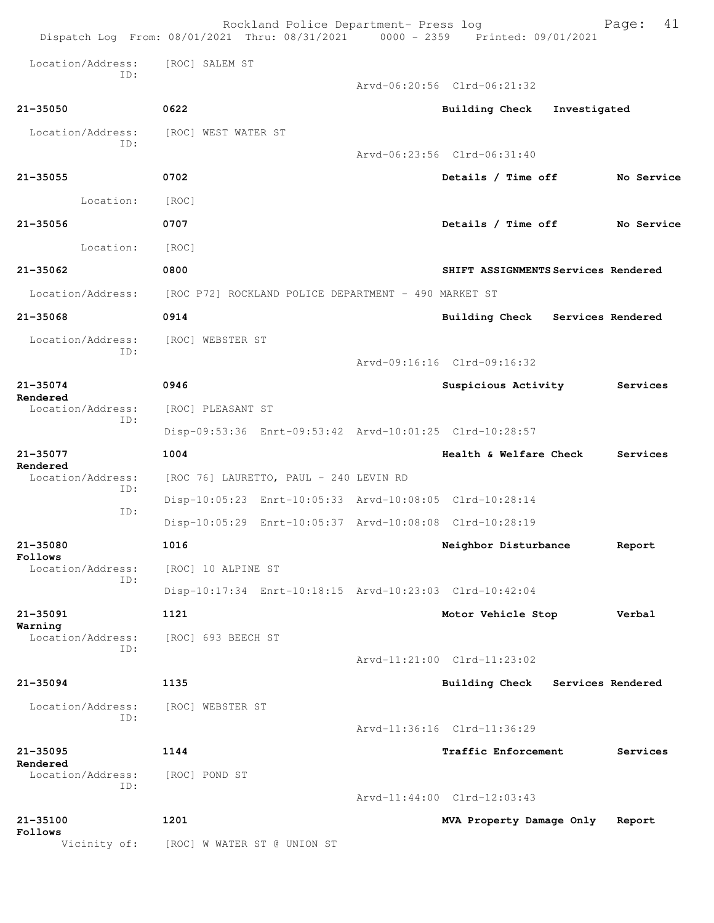|                               | Rockland Police Department- Press log<br>Dispatch Log From: 08/01/2021 Thru: 08/31/2021 0000 - 2359 Printed: 09/01/2021 |                                     | 41<br>Page:       |
|-------------------------------|-------------------------------------------------------------------------------------------------------------------------|-------------------------------------|-------------------|
| Location/Address:             | [ROC] SALEM ST                                                                                                          |                                     |                   |
| TD:                           |                                                                                                                         | Arvd-06:20:56 Clrd-06:21:32         |                   |
| $21 - 35050$                  | 0622                                                                                                                    | Building Check Investigated         |                   |
| Location/Address:             | [ROC] WEST WATER ST                                                                                                     |                                     |                   |
| ID:                           |                                                                                                                         | Arvd-06:23:56 Clrd-06:31:40         |                   |
| $21 - 35055$                  | 0702                                                                                                                    | Details / Time off                  | No Service        |
| Location:                     | [ROC]                                                                                                                   |                                     |                   |
| $21 - 35056$                  | 0707                                                                                                                    | Details / Time off                  | No Service        |
| Location:                     | [ROC]                                                                                                                   |                                     |                   |
| $21 - 35062$                  | 0800                                                                                                                    | SHIFT ASSIGNMENTS Services Rendered |                   |
|                               | Location/Address: [ROC P72] ROCKLAND POLICE DEPARTMENT - 490 MARKET ST                                                  |                                     |                   |
| $21 - 35068$                  | 0914                                                                                                                    | Building Check Services Rendered    |                   |
| Location/Address:             | [ROC] WEBSTER ST                                                                                                        |                                     |                   |
| ID:                           |                                                                                                                         | Arvd-09:16:16 Clrd-09:16:32         |                   |
| $21 - 35074$                  | 0946                                                                                                                    | Suspicious Activity                 | Services          |
| Rendered<br>Location/Address: | [ROC] PLEASANT ST                                                                                                       |                                     |                   |
| ID:                           | Disp-09:53:36 Enrt-09:53:42 Arvd-10:01:25 Clrd-10:28:57                                                                 |                                     |                   |
| 21-35077<br>Rendered          | 1004                                                                                                                    | Health & Welfare Check              | Services          |
| Location/Address:<br>ID:      | [ROC 76] LAURETTO, PAUL - 240 LEVIN RD                                                                                  |                                     |                   |
| ID:                           | Disp-10:05:23 Enrt-10:05:33 Arvd-10:08:05 Clrd-10:28:14                                                                 |                                     |                   |
|                               | Disp-10:05:29 Enrt-10:05:37 Arvd-10:08:08 Clrd-10:28:19                                                                 |                                     |                   |
| 21-35080<br>Follows           | 1016                                                                                                                    | Neighbor Disturbance                | Report            |
| Location/Address:<br>TD:      | [ROC] 10 ALPINE ST                                                                                                      |                                     |                   |
|                               | Disp-10:17:34 Enrt-10:18:15 Arvd-10:23:03 Clrd-10:42:04                                                                 |                                     |                   |
| 21-35091<br>Warning           | 1121                                                                                                                    | Motor Vehicle Stop                  | Verbal            |
| Location/Address:<br>ID:      | [ROC] 693 BEECH ST                                                                                                      |                                     |                   |
|                               |                                                                                                                         | Arvd-11:21:00 Clrd-11:23:02         |                   |
| $21 - 35094$                  | 1135                                                                                                                    | <b>Building Check</b>               | Services Rendered |
| Location/Address:<br>ID:      | [ROC] WEBSTER ST                                                                                                        |                                     |                   |
|                               |                                                                                                                         | Arvd-11:36:16 Clrd-11:36:29         |                   |
| 21-35095<br>Rendered          | 1144                                                                                                                    | Traffic Enforcement                 | Services          |
| Location/Address:<br>ID:      | [ROC] POND ST                                                                                                           |                                     |                   |
|                               |                                                                                                                         | Arvd-11:44:00 Clrd-12:03:43         |                   |
| $21 - 35100$<br>Follows       | 1201                                                                                                                    | MVA Property Damage Only            | Report            |
| Vicinity of:                  | [ROC] W WATER ST @ UNION ST                                                                                             |                                     |                   |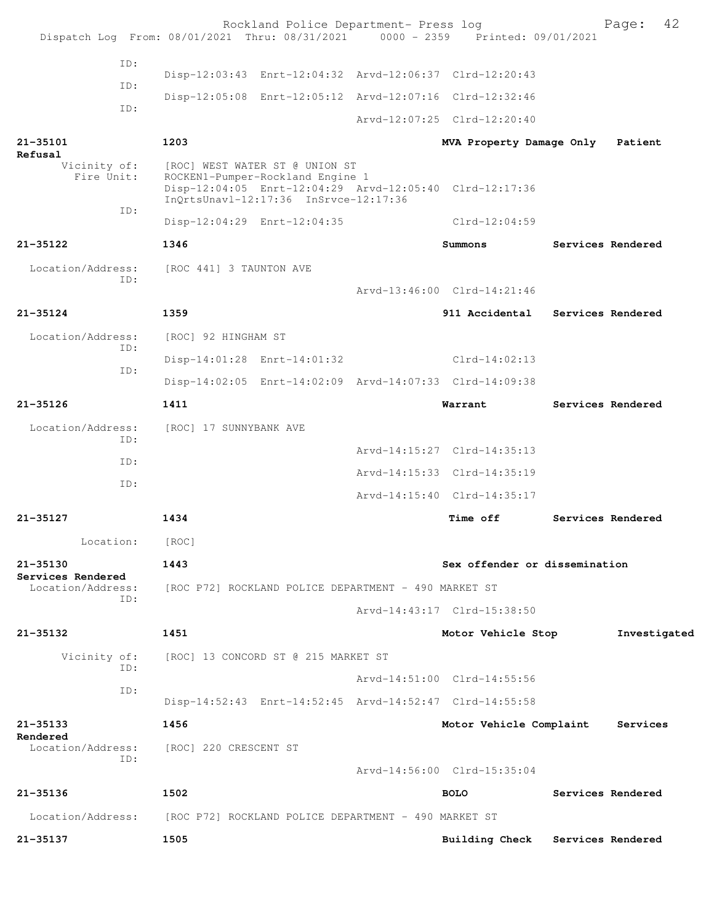| Dispatch Log From: 08/01/2021 Thru: 08/31/2021 0000 - 2359 Printed: 09/01/2021 |                                                                                                             | Rockland Police Department- Press log |                                                         | Page:             | 42 |
|--------------------------------------------------------------------------------|-------------------------------------------------------------------------------------------------------------|---------------------------------------|---------------------------------------------------------|-------------------|----|
| ID:                                                                            |                                                                                                             |                                       |                                                         |                   |    |
|                                                                                |                                                                                                             |                                       | Disp-12:03:43 Enrt-12:04:32 Arvd-12:06:37 Clrd-12:20:43 |                   |    |
| ID:                                                                            |                                                                                                             |                                       | Disp-12:05:08 Enrt-12:05:12 Arvd-12:07:16 Clrd-12:32:46 |                   |    |
| ID:                                                                            |                                                                                                             |                                       | Arvd-12:07:25 Clrd-12:20:40                             |                   |    |
| $21 - 35101$                                                                   | 1203                                                                                                        |                                       | MVA Property Damage Only                                | Patient           |    |
| Refusal<br>Vicinity of:<br>Fire Unit:                                          | [ROC] WEST WATER ST @ UNION ST<br>ROCKEN1-Pumper-Rockland Engine 1<br>InQrtsUnavl-12:17:36 InSrvce-12:17:36 |                                       | Disp-12:04:05 Enrt-12:04:29 Arvd-12:05:40 Clrd-12:17:36 |                   |    |
| ID:                                                                            | Disp-12:04:29 Enrt-12:04:35                                                                                 |                                       | $Clrd-12:04:59$                                         |                   |    |
| $21 - 35122$                                                                   | 1346                                                                                                        |                                       | Summons                                                 | Services Rendered |    |
| Location/Address:                                                              | [ROC 441] 3 TAUNTON AVE                                                                                     |                                       |                                                         |                   |    |
| ID:                                                                            |                                                                                                             |                                       | Arvd-13:46:00 Clrd-14:21:46                             |                   |    |
| $21 - 35124$                                                                   | 1359                                                                                                        |                                       | 911 Accidental                                          | Services Rendered |    |
| Location/Address:<br>TD:                                                       | [ROC] 92 HINGHAM ST                                                                                         |                                       |                                                         |                   |    |
|                                                                                | Disp-14:01:28 Enrt-14:01:32                                                                                 |                                       | $Clrd-14:02:13$                                         |                   |    |
| ID:                                                                            |                                                                                                             |                                       | Disp-14:02:05 Enrt-14:02:09 Arvd-14:07:33 Clrd-14:09:38 |                   |    |
| $21 - 35126$                                                                   | 1411                                                                                                        |                                       | Warrant                                                 | Services Rendered |    |
| Location/Address:<br>ID:                                                       | [ROC] 17 SUNNYBANK AVE                                                                                      |                                       |                                                         |                   |    |
| ID:                                                                            |                                                                                                             |                                       | Arvd-14:15:27 Clrd-14:35:13                             |                   |    |
| ID:                                                                            |                                                                                                             |                                       | Arvd-14:15:33 Clrd-14:35:19                             |                   |    |
|                                                                                |                                                                                                             |                                       | Arvd-14:15:40 Clrd-14:35:17                             |                   |    |
| $21 - 35127$                                                                   | 1434                                                                                                        |                                       | Time off                                                | Services Rendered |    |
| Location:                                                                      | [ROC]                                                                                                       |                                       |                                                         |                   |    |
| 21-35130<br>Services Rendered                                                  | 1443                                                                                                        |                                       | Sex offender or dissemination                           |                   |    |
| Location/Address:<br>ID:                                                       | [ROC P72] ROCKLAND POLICE DEPARTMENT - 490 MARKET ST                                                        |                                       |                                                         |                   |    |
|                                                                                |                                                                                                             |                                       | Arvd-14:43:17 Clrd-15:38:50                             |                   |    |
| 21-35132                                                                       | 1451                                                                                                        |                                       | Motor Vehicle Stop                                      | Investigated      |    |
| Vicinity of:<br>ID:                                                            | [ROC] 13 CONCORD ST @ 215 MARKET ST                                                                         |                                       |                                                         |                   |    |
| ID:                                                                            |                                                                                                             |                                       | Arvd-14:51:00 Clrd-14:55:56                             |                   |    |
|                                                                                |                                                                                                             |                                       | Disp-14:52:43 Enrt-14:52:45 Arvd-14:52:47 Clrd-14:55:58 |                   |    |
| 21-35133<br>Rendered                                                           | 1456                                                                                                        |                                       | Motor Vehicle Complaint                                 | Services          |    |
| Location/Address:<br>ID:                                                       | [ROC] 220 CRESCENT ST                                                                                       |                                       | Arvd-14:56:00 Clrd-15:35:04                             |                   |    |
| 21-35136                                                                       | 1502                                                                                                        |                                       | <b>BOLO</b>                                             | Services Rendered |    |
| Location/Address: [ROC P72] ROCKLAND POLICE DEPARTMENT - 490 MARKET ST         |                                                                                                             |                                       |                                                         |                   |    |
| 21-35137                                                                       | 1505                                                                                                        |                                       | Building Check Services Rendered                        |                   |    |
|                                                                                |                                                                                                             |                                       |                                                         |                   |    |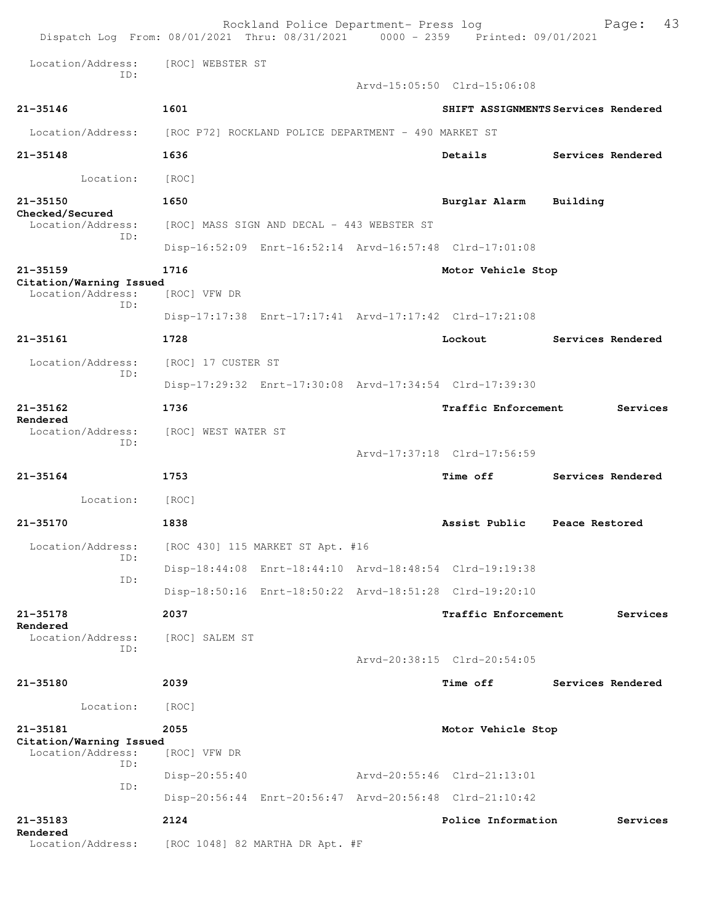| Dispatch Log From: 08/01/2021 Thru: 08/31/2021 0000 - 2359 Printed: 09/01/2021 |                                                      |  | Rockland Police Department- Press log                   | Page:                               | 43 |
|--------------------------------------------------------------------------------|------------------------------------------------------|--|---------------------------------------------------------|-------------------------------------|----|
| Location/Address:<br>TD:                                                       | [ROC] WEBSTER ST                                     |  |                                                         |                                     |    |
|                                                                                |                                                      |  | Arvd-15:05:50 Clrd-15:06:08                             |                                     |    |
| $21 - 35146$                                                                   | 1601                                                 |  |                                                         | SHIFT ASSIGNMENTS Services Rendered |    |
| Location/Address:                                                              | [ROC P72] ROCKLAND POLICE DEPARTMENT - 490 MARKET ST |  |                                                         |                                     |    |
| 21-35148                                                                       | 1636                                                 |  | Details                                                 | Services Rendered                   |    |
| Location:                                                                      | [ROC]                                                |  |                                                         |                                     |    |
| 21-35150                                                                       | 1650                                                 |  | Burglar Alarm                                           | Building                            |    |
| Checked/Secured<br>Location/Address:                                           | [ROC] MASS SIGN AND DECAL - 443 WEBSTER ST           |  |                                                         |                                     |    |
| TD:                                                                            |                                                      |  | Disp-16:52:09 Enrt-16:52:14 Arvd-16:57:48 Clrd-17:01:08 |                                     |    |
| $21 - 35159$                                                                   | 1716                                                 |  | Motor Vehicle Stop                                      |                                     |    |
| Citation/Warning Issued<br>Location/Address:                                   | [ROC] VFW DR                                         |  |                                                         |                                     |    |
| TD:                                                                            |                                                      |  | Disp-17:17:38 Enrt-17:17:41 Arvd-17:17:42 Clrd-17:21:08 |                                     |    |
| $21 - 35161$                                                                   | 1728                                                 |  | Lockout                                                 | Services Rendered                   |    |
| Location/Address:                                                              | [ROC] 17 CUSTER ST                                   |  |                                                         |                                     |    |
| ID:                                                                            |                                                      |  | Disp-17:29:32 Enrt-17:30:08 Arvd-17:34:54 Clrd-17:39:30 |                                     |    |
| $21 - 35162$                                                                   | 1736                                                 |  | Traffic Enforcement                                     | Services                            |    |
| Rendered<br>Location/Address:<br>ID:                                           | [ROC] WEST WATER ST                                  |  |                                                         |                                     |    |
|                                                                                |                                                      |  | Arvd-17:37:18 Clrd-17:56:59                             |                                     |    |
| $21 - 35164$                                                                   | 1753                                                 |  | <b>Time off</b>                                         | Services Rendered                   |    |
| Location:                                                                      | [ROC]                                                |  |                                                         |                                     |    |
| 21-35170                                                                       | 1838                                                 |  | Assist Public                                           | Peace Restored                      |    |
| Location/Address:<br>ID:                                                       | [ROC 430] 115 MARKET ST Apt. #16                     |  |                                                         |                                     |    |
| ID:                                                                            |                                                      |  | Disp-18:44:08 Enrt-18:44:10 Arvd-18:48:54 Clrd-19:19:38 |                                     |    |
|                                                                                |                                                      |  | Disp-18:50:16 Enrt-18:50:22 Arvd-18:51:28 Clrd-19:20:10 |                                     |    |
| $21 - 35178$<br>Rendered                                                       | 2037                                                 |  | Traffic Enforcement                                     | Services                            |    |
| Location/Address:<br>TD:                                                       | [ROC] SALEM ST                                       |  |                                                         |                                     |    |
|                                                                                |                                                      |  | Arvd-20:38:15 Clrd-20:54:05                             |                                     |    |
| 21-35180                                                                       | 2039                                                 |  | <b>Time off</b>                                         | Services Rendered                   |    |
| Location:                                                                      | [ROC]                                                |  |                                                         |                                     |    |
| 21-35181<br>Citation/Warning Issued<br>Location/Address:                       | 2055<br>[ROC] VFW DR                                 |  | Motor Vehicle Stop                                      |                                     |    |
| TD:                                                                            | $Disp-20:55:40$                                      |  | Arvd-20:55:46 Clrd-21:13:01                             |                                     |    |
| ID:                                                                            |                                                      |  | Disp-20:56:44 Enrt-20:56:47 Arvd-20:56:48 Clrd-21:10:42 |                                     |    |
| $21 - 35183$<br>Rendered                                                       | 2124                                                 |  | Police Information                                      | Services                            |    |
| Location/Address:                                                              | [ROC 1048] 82 MARTHA DR Apt. #F                      |  |                                                         |                                     |    |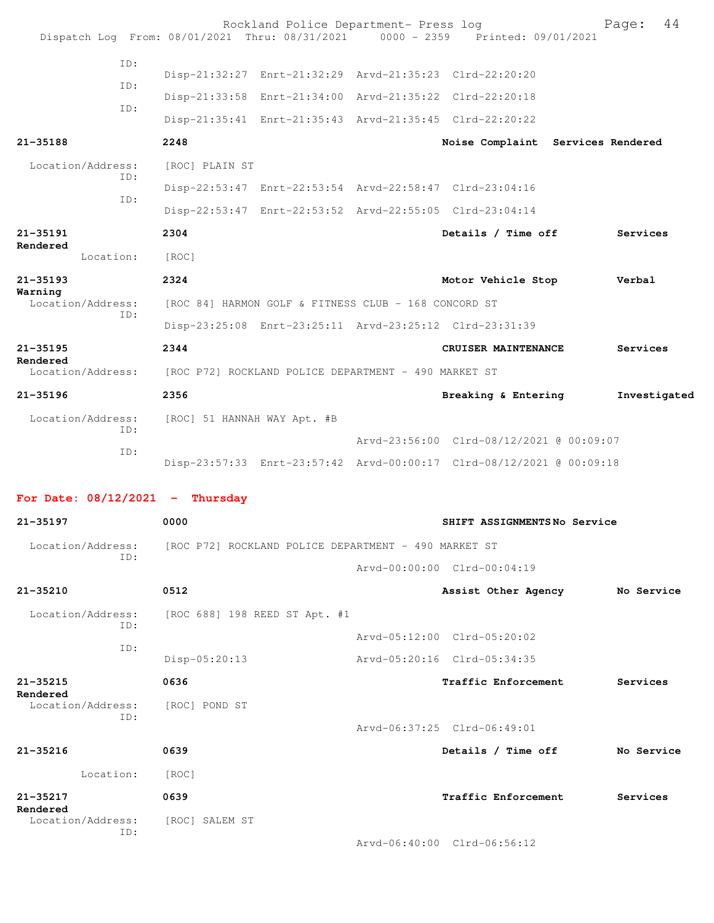|                                   |     |                             | Rockland Police Department- Press log                   | Dispatch Log From: 08/01/2021 Thru: 08/31/2021 0000 - 2359 Printed: 09/01/2021 | Page:        | 44 |
|-----------------------------------|-----|-----------------------------|---------------------------------------------------------|--------------------------------------------------------------------------------|--------------|----|
|                                   | ID: |                             |                                                         |                                                                                |              |    |
|                                   | ID: |                             | Disp-21:32:27 Enrt-21:32:29 Arvd-21:35:23 Clrd-22:20:20 |                                                                                |              |    |
|                                   | TD: |                             | Disp-21:33:58 Enrt-21:34:00 Arvd-21:35:22 Clrd-22:20:18 |                                                                                |              |    |
|                                   |     |                             | Disp-21:35:41 Enrt-21:35:43 Arvd-21:35:45 Clrd-22:20:22 |                                                                                |              |    |
| $21 - 35188$                      |     | 2248                        |                                                         | Noise Complaint Services Rendered                                              |              |    |
| Location/Address:                 | ID: | [ROC] PLAIN ST              |                                                         |                                                                                |              |    |
|                                   |     |                             | Disp-22:53:47 Enrt-22:53:54 Arvd-22:58:47 Clrd-23:04:16 |                                                                                |              |    |
|                                   | ID: |                             | Disp-22:53:47 Enrt-22:53:52 Arvd-22:55:05 Clrd-23:04:14 |                                                                                |              |    |
| 21-35191<br>Rendered              |     | 2304                        |                                                         | Details / Time off                                                             | Services     |    |
| Location:                         |     | [ROC]                       |                                                         |                                                                                |              |    |
| $21 - 35193$                      |     | 2324                        |                                                         | Motor Vehicle Stop                                                             | Verbal       |    |
| Warning<br>Location/Address:      |     |                             | [ROC 84] HARMON GOLF & FITNESS CLUB - 168 CONCORD ST    |                                                                                |              |    |
|                                   | ID: |                             | Disp-23:25:08 Enrt-23:25:11 Arvd-23:25:12 Clrd-23:31:39 |                                                                                |              |    |
| $21 - 35195$                      |     | 2344                        |                                                         | CRUISER MAINTENANCE                                                            | Services     |    |
| Rendered<br>Location/Address:     |     |                             | [ROC P72] ROCKLAND POLICE DEPARTMENT - 490 MARKET ST    |                                                                                |              |    |
| 21-35196                          |     | 2356                        |                                                         | Breaking & Entering                                                            | Investigated |    |
| Location/Address:                 | TD: | [ROC] 51 HANNAH WAY Apt. #B |                                                         |                                                                                |              |    |
|                                   |     |                             |                                                         | Arvd-23:56:00 Clrd-08/12/2021 @ 00:09:07                                       |              |    |
|                                   | ID: |                             |                                                         | Disp-23:57:33 Enrt-23:57:42 Arvd-00:00:17 Clrd-08/12/2021 @ 00:09:18           |              |    |
| For Date: $08/12/2021$ - Thursday |     |                             |                                                         |                                                                                |              |    |
| $21 - 35197$                      |     | 0000                        |                                                         | SHIFT ASSIGNMENTSNo Service                                                    |              |    |
| Location/Address:                 |     |                             | [ROC P72] ROCKLAND POLICE DEPARTMENT - 490 MARKET ST    |                                                                                |              |    |
|                                   | ID: |                             |                                                         | Arvd-00:00:00 Clrd-00:04:19                                                    |              |    |
|                                   |     |                             |                                                         |                                                                                |              |    |
| 21-35210                          |     | 0512                        |                                                         | Assist Other Agency                                                            | No Service   |    |
| Location/Address:                 | ID: |                             | [ROC 688] 198 REED ST Apt. #1                           |                                                                                |              |    |
|                                   | ID: |                             |                                                         | Arvd-05:12:00 Clrd-05:20:02                                                    |              |    |
|                                   |     | Disp-05:20:13               |                                                         | Arvd-05:20:16 Clrd-05:34:35                                                    |              |    |
| $21 - 35215$                      |     | 0636                        |                                                         | Traffic Enforcement                                                            | Services     |    |

**Rendered** 

Location/Address: [ROC] POND ST

ID:

**21-35216 0639 Details / Time off No Service** Location: [ROC] **21-35217 0639 Traffic Enforcement Services**

**Rendered** 

 Location/Address: [ROC] SALEM ST ID:

Arvd-06:40:00 Clrd-06:56:12

Arvd-06:37:25 Clrd-06:49:01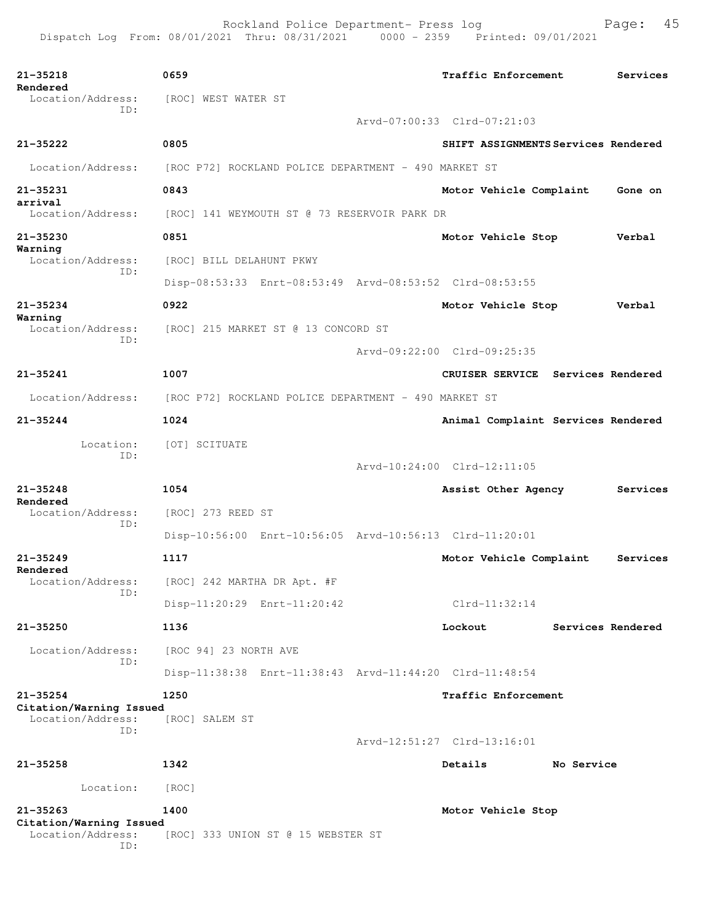| 21-35218<br>Rendered<br>Location/Address:                           | 0659<br>[ROC] WEST WATER ST                             | Traffic Enforcement                 |            | Services          |
|---------------------------------------------------------------------|---------------------------------------------------------|-------------------------------------|------------|-------------------|
| ID:                                                                 |                                                         | Arvd-07:00:33 Clrd-07:21:03         |            |                   |
| $21 - 35222$                                                        | 0805                                                    | SHIFT ASSIGNMENTS Services Rendered |            |                   |
|                                                                     |                                                         |                                     |            |                   |
| Location/Address:                                                   | [ROC P72] ROCKLAND POLICE DEPARTMENT - 490 MARKET ST    |                                     |            |                   |
| 21-35231<br>arrival                                                 | 0843                                                    | Motor Vehicle Complaint             |            | Gone on           |
| Location/Address:                                                   | [ROC] 141 WEYMOUTH ST @ 73 RESERVOIR PARK DR            |                                     |            |                   |
| 21-35230<br>Warning                                                 | 0851                                                    | Motor Vehicle Stop                  |            | Verbal            |
| Location/Address:                                                   | [ROC] BILL DELAHUNT PKWY                                |                                     |            |                   |
| ID:                                                                 | Disp-08:53:33 Enrt-08:53:49 Arvd-08:53:52 Clrd-08:53:55 |                                     |            |                   |
| 21-35234                                                            | 0922                                                    | Motor Vehicle Stop                  |            | Verbal            |
| Warning<br>Location/Address:                                        | [ROC] 215 MARKET ST @ 13 CONCORD ST                     |                                     |            |                   |
| ID:                                                                 |                                                         | Arvd-09:22:00 Clrd-09:25:35         |            |                   |
| $21 - 35241$                                                        | 1007                                                    | CRUISER SERVICE Services Rendered   |            |                   |
| Location/Address:                                                   | [ROC P72] ROCKLAND POLICE DEPARTMENT - 490 MARKET ST    |                                     |            |                   |
| $21 - 35244$                                                        | 1024                                                    |                                     |            |                   |
|                                                                     |                                                         | Animal Complaint Services Rendered  |            |                   |
| Location:<br>TD:                                                    | [OT] SCITUATE                                           |                                     |            |                   |
|                                                                     |                                                         | Arvd-10:24:00 Clrd-12:11:05         |            |                   |
| $21 - 35248$<br>Rendered                                            | 1054                                                    | Assist Other Agency                 |            | Services          |
| Location/Address:<br>ID:                                            | [ROC] 273 REED ST                                       |                                     |            |                   |
|                                                                     | Disp-10:56:00 Enrt-10:56:05 Arvd-10:56:13 Clrd-11:20:01 |                                     |            |                   |
| $21 - 35249$                                                        | 1117                                                    | Motor Vehicle Complaint             |            | Services          |
| Rendered                                                            | Location/Address: [ROC] 242 MARTHA DR Apt. #F           |                                     |            |                   |
| ID:                                                                 | Disp-11:20:29 Enrt-11:20:42                             | $Clrd-11:32:14$                     |            |                   |
| 21-35250                                                            | 1136                                                    | Lockout                             |            | Services Rendered |
| Location/Address:                                                   | [ROC 94] 23 NORTH AVE                                   |                                     |            |                   |
| TD:                                                                 | Disp-11:38:38 Enrt-11:38:43 Arvd-11:44:20 Clrd-11:48:54 |                                     |            |                   |
| $21 - 35254$                                                        | 1250                                                    | Traffic Enforcement                 |            |                   |
| Citation/Warning Issued                                             |                                                         |                                     |            |                   |
| Location/Address:<br>ID:                                            | [ROC] SALEM ST                                          |                                     |            |                   |
|                                                                     |                                                         | Arvd-12:51:27 Clrd-13:16:01         |            |                   |
| $21 - 35258$                                                        | 1342                                                    | Details                             | No Service |                   |
| Location:                                                           | [ROC]                                                   |                                     |            |                   |
| $21 - 35263$<br>Citation/Warning Issued<br>Location/Address:<br>ID: | 1400<br>[ROC] 333 UNION ST @ 15 WEBSTER ST              | Motor Vehicle Stop                  |            |                   |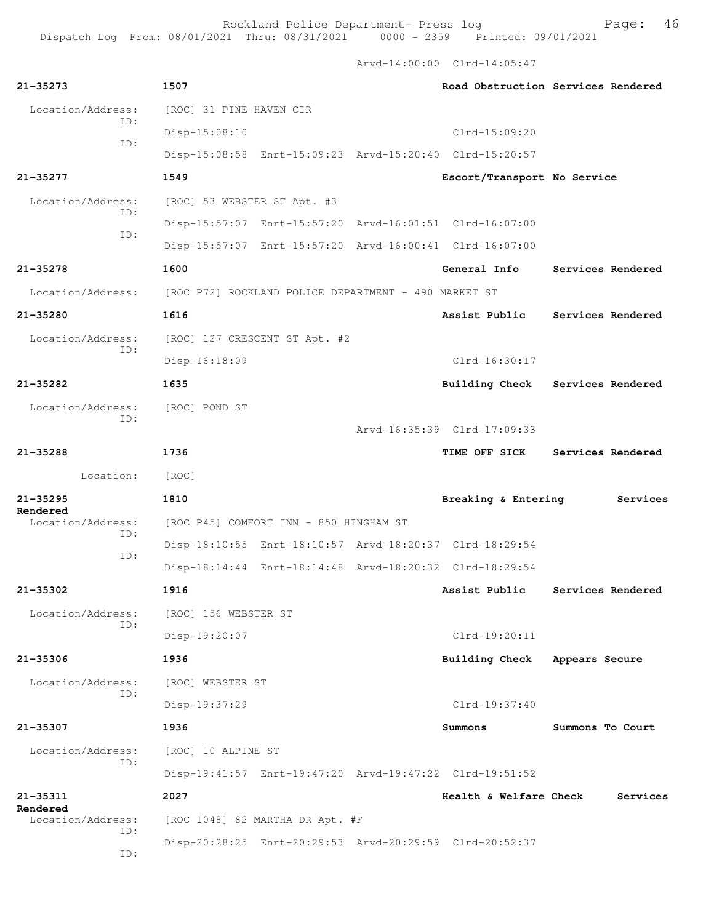Arvd-14:00:00 Clrd-14:05:47

| $21 - 35273$                  | 1507                                                                   |                             | Road Obstruction Services Rendered |
|-------------------------------|------------------------------------------------------------------------|-----------------------------|------------------------------------|
| Location/Address:<br>ID:      | [ROC] 31 PINE HAVEN CIR                                                |                             |                                    |
| ID:                           | Disp-15:08:10                                                          | $Clrd-15:09:20$             |                                    |
|                               | Disp-15:08:58 Enrt-15:09:23 Arvd-15:20:40 Clrd-15:20:57                |                             |                                    |
| 21-35277                      | 1549                                                                   | Escort/Transport No Service |                                    |
| Location/Address:<br>ID:      | [ROC] 53 WEBSTER ST Apt. #3                                            |                             |                                    |
| ID:                           | Disp-15:57:07 Enrt-15:57:20 Arvd-16:01:51 Clrd-16:07:00                |                             |                                    |
|                               | Disp-15:57:07 Enrt-15:57:20 Arvd-16:00:41 Clrd-16:07:00                |                             |                                    |
| 21-35278                      | 1600                                                                   | General Info                | Services Rendered                  |
|                               | Location/Address: [ROC P72] ROCKLAND POLICE DEPARTMENT - 490 MARKET ST |                             |                                    |
| 21-35280                      | 1616                                                                   | Assist Public               | Services Rendered                  |
| Location/Address:             | [ROC] 127 CRESCENT ST Apt. #2                                          |                             |                                    |
| ID:                           | Disp-16:18:09                                                          | $Clrd-16:30:17$             |                                    |
| 21-35282                      | 1635                                                                   |                             | Building Check Services Rendered   |
| Location/Address:             | [ROC] POND ST                                                          |                             |                                    |
| ID:                           |                                                                        | Arvd-16:35:39 Clrd-17:09:33 |                                    |
| 21-35288                      | 1736                                                                   | TIME OFF SICK               | Services Rendered                  |
| Location:                     | [ROC]                                                                  |                             |                                    |
| $21 - 35295$                  | 1810                                                                   | Breaking & Entering         | Services                           |
| Rendered<br>Location/Address: | [ROC P45] COMFORT INN - 850 HINGHAM ST                                 |                             |                                    |
| ID:                           | Disp-18:10:55 Enrt-18:10:57 Arvd-18:20:37 Clrd-18:29:54                |                             |                                    |
| ID:                           | Disp-18:14:44 Enrt-18:14:48 Arvd-18:20:32 Clrd-18:29:54                |                             |                                    |
| 21-35302                      | 1916                                                                   | Assist Public               | Services Rendered                  |
| Location/Address:             | [ROC] 156 WEBSTER ST                                                   |                             |                                    |
| ID:                           | Disp-19:20:07                                                          | $C1rd-19:20:11$             |                                    |
| $21 - 35306$                  | 1936                                                                   | <b>Building Check</b>       | Appears Secure                     |
| Location/Address:             | [ROC] WEBSTER ST                                                       |                             |                                    |
| ID:                           | Disp-19:37:29                                                          | Clrd-19:37:40               |                                    |
| 21-35307                      | 1936                                                                   | Summons                     | Summons To Court                   |
| Location/Address:             | [ROC] 10 ALPINE ST                                                     |                             |                                    |
| ID:                           | Disp-19:41:57 Enrt-19:47:20 Arvd-19:47:22 Clrd-19:51:52                |                             |                                    |
| 21-35311                      | 2027                                                                   | Health & Welfare Check      | Services                           |
| Rendered<br>Location/Address: | [ROC 1048] 82 MARTHA DR Apt. #F                                        |                             |                                    |
| ID:<br>ID:                    | Disp-20:28:25 Enrt-20:29:53 Arvd-20:29:59 Clrd-20:52:37                |                             |                                    |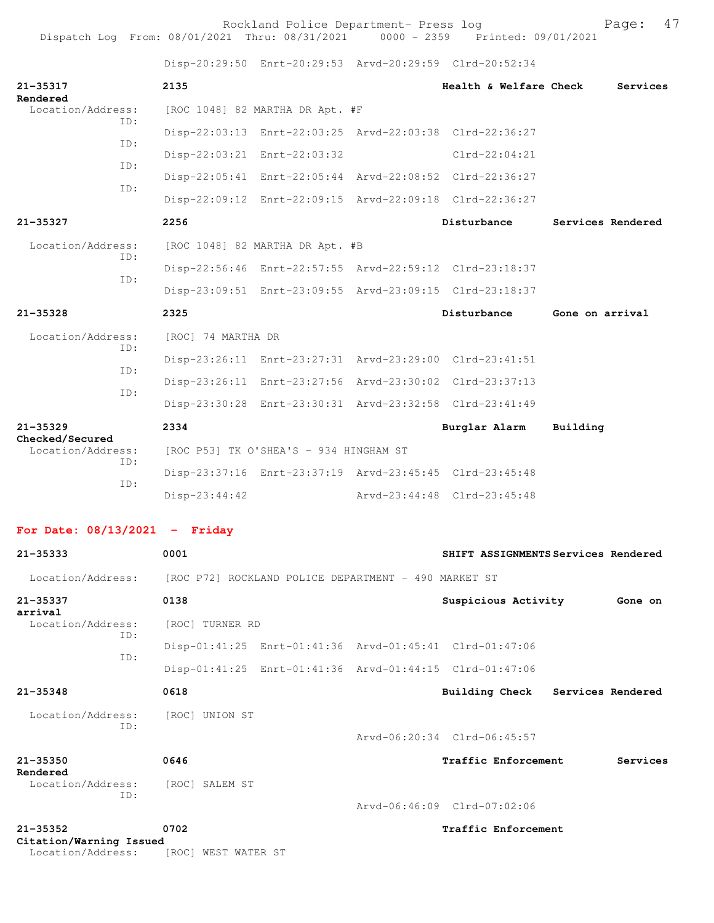Dispatch Log From: 08/01/2021 Thru: 08/31/2021 0000 - 2359 Printed: 09/01/2021

Disp-20:29:50 Enrt-20:29:53 Arvd-20:29:59 Clrd-20:52:34

| 21-35317<br>Rendered                                                   | 2135                                   |                                 |  | Health & Welfare Check                                  |                 | Services          |  |
|------------------------------------------------------------------------|----------------------------------------|---------------------------------|--|---------------------------------------------------------|-----------------|-------------------|--|
| Location/Address:<br>ID:                                               |                                        | [ROC 1048] 82 MARTHA DR Apt. #F |  |                                                         |                 |                   |  |
| ID:                                                                    |                                        |                                 |  | Disp-22:03:13 Enrt-22:03:25 Arvd-22:03:38 Clrd-22:36:27 |                 |                   |  |
| ID:                                                                    |                                        | Disp-22:03:21 Enrt-22:03:32     |  | $Clrd-22:04:21$                                         |                 |                   |  |
|                                                                        |                                        |                                 |  | Disp-22:05:41 Enrt-22:05:44 Arvd-22:08:52 Clrd-22:36:27 |                 |                   |  |
| ID:                                                                    |                                        |                                 |  | Disp-22:09:12 Enrt-22:09:15 Arvd-22:09:18 Clrd-22:36:27 |                 |                   |  |
| 21-35327                                                               | 2256                                   |                                 |  | Disturbance                                             |                 | Services Rendered |  |
| Location/Address:                                                      |                                        | [ROC 1048] 82 MARTHA DR Apt. #B |  |                                                         |                 |                   |  |
| ID:                                                                    |                                        |                                 |  | Disp-22:56:46 Enrt-22:57:55 Arvd-22:59:12 Clrd-23:18:37 |                 |                   |  |
| ID:                                                                    |                                        |                                 |  | Disp-23:09:51 Enrt-23:09:55 Arvd-23:09:15 Clrd-23:18:37 |                 |                   |  |
| $21 - 35328$                                                           | 2325                                   |                                 |  | Disturbance                                             | Gone on arrival |                   |  |
| Location/Address:                                                      | [ROC] 74 MARTHA DR                     |                                 |  |                                                         |                 |                   |  |
| ID:                                                                    |                                        |                                 |  | Disp-23:26:11 Enrt-23:27:31 Arvd-23:29:00 Clrd-23:41:51 |                 |                   |  |
| ID:                                                                    |                                        |                                 |  | Disp-23:26:11 Enrt-23:27:56 Arvd-23:30:02 Clrd-23:37:13 |                 |                   |  |
| TD:                                                                    |                                        |                                 |  | Disp-23:30:28 Enrt-23:30:31 Arvd-23:32:58 Clrd-23:41:49 |                 |                   |  |
| $21 - 35329$                                                           | 2334                                   |                                 |  | Burglar Alarm                                           | Building        |                   |  |
| Checked/Secured<br>Location/Address:                                   | [ROC P53] TK O'SHEA'S - 934 HINGHAM ST |                                 |  |                                                         |                 |                   |  |
| ID:                                                                    |                                        |                                 |  | Disp-23:37:16 Enrt-23:37:19 Arvd-23:45:45 Clrd-23:45:48 |                 |                   |  |
| ID:                                                                    | $Disp-23:44:42$                        |                                 |  | Arvd-23:44:48 Clrd-23:45:48                             |                 |                   |  |
| For Date: $08/13/2021$ - Friday                                        |                                        |                                 |  |                                                         |                 |                   |  |
| $21 - 35333$                                                           | 0001                                   |                                 |  | SHIFT ASSIGNMENTS Services Rendered                     |                 |                   |  |
| Location/Address: [ROC P72] ROCKLAND POLICE DEPARTMENT - 490 MARKET ST |                                        |                                 |  |                                                         |                 |                   |  |
| 21-35337                                                               | 0138                                   |                                 |  | Suspicious Activity                                     |                 | Gone on           |  |
| arrival<br>Location/Address:                                           | [ROC] TURNER RD                        |                                 |  |                                                         |                 |                   |  |
| ID:                                                                    |                                        |                                 |  | Disp-01:41:25 Enrt-01:41:36 Arvd-01:45:41 Clrd-01:47:06 |                 |                   |  |
| ID:                                                                    |                                        |                                 |  | Disp-01:41:25 Enrt-01:41:36 Arvd-01:44:15 Clrd-01:47:06 |                 |                   |  |
| $21 - 35348$                                                           | 0618                                   |                                 |  | Building Check                                          |                 | Services Rendered |  |
| Location/Address:                                                      | [ROC] UNION ST                         |                                 |  |                                                         |                 |                   |  |
| ID:                                                                    |                                        |                                 |  | Arvd-06:20:34 Clrd-06:45:57                             |                 |                   |  |
| 21-35350                                                               | 0646                                   |                                 |  | Traffic Enforcement                                     |                 | Services          |  |
| Rendered<br>Location/Address:                                          | [ROC] SALEM ST                         |                                 |  |                                                         |                 |                   |  |
| ID:                                                                    |                                        |                                 |  | Arvd-06:46:09 Clrd-07:02:06                             |                 |                   |  |
| $21 - 35352$                                                           | 0702                                   |                                 |  | Traffic Enforcement                                     |                 |                   |  |
| Citation/Warning Issued<br>Location/Address:                           | [ROC] WEST WATER ST                    |                                 |  |                                                         |                 |                   |  |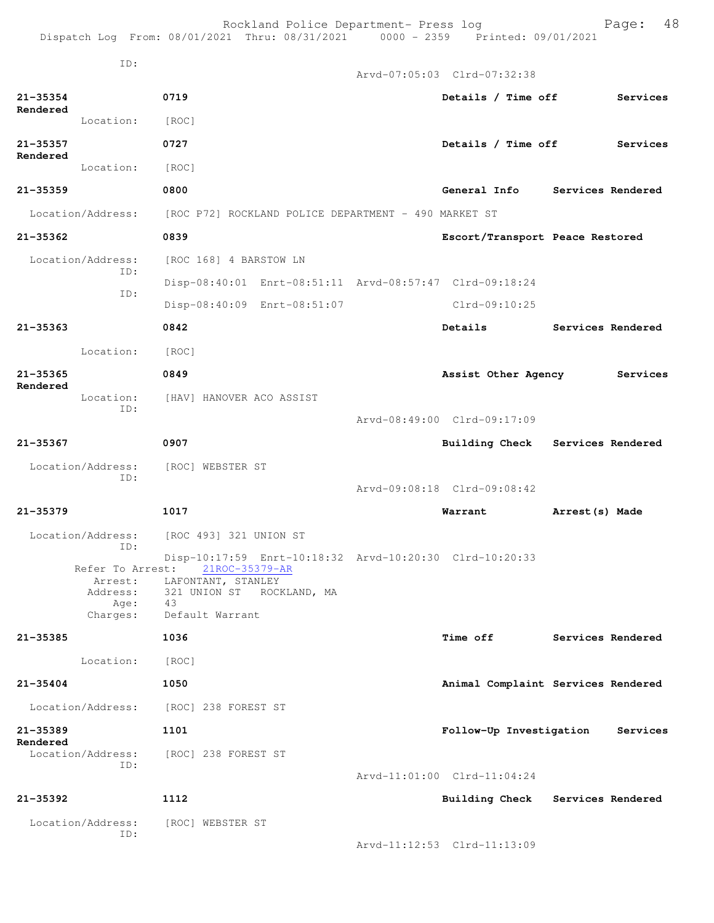|                               |                             |                                      | Rockland Police Department- Press log                | Dispatch Log From: 08/01/2021 Thru: 08/31/2021 0000 - 2359 Printed: 09/01/2021 | 48<br>Page:                        |
|-------------------------------|-----------------------------|--------------------------------------|------------------------------------------------------|--------------------------------------------------------------------------------|------------------------------------|
|                               | ID:                         |                                      |                                                      | Arvd-07:05:03 Clrd-07:32:38                                                    |                                    |
|                               |                             |                                      |                                                      |                                                                                |                                    |
| $21 - 35354$<br>Rendered      |                             | 0719                                 |                                                      | Details / Time off                                                             | Services                           |
| $21 - 35357$                  | Location:                   | [ROC]<br>0727                        |                                                      | Details / Time off                                                             | Services                           |
| Rendered                      | Location:                   |                                      |                                                      |                                                                                |                                    |
|                               |                             | [ROC]                                |                                                      |                                                                                |                                    |
| $21 - 35359$                  |                             | 0800                                 |                                                      |                                                                                | General Info Services Rendered     |
| Location/Address:             |                             |                                      | [ROC P72] ROCKLAND POLICE DEPARTMENT - 490 MARKET ST |                                                                                |                                    |
| $21 - 35362$                  |                             | 0839                                 |                                                      | Escort/Transport Peace Restored                                                |                                    |
| Location/Address:             | ID:                         | [ROC 168] 4 BARSTOW LN               |                                                      |                                                                                |                                    |
|                               | ID:                         |                                      |                                                      | Disp-08:40:01 Enrt-08:51:11 Arvd-08:57:47 Clrd-09:18:24                        |                                    |
|                               |                             |                                      | Disp-08:40:09 Enrt-08:51:07                          | Clrd-09:10:25                                                                  |                                    |
| $21 - 35363$                  |                             | 0842                                 |                                                      | Details                                                                        | Services Rendered                  |
|                               | Location:                   | [ROC]                                |                                                      |                                                                                |                                    |
| $21 - 35365$<br>Rendered      |                             | 0849                                 |                                                      | Assist Other Agency                                                            | Services                           |
|                               | Location:<br>ID:            | [HAV] HANOVER ACO ASSIST             |                                                      |                                                                                |                                    |
|                               |                             |                                      |                                                      | Arvd-08:49:00 Clrd-09:17:09                                                    |                                    |
| 21-35367                      |                             | 0907                                 |                                                      |                                                                                | Building Check Services Rendered   |
| Location/Address:             |                             | [ROC] WEBSTER ST                     |                                                      |                                                                                |                                    |
|                               | ID:                         |                                      |                                                      | Arvd-09:08:18 Clrd-09:08:42                                                    |                                    |
| 21-35379                      |                             | 1017                                 |                                                      | Warrant                                                                        | Arrest(s) Made                     |
| Location/Address:             |                             | [ROC 493] 321 UNION ST               |                                                      |                                                                                |                                    |
|                               | ID:                         |                                      |                                                      | Disp-10:17:59 Enrt-10:18:32 Arvd-10:20:30 Clrd-10:20:33                        |                                    |
|                               | Refer To Arrest:<br>Arrest: | 21ROC-35379-AR<br>LAFONTANT, STANLEY |                                                      |                                                                                |                                    |
|                               | Address:<br>Age:            | 321 UNION ST ROCKLAND, MA<br>43      |                                                      |                                                                                |                                    |
|                               | Charges:                    | Default Warrant                      |                                                      |                                                                                |                                    |
| 21-35385                      |                             | 1036                                 |                                                      | <b>Time off</b>                                                                | Services Rendered                  |
|                               | Location:                   | [ROC]                                |                                                      |                                                                                |                                    |
| $21 - 35404$                  |                             | 1050                                 |                                                      |                                                                                | Animal Complaint Services Rendered |
| Location/Address:             |                             | [ROC] 238 FOREST ST                  |                                                      |                                                                                |                                    |
| 21-35389                      |                             | 1101                                 |                                                      | Follow-Up Investigation                                                        | Services                           |
| Rendered<br>Location/Address: |                             | [ROC] 238 FOREST ST                  |                                                      |                                                                                |                                    |
|                               | ID:                         |                                      |                                                      | Arvd-11:01:00 Clrd-11:04:24                                                    |                                    |
| $21 - 35392$                  |                             | 1112                                 |                                                      |                                                                                | Building Check Services Rendered   |
| Location/Address:             |                             | [ROC] WEBSTER ST                     |                                                      |                                                                                |                                    |
|                               | ID:                         |                                      |                                                      | Arvd-11:12:53 Clrd-11:13:09                                                    |                                    |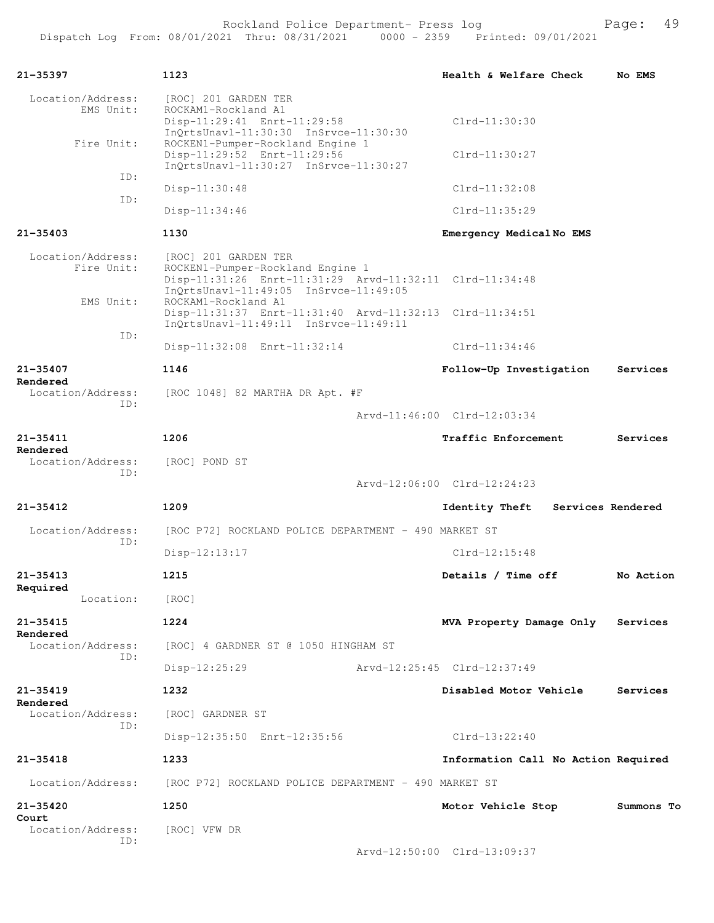| 21-35397                          | 1123                                                                                                                                                         | Health & Welfare Check                     | No EMS     |
|-----------------------------------|--------------------------------------------------------------------------------------------------------------------------------------------------------------|--------------------------------------------|------------|
| Location/Address:<br>EMS Unit:    | [ROC] 201 GARDEN TER<br>ROCKAM1-Rockland A1<br>Disp-11:29:41 Enrt-11:29:58                                                                                   | $Clrd-11:30:30$                            |            |
| Fire Unit:                        | InQrtsUnavl-11:30:30 InSrvce-11:30:30<br>ROCKEN1-Pumper-Rockland Engine 1<br>Disp-11:29:52 Enrt-11:29:56<br>InQrtsUnavl-11:30:27 InSrvce-11:30:27            | $Clrd-11:30:27$                            |            |
| ID:                               | Disp-11:30:48                                                                                                                                                | $Clrd-11:32:08$                            |            |
| ID:                               | Disp-11:34:46                                                                                                                                                | $Clrd-11:35:29$                            |            |
| $21 - 35403$                      | 1130                                                                                                                                                         | Emergency MedicalNo EMS                    |            |
| Location/Address:<br>Fire Unit:   | [ROC] 201 GARDEN TER<br>ROCKEN1-Pumper-Rockland Engine 1<br>Disp-11:31:26 Enrt-11:31:29 Arvd-11:32:11 Clrd-11:34:48<br>InQrtsUnavl-11:49:05 InSrvce-11:49:05 |                                            |            |
| EMS Unit:                         | ROCKAM1-Rockland A1<br>Disp-11:31:37 Enrt-11:31:40 Arvd-11:32:13 Clrd-11:34:51<br>InQrtsUnavl-11:49:11 InSrvce-11:49:11                                      |                                            |            |
| ID:                               | Disp-11:32:08 Enrt-11:32:14                                                                                                                                  | $Clrd-11:34:46$                            |            |
| 21-35407                          | 1146                                                                                                                                                         | Follow-Up Investigation                    | Services   |
| Rendered<br>Location/Address:     | [ROC 1048] 82 MARTHA DR Apt. #F                                                                                                                              |                                            |            |
| ID:                               |                                                                                                                                                              | Arvd-11:46:00 Clrd-12:03:34                |            |
| 21-35411<br>Rendered              | 1206                                                                                                                                                         | <b>Traffic Enforcement</b>                 | Services   |
| Location/Address:<br>ID:          | [ROC] POND ST                                                                                                                                                |                                            |            |
|                                   |                                                                                                                                                              | Arvd-12:06:00 Clrd-12:24:23                |            |
| $21 - 35412$                      | 1209                                                                                                                                                         | <b>Identity Theft</b><br>Services Rendered |            |
| Location/Address:<br>ID:          | [ROC P72] ROCKLAND POLICE DEPARTMENT - 490 MARKET ST                                                                                                         |                                            |            |
|                                   | $Disp-12:13:17$                                                                                                                                              | $Clrd-12:15:48$                            |            |
| $21 - 35413$                      | 1215                                                                                                                                                         | Details / Time off                         | No Action  |
| Required<br>Location:             | [ROC]                                                                                                                                                        |                                            |            |
| 21-35415                          | 1224                                                                                                                                                         | MVA Property Damage Only                   | Services   |
| Rendered<br>Location/Address:     | [ROC] 4 GARDNER ST @ 1050 HINGHAM ST                                                                                                                         |                                            |            |
| ID:                               | $Disp-12:25:29$                                                                                                                                              | Arvd-12:25:45 Clrd-12:37:49                |            |
| $21 - 35419$                      | 1232                                                                                                                                                         | Disabled Motor Vehicle                     | Services   |
| Rendered<br>Location/Address:     | [ROC] GARDNER ST                                                                                                                                             |                                            |            |
| ID:                               | Disp-12:35:50 Enrt-12:35:56                                                                                                                                  | $Clrd-13:22:40$                            |            |
| $21 - 35418$                      | 1233                                                                                                                                                         | Information Call No Action Required        |            |
| Location/Address:                 | [ROC P72] ROCKLAND POLICE DEPARTMENT - 490 MARKET ST                                                                                                         |                                            |            |
| 21-35420                          | 1250                                                                                                                                                         | Motor Vehicle Stop                         | Summons To |
| Court<br>Location/Address:<br>ID: | [ROC] VFW DR                                                                                                                                                 |                                            |            |
|                                   |                                                                                                                                                              | Arvd-12:50:00 Clrd-13:09:37                |            |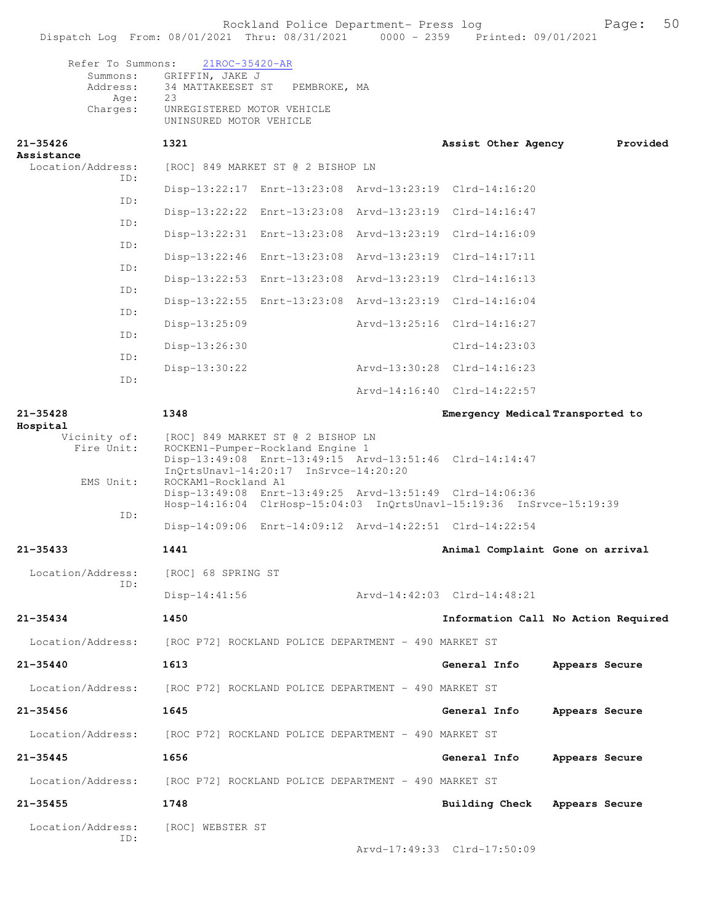Refer To Summons: 21ROC-35420-AR Summons: GRIFFIN, JAKE J Address: 34 MATTAKEESET ST PEMBROKE, MA Age: 23 Charges: UNREGISTERED MOTOR VEHICLE UNINSURED MOTOR VEHICLE

| 21-35426<br>Assistance   | 1321                                                                                                                                                                        | Assist Other Agency | Provided                            |
|--------------------------|-----------------------------------------------------------------------------------------------------------------------------------------------------------------------------|---------------------|-------------------------------------|
| Location/Address:<br>ID: | [ROC] 849 MARKET ST @ 2 BISHOP LN                                                                                                                                           |                     |                                     |
| ID:                      | Disp-13:22:17 Enrt-13:23:08 Arvd-13:23:19 Clrd-14:16:20                                                                                                                     |                     |                                     |
|                          | Disp-13:22:22 Enrt-13:23:08 Arvd-13:23:19 Clrd-14:16:47                                                                                                                     |                     |                                     |
| ID:                      | Disp-13:22:31 Enrt-13:23:08 Arvd-13:23:19 Clrd-14:16:09                                                                                                                     |                     |                                     |
| ID:                      | Disp-13:22:46 Enrt-13:23:08 Arvd-13:23:19 Clrd-14:17:11                                                                                                                     |                     |                                     |
| ID:                      | Disp-13:22:53 Enrt-13:23:08 Arvd-13:23:19 Clrd-14:16:13                                                                                                                     |                     |                                     |
| ID:                      | Disp-13:22:55 Enrt-13:23:08 Arvd-13:23:19 Clrd-14:16:04                                                                                                                     |                     |                                     |
| ID:                      | $Disp-13:25:09$<br>Arvd-13:25:16 Clrd-14:16:27                                                                                                                              |                     |                                     |
| ID:                      | Disp-13:26:30                                                                                                                                                               | $Clrd-14:23:03$     |                                     |
| ID:                      | Arvd-13:30:28 Clrd-14:16:23<br>$Disp-13:30:22$                                                                                                                              |                     |                                     |
| ID:                      | Arvd-14:16:40 Clrd-14:22:57                                                                                                                                                 |                     |                                     |
| $21 - 35428$             | 1348                                                                                                                                                                        |                     | Emergency Medical Transported to    |
| Hospital<br>Vicinity of: |                                                                                                                                                                             |                     |                                     |
| Fire Unit:               | [ROC] 849 MARKET ST @ 2 BISHOP LN<br>ROCKEN1-Pumper-Rockland Engine 1<br>Disp-13:49:08 Enrt-13:49:15 Arvd-13:51:46 Clrd-14:14:47<br>$InQrtsUnav1-14:20:17 InSrvce-14:20:20$ |                     |                                     |
| EMS Unit:                | ROCKAM1-Rockland A1<br>Disp-13:49:08 Enrt-13:49:25 Arvd-13:51:49 Clrd-14:06:36<br>Hosp-14:16:04 ClrHosp-15:04:03 InQrtsUnavl-15:19:36 InSrvce-15:19:39                      |                     |                                     |
| ID:                      | Disp-14:09:06 Enrt-14:09:12 Arvd-14:22:51 Clrd-14:22:54                                                                                                                     |                     |                                     |
| $21 - 35433$             | 1441                                                                                                                                                                        |                     | Animal Complaint Gone on arrival    |
| Location/Address:        | [ROC] 68 SPRING ST                                                                                                                                                          |                     |                                     |
| ID:                      | Arvd-14:42:03 Clrd-14:48:21<br>$Disp-14:41:56$                                                                                                                              |                     |                                     |
| $21 - 35434$             | 1450                                                                                                                                                                        |                     | Information Call No Action Required |
| Location/Address:        | [ROC P72] ROCKLAND POLICE DEPARTMENT - 490 MARKET ST                                                                                                                        |                     |                                     |
| 21-35440                 | 1613                                                                                                                                                                        | General Info        | Appears Secure                      |
| Location/Address:        | [ROC P72] ROCKLAND POLICE DEPARTMENT - 490 MARKET ST                                                                                                                        |                     |                                     |
| 21-35456                 | 1645                                                                                                                                                                        | General Info        | Appears Secure                      |
| Location/Address:        | [ROC P72] ROCKLAND POLICE DEPARTMENT - 490 MARKET ST                                                                                                                        |                     |                                     |
| 21-35445                 | 1656                                                                                                                                                                        | General Info        | Appears Secure                      |
| Location/Address:        | [ROC P72] ROCKLAND POLICE DEPARTMENT - 490 MARKET ST                                                                                                                        |                     |                                     |
| 21-35455                 | 1748                                                                                                                                                                        | Building Check      | Appears Secure                      |
| Location/Address:<br>ID: | [ROC] WEBSTER ST                                                                                                                                                            |                     |                                     |

Arvd-17:49:33 Clrd-17:50:09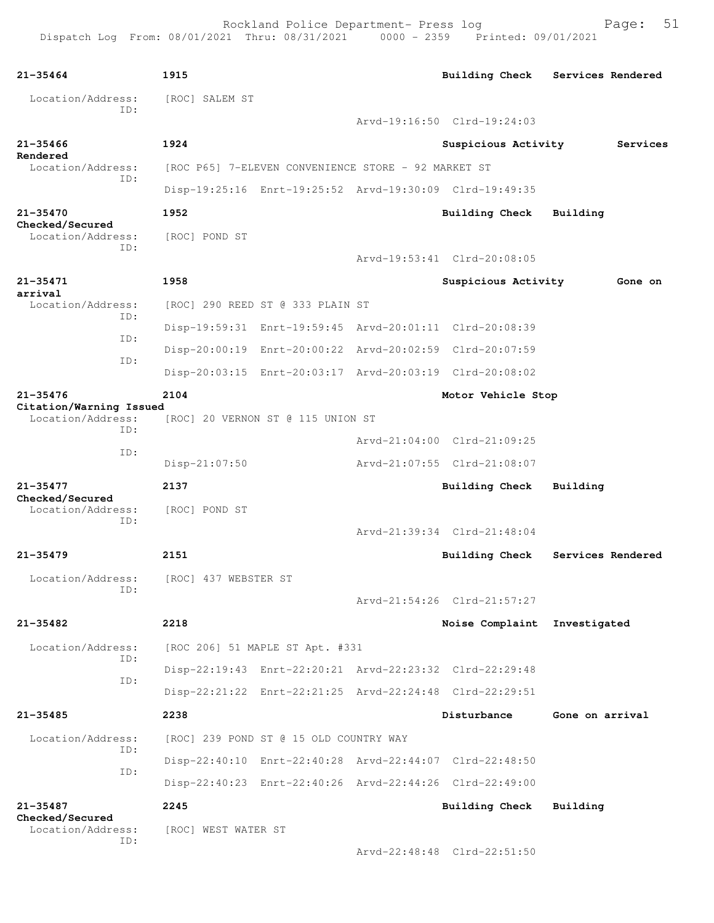Rockland Police Department- Press log Fage: 51

```
21-35464 1915 Building Check Services Rendered
 Location/Address: [ROC] SALEM ST
            ID: 
                                        Arvd-19:16:50 Clrd-19:24:03
21-35466 1924 Suspicious Activity Services
Rendered 
                [ROC P65] 7-ELEVEN CONVENIENCE STORE - 92 MARKET ST
            ID: 
                  Disp-19:25:16 Enrt-19:25:52 Arvd-19:30:09 Clrd-19:49:35
21-35470 1952 Building Check Building
Checked/Secured 
  Location/Address: [ROC] POND ST
            ID: 
                                        Arvd-19:53:41 Clrd-20:08:05
21-35471 1958 Suspicious Activity Gone on
arrival 
  Location/Address: [ROC] 290 REED ST @ 333 PLAIN ST
            ID: 
                  Disp-19:59:31 Enrt-19:59:45 Arvd-20:01:11 Clrd-20:08:39
             ID: 
                  Disp-20:00:19 Enrt-20:00:22 Arvd-20:02:59 Clrd-20:07:59
            ID: 
                  Disp-20:03:15 Enrt-20:03:17 Arvd-20:03:19 Clrd-20:08:02
21-35476 2104 Motor Vehicle Stop
Citation/Warning Issued 
           ess: [ROC] 20 VERNON ST @ 115 UNION ST
 ID: 
                                        Arvd-21:04:00 Clrd-21:09:25
            ID: 
                  Disp-21:07:50 Arvd-21:07:55 Clrd-21:08:07
21-35477 2137 Building Check Building
Checked/Secured 
  Location/Address: [ROC] POND ST
            ID: 
                                        Arvd-21:39:34 Clrd-21:48:04
21-35479 2151 Building Check Services Rendered
  Location/Address: [ROC] 437 WEBSTER ST
            ID: 
                                        Arvd-21:54:26 Clrd-21:57:27
21-35482 2218 Noise Complaint Investigated
  Location/Address: [ROC 206] 51 MAPLE ST Apt. #331
             ID: 
                  Disp-22:19:43 Enrt-22:20:21 Arvd-22:23:32 Clrd-22:29:48
            ID: 
                  Disp-22:21:22 Enrt-22:21:25 Arvd-22:24:48 Clrd-22:29:51
21-35485 2238 Disturbance Gone on arrival
  Location/Address: [ROC] 239 POND ST @ 15 OLD COUNTRY WAY
            ID: 
                  Disp-22:40:10 Enrt-22:40:28 Arvd-22:44:07 Clrd-22:48:50
            ID: 
                  Disp-22:40:23 Enrt-22:40:26 Arvd-22:44:26 Clrd-22:49:00
21-35487 2245 Building Check Building
Checked/Secured 
  Location/Address: [ROC] WEST WATER ST
            ID: 
                                        Arvd-22:48:48 Clrd-22:51:50
```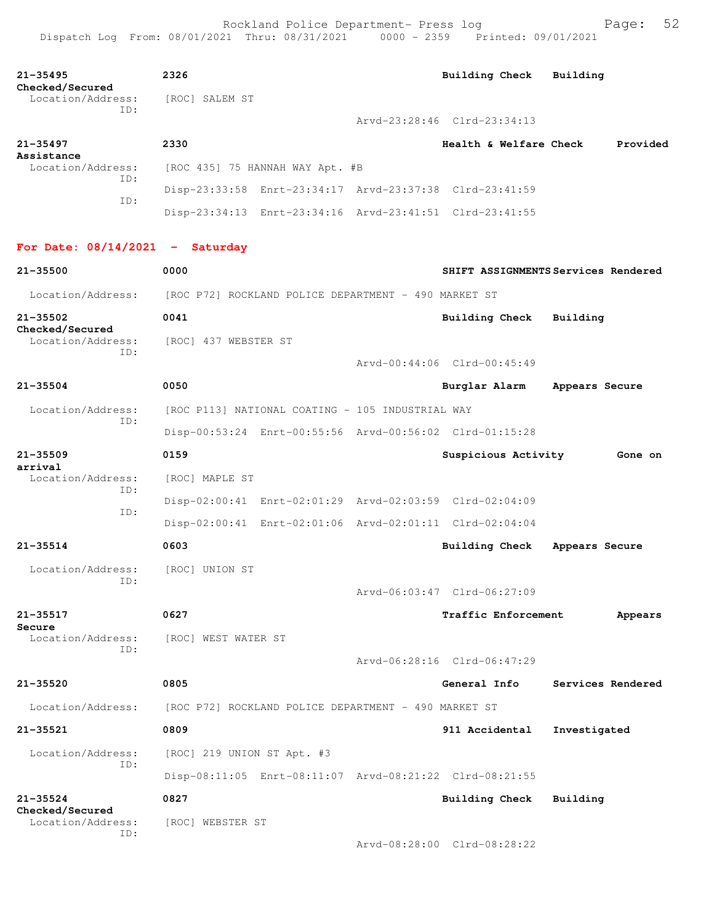Dispatch Log From: 08/01/2021 Thru: 08/31/2021 0000 - 2359 Printed: 09/01/2021 **21-35495 2326 Building Check Building Checked/Secured**  Location/Address: [ROC] SALEM ST ID: Arvd-23:28:46 Clrd-23:34:13 **21-35497 2330 Health & Welfare Check Provided Assistance**  Location/Address: [ROC 435] 75 HANNAH WAY Apt. #B ID: Disp-23:33:58 Enrt-23:34:17 Arvd-23:37:38 Clrd-23:41:59 ID: Disp-23:34:13 Enrt-23:34:16 Arvd-23:41:51 Clrd-23:41:55 **For Date: 08/14/2021 - Saturday 21-35500 0000 SHIFT ASSIGNMENTS Services Rendered** Location/Address: [ROC P72] ROCKLAND POLICE DEPARTMENT - 490 MARKET ST **21-35502 0041 Building Check Building Checked/Secured**  Location/Address: [ROC] 437 WEBSTER ST ID: Arvd-00:44:06 Clrd-00:45:49 **21-35504 0050 Burglar Alarm Appears Secure** Location/Address: [ROC P113] NATIONAL COATING - 105 INDUSTRIAL WAY ID: Disp-00:53:24 Enrt-00:55:56 Arvd-00:56:02 Clrd-01:15:28 **21-35509 0159 Suspicious Activity Gone on arrival**  Location/Address: [ROC] MAPLE ST ID: Disp-02:00:41 Enrt-02:01:29 Arvd-02:03:59 Clrd-02:04:09 ID: Disp-02:00:41 Enrt-02:01:06 Arvd-02:01:11 Clrd-02:04:04 **21-35514 0603 Building Check Appears Secure** Location/Address: [ROC] UNION ST ID: Arvd-06:03:47 Clrd-06:27:09 **21-35517 0627 Traffic Enforcement Appears Secure**  Location/Address: [ROC] WEST WATER ST ID: Arvd-06:28:16 Clrd-06:47:29

**21-35520 0805 General Info Services Rendered** Location/Address: [ROC P72] ROCKLAND POLICE DEPARTMENT - 490 MARKET ST **21-35521 0809 911 Accidental Investigated** Location/Address: [ROC] 219 UNION ST Apt. #3 ID: Disp-08:11:05 Enrt-08:11:07 Arvd-08:21:22 Clrd-08:21:55

**21-35524 0827 Building Check Building Checked/Secured**  Location/Address: [ROC] WEBSTER ST ID:

Arvd-08:28:00 Clrd-08:28:22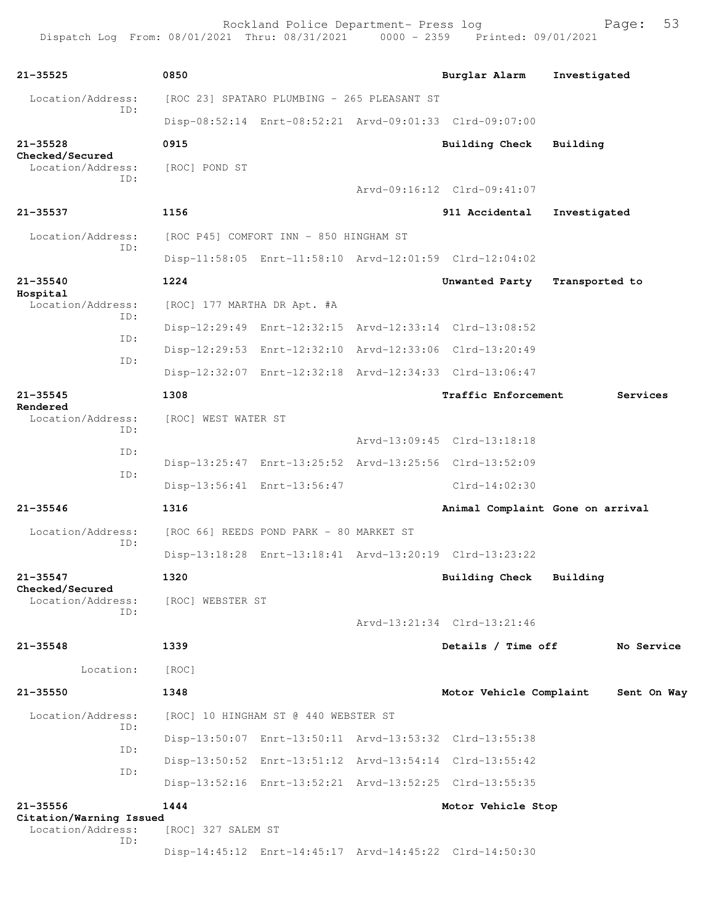Rockland Police Department- Press log Fage: 53 Dispatch Log From: 08/01/2021 Thru: 08/31/2021 0000 - 2359 Printed: 09/01/2021

**21-35525 0850 Burglar Alarm Investigated** Location/Address: [ROC 23] SPATARO PLUMBING - 265 PLEASANT ST ID: Disp-08:52:14 Enrt-08:52:21 Arvd-09:01:33 Clrd-09:07:00 **21-35528 0915 Building Check Building Checked/Secured**  Location/Address: [ROC] POND ST ID: Arvd-09:16:12 Clrd-09:41:07 **21-35537 1156 911 Accidental Investigated** Location/Address: [ROC P45] COMFORT INN - 850 HINGHAM ST ID: Disp-11:58:05 Enrt-11:58:10 Arvd-12:01:59 Clrd-12:04:02 **21-35540 1224 Unwanted Party Transported to Hospital**  Location/Address: [ROC] 177 MARTHA DR Apt. #A ID: Disp-12:29:49 Enrt-12:32:15 Arvd-12:33:14 Clrd-13:08:52 ID: Disp-12:29:53 Enrt-12:32:10 Arvd-12:33:06 Clrd-13:20:49 ID: Disp-12:32:07 Enrt-12:32:18 Arvd-12:34:33 Clrd-13:06:47 **21-35545 1308 Traffic Enforcement Services Rendered**  [ROC] WEST WATER ST ID: Arvd-13:09:45 Clrd-13:18:18 ID: Disp-13:25:47 Enrt-13:25:52 Arvd-13:25:56 Clrd-13:52:09 ID: Disp-13:56:41 Enrt-13:56:47 Clrd-14:02:30 **21-35546 1316 Animal Complaint Gone on arrival** Location/Address: [ROC 66] REEDS POND PARK - 80 MARKET ST ID: Disp-13:18:28 Enrt-13:18:41 Arvd-13:20:19 Clrd-13:23:22 **21-35547 1320 Building Check Building Checked/Secured**  Location/Address: [ROC] WEBSTER ST ID: Arvd-13:21:34 Clrd-13:21:46 **21-35548 1339 Details / Time off No Service** Location: [ROC] **21-35550 1348 Motor Vehicle Complaint Sent On Way** Location/Address: [ROC] 10 HINGHAM ST @ 440 WEBSTER ST ID: Disp-13:50:07 Enrt-13:50:11 Arvd-13:53:32 Clrd-13:55:38 ID: Disp-13:50:52 Enrt-13:51:12 Arvd-13:54:14 Clrd-13:55:42 ID: Disp-13:52:16 Enrt-13:52:21 Arvd-13:52:25 Clrd-13:55:35 **21-35556 1444 Motor Vehicle Stop Citation/Warning Issued**  Location/Address: [ROC] 327 SALEM ST ID: Disp-14:45:12 Enrt-14:45:17 Arvd-14:45:22 Clrd-14:50:30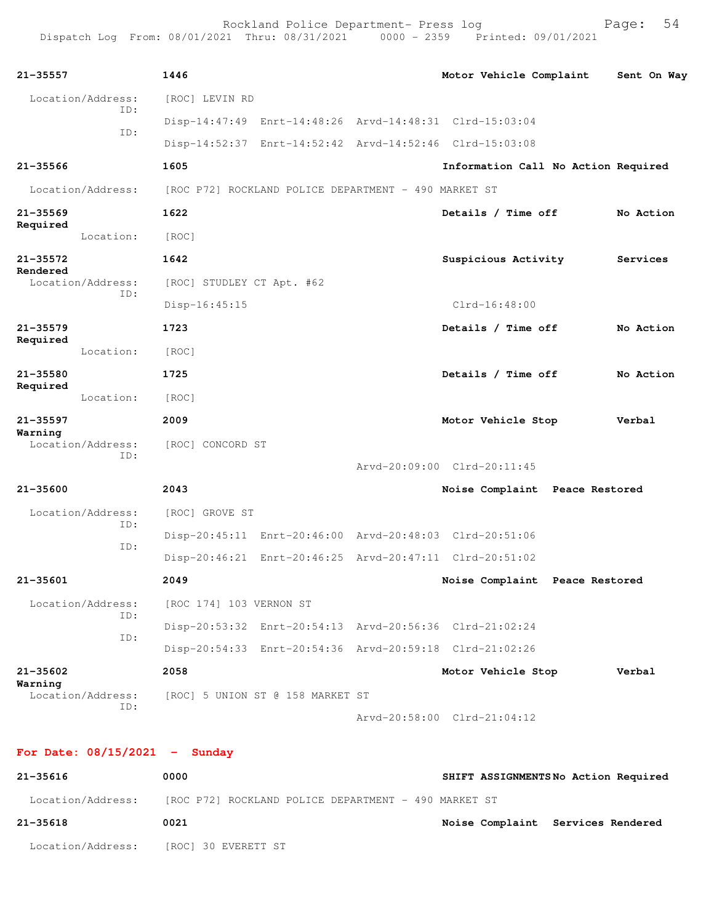| $21 - 35557$                  | 1446                      |                                                      | Motor Vehicle Complaint                                 |                | Sent On Way |
|-------------------------------|---------------------------|------------------------------------------------------|---------------------------------------------------------|----------------|-------------|
| Location/Address:             | [ROC] LEVIN RD            |                                                      |                                                         |                |             |
| ID:                           |                           |                                                      | Disp-14:47:49 Enrt-14:48:26 Arvd-14:48:31 Clrd-15:03:04 |                |             |
| ID:                           |                           |                                                      | Disp-14:52:37 Enrt-14:52:42 Arvd-14:52:46 Clrd-15:03:08 |                |             |
| $21 - 35566$                  | 1605                      |                                                      | Information Call No Action Required                     |                |             |
| Location/Address:             |                           | [ROC P72] ROCKLAND POLICE DEPARTMENT - 490 MARKET ST |                                                         |                |             |
| $21 - 35569$                  | 1622                      |                                                      | Details / Time off                                      |                | No Action   |
| Required<br>Location:         | [ROC]                     |                                                      |                                                         |                |             |
| $21 - 35572$                  | 1642                      |                                                      | Suspicious Activity                                     |                | Services    |
| Rendered<br>Location/Address: | [ROC] STUDLEY CT Apt. #62 |                                                      |                                                         |                |             |
| ID:                           | $Disp-16:45:15$           |                                                      | $Clrd-16:48:00$                                         |                |             |
| $21 - 35579$                  | 1723                      |                                                      | Details / Time off                                      |                | No Action   |
| Required<br>Location:         | [ROC]                     |                                                      |                                                         |                |             |
| 21-35580                      | 1725                      |                                                      | Details / Time off                                      |                | No Action   |
| Required<br>Location:         | [ROC]                     |                                                      |                                                         |                |             |
| $21 - 35597$                  | 2009                      |                                                      | Motor Vehicle Stop                                      |                | Verbal      |
| Warning<br>Location/Address:  | [ROC] CONCORD ST          |                                                      |                                                         |                |             |
| ID:                           |                           |                                                      | Arvd-20:09:00 Clrd-20:11:45                             |                |             |
| 21-35600                      | 2043                      |                                                      | Noise Complaint Peace Restored                          |                |             |
| Location/Address:             | [ROC] GROVE ST            |                                                      |                                                         |                |             |
| ID:                           |                           |                                                      | Disp-20:45:11 Enrt-20:46:00 Arvd-20:48:03 Clrd-20:51:06 |                |             |
| ID:                           |                           |                                                      | Disp-20:46:21 Enrt-20:46:25 Arvd-20:47:11 Clrd-20:51:02 |                |             |
| 21-35601                      | 2049                      |                                                      | Noise Complaint                                         | Peace Restored |             |
| Location/Address:             | [ROC 174] 103 VERNON ST   |                                                      |                                                         |                |             |
| ID:                           |                           |                                                      | Disp-20:53:32 Enrt-20:54:13 Arvd-20:56:36 Clrd-21:02:24 |                |             |
| ID:                           |                           |                                                      | Disp-20:54:33 Enrt-20:54:36 Arvd-20:59:18 Clrd-21:02:26 |                |             |
| 21-35602                      | 2058                      |                                                      | Motor Vehicle Stop                                      |                | Verbal      |
| Warning<br>Location/Address:  |                           | [ROC] 5 UNION ST @ 158 MARKET ST                     |                                                         |                |             |
| ID:                           |                           |                                                      | Arvd-20:58:00 Clrd-21:04:12                             |                |             |

**21-35616 0000 SHIFT ASSIGNMENTS No Action Required** Location/Address: [ROC P72] ROCKLAND POLICE DEPARTMENT - 490 MARKET ST **21-35618 0021 Noise Complaint Services Rendered** Location/Address: [ROC] 30 EVERETT ST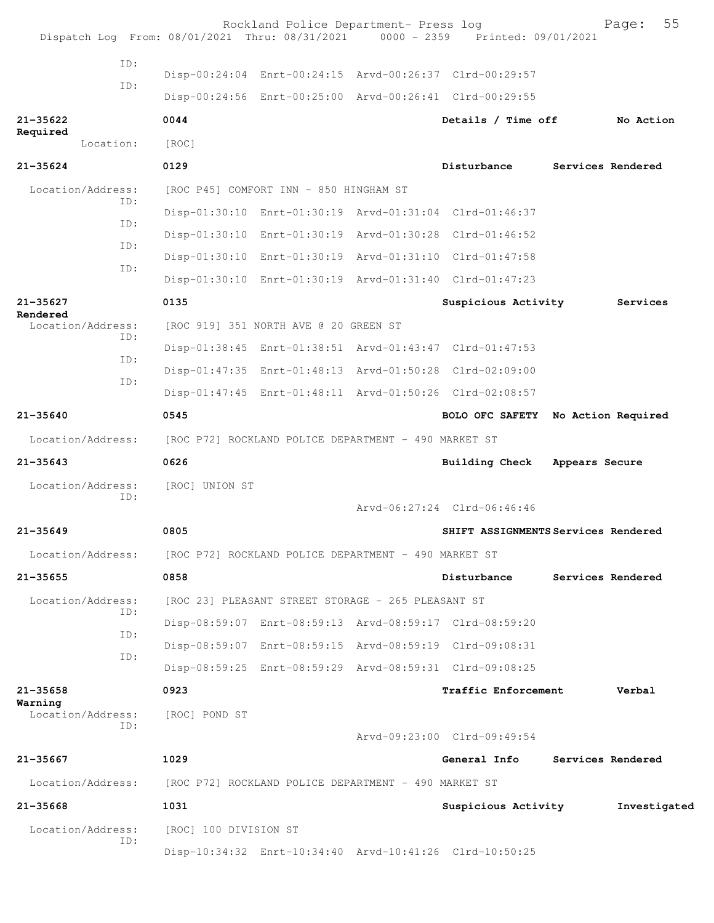|                               |           |                                                                        | Rockland Police Department- Press log                | Dispatch Log From: 08/01/2021 Thru: 08/31/2021 0000 - 2359 Printed: 09/01/2021 |                | 55<br>Page:       |
|-------------------------------|-----------|------------------------------------------------------------------------|------------------------------------------------------|--------------------------------------------------------------------------------|----------------|-------------------|
|                               | ID:       |                                                                        |                                                      |                                                                                |                |                   |
|                               | ID:       |                                                                        |                                                      | Disp-00:24:04 Enrt-00:24:15 Arvd-00:26:37 Clrd-00:29:57                        |                |                   |
|                               |           |                                                                        |                                                      | Disp-00:24:56 Enrt-00:25:00 Arvd-00:26:41 Clrd-00:29:55                        |                |                   |
| $21 - 35622$<br>Required      |           | 0044                                                                   |                                                      | Details / Time off                                                             |                | No Action         |
|                               | Location: | [ROC]                                                                  |                                                      |                                                                                |                |                   |
| $21 - 35624$                  |           | 0129                                                                   |                                                      | Disturbance                                                                    |                | Services Rendered |
| Location/Address:             | ID:       |                                                                        | [ROC P45] COMFORT INN - 850 HINGHAM ST               |                                                                                |                |                   |
|                               |           |                                                                        |                                                      | Disp-01:30:10 Enrt-01:30:19 Arvd-01:31:04 Clrd-01:46:37                        |                |                   |
|                               | ID:       |                                                                        |                                                      | Disp-01:30:10 Enrt-01:30:19 Arvd-01:30:28 Clrd-01:46:52                        |                |                   |
|                               | ID:       |                                                                        |                                                      | Disp-01:30:10 Enrt-01:30:19 Arvd-01:31:10 Clrd-01:47:58                        |                |                   |
|                               | ID:       |                                                                        |                                                      | Disp-01:30:10 Enrt-01:30:19 Arvd-01:31:40 Clrd-01:47:23                        |                |                   |
| 21-35627                      |           | 0135                                                                   |                                                      | Suspicious Activity                                                            |                | Services          |
| Rendered<br>Location/Address: |           |                                                                        | [ROC 919] 351 NORTH AVE @ 20 GREEN ST                |                                                                                |                |                   |
|                               | ID:       |                                                                        |                                                      | Disp-01:38:45 Enrt-01:38:51 Arvd-01:43:47 Clrd-01:47:53                        |                |                   |
|                               | ID:       |                                                                        |                                                      | Disp-01:47:35 Enrt-01:48:13 Arvd-01:50:28 Clrd-02:09:00                        |                |                   |
|                               | ID:       |                                                                        |                                                      | Disp-01:47:45 Enrt-01:48:11 Arvd-01:50:26 Clrd-02:08:57                        |                |                   |
| $21 - 35640$                  |           | 0545                                                                   |                                                      | BOLO OFC SAFETY No Action Required                                             |                |                   |
| Location/Address:             |           |                                                                        | [ROC P72] ROCKLAND POLICE DEPARTMENT - 490 MARKET ST |                                                                                |                |                   |
| $21 - 35643$                  |           | 0626                                                                   |                                                      | <b>Building Check</b>                                                          | Appears Secure |                   |
| Location/Address:             |           | [ROC] UNION ST                                                         |                                                      |                                                                                |                |                   |
|                               | ID:       |                                                                        |                                                      | Arvd-06:27:24 Clrd-06:46:46                                                    |                |                   |
| $21 - 35649$                  |           | 0805                                                                   |                                                      | SHIFT ASSIGNMENTS Services Rendered                                            |                |                   |
|                               |           | Location/Address: [ROC P72] ROCKLAND POLICE DEPARTMENT - 490 MARKET ST |                                                      |                                                                                |                |                   |
| $21 - 35655$                  |           | 0858                                                                   |                                                      | Disturbance                                                                    |                | Services Rendered |
| Location/Address:             |           |                                                                        | [ROC 23] PLEASANT STREET STORAGE - 265 PLEASANT ST   |                                                                                |                |                   |
|                               | ID:       |                                                                        |                                                      | Disp-08:59:07 Enrt-08:59:13 Arvd-08:59:17 Clrd-08:59:20                        |                |                   |
|                               | ID:       |                                                                        |                                                      | Disp-08:59:07 Enrt-08:59:15 Arvd-08:59:19 Clrd-09:08:31                        |                |                   |
|                               | ID:       |                                                                        |                                                      | Disp-08:59:25 Enrt-08:59:29 Arvd-08:59:31 Clrd-09:08:25                        |                |                   |
| $21 - 35658$                  |           | 0923                                                                   |                                                      | Traffic Enforcement                                                            |                | Verbal            |
| Warning<br>Location/Address:  |           | [ROC] POND ST                                                          |                                                      |                                                                                |                |                   |
|                               | ID:       |                                                                        |                                                      | Arvd-09:23:00 Clrd-09:49:54                                                    |                |                   |
| 21-35667                      |           | 1029                                                                   |                                                      | General Info                                                                   |                | Services Rendered |
| Location/Address:             |           |                                                                        | [ROC P72] ROCKLAND POLICE DEPARTMENT - 490 MARKET ST |                                                                                |                |                   |
| $21 - 35668$                  |           | 1031                                                                   |                                                      | Suspicious Activity                                                            |                | Investigated      |
| Location/Address:             |           | [ROC] 100 DIVISION ST                                                  |                                                      |                                                                                |                |                   |
|                               | ID:       |                                                                        |                                                      | Disp-10:34:32 Enrt-10:34:40 Arvd-10:41:26 Clrd-10:50:25                        |                |                   |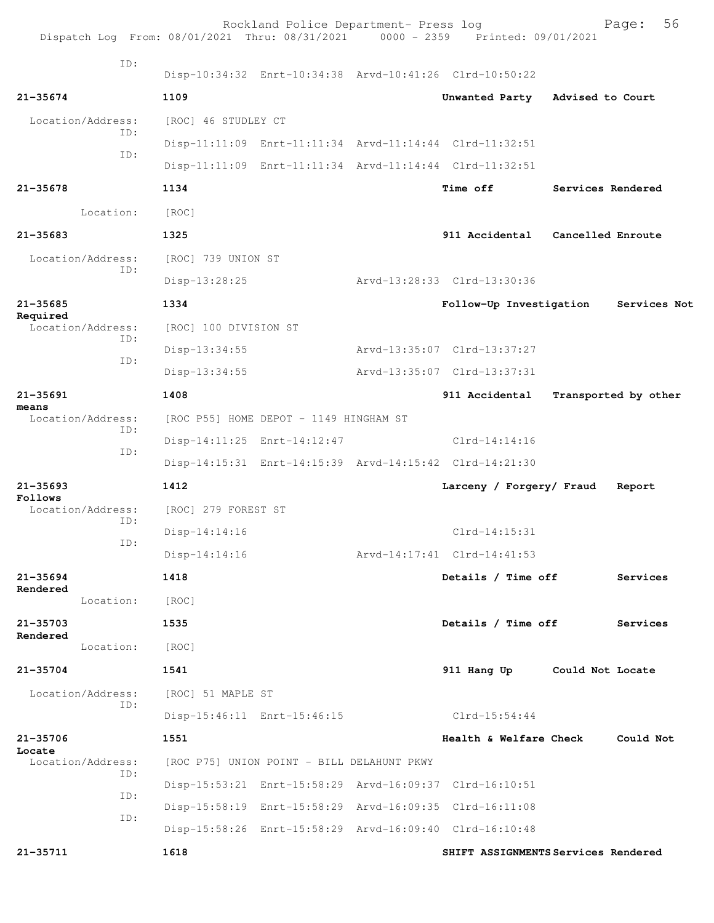| Dispatch Log From: 08/01/2021 Thru: 08/31/2021 0000 - 2359 Printed: 09/01/2021 |                       | Rockland Police Department- Press log      |                                                         |                   | 56<br>Page:          |
|--------------------------------------------------------------------------------|-----------------------|--------------------------------------------|---------------------------------------------------------|-------------------|----------------------|
| TD:                                                                            |                       |                                            | Disp-10:34:32 Enrt-10:34:38 Arvd-10:41:26 Clrd-10:50:22 |                   |                      |
| $21 - 35674$                                                                   | 1109                  |                                            | Unwanted Party                                          | Advised to Court  |                      |
| Location/Address:                                                              | [ROC] 46 STUDLEY CT   |                                            |                                                         |                   |                      |
| ID:                                                                            |                       |                                            | Disp-11:11:09 Enrt-11:11:34 Arvd-11:14:44 Clrd-11:32:51 |                   |                      |
| ID:                                                                            |                       |                                            | Disp-11:11:09 Enrt-11:11:34 Arvd-11:14:44 Clrd-11:32:51 |                   |                      |
| $21 - 35678$                                                                   | 1134                  |                                            | Time off                                                | Services Rendered |                      |
| Location:                                                                      | [ROC]                 |                                            |                                                         |                   |                      |
| $21 - 35683$                                                                   | 1325                  |                                            | 911 Accidental Cancelled Enroute                        |                   |                      |
| Location/Address:                                                              | [ROC] 739 UNION ST    |                                            |                                                         |                   |                      |
| TD:                                                                            | Disp-13:28:25         |                                            | Arvd-13:28:33 Clrd-13:30:36                             |                   |                      |
| $21 - 35685$                                                                   | 1334                  |                                            | Follow-Up Investigation                                 |                   | Services Not         |
| Required<br>Location/Address:<br>TD:                                           | [ROC] 100 DIVISION ST |                                            |                                                         |                   |                      |
| ID:                                                                            | Disp-13:34:55         |                                            | Arvd-13:35:07 Clrd-13:37:27                             |                   |                      |
|                                                                                | $Disp-13:34:55$       |                                            | Arvd-13:35:07 Clrd-13:37:31                             |                   |                      |
| $21 - 35691$                                                                   | 1408                  |                                            | 911 Accidental                                          |                   | Transported by other |
| means<br>Location/Address:<br>ID:                                              |                       | [ROC P55] HOME DEPOT - 1149 HINGHAM ST     |                                                         |                   |                      |
| ID:                                                                            |                       | Disp-14:11:25 Enrt-14:12:47                | $Clrd-14:14:16$                                         |                   |                      |
|                                                                                |                       |                                            | Disp-14:15:31 Enrt-14:15:39 Arvd-14:15:42 Clrd-14:21:30 |                   |                      |
| $21 - 35693$<br>Follows                                                        | 1412                  |                                            | Larceny / Forgery/ Fraud                                |                   | Report               |
| Location/Address:<br>ID:                                                       | [ROC] 279 FOREST ST   |                                            |                                                         |                   |                      |
| ID:                                                                            | $Disp-14:14:16$       |                                            | $C1rd-14:15:31$                                         |                   |                      |
|                                                                                | $Disp-14:14:16$       |                                            | Arvd-14:17:41 Clrd-14:41:53                             |                   |                      |
| 21-35694<br>Rendered                                                           | 1418                  |                                            | Details / Time off                                      |                   | Services             |
| Location:                                                                      | [ROC]                 |                                            |                                                         |                   |                      |
| $21 - 35703$<br>Rendered                                                       | 1535                  |                                            | Details / Time off                                      |                   | Services             |
| Location:                                                                      | [ROC]                 |                                            |                                                         |                   |                      |
| $21 - 35704$                                                                   | 1541                  |                                            | 911 Hang Up Could Not Locate                            |                   |                      |
| Location/Address:<br>ID:                                                       | [ROC] 51 MAPLE ST     |                                            |                                                         |                   |                      |
|                                                                                |                       | Disp-15:46:11 Enrt-15:46:15                | Clrd-15:54:44                                           |                   |                      |
| $21 - 35706$<br>Locate                                                         | 1551                  |                                            | Health & Welfare Check                                  |                   | Could Not            |
| Location/Address:<br>ID:                                                       |                       | [ROC P75] UNION POINT - BILL DELAHUNT PKWY |                                                         |                   |                      |
| ID:                                                                            |                       |                                            | Disp-15:53:21 Enrt-15:58:29 Arvd-16:09:37 Clrd-16:10:51 |                   |                      |
| ID:                                                                            |                       |                                            | Disp-15:58:19 Enrt-15:58:29 Arvd-16:09:35 Clrd-16:11:08 |                   |                      |
|                                                                                |                       |                                            | Disp-15:58:26 Enrt-15:58:29 Arvd-16:09:40 Clrd-16:10:48 |                   |                      |
| $21 - 35711$                                                                   | 1618                  |                                            | SHIFT ASSIGNMENTS Services Rendered                     |                   |                      |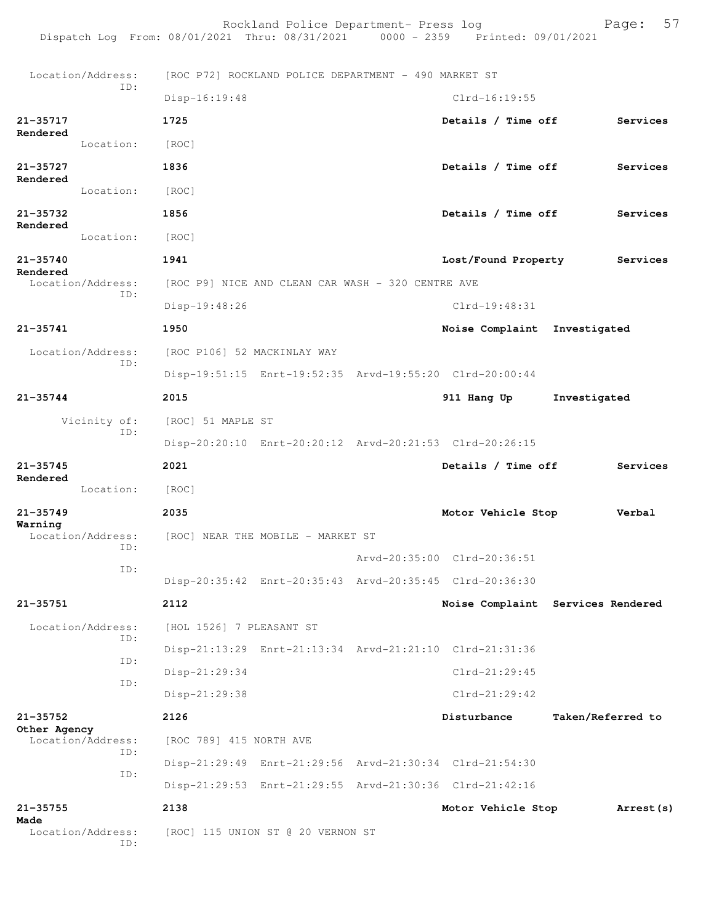Rockland Police Department- Press log Fage: 57<br>21 Thru: 08/31/2021 0000 - 2359 Printed: 09/01/2021 Dispatch Log From: 08/01/2021 Thru: 08/31/2021 Location/Address: [ROC P72] ROCKLAND POLICE DEPARTMENT - 490 MARKET ST ID: Disp-16:19:48 Clrd-16:19:55 **21-35717 1725 Details / Time off Services Rendered**  Location: [ROC] **21-35727 1836 Details / Time off Services Rendered**  Location: [ROC] **21-35732 1856 Details / Time off Services Rendered**  Location: [ROC] **21-35740 1941 Lost/Found Property Services Rendered**  Location/Address: [ROC P9] NICE AND CLEAN CAR WASH - 320 CENTRE AVE ID: Disp-19:48:26 Clrd-19:48:31 **21-35741 1950 Noise Complaint Investigated** Location/Address: [ROC P106] 52 MACKINLAY WAY ID: Disp-19:51:15 Enrt-19:52:35 Arvd-19:55:20 Clrd-20:00:44 **21-35744 2015 911 Hang Up Investigated** Vicinity of: [ROC] 51 MAPLE ST ID: Disp-20:20:10 Enrt-20:20:12 Arvd-20:21:53 Clrd-20:26:15 **21-35745 2021 Details / Time off Services Rendered**  Location: [ROC] **21-35749 2035 Motor Vehicle Stop Verbal Warning**  Location/Address: [ROC] NEAR THE MOBILE - MARKET ST ID: Arvd-20:35:00 Clrd-20:36:51 ID: Disp-20:35:42 Enrt-20:35:43 Arvd-20:35:45 Clrd-20:36:30 **21-35751 2112 Noise Complaint Services Rendered** Location/Address: [HOL 1526] 7 PLEASANT ST ID: Disp-21:13:29 Enrt-21:13:34 Arvd-21:21:10 Clrd-21:31:36 ID: Disp-21:29:34 Clrd-21:29:45 ID: Disp-21:29:38 Clrd-21:29:42 **21-35752 2126 Disturbance Taken/Referred to Other Agency**  Location/Address: [ROC 789] 415 NORTH AVE ID: Disp-21:29:49 Enrt-21:29:56 Arvd-21:30:34 Clrd-21:54:30 ID: Disp-21:29:53 Enrt-21:29:55 Arvd-21:30:36 Clrd-21:42:16 **21-35755 2138 Motor Vehicle Stop Arrest(s) Made**  [ROC] 115 UNION ST @ 20 VERNON ST ID: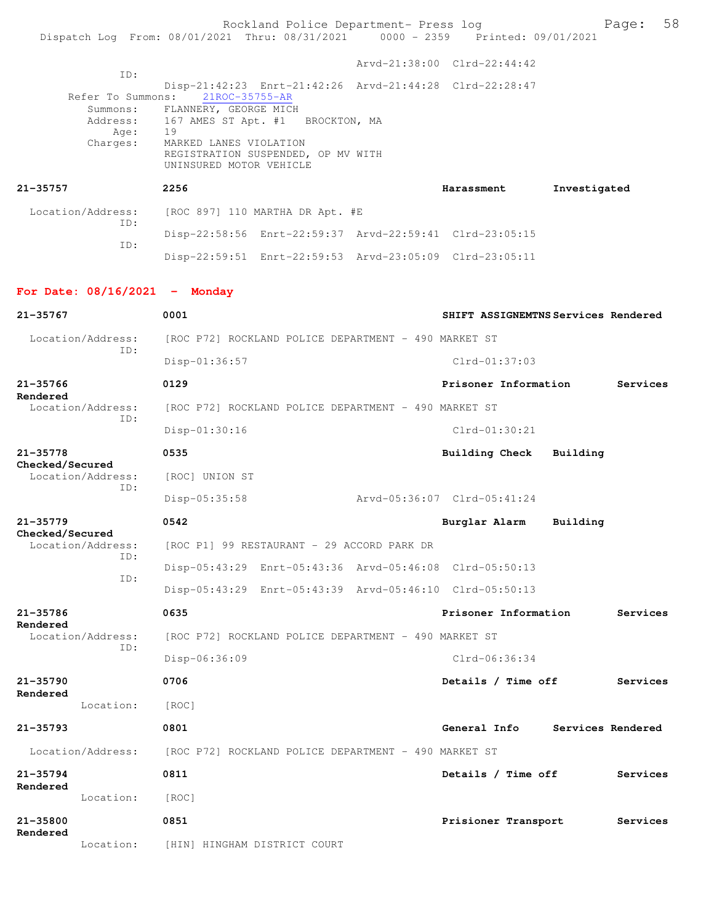Rockland Police Department- Press log Bookland Police Department- Press log<br>21 Thru: 08/31/2021 0000 - 2359 Printed: 09/01/2021 Dispatch Log From: 08/01/2021 Thru: 08/31/2021 0000 - 2359 Arvd-21:38:00 Clrd-22:44:42 ID: Disp-21:42:23 Enrt-21:42:26 Arvd-21:44:28 Clrd-22:28:47 Refer To Summons: Summons: FLANNERY, GEORGE MICH Address: 167 AMES ST Apt. #1 BROCKTON, MA Age: 19 Charges: MARKED LANES VIOLATION REGISTRATION SUSPENDED, OP MV WITH UNINSURED MOTOR VEHICLE **21-35757 2256 Harassment Investigated** Location/Address: [ROC 897] 110 MARTHA DR Apt. #E ID: Disp-22:58:56 Enrt-22:59:37 Arvd-22:59:41 Clrd-23:05:15 ID: Disp-22:59:51 Enrt-22:59:53 Arvd-23:05:09 Clrd-23:05:11 **For Date: 08/16/2021 - Monday 21-35767 0001 SHIFT ASSIGNEMTNS Services Rendered** Location/Address: [ROC P72] ROCKLAND POLICE DEPARTMENT - 490 MARKET ST ID: Disp-01:36:57 Clrd-01:37:03 **21-35766 0129 Prisoner Information Services Rendered**  Location/Address: [ROC P72] ROCKLAND POLICE DEPARTMENT - 490 MARKET ST ID: Disp-01:30:16 Clrd-01:30:21 **21-35778 0535 Building Check Building Checked/Secured**  Location/Address: [ROC] UNION ST ID: Disp-05:35:58 Arvd-05:36:07 Clrd-05:41:24 **21-35779 0542 Burglar Alarm Building Checked/Secured**  [ROC P1] 99 RESTAURANT - 29 ACCORD PARK DR ID: Disp-05:43:29 Enrt-05:43:36 Arvd-05:46:08 Clrd-05:50:13 ID: Disp-05:43:29 Enrt-05:43:39 Arvd-05:46:10 Clrd-05:50:13 **21-35786 0635 Prisoner Information Services Rendered**  Location/Address: [ROC P72] ROCKLAND POLICE DEPARTMENT - 490 MARKET ST ID: Disp-06:36:09 Clrd-06:36:34 **21-35790 0706 Details / Time off Services Rendered**  Location: [ROC] **21-35793 0801 General Info Services Rendered** Location/Address: [ROC P72] ROCKLAND POLICE DEPARTMENT - 490 MARKET ST **21-35794 0811 Details / Time off Services Rendered**  Location: [ROC] **21-35800 0851 Prisioner Transport Services Rendered**  Location: [HIN] HINGHAM DISTRICT COURT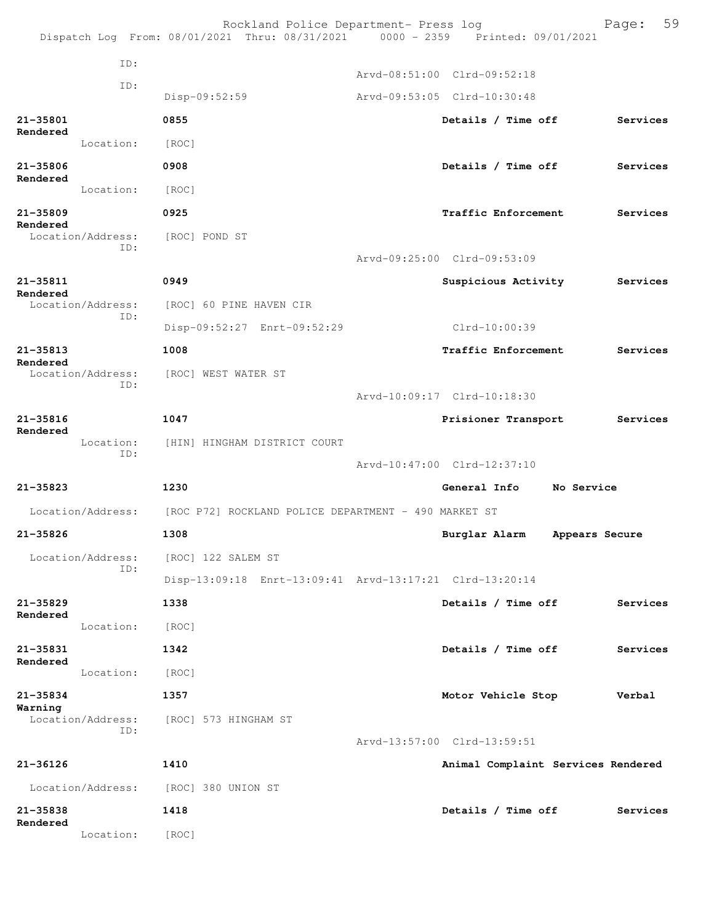|                          |                          | Rockland Police Department- Press log<br>Dispatch Log From: 08/01/2021 Thru: 08/31/2021 0000 - 2359 Printed: 09/01/2021 |                                    | 59<br>Page: |
|--------------------------|--------------------------|-------------------------------------------------------------------------------------------------------------------------|------------------------------------|-------------|
|                          | ID:                      |                                                                                                                         |                                    |             |
|                          | ID:                      |                                                                                                                         | Arvd-08:51:00 Clrd-09:52:18        |             |
|                          |                          | Disp-09:52:59                                                                                                           | Arvd-09:53:05 Clrd-10:30:48        |             |
| 21-35801<br>Rendered     |                          | 0855                                                                                                                    | Details / Time off                 | Services    |
|                          | Location:                | [ROC]                                                                                                                   |                                    |             |
| 21-35806<br>Rendered     |                          | 0908                                                                                                                    | Details / Time off                 | Services    |
|                          | Location:                | [ROC]                                                                                                                   |                                    |             |
| 21-35809<br>Rendered     |                          | 0925                                                                                                                    | Traffic Enforcement                | Services    |
|                          | Location/Address:<br>ID: | [ROC] POND ST                                                                                                           | Arvd-09:25:00 Clrd-09:53:09        |             |
| $21 - 35811$             |                          | 0949                                                                                                                    | <b>Suspicious Activity</b>         | Services    |
| Rendered                 | Location/Address:        | [ROC] 60 PINE HAVEN CIR                                                                                                 |                                    |             |
|                          | ID:                      | Disp-09:52:27 Enrt-09:52:29                                                                                             | Clrd-10:00:39                      |             |
| $21 - 35813$             |                          | 1008                                                                                                                    | Traffic Enforcement                | Services    |
| Rendered                 | Location/Address:        | [ROC] WEST WATER ST                                                                                                     |                                    |             |
|                          | ID:                      |                                                                                                                         | Arvd-10:09:17 Clrd-10:18:30        |             |
| $21 - 35816$<br>Rendered |                          | 1047                                                                                                                    | Prisioner Transport                | Services    |
|                          | Location:<br>ID:         | [HIN] HINGHAM DISTRICT COURT                                                                                            | Arvd-10:47:00 Clrd-12:37:10        |             |
| $21 - 35823$             |                          | 1230                                                                                                                    | General Info<br>No Service         |             |
|                          |                          | Location/Address: [ROC P72] ROCKLAND POLICE DEPARTMENT - 490 MARKET ST                                                  |                                    |             |
| 21-35826                 |                          | 1308                                                                                                                    | Burglar Alarm<br>Appears Secure    |             |
|                          | Location/Address:        | [ROC] 122 SALEM ST                                                                                                      |                                    |             |
|                          | ID:                      | Disp-13:09:18 Enrt-13:09:41 Arvd-13:17:21 Clrd-13:20:14                                                                 |                                    |             |
| $21 - 35829$             |                          | 1338                                                                                                                    | Details / Time off                 | Services    |
| Rendered                 | Location:                | [ROC]                                                                                                                   |                                    |             |
| 21-35831                 |                          | 1342                                                                                                                    | Details / Time off                 | Services    |
| Rendered                 | Location:                | [ROC]                                                                                                                   |                                    |             |
| 21-35834                 |                          | 1357                                                                                                                    | Motor Vehicle Stop                 | Verbal      |
| Warning                  | Location/Address:<br>ID: | [ROC] 573 HINGHAM ST                                                                                                    |                                    |             |
|                          |                          |                                                                                                                         | Arvd-13:57:00 Clrd-13:59:51        |             |
| 21-36126                 |                          | 1410                                                                                                                    | Animal Complaint Services Rendered |             |
|                          | Location/Address:        | [ROC] 380 UNION ST                                                                                                      |                                    |             |
| 21-35838<br>Rendered     |                          | 1418                                                                                                                    | Details / Time off                 | Services    |
|                          | Location:                | [ROC]                                                                                                                   |                                    |             |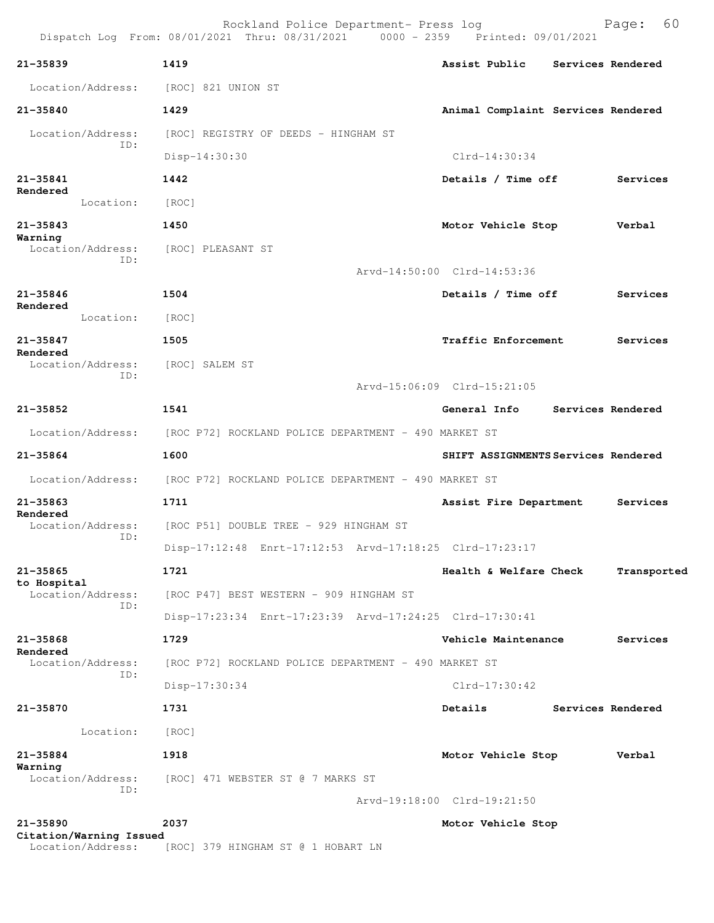| $21 - 35839$                            | 1419                                                                   | Assist Public<br>Services Rendered                      |  |  |  |  |  |
|-----------------------------------------|------------------------------------------------------------------------|---------------------------------------------------------|--|--|--|--|--|
| Location/Address:                       | [ROC] 821 UNION ST                                                     |                                                         |  |  |  |  |  |
| 21-35840                                | 1429                                                                   | Animal Complaint Services Rendered                      |  |  |  |  |  |
| Location/Address:                       | [ROC] REGISTRY OF DEEDS - HINGHAM ST                                   |                                                         |  |  |  |  |  |
| ID:                                     | Disp-14:30:30                                                          | $Clrd-14:30:34$                                         |  |  |  |  |  |
| 21-35841                                | 1442                                                                   | Details / Time off<br>Services                          |  |  |  |  |  |
| Rendered<br>Location:                   | [ROC]                                                                  |                                                         |  |  |  |  |  |
| $21 - 35843$                            | 1450                                                                   | Motor Vehicle Stop<br>Verbal                            |  |  |  |  |  |
| Warning<br>Location/Address:            | [ROC] PLEASANT ST                                                      |                                                         |  |  |  |  |  |
| ID:                                     |                                                                        | Arvd-14:50:00 Clrd-14:53:36                             |  |  |  |  |  |
| $21 - 35846$                            | 1504                                                                   | Details / Time off<br>Services                          |  |  |  |  |  |
| Rendered<br>Location:                   | [ROC]                                                                  |                                                         |  |  |  |  |  |
| $21 - 35847$                            | 1505                                                                   | Traffic Enforcement<br>Services                         |  |  |  |  |  |
| Rendered<br>Location/Address:           | [ROC] SALEM ST                                                         |                                                         |  |  |  |  |  |
| ID:                                     |                                                                        | Arvd-15:06:09 Clrd-15:21:05                             |  |  |  |  |  |
| $21 - 35852$                            | 1541                                                                   | Services Rendered<br>General Info                       |  |  |  |  |  |
|                                         |                                                                        |                                                         |  |  |  |  |  |
| Location/Address:                       | [ROC P72] ROCKLAND POLICE DEPARTMENT - 490 MARKET ST                   |                                                         |  |  |  |  |  |
| 21-35864                                | 1600                                                                   | SHIFT ASSIGNMENTS Services Rendered                     |  |  |  |  |  |
|                                         | Location/Address: [ROC P72] ROCKLAND POLICE DEPARTMENT - 490 MARKET ST |                                                         |  |  |  |  |  |
| 21-35863<br>Rendered                    | 1711                                                                   | Assist Fire Department<br>Services                      |  |  |  |  |  |
| Location/Address:<br>ID:                | [ROC P51] DOUBLE TREE - 929 HINGHAM ST                                 |                                                         |  |  |  |  |  |
|                                         |                                                                        | Disp-17:12:48 Enrt-17:12:53 Arvd-17:18:25 Clrd-17:23:17 |  |  |  |  |  |
| $21 - 35865$<br>to Hospital             | 1721                                                                   | Health & Welfare Check<br>Transported                   |  |  |  |  |  |
| Location/Address:<br>ID:                | [ROC P47] BEST WESTERN - 909 HINGHAM ST                                |                                                         |  |  |  |  |  |
|                                         |                                                                        | Disp-17:23:34 Enrt-17:23:39 Arvd-17:24:25 Clrd-17:30:41 |  |  |  |  |  |
| 21-35868<br>Rendered                    | 1729                                                                   | Vehicle Maintenance<br>Services                         |  |  |  |  |  |
| Location/Address:<br>ID:                | [ROC P72] ROCKLAND POLICE DEPARTMENT - 490 MARKET ST                   |                                                         |  |  |  |  |  |
|                                         | Disp-17:30:34                                                          | $Clrd-17:30:42$                                         |  |  |  |  |  |
| 21-35870                                | 1731                                                                   | Details<br>Services Rendered                            |  |  |  |  |  |
| Location:                               | [ROC]                                                                  |                                                         |  |  |  |  |  |
| 21-35884                                | 1918                                                                   | Motor Vehicle Stop<br>Verbal                            |  |  |  |  |  |
| Warning<br>Location/Address:            | [ROC] 471 WEBSTER ST @ 7 MARKS ST                                      |                                                         |  |  |  |  |  |
| ID:                                     |                                                                        | Arvd-19:18:00 Clrd-19:21:50                             |  |  |  |  |  |
| $21 - 35890$<br>Citation/Warning Issued | 2037                                                                   | Motor Vehicle Stop                                      |  |  |  |  |  |

Location/Address: [ROC] 379 HINGHAM ST @ 1 HOBART LN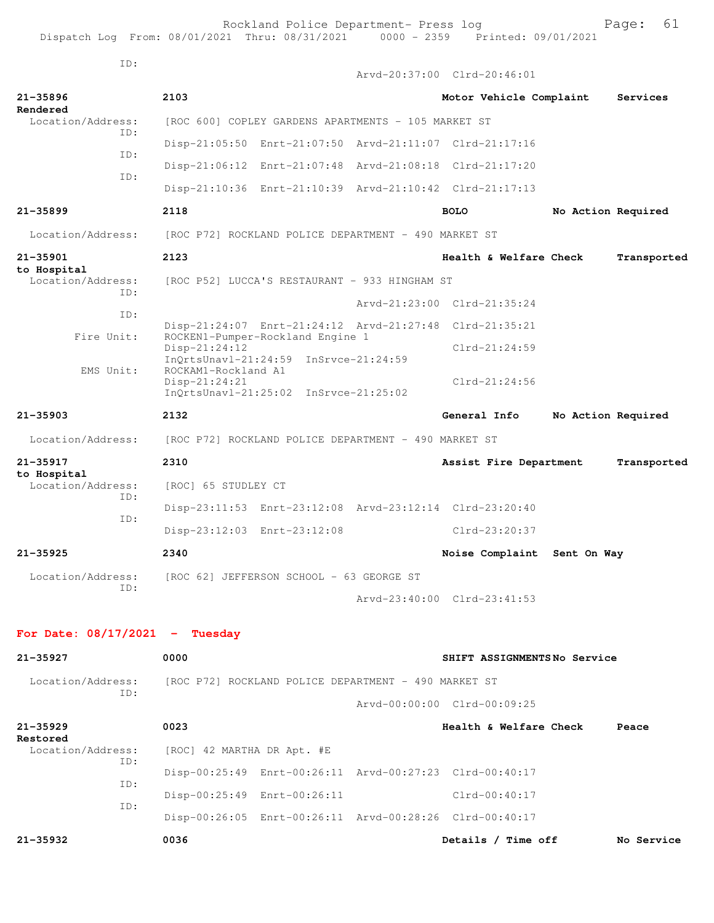ID:

|                                  |            |                                        |                                                                           | Arvd-20:37:00 Clrd-20:46:01 |                    |             |
|----------------------------------|------------|----------------------------------------|---------------------------------------------------------------------------|-----------------------------|--------------------|-------------|
| 21-35896<br>Rendered             |            | 2103                                   |                                                                           | Motor Vehicle Complaint     |                    | Services    |
| Location/Address:                |            |                                        | [ROC 600] COPLEY GARDENS APARTMENTS - 105 MARKET ST                       |                             |                    |             |
|                                  | ID:<br>ID: |                                        | Disp-21:05:50 Enrt-21:07:50 Arvd-21:11:07 Clrd-21:17:16                   |                             |                    |             |
|                                  | ID:        |                                        | Disp-21:06:12 Enrt-21:07:48 Arvd-21:08:18 Clrd-21:17:20                   |                             |                    |             |
|                                  |            |                                        | Disp-21:10:36 Enrt-21:10:39 Arvd-21:10:42 Clrd-21:17:13                   |                             |                    |             |
| $21 - 35899$                     |            | 2118                                   |                                                                           | <b>BOLO</b>                 | No Action Required |             |
| Location/Address:                |            |                                        | [ROC P72] ROCKLAND POLICE DEPARTMENT - 490 MARKET ST                      |                             |                    |             |
| $21 - 35901$                     |            | 2123                                   |                                                                           | Health & Welfare Check      |                    | Transported |
| to Hospital<br>Location/Address: |            |                                        | [ROC P52] LUCCA'S RESTAURANT - 933 HINGHAM ST                             |                             |                    |             |
|                                  | TD:        |                                        |                                                                           | Arvd-21:23:00 Clrd-21:35:24 |                    |             |
| ID:<br>Fire Unit:                |            |                                        | Disp-21:24:07 Enrt-21:24:12 Arvd-21:27:48 Clrd-21:35:21                   |                             |                    |             |
|                                  |            | $Disp-21:24:12$                        | ROCKEN1-Pumper-Rockland Engine 1<br>InOrtsUnavl-21:24:59 InSrvce-21:24:59 | $Clrd-21:24:59$             |                    |             |
| EMS Unit:                        |            | ROCKAM1-Rockland A1<br>$Disp-21:24:21$ |                                                                           | $Clrd-21:24:56$             |                    |             |
|                                  |            |                                        | InQrtsUnavl-21:25:02 InSrvce-21:25:02                                     |                             |                    |             |
| $21 - 35903$                     |            | 2132                                   |                                                                           | General Info                | No Action Required |             |
| Location/Address:                |            |                                        | [ROC P72] ROCKLAND POLICE DEPARTMENT - 490 MARKET ST                      |                             |                    |             |
| 21-35917<br>to Hospital          |            | 2310                                   |                                                                           | Assist Fire Department      |                    | Transported |
| Location/Address:                | ID:        | [ROC] 65 STUDLEY CT                    |                                                                           |                             |                    |             |
|                                  | ID:        |                                        | Disp-23:11:53 Enrt-23:12:08 Arvd-23:12:14 Clrd-23:20:40                   |                             |                    |             |
|                                  |            |                                        | Disp-23:12:03 Enrt-23:12:08                                               | Clrd-23:20:37               |                    |             |
| 21-35925                         |            | 2340                                   |                                                                           | Noise Complaint Sent On Way |                    |             |
| Location/Address:<br>ID:         |            |                                        | [ROC 62] JEFFERSON SCHOOL - 63 GEORGE ST                                  |                             |                    |             |
|                                  |            |                                        |                                                                           | Arvd-23:40:00 Clrd-23:41:53 |                    |             |
| For Date: $08/17/2021$ - Tuesday |            |                                        |                                                                           |                             |                    |             |
|                                  |            | 0000                                   |                                                                           | SHIFT ASSIGNMENTSNo Service |                    |             |
| 21-35927                         |            |                                        |                                                                           |                             |                    |             |
| Location/Address:                | ID:        |                                        | [ROC P72] ROCKLAND POLICE DEPARTMENT - 490 MARKET ST                      |                             |                    |             |
|                                  |            |                                        |                                                                           | Arvd-00:00:00 Clrd-00:09:25 |                    |             |
| $21 - 35929$<br>Restored         |            | 0023                                   |                                                                           | Health & Welfare Check      |                    | Peace       |
| Location/Address:                | ID:        | [ROC] 42 MARTHA DR Apt. #E             |                                                                           |                             |                    |             |
|                                  | ID:        |                                        | Disp-00:25:49 Enrt-00:26:11 Arvd-00:27:23 Clrd-00:40:17                   |                             |                    |             |
|                                  | ID:        |                                        | Disp-00:25:49 Enrt-00:26:11                                               | Clrd-00:40:17               |                    |             |
|                                  |            |                                        | Disp-00:26:05 Enrt-00:26:11 Arvd-00:28:26 Clrd-00:40:17                   |                             |                    |             |
| 21-35932                         |            | 0036                                   |                                                                           | Details / Time off          |                    | No Service  |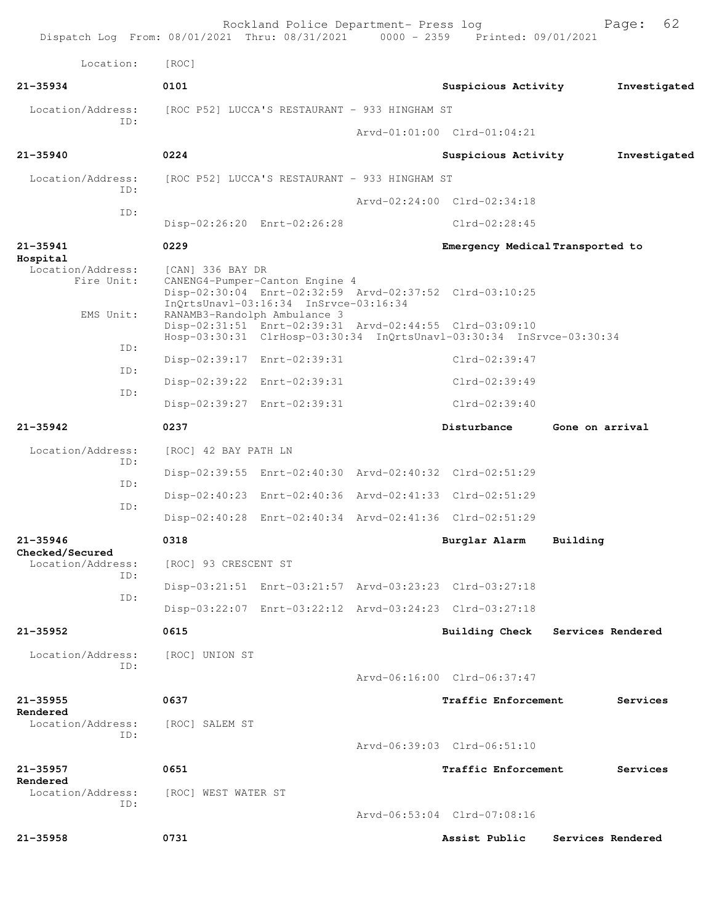| Dispatch Log From: 08/01/2021 Thru: 08/31/2021 0000 - 2359 Printed: 09/01/2021 |                      | Rockland Police Department- Press log                                                                   |                                                                                                                                                                                            |                 | 62<br>Page:       |
|--------------------------------------------------------------------------------|----------------------|---------------------------------------------------------------------------------------------------------|--------------------------------------------------------------------------------------------------------------------------------------------------------------------------------------------|-----------------|-------------------|
| Location:                                                                      | [ROC]                |                                                                                                         |                                                                                                                                                                                            |                 |                   |
| $21 - 35934$                                                                   | 0101                 |                                                                                                         | Suspicious Activity                                                                                                                                                                        |                 | Investigated      |
| Location/Address:                                                              |                      | [ROC P52] LUCCA'S RESTAURANT - 933 HINGHAM ST                                                           |                                                                                                                                                                                            |                 |                   |
| ID:                                                                            |                      |                                                                                                         | Arvd-01:01:00 Clrd-01:04:21                                                                                                                                                                |                 |                   |
| $21 - 35940$                                                                   | 0224                 |                                                                                                         | Suspicious Activity                                                                                                                                                                        |                 | Investigated      |
| Location/Address:                                                              |                      | [ROC P52] LUCCA'S RESTAURANT - 933 HINGHAM ST                                                           |                                                                                                                                                                                            |                 |                   |
| ID:                                                                            |                      |                                                                                                         | Arvd-02:24:00 Clrd-02:34:18                                                                                                                                                                |                 |                   |
| ID:                                                                            |                      | Disp-02:26:20 Enrt-02:26:28                                                                             | $Clrd-02:28:45$                                                                                                                                                                            |                 |                   |
| $21 - 35941$                                                                   | 0229                 |                                                                                                         | Emergency Medical Transported to                                                                                                                                                           |                 |                   |
| Hospital<br>Location/Address:<br>Fire Unit:<br>EMS Unit:                       | [CAN] 336 BAY DR     | CANENG4-Pumper-Canton Engine 4<br>InQrtsUnavl-03:16:34 InSrvce-03:16:34<br>RANAMB3-Randolph Ambulance 3 | Disp-02:30:04 Enrt-02:32:59 Arvd-02:37:52 Clrd-03:10:25<br>Disp-02:31:51 Enrt-02:39:31 Arvd-02:44:55 Clrd-03:09:10<br>Hosp-03:30:31 ClrHosp-03:30:34 InQrtsUnavl-03:30:34 InSrvce-03:30:34 |                 |                   |
| ID:                                                                            |                      | Disp-02:39:17 Enrt-02:39:31                                                                             | Clrd-02:39:47                                                                                                                                                                              |                 |                   |
| ID:                                                                            |                      | Disp-02:39:22 Enrt-02:39:31                                                                             | $Clrd-02:39:49$                                                                                                                                                                            |                 |                   |
| ID:                                                                            |                      | Disp-02:39:27 Enrt-02:39:31                                                                             | $Clrd-02:39:40$                                                                                                                                                                            |                 |                   |
| $21 - 35942$                                                                   | 0237                 |                                                                                                         | Disturbance                                                                                                                                                                                | Gone on arrival |                   |
| Location/Address:                                                              | [ROC] 42 BAY PATH LN |                                                                                                         |                                                                                                                                                                                            |                 |                   |
| ID:                                                                            |                      |                                                                                                         | Disp-02:39:55 Enrt-02:40:30 Arvd-02:40:32 Clrd-02:51:29                                                                                                                                    |                 |                   |
| ID:                                                                            |                      |                                                                                                         | Disp-02:40:23 Enrt-02:40:36 Arvd-02:41:33 Clrd-02:51:29                                                                                                                                    |                 |                   |
| ID:                                                                            |                      |                                                                                                         | Disp-02:40:28 Enrt-02:40:34 Arvd-02:41:36 Clrd-02:51:29                                                                                                                                    |                 |                   |
| 21-35946                                                                       | 0318                 |                                                                                                         | Burglar Alarm Building                                                                                                                                                                     |                 |                   |
| Checked/Secured<br>Location/Address:                                           | [ROC] 93 CRESCENT ST |                                                                                                         |                                                                                                                                                                                            |                 |                   |
| ID:                                                                            |                      |                                                                                                         | Disp-03:21:51 Enrt-03:21:57 Arvd-03:23:23 Clrd-03:27:18                                                                                                                                    |                 |                   |
| ID:                                                                            |                      |                                                                                                         | Disp-03:22:07 Enrt-03:22:12 Arvd-03:24:23 Clrd-03:27:18                                                                                                                                    |                 |                   |
| $21 - 35952$                                                                   | 0615                 |                                                                                                         | Building Check Services Rendered                                                                                                                                                           |                 |                   |
| Location/Address:<br>ID:                                                       | [ROC] UNION ST       |                                                                                                         | Arvd-06:16:00 Clrd-06:37:47                                                                                                                                                                |                 |                   |
| $21 - 35955$                                                                   | 0637                 |                                                                                                         | Traffic Enforcement                                                                                                                                                                        |                 | Services          |
| Rendered<br>Location/Address:<br>ID:                                           | [ROC] SALEM ST       |                                                                                                         | Arvd-06:39:03 Clrd-06:51:10                                                                                                                                                                |                 |                   |
| $21 - 35957$                                                                   | 0651                 |                                                                                                         | Traffic Enforcement                                                                                                                                                                        |                 | Services          |
| Rendered<br>Location/Address:<br>ID:                                           | [ROC] WEST WATER ST  |                                                                                                         | Arvd-06:53:04 Clrd-07:08:16                                                                                                                                                                |                 |                   |
|                                                                                |                      |                                                                                                         |                                                                                                                                                                                            |                 |                   |
| $21 - 35958$                                                                   | 0731                 |                                                                                                         | Assist Public                                                                                                                                                                              |                 | Services Rendered |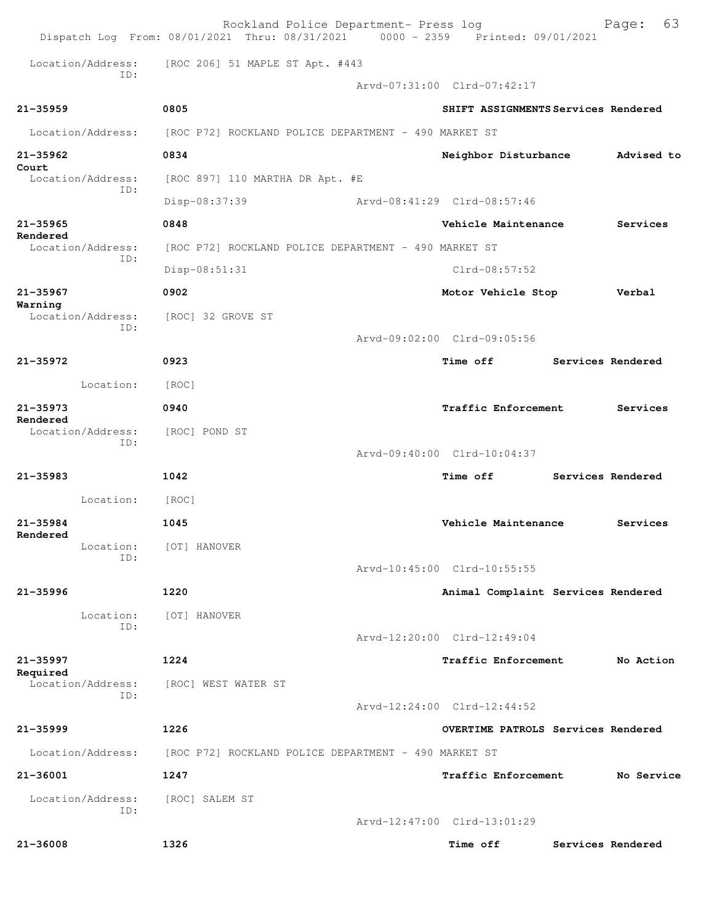|                                     | Rockland Police Department- Press log<br>Dispatch Log From: 08/01/2021 Thru: 08/31/2021 0000 - 2359 Printed: 09/01/2021 |                                     |                   | 63<br>Page:       |
|-------------------------------------|-------------------------------------------------------------------------------------------------------------------------|-------------------------------------|-------------------|-------------------|
|                                     | Location/Address: [ROC 206] 51 MAPLE ST Apt. #443                                                                       |                                     |                   |                   |
| TD:                                 |                                                                                                                         | Arvd-07:31:00 Clrd-07:42:17         |                   |                   |
| $21 - 35959$                        | 0805                                                                                                                    | SHIFT ASSIGNMENTS Services Rendered |                   |                   |
| Location/Address:                   | [ROC P72] ROCKLAND POLICE DEPARTMENT - 490 MARKET ST                                                                    |                                     |                   |                   |
| $21 - 35962$                        | 0834                                                                                                                    | Neighbor Disturbance                |                   | Advised to        |
| Court<br>Location/Address:          | [ROC 897] 110 MARTHA DR Apt. #E                                                                                         |                                     |                   |                   |
| TD:                                 | Disp-08:37:39                                                                                                           | Arvd-08:41:29 Clrd-08:57:46         |                   |                   |
| $21 - 35965$                        | 0848                                                                                                                    | Vehicle Maintenance                 |                   | Services          |
| Rendered<br>Location/Address:       | [ROC P72] ROCKLAND POLICE DEPARTMENT - 490 MARKET ST                                                                    |                                     |                   |                   |
| ID:                                 | Disp-08:51:31                                                                                                           | $Clrd-08:57:52$                     |                   |                   |
| $21 - 35967$                        | 0902                                                                                                                    | Motor Vehicle Stop                  |                   | Verbal            |
| Warning<br>Location/Address:<br>ID: | [ROC] 32 GROVE ST                                                                                                       |                                     |                   |                   |
|                                     |                                                                                                                         | Arvd-09:02:00 Clrd-09:05:56         |                   |                   |
| 21-35972                            | 0923                                                                                                                    | <b>Time off</b>                     | Services Rendered |                   |
| Location:                           | [ROC]                                                                                                                   |                                     |                   |                   |
| $21 - 35973$<br>Rendered            | 0940                                                                                                                    | <b>Traffic Enforcement</b>          |                   | Services          |
| Location/Address:<br>ID:            | [ROC] POND ST                                                                                                           |                                     |                   |                   |
|                                     |                                                                                                                         | Arvd-09:40:00 Clrd-10:04:37         |                   |                   |
| 21-35983                            | 1042                                                                                                                    | <b>Time off</b>                     | Services Rendered |                   |
| Location:                           | [ROC]                                                                                                                   |                                     |                   |                   |
| $21 - 35984$<br>Rendered            | 1045                                                                                                                    | Vehicle Maintenance                 |                   | Services          |
| Location:<br>ID:                    | [OT] HANOVER                                                                                                            |                                     |                   |                   |
|                                     |                                                                                                                         | Arvd-10:45:00 Clrd-10:55:55         |                   |                   |
| $21 - 35996$                        | 1220                                                                                                                    | Animal Complaint Services Rendered  |                   |                   |
| Location:<br>ID:                    | [OT] HANOVER                                                                                                            |                                     |                   |                   |
|                                     |                                                                                                                         | Arvd-12:20:00 Clrd-12:49:04         |                   |                   |
| 21-35997<br>Required                | 1224                                                                                                                    | <b>Traffic Enforcement</b>          |                   | No Action         |
| Location/Address:<br>ID:            | [ROC] WEST WATER ST                                                                                                     |                                     |                   |                   |
|                                     |                                                                                                                         | Arvd-12:24:00 Clrd-12:44:52         |                   |                   |
| $21 - 35999$                        | 1226                                                                                                                    | OVERTIME PATROLS Services Rendered  |                   |                   |
| Location/Address:                   | [ROC P72] ROCKLAND POLICE DEPARTMENT - 490 MARKET ST                                                                    |                                     |                   |                   |
| 21-36001                            | 1247                                                                                                                    | Traffic Enforcement                 |                   | No Service        |
| Location/Address:<br>ID:            | [ROC] SALEM ST                                                                                                          |                                     |                   |                   |
|                                     |                                                                                                                         | Arvd-12:47:00 Clrd-13:01:29         |                   |                   |
| 21-36008                            | 1326                                                                                                                    | Time off                            |                   | Services Rendered |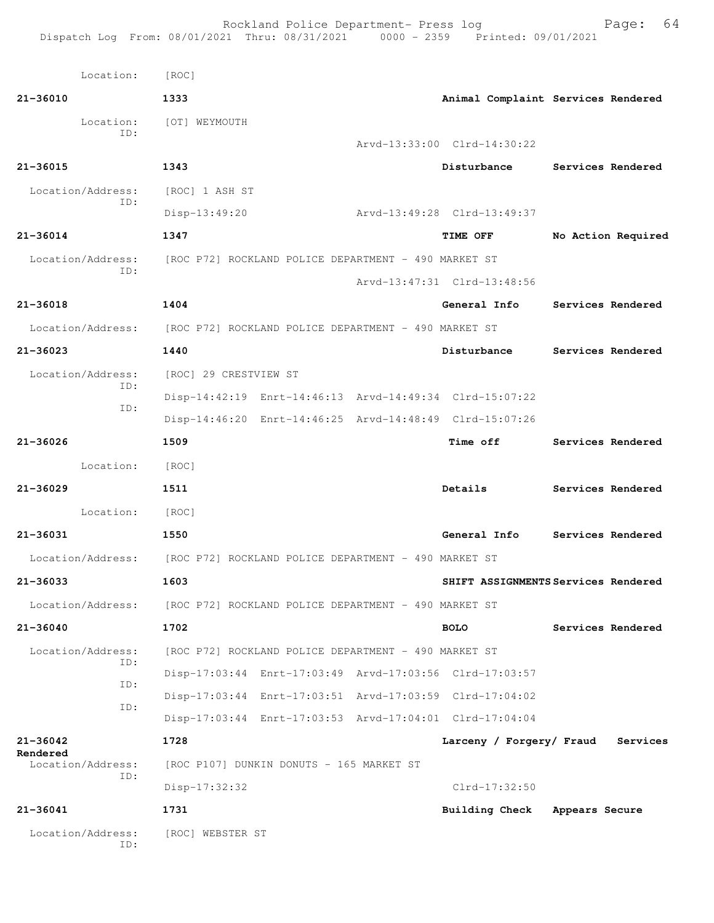| Location: [ROC]               |                                                                        |                                     |                   |                    |
|-------------------------------|------------------------------------------------------------------------|-------------------------------------|-------------------|--------------------|
| 21-36010                      | 1333                                                                   | Animal Complaint Services Rendered  |                   |                    |
| Location:                     | [OT] WEYMOUTH                                                          |                                     |                   |                    |
| ID:                           |                                                                        | Arvd-13:33:00 Clrd-14:30:22         |                   |                    |
| 21-36015                      | 1343                                                                   | Disturbance                         | Services Rendered |                    |
| Location/Address:             | [ROC] 1 ASH ST                                                         |                                     |                   |                    |
| ID:                           | Disp-13:49:20                                                          | Arvd-13:49:28 Clrd-13:49:37         |                   |                    |
| 21-36014                      | 1347                                                                   | <b>TIME OFF</b>                     |                   | No Action Required |
| Location/Address:             | [ROC P72] ROCKLAND POLICE DEPARTMENT - 490 MARKET ST                   |                                     |                   |                    |
| ID:                           |                                                                        | Arvd-13:47:31 Clrd-13:48:56         |                   |                    |
| 21-36018                      | 1404                                                                   | General Info                        | Services Rendered |                    |
|                               | Location/Address: [ROC P72] ROCKLAND POLICE DEPARTMENT - 490 MARKET ST |                                     |                   |                    |
| 21-36023                      | 1440                                                                   | Disturbance                         | Services Rendered |                    |
| Location/Address:             | [ROC] 29 CRESTVIEW ST                                                  |                                     |                   |                    |
| ID:                           | Disp-14:42:19 Enrt-14:46:13 Arvd-14:49:34 Clrd-15:07:22                |                                     |                   |                    |
| ID:                           | Disp-14:46:20 Enrt-14:46:25 Arvd-14:48:49 Clrd-15:07:26                |                                     |                   |                    |
| $21 - 36026$                  | 1509                                                                   | <b>Time off</b>                     | Services Rendered |                    |
| Location:                     | [ROC]                                                                  |                                     |                   |                    |
| $21 - 36029$                  | 1511                                                                   | Details                             | Services Rendered |                    |
| Location:                     | [ROC]                                                                  |                                     |                   |                    |
| 21-36031                      | 1550                                                                   | General Info                        | Services Rendered |                    |
|                               | Location/Address: [ROC P72] ROCKLAND POLICE DEPARTMENT - 490 MARKET ST |                                     |                   |                    |
| 21-36033                      | 1603                                                                   | SHIFT ASSIGNMENTS Services Rendered |                   |                    |
| Location/Address:             | [ROC P72] ROCKLAND POLICE DEPARTMENT - 490 MARKET ST                   |                                     |                   |                    |
| $21 - 36040$                  | 1702                                                                   | <b>BOLO</b>                         | Services Rendered |                    |
| Location/Address:             | [ROC P72] ROCKLAND POLICE DEPARTMENT - 490 MARKET ST                   |                                     |                   |                    |
| ID:                           | Disp-17:03:44 Enrt-17:03:49 Arvd-17:03:56 Clrd-17:03:57                |                                     |                   |                    |
| ID:                           | Disp-17:03:44 Enrt-17:03:51 Arvd-17:03:59 Clrd-17:04:02                |                                     |                   |                    |
| ID:                           | Disp-17:03:44 Enrt-17:03:53 Arvd-17:04:01 Clrd-17:04:04                |                                     |                   |                    |
| $21 - 36042$                  | 1728                                                                   | Larceny / Forgery/ Fraud            |                   | Services           |
| Rendered<br>Location/Address: | [ROC P107] DUNKIN DONUTS - 165 MARKET ST                               |                                     |                   |                    |
| ID:                           | $Disp-17:32:32$                                                        | $Clrd-17:32:50$                     |                   |                    |
| 21-36041                      | 1731                                                                   | <b>Building Check</b>               | Appears Secure    |                    |
| Location/Address:<br>ID:      | [ROC] WEBSTER ST                                                       |                                     |                   |                    |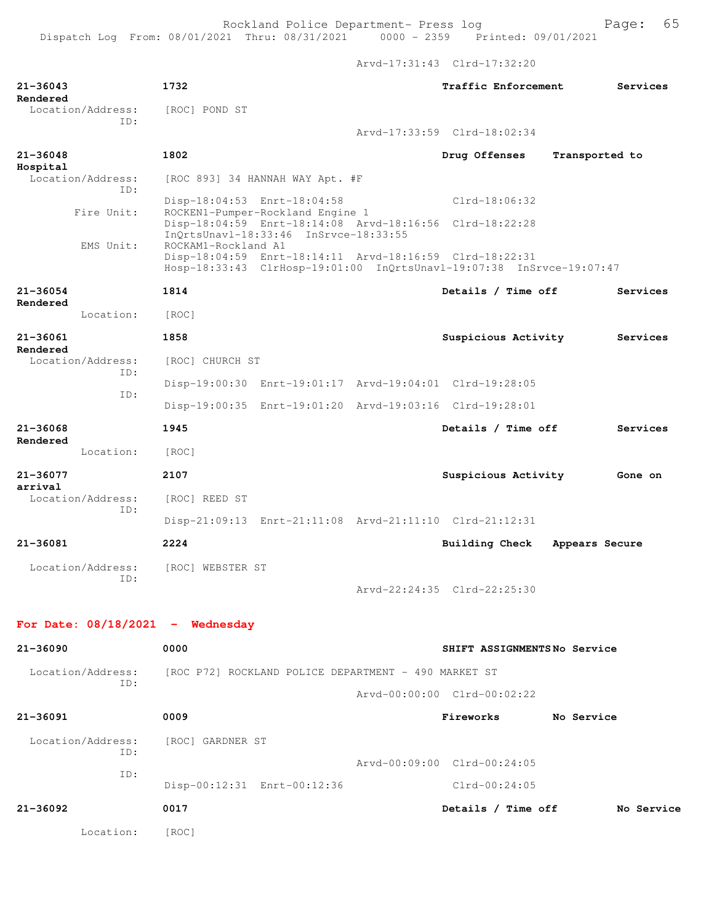Arvd-17:31:43 Clrd-17:32:20

| $21 - 36043$<br>Rendered             | 1732                                                                                                                                                   | Traffic Enforcement<br>Services  |
|--------------------------------------|--------------------------------------------------------------------------------------------------------------------------------------------------------|----------------------------------|
| Location/Address:<br>ID:             | [ROC] POND ST                                                                                                                                          |                                  |
|                                      |                                                                                                                                                        | Arvd-17:33:59 Clrd-18:02:34      |
| $21 - 36048$<br>Hospital             | 1802                                                                                                                                                   | Drug Offenses<br>Transported to  |
| Location/Address:<br>TD:             | [ROC 893] 34 HANNAH WAY Apt. #F                                                                                                                        |                                  |
|                                      | Disp-18:04:53 Enrt-18:04:58                                                                                                                            | $Clrd-18:06:32$                  |
| Fire Unit:                           | ROCKEN1-Pumper-Rockland Engine 1<br>Disp-18:04:59 Enrt-18:14:08 Arvd-18:16:56 Clrd-18:22:28<br>InQrtsUnavl-18:33:46 InSrvce-18:33:55                   |                                  |
| EMS Unit:                            | ROCKAM1-Rockland A1<br>Disp-18:04:59 Enrt-18:14:11 Arvd-18:16:59 Clrd-18:22:31<br>Hosp-18:33:43 ClrHosp-19:01:00 InQrtsUnavl-19:07:38 InSrvce-19:07:47 |                                  |
| $21 - 36054$                         | 1814                                                                                                                                                   | Details / Time off<br>Services   |
| Rendered<br>Location:                | [ROC]                                                                                                                                                  |                                  |
| 21-36061                             | 1858                                                                                                                                                   | Suspicious Activity<br>Services  |
| Rendered<br>Location/Address:<br>ID: | [ROC] CHURCH ST                                                                                                                                        |                                  |
| ID:                                  | Disp-19:00:30 Enrt-19:01:17 Arvd-19:04:01 Clrd-19:28:05                                                                                                |                                  |
|                                      | Disp-19:00:35 Enrt-19:01:20 Arvd-19:03:16 Clrd-19:28:01                                                                                                |                                  |
| 21-36068<br>Rendered                 | 1945                                                                                                                                                   | Details / Time off<br>Services   |
| Location:                            | [ROC]                                                                                                                                                  |                                  |
| 21-36077<br>arrival                  | 2107                                                                                                                                                   | Suspicious Activity<br>Gone on   |
| Location/Address:<br>TD:             | [ROC] REED ST                                                                                                                                          |                                  |
|                                      | Disp-21:09:13 Enrt-21:11:08 Arvd-21:11:10 Clrd-21:12:31                                                                                                |                                  |
| $21 - 36081$                         | 2224                                                                                                                                                   | Building Check<br>Appears Secure |
| Location/Address:<br>ID:             | [ROC] WEBSTER ST                                                                                                                                       |                                  |
|                                      |                                                                                                                                                        | Arvd-22:24:35 Clrd-22:25:30      |
| For Date: $08/18/2021$ - Wednesday   |                                                                                                                                                        |                                  |
| 21-36090                             | 0000                                                                                                                                                   | SHIFT ASSIGNMENTSNo Service      |
| ID:                                  | Location/Address: [ROC P72] ROCKLAND POLICE DEPARTMENT - 490 MARKET ST                                                                                 |                                  |
|                                      |                                                                                                                                                        | Arvd-00:00:00 Clrd-00:02:22      |
| 21-36091                             | 0009                                                                                                                                                   | Fireworks<br>No Service          |
| Location/Address:<br>ID:             | [ROC] GARDNER ST                                                                                                                                       |                                  |
| ID:                                  |                                                                                                                                                        | Arvd-00:09:00 Clrd-00:24:05      |
|                                      | Disp-00:12:31 Enrt-00:12:36                                                                                                                            | Clrd-00:24:05                    |
| 21-36092                             | 0017                                                                                                                                                   | Details / Time off<br>No Service |
| Location:                            | [ROC]                                                                                                                                                  |                                  |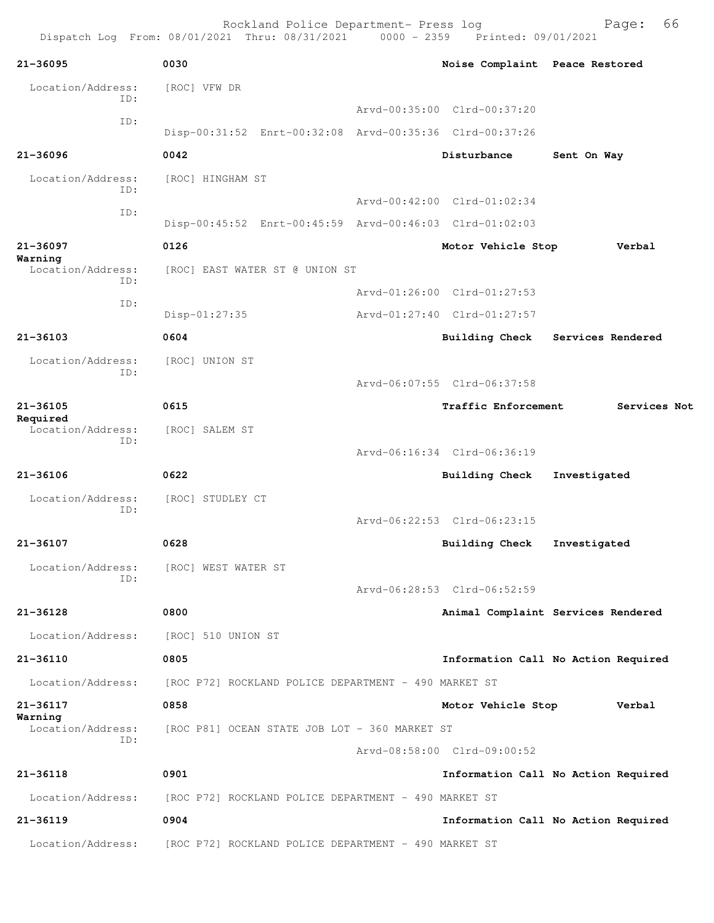Rockland Police Department- Press log Page: 66 Dispatch Log From: 08/01/2021 Thru: 08/31/2021 **21-36095 0030 Noise Complaint Peace Restored** Location/Address: [ROC] VFW DR ID: Arvd-00:35:00 Clrd-00:37:20 ID: Disp-00:31:52 Enrt-00:32:08 Arvd-00:35:36 Clrd-00:37:26 **21-36096 0042 Disturbance Sent On Way** Location/Address: [ROC] HINGHAM ST ID: Arvd-00:42:00 Clrd-01:02:34 ID: Disp-00:45:52 Enrt-00:45:59 Arvd-00:46:03 Clrd-01:02:03 **21-36097 0126 Motor Vehicle Stop Verbal Warning**  Location/Address: [ROC] EAST WATER ST @ UNION ST ID: Arvd-01:26:00 Clrd-01:27:53 ID: Disp-01:27:35 Arvd-01:27:40 Clrd-01:27:57 **21-36103 0604 Building Check Services Rendered** Location/Address: [ROC] UNION ST ID: Arvd-06:07:55 Clrd-06:37:58 **21-36105 0615 Traffic Enforcement Services Not Required**  Location/Address: [ROC] SALEM ST ID: Arvd-06:16:34 Clrd-06:36:19 **21-36106 0622 Building Check Investigated** Location/Address: [ROC] STUDLEY CT ID: Arvd-06:22:53 Clrd-06:23:15 **21-36107 0628 Building Check Investigated** Location/Address: [ROC] WEST WATER ST ID: Arvd-06:28:53 Clrd-06:52:59 **21-36128 0800 Animal Complaint Services Rendered** Location/Address: [ROC] 510 UNION ST **21-36110 0805 Information Call No Action Required** Location/Address: [ROC P72] ROCKLAND POLICE DEPARTMENT - 490 MARKET ST **21-36117 0858 Motor Vehicle Stop Verbal Warning**  [ROC P81] OCEAN STATE JOB LOT - 360 MARKET ST ID: Arvd-08:58:00 Clrd-09:00:52 **21-36118 0901 Information Call No Action Required** Location/Address: [ROC P72] ROCKLAND POLICE DEPARTMENT - 490 MARKET ST **21-36119 0904 Information Call No Action Required** Location/Address: [ROC P72] ROCKLAND POLICE DEPARTMENT - 490 MARKET ST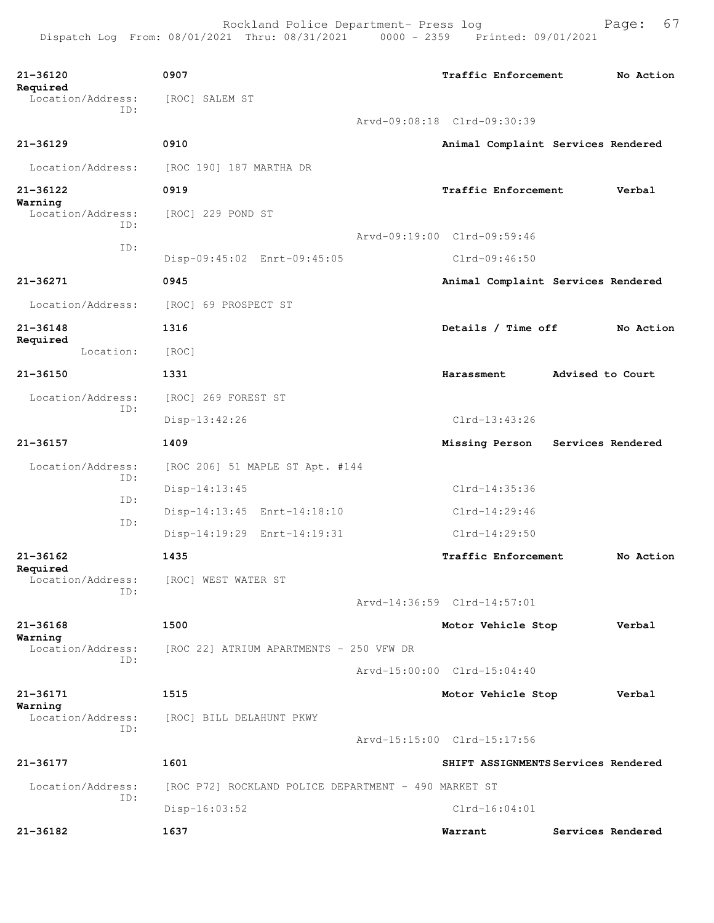| 21-36120<br>Required          | 0907                                                 | Traffic Enforcement                 |                  | No Action         |
|-------------------------------|------------------------------------------------------|-------------------------------------|------------------|-------------------|
| Location/Address:<br>TD:      | [ROC] SALEM ST                                       |                                     |                  |                   |
|                               |                                                      | Arvd-09:08:18 Clrd-09:30:39         |                  |                   |
| $21 - 36129$                  | 0910                                                 | Animal Complaint Services Rendered  |                  |                   |
| Location/Address:             | [ROC 190] 187 MARTHA DR                              |                                     |                  |                   |
| $21 - 36122$<br>Warning       | 0919                                                 | Traffic Enforcement                 |                  | Verbal            |
| Location/Address:<br>TD:      | [ROC] 229 POND ST                                    |                                     |                  |                   |
| ID:                           |                                                      | Arvd-09:19:00 Clrd-09:59:46         |                  |                   |
|                               | Disp-09:45:02 Enrt-09:45:05                          | $Clrd-09:46:50$                     |                  |                   |
| 21-36271                      | 0945                                                 | Animal Complaint Services Rendered  |                  |                   |
| Location/Address:             | [ROC] 69 PROSPECT ST                                 |                                     |                  |                   |
| $21 - 36148$                  | 1316                                                 | Details / Time off                  |                  | No Action         |
| Required<br>Location:         | [ROC]                                                |                                     |                  |                   |
| $21 - 36150$                  | 1331                                                 | Harassment                          | Advised to Court |                   |
| Location/Address:             | [ROC] 269 FOREST ST                                  |                                     |                  |                   |
| ID:                           | $Disp-13:42:26$                                      | $Clrd-13:43:26$                     |                  |                   |
| 21-36157                      | 1409                                                 | Missing Person                      |                  | Services Rendered |
| Location/Address:             | [ROC 206] 51 MAPLE ST Apt. #144                      |                                     |                  |                   |
| ID:                           | $Disp-14:13:45$                                      | $Clrd-14:35:36$                     |                  |                   |
| ID:                           | Disp-14:13:45 Enrt-14:18:10                          | $Clrd-14:29:46$                     |                  |                   |
| ID:                           | Disp-14:19:29 Enrt-14:19:31                          | $Clrd-14:29:50$                     |                  |                   |
| 21-36162                      | 1435                                                 | Traffic Enforcement                 |                  | No Action         |
| Required<br>Location/Address: | [ROC] WEST WATER ST                                  |                                     |                  |                   |
| ID:                           |                                                      | Arvd-14:36:59 Clrd-14:57:01         |                  |                   |
| $21 - 36168$                  | 1500                                                 | Motor Vehicle Stop                  |                  | Verbal            |
| Warning<br>Location/Address:  | [ROC 22] ATRIUM APARTMENTS - 250 VFW DR              |                                     |                  |                   |
| ID:                           |                                                      | Arvd-15:00:00 Clrd-15:04:40         |                  |                   |
| 21-36171                      | 1515                                                 | Motor Vehicle Stop                  |                  | Verbal            |
| Warning<br>Location/Address:  | [ROC] BILL DELAHUNT PKWY                             |                                     |                  |                   |
| ID:                           |                                                      | Arvd-15:15:00 Clrd-15:17:56         |                  |                   |
| 21-36177                      | 1601                                                 | SHIFT ASSIGNMENTS Services Rendered |                  |                   |
| Location/Address:             | [ROC P72] ROCKLAND POLICE DEPARTMENT - 490 MARKET ST |                                     |                  |                   |
| ID:                           | $Disp-16:03:52$                                      | $Clrd-16:04:01$                     |                  |                   |
| 21-36182                      | 1637                                                 | Warrant                             |                  | Services Rendered |
|                               |                                                      |                                     |                  |                   |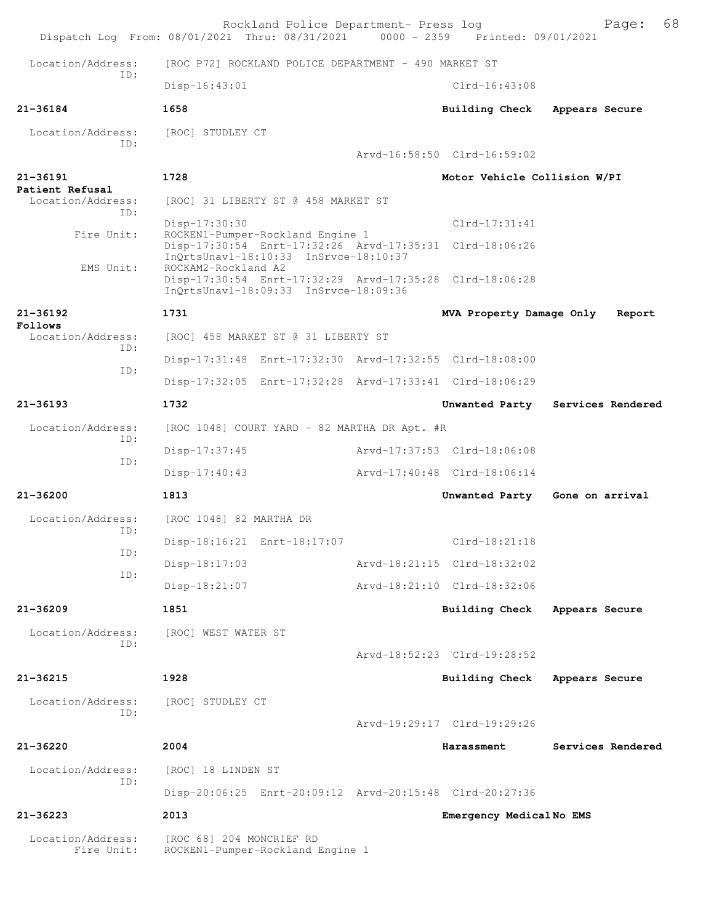|                                                             | Rockland Police Department- Press log<br>Dispatch Log From: 08/01/2021 Thru: 08/31/2021                                 |  | 0000 - 2359 Printed: 09/01/2021 | 68<br>Page:                      |  |
|-------------------------------------------------------------|-------------------------------------------------------------------------------------------------------------------------|--|---------------------------------|----------------------------------|--|
| Location/Address:                                           | [ROC P72] ROCKLAND POLICE DEPARTMENT - 490 MARKET ST                                                                    |  |                                 |                                  |  |
| TD:                                                         | $Disp-16:43:01$                                                                                                         |  | $Clrd-16:43:08$                 |                                  |  |
| 21-36184                                                    | 1658                                                                                                                    |  | <b>Building Check</b>           | Appears Secure                   |  |
| Location/Address:                                           | [ROC] STUDLEY CT                                                                                                        |  |                                 |                                  |  |
| TD:                                                         |                                                                                                                         |  | Arvd-16:58:50 Clrd-16:59:02     |                                  |  |
| $21 - 36191$<br>Patient Refusal<br>Location/Address:<br>TD: | 1728                                                                                                                    |  | Motor Vehicle Collision W/PI    |                                  |  |
|                                                             | [ROC] 31 LIBERTY ST @ 458 MARKET ST                                                                                     |  |                                 |                                  |  |
| Fire Unit:                                                  | $Disp-17:30:30$<br>ROCKEN1-Pumper-Rockland Engine 1                                                                     |  | $Clrd-17:31:41$                 |                                  |  |
| EMS Unit:                                                   | Disp-17:30:54 Enrt-17:32:26 Arvd-17:35:31 Clrd-18:06:26<br>InOrtsUnavl-18:10:33 InSrvce-18:10:37<br>ROCKAM2-Rockland A2 |  |                                 |                                  |  |
|                                                             | Disp-17:30:54 Enrt-17:32:29 Arvd-17:35:28 Clrd-18:06:28<br>InOrtsUnav1-18:09:33 InSrvce-18:09:36                        |  |                                 |                                  |  |
| 21-36192<br>Follows                                         | 1731                                                                                                                    |  | MVA Property Damage Only        | Report                           |  |
| Location/Address:                                           | [ROC] 458 MARKET ST @ 31 LIBERTY ST                                                                                     |  |                                 |                                  |  |
| TD:<br>ID:                                                  | Disp-17:31:48 Enrt-17:32:30 Arvd-17:32:55 Clrd-18:08:00                                                                 |  |                                 |                                  |  |
|                                                             | Disp-17:32:05 Enrt-17:32:28 Arvd-17:33:41 Clrd-18:06:29                                                                 |  |                                 |                                  |  |
| $21 - 36193$                                                | 1732                                                                                                                    |  |                                 | Unwanted Party Services Rendered |  |
| Location/Address:<br>ID:                                    | [ROC 1048] COURT YARD - 82 MARTHA DR Apt. #R                                                                            |  |                                 |                                  |  |
| ID:                                                         | $Disp-17:37:45$                                                                                                         |  | Arvd-17:37:53 Clrd-18:06:08     |                                  |  |
|                                                             | Disp-17:40:43                                                                                                           |  | Arvd-17:40:48 Clrd-18:06:14     |                                  |  |
| $21 - 36200$                                                | 1813                                                                                                                    |  | Unwanted Party                  | Gone on arrival                  |  |
| Location/Address:                                           | [ROC 1048] 82 MARTHA DR                                                                                                 |  |                                 |                                  |  |
| ID:<br>ID:                                                  | Disp-18:16:21 Enrt-18:17:07                                                                                             |  | $Clrd-18:21:18$                 |                                  |  |
| ID:                                                         | Disp-18:17:03                                                                                                           |  | Arvd-18:21:15 Clrd-18:32:02     |                                  |  |
|                                                             | Disp-18:21:07                                                                                                           |  | Arvd-18:21:10 Clrd-18:32:06     |                                  |  |
| $21 - 36209$                                                | 1851                                                                                                                    |  | <b>Building Check</b>           | Appears Secure                   |  |
| Location/Address:<br>TD:                                    | [ROC] WEST WATER ST                                                                                                     |  |                                 |                                  |  |
|                                                             |                                                                                                                         |  | Arvd-18:52:23 Clrd-19:28:52     |                                  |  |
| $21 - 36215$                                                | 1928                                                                                                                    |  | <b>Building Check</b>           | Appears Secure                   |  |
| Location/Address:<br>ID:                                    | [ROC] STUDLEY CT                                                                                                        |  |                                 |                                  |  |
|                                                             |                                                                                                                         |  | Arvd-19:29:17 Clrd-19:29:26     |                                  |  |
| $21 - 36220$                                                | 2004                                                                                                                    |  | Harassment                      | Services Rendered                |  |
| Location/Address:                                           | [ROC] 18 LINDEN ST                                                                                                      |  |                                 |                                  |  |
| ID:                                                         | Disp-20:06:25 Enrt-20:09:12 Arvd-20:15:48 Clrd-20:27:36                                                                 |  |                                 |                                  |  |
| $21 - 36223$                                                | 2013                                                                                                                    |  | Emergency MedicalNo EMS         |                                  |  |
| Location/Address:<br>Fire Unit:                             | [ROC 68] 204 MONCRIEF RD<br>ROCKEN1-Pumper-Rockland Engine 1                                                            |  |                                 |                                  |  |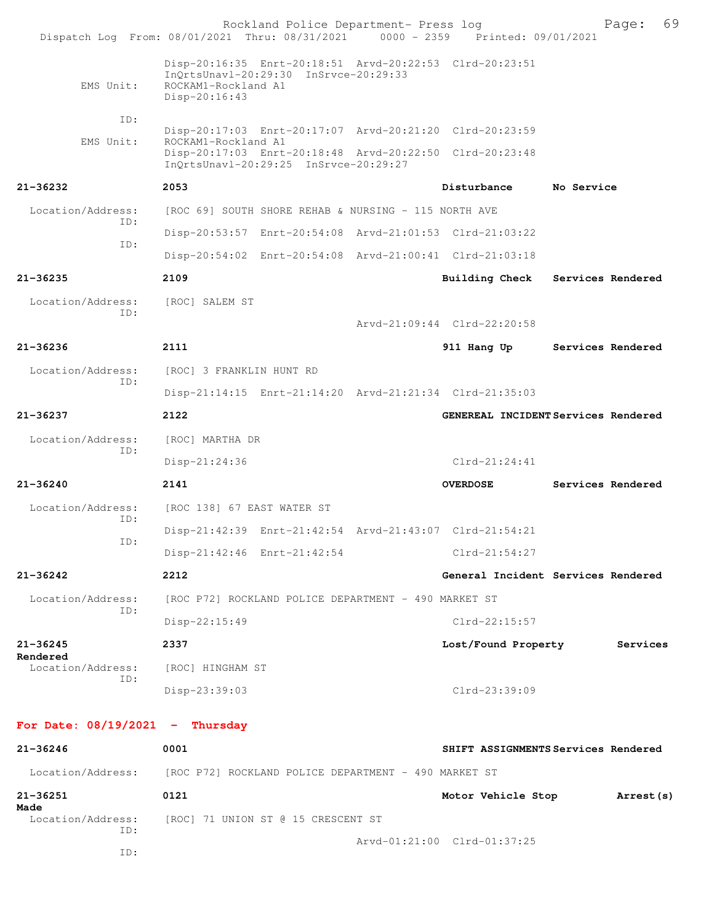|                                   | Rockland Police Department- Press log<br>Dispatch Log From: 08/01/2021 Thru: 08/31/2021 0000 - 2359 Printed: 09/01/2021                  |                                     |                   | 69<br>Page: |
|-----------------------------------|------------------------------------------------------------------------------------------------------------------------------------------|-------------------------------------|-------------------|-------------|
| EMS Unit:                         | Disp-20:16:35 Enrt-20:18:51 Arvd-20:22:53 Clrd-20:23:51<br>InQrtsUnavl-20:29:30 InSrvce-20:29:33<br>ROCKAM1-Rockland A1<br>Disp-20:16:43 |                                     |                   |             |
| ID:                               |                                                                                                                                          |                                     |                   |             |
| EMS Unit:                         | Disp-20:17:03 Enrt-20:17:07 Arvd-20:21:20 Clrd-20:23:59<br>ROCKAM1-Rockland A1                                                           |                                     |                   |             |
|                                   | Disp-20:17:03 Enrt-20:18:48 Arvd-20:22:50 Clrd-20:23:48<br>InQrtsUnavl-20:29:25 InSrvce-20:29:27                                         |                                     |                   |             |
| $21 - 36232$                      | 2053                                                                                                                                     | Disturbance                         | No Service        |             |
| Location/Address:                 | [ROC 69] SOUTH SHORE REHAB & NURSING - 115 NORTH AVE                                                                                     |                                     |                   |             |
| ID:                               | Disp-20:53:57 Enrt-20:54:08 Arvd-21:01:53 Clrd-21:03:22                                                                                  |                                     |                   |             |
| ID:                               | Disp-20:54:02 Enrt-20:54:08 Arvd-21:00:41 Clrd-21:03:18                                                                                  |                                     |                   |             |
| $21 - 36235$                      | 2109                                                                                                                                     | Building Check Services Rendered    |                   |             |
| Location/Address:                 | [ROC] SALEM ST                                                                                                                           |                                     |                   |             |
| ID:                               |                                                                                                                                          | Arvd-21:09:44 Clrd-22:20:58         |                   |             |
| $21 - 36236$                      | 2111                                                                                                                                     | 911 Hang Up                         | Services Rendered |             |
| Location/Address:                 | [ROC] 3 FRANKLIN HUNT RD                                                                                                                 |                                     |                   |             |
| ID:                               | Disp-21:14:15 Enrt-21:14:20 Arvd-21:21:34 Clrd-21:35:03                                                                                  |                                     |                   |             |
| 21-36237                          | 2122                                                                                                                                     | GENEREAL INCIDENT Services Rendered |                   |             |
| Location/Address:                 | [ROC] MARTHA DR                                                                                                                          |                                     |                   |             |
| ID:                               | $Disp-21:24:36$                                                                                                                          | $Clrd-21:24:41$                     |                   |             |
| $21 - 36240$                      | 2141                                                                                                                                     | <b>OVERDOSE</b>                     | Services Rendered |             |
| Location/Address:                 | [ROC 138] 67 EAST WATER ST                                                                                                               |                                     |                   |             |
| ID:                               | Disp-21:42:39 Enrt-21:42:54 Arvd-21:43:07 Clrd-21:54:21                                                                                  |                                     |                   |             |
| ID:                               | Disp-21:42:46 Enrt-21:42:54                                                                                                              | $Clrd-21:54:27$                     |                   |             |
| 21-36242                          | 2212                                                                                                                                     | General Incident Services Rendered  |                   |             |
| Location/Address:                 | [ROC P72] ROCKLAND POLICE DEPARTMENT - 490 MARKET ST                                                                                     |                                     |                   |             |
| ID:                               | Disp-22:15:49                                                                                                                            | $Clrd-22:15:57$                     |                   |             |
| 21-36245                          | 2337                                                                                                                                     | Lost/Found Property                 |                   | Services    |
| Rendered<br>Location/Address:     | [ROC] HINGHAM ST                                                                                                                         |                                     |                   |             |
| ID:                               | Disp-23:39:03                                                                                                                            | Clrd-23:39:09                       |                   |             |
| For Date: $08/19/2021$ - Thursday |                                                                                                                                          |                                     |                   |             |
| 21-36246                          | 0001                                                                                                                                     | SHIFT ASSIGNMENTS Services Rendered |                   |             |
| Location/Address:                 | [ROC P72] ROCKLAND POLICE DEPARTMENT - 490 MARKET ST                                                                                     |                                     |                   |             |
| $21 - 36251$                      | 0121                                                                                                                                     | Motor Vehicle Stop                  |                   | Arrest (s)  |
| Made<br>Location/Address:         | [ROC] 71 UNION ST @ 15 CRESCENT ST                                                                                                       |                                     |                   |             |
| ID:<br>ID:                        |                                                                                                                                          | Arvd-01:21:00 Clrd-01:37:25         |                   |             |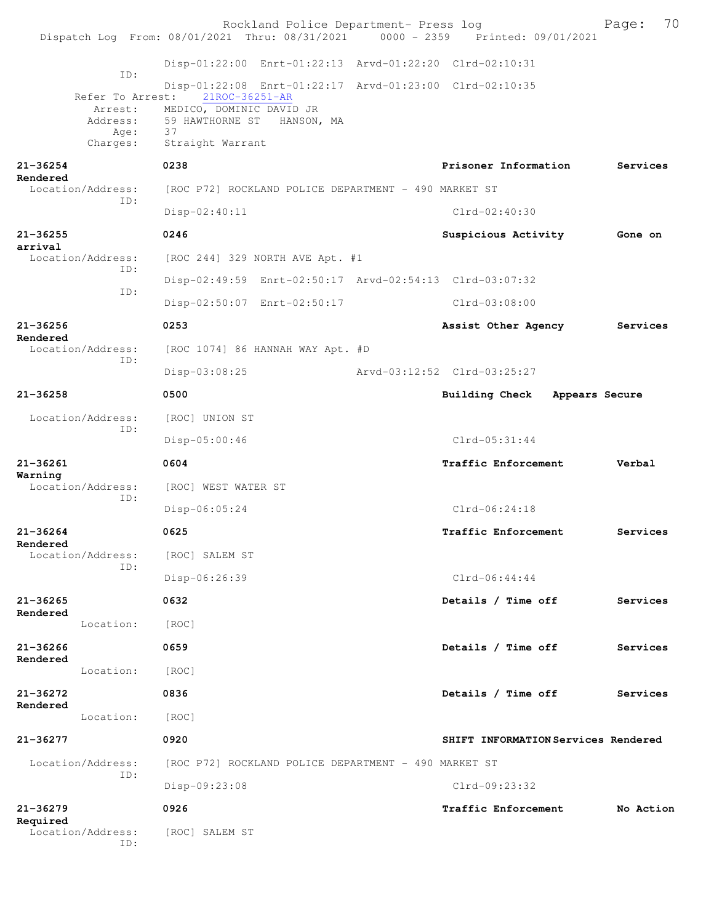|                             | Rockland Police Department- Press log                                          |                                     | 70<br>Page: |
|-----------------------------|--------------------------------------------------------------------------------|-------------------------------------|-------------|
|                             | Dispatch Log From: 08/01/2021 Thru: 08/31/2021 0000 - 2359 Printed: 09/01/2021 |                                     |             |
|                             | Disp-01:22:00 Enrt-01:22:13 Arvd-01:22:20 Clrd-02:10:31                        |                                     |             |
| ID:<br>Refer To Arrest:     | Disp-01:22:08 Enrt-01:22:17 Arvd-01:23:00 Clrd-02:10:35<br>21ROC-36251-AR      |                                     |             |
| Arrest:<br>Address:<br>Age: | MEDICO, DOMINIC DAVID JR<br>59 HAWTHORNE ST HANSON, MA<br>37                   |                                     |             |
| Charges:                    | Straight Warrant                                                               |                                     |             |
| 21-36254<br>Rendered        | 0238                                                                           | Prisoner Information                | Services    |
| Location/Address:<br>ID:    | [ROC P72] ROCKLAND POLICE DEPARTMENT - 490 MARKET ST                           |                                     |             |
|                             | $Disp-02:40:11$                                                                | $Clrd-02:40:30$                     |             |
| 21-36255<br>arrival         | 0246                                                                           | Suspicious Activity                 | Gone on     |
| Location/Address:<br>ID:    | [ROC 244] 329 NORTH AVE Apt. #1                                                |                                     |             |
| ID:                         | Disp-02:49:59 Enrt-02:50:17 Arvd-02:54:13 Clrd-03:07:32                        |                                     |             |
|                             | Disp-02:50:07 Enrt-02:50:17                                                    | $Clrd-03:08:00$                     |             |
| $21 - 36256$<br>Rendered    | 0253                                                                           | Assist Other Agency                 | Services    |
| Location/Address:<br>ID:    | [ROC 1074] 86 HANNAH WAY Apt. #D                                               |                                     |             |
|                             | $Disp-03:08:25$                                                                | Arvd-03:12:52 Clrd-03:25:27         |             |
| $21 - 36258$                | 0500                                                                           | Building Check<br>Appears Secure    |             |
| Location/Address:<br>ID:    | [ROC] UNION ST                                                                 |                                     |             |
|                             | $Disp-05:00:46$                                                                | $Clrd-05:31:44$                     |             |
| 21-36261<br>Warning         | 0604                                                                           | Traffic Enforcement                 | Verbal      |
| Location/Address:<br>ID:    | [ROC] WEST WATER ST                                                            |                                     |             |
|                             | $Disp-06:05:24$                                                                | Clrd-06:24:18                       |             |
| $21 - 36264$<br>Rendered    | 0625                                                                           | <b>Traffic Enforcement</b>          | Services    |
| Location/Address:<br>ID:    | [ROC] SALEM ST                                                                 |                                     |             |
|                             | Disp-06:26:39                                                                  | $Clrd-06:44:44$                     |             |
| 21-36265<br>Rendered        | 0632                                                                           | Details / Time off                  | Services    |
| Location:                   | [ROC]                                                                          |                                     |             |
| 21-36266<br>Rendered        | 0659                                                                           | Details / Time off                  | Services    |
| Location:                   | [ROC]                                                                          |                                     |             |
| 21-36272<br>Rendered        | 0836                                                                           | Details / Time off                  | Services    |
| Location:                   | [ROC]                                                                          |                                     |             |
| 21-36277                    | 0920                                                                           | SHIFT INFORMATION Services Rendered |             |
| Location/Address:<br>ID:    | [ROC P72] ROCKLAND POLICE DEPARTMENT - 490 MARKET ST                           |                                     |             |
|                             | Disp-09:23:08                                                                  | Clrd-09:23:32                       |             |
| 21-36279<br>Required        | 0926                                                                           | Traffic Enforcement                 | No Action   |
| Location/Address:<br>ID:    | [ROC] SALEM ST                                                                 |                                     |             |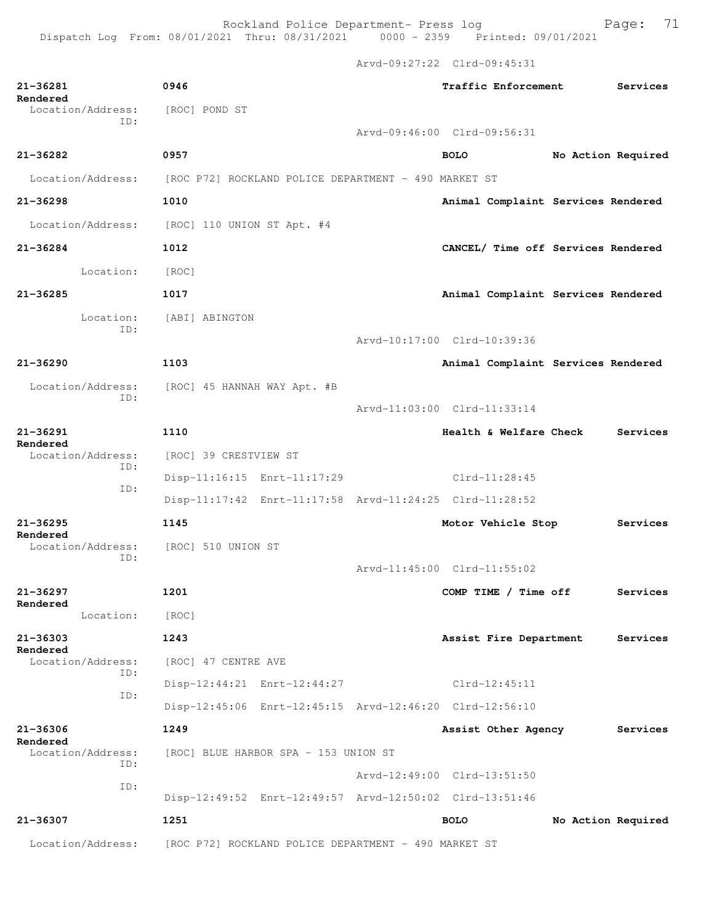Arvd-09:27:22 Clrd-09:45:31

| 21-36281<br>Rendered                                        | 0946                                                                   |  | Traffic Enforcement                |                    | Services           |
|-------------------------------------------------------------|------------------------------------------------------------------------|--|------------------------------------|--------------------|--------------------|
| Location/Address:<br>ID:                                    | [ROC] POND ST                                                          |  |                                    |                    |                    |
|                                                             |                                                                        |  | Arvd-09:46:00 Clrd-09:56:31        |                    |                    |
| 21-36282                                                    | 0957                                                                   |  | <b>BOLO</b>                        | No Action Required |                    |
|                                                             | Location/Address: [ROC P72] ROCKLAND POLICE DEPARTMENT - 490 MARKET ST |  |                                    |                    |                    |
| $21 - 36298$                                                | 1010                                                                   |  | Animal Complaint Services Rendered |                    |                    |
| Location/Address:                                           | [ROC] 110 UNION ST Apt. #4                                             |  |                                    |                    |                    |
| 21-36284                                                    | 1012                                                                   |  | CANCEL/ Time off Services Rendered |                    |                    |
| Location:                                                   | [ROC]                                                                  |  |                                    |                    |                    |
| $21 - 36285$                                                | 1017                                                                   |  | Animal Complaint Services Rendered |                    |                    |
| Location:                                                   | [ABI] ABINGTON                                                         |  |                                    |                    |                    |
| ID:                                                         |                                                                        |  | Arvd-10:17:00 Clrd-10:39:36        |                    |                    |
| $21 - 36290$                                                | 1103                                                                   |  | Animal Complaint Services Rendered |                    |                    |
| Location/Address:                                           | [ROC] 45 HANNAH WAY Apt. #B                                            |  |                                    |                    |                    |
| TD:                                                         |                                                                        |  | Arvd-11:03:00 Clrd-11:33:14        |                    |                    |
| 21-36291                                                    | 1110                                                                   |  | Health & Welfare Check             |                    | Services           |
| Rendered<br>Location/Address:                               | [ROC] 39 CRESTVIEW ST                                                  |  |                                    |                    |                    |
| ID:                                                         | Disp-11:16:15 Enrt-11:17:29                                            |  | $Clrd-11:28:45$                    |                    |                    |
| ID:                                                         | Disp-11:17:42 Enrt-11:17:58 Arvd-11:24:25 Clrd-11:28:52                |  |                                    |                    |                    |
| $21 - 36295$                                                | 1145                                                                   |  | Motor Vehicle Stop                 |                    | Services           |
| Rendered<br>Location/Address:                               | [ROC] 510 UNION ST                                                     |  |                                    |                    |                    |
| ID:                                                         |                                                                        |  | Arvd-11:45:00 Clrd-11:55:02        |                    |                    |
| 21-36297                                                    | 1201                                                                   |  | COMP TIME / Time off               |                    | Services           |
| Rendered<br>Location:                                       | [ROC]                                                                  |  |                                    |                    |                    |
| $21 - 36303$                                                | 1243                                                                   |  | Assist Fire Department             |                    | Services           |
| Rendered<br>Location/Address:                               | [ROC] 47 CENTRE AVE                                                    |  |                                    |                    |                    |
| ID:                                                         | Disp-12:44:21 Enrt-12:44:27                                            |  | $Clrd-12:45:11$                    |                    |                    |
| ID:                                                         | Disp-12:45:06 Enrt-12:45:15 Arvd-12:46:20 Clrd-12:56:10                |  |                                    |                    |                    |
| $21 - 36306$<br>Rendered<br>Location/Address:<br>ID:<br>ID: | 1249                                                                   |  | Assist Other Agency                |                    | Services           |
|                                                             | [ROC] BLUE HARBOR SPA - 153 UNION ST                                   |  |                                    |                    |                    |
|                                                             |                                                                        |  | Arvd-12:49:00 Clrd-13:51:50        |                    |                    |
|                                                             | Disp-12:49:52 Enrt-12:49:57 Arvd-12:50:02 Clrd-13:51:46                |  |                                    |                    |                    |
| 21-36307                                                    | 1251                                                                   |  | <b>BOLO</b>                        |                    | No Action Required |
| Location/Address:                                           | [ROC P72] ROCKLAND POLICE DEPARTMENT - 490 MARKET ST                   |  |                                    |                    |                    |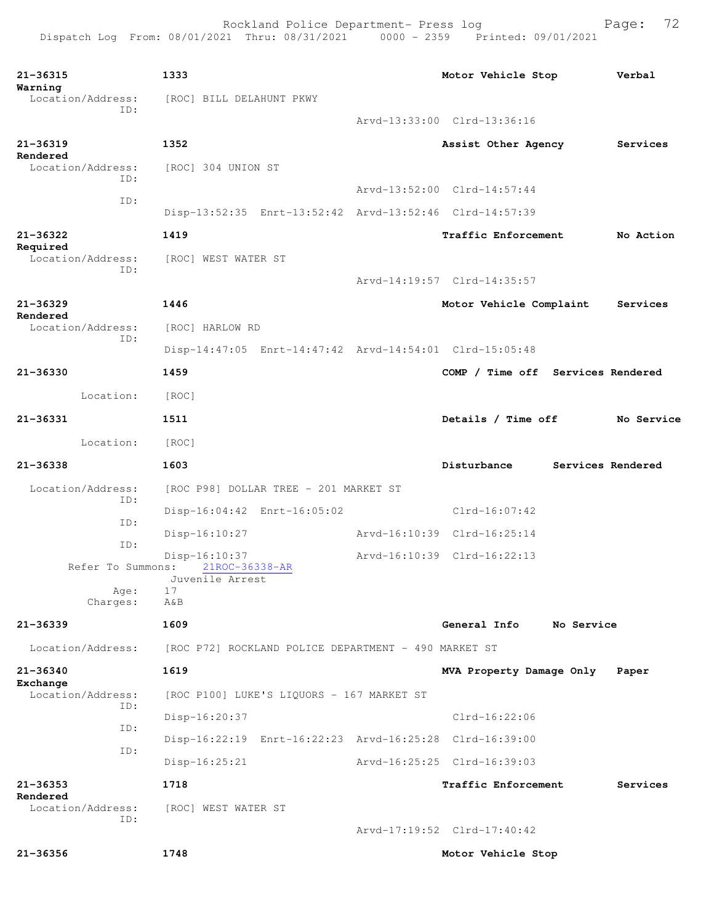```
21-36315 1333 Motor Vehicle Stop Verbal
Warning 
               [ROC] BILL DELAHUNT PKWY
           ID: 
                                     Arvd-13:33:00 Clrd-13:36:16
21-36319 1352 Assist Other Agency Services
Rendered 
              [ROC] 304 UNION ST
           ID: 
                                     Arvd-13:52:00 Clrd-14:57:44
           ID: 
                Disp-13:52:35 Enrt-13:52:42 Arvd-13:52:46 Clrd-14:57:39
21-36322 1419 Traffic Enforcement No Action
Required 
  Location/Address: [ROC] WEST WATER ST
           ID: 
                                    Arvd-14:19:57 Clrd-14:35:57
21-36329 1446 Motor Vehicle Complaint Services
Rendered 
  Location/Address: [ROC] HARLOW RD
           ID: 
                Disp-14:47:05 Enrt-14:47:42 Arvd-14:54:01 Clrd-15:05:48
21-36330 1459 COMP / Time off Services Rendered
       Location: [ROC] 
21-36331 1511 Details / Time off No Service
       Location: [ROC] 
21-36338 1603 Disturbance Services Rendered
  Location/Address: [ROC P98] DOLLAR TREE - 201 MARKET ST
           ID: 
                Disp-16:04:42 Enrt-16:05:02 Clrd-16:07:42
           ID: 
                Disp-16:10:27 Arvd-16:10:39 Clrd-16:25:14
           ID: 
     Disp-16:10:37 Arvd-16:10:39 Clrd-16:22:13<br>Refer To Summons: 21ROC-36338-AR
                  21ROC-36338-AR
                Juvenile Arrest
          Age:
        Charges: A&B
21-36339 1609 General Info No Service
 Location/Address: [ROC P72] ROCKLAND POLICE DEPARTMENT - 490 MARKET ST
21-36340 1619 MVA Property Damage Only Paper
Exchange 
 Location/Address: [ROC P100] LUKE'S LIQUORS - 167 MARKET ST
           ID: 
               Disp-16:20:37 Clrd-16:22:06
           ID: 
                Disp-16:22:19 Enrt-16:22:23 Arvd-16:25:28 Clrd-16:39:00
           ID: 
                Disp-16:25:21 Arvd-16:25:25 Clrd-16:39:03
21-36353 1718 Traffic Enforcement Services
Rendered 
  Location/Address: [ROC] WEST WATER ST
           ID: 
                                     Arvd-17:19:52 Clrd-17:40:42
21-36356 1748 Motor Vehicle Stop
```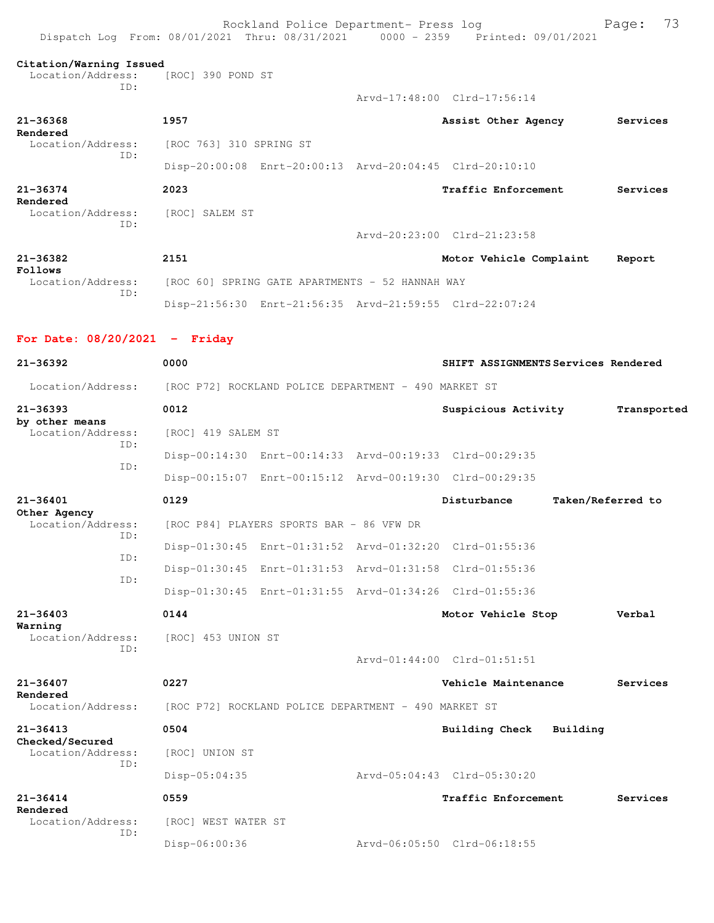| Dispatch Log From: 08/01/2021 Thru: 08/31/2021 0000 - 2359 Printed: 09/01/2021 |                                                 | Rockland Police Department- Press log                |                                                         |                   | 73<br>Page: |
|--------------------------------------------------------------------------------|-------------------------------------------------|------------------------------------------------------|---------------------------------------------------------|-------------------|-------------|
| Citation/Warning Issued<br>Location/Address:                                   | [ROC] 390 POND ST                               |                                                      |                                                         |                   |             |
| ID:                                                                            |                                                 |                                                      | Arvd-17:48:00 Clrd-17:56:14                             |                   |             |
| $21 - 36368$                                                                   | 1957                                            |                                                      | Assist Other Agency                                     |                   | Services    |
| Rendered<br>Location/Address:                                                  | [ROC 763] 310 SPRING ST                         |                                                      |                                                         |                   |             |
| ID:                                                                            |                                                 |                                                      | Disp-20:00:08 Enrt-20:00:13 Arvd-20:04:45 Clrd-20:10:10 |                   |             |
| $21 - 36374$                                                                   | 2023                                            |                                                      | Traffic Enforcement                                     |                   | Services    |
| Rendered<br>Location/Address:                                                  | [ROC] SALEM ST                                  |                                                      |                                                         |                   |             |
| ID:                                                                            |                                                 |                                                      | Arvd-20:23:00 Clrd-21:23:58                             |                   |             |
| $21 - 36382$                                                                   | 2151                                            |                                                      | Motor Vehicle Complaint                                 |                   | Report      |
| Follows<br>Location/Address:                                                   | [ROC 60] SPRING GATE APARTMENTS - 52 HANNAH WAY |                                                      |                                                         |                   |             |
| ID:                                                                            |                                                 |                                                      | Disp-21:56:30 Enrt-21:56:35 Arvd-21:59:55 Clrd-22:07:24 |                   |             |
| For Date: $08/20/2021$ - Friday                                                |                                                 |                                                      |                                                         |                   |             |
| $21 - 36392$                                                                   | 0000                                            |                                                      | SHIFT ASSIGNMENTS Services Rendered                     |                   |             |
| Location/Address:                                                              |                                                 | [ROC P72] ROCKLAND POLICE DEPARTMENT - 490 MARKET ST |                                                         |                   |             |
| $21 - 36393$                                                                   | 0012                                            |                                                      | Suspicious Activity                                     |                   | Transported |
| by other means<br>Location/Address:                                            | [ROC] 419 SALEM ST                              |                                                      |                                                         |                   |             |
| ID:<br>ID:                                                                     |                                                 |                                                      | Disp-00:14:30 Enrt-00:14:33 Arvd-00:19:33 Clrd-00:29:35 |                   |             |
|                                                                                |                                                 |                                                      | Disp-00:15:07 Enrt-00:15:12 Arvd-00:19:30 Clrd-00:29:35 |                   |             |
| 21-36401                                                                       | 0129                                            |                                                      | Disturbance                                             | Taken/Referred to |             |
| Other Agency<br>Location/Address:<br>ID:                                       |                                                 | [ROC P84] PLAYERS SPORTS BAR - 86 VFW DR             |                                                         |                   |             |
| ID:                                                                            |                                                 |                                                      | Disp-01:30:45 Enrt-01:31:52 Arvd-01:32:20 Clrd-01:55:36 |                   |             |
| ID:                                                                            |                                                 |                                                      | Disp-01:30:45 Enrt-01:31:53 Arvd-01:31:58 Clrd-01:55:36 |                   |             |
|                                                                                |                                                 |                                                      | Disp-01:30:45 Enrt-01:31:55 Arvd-01:34:26 Clrd-01:55:36 |                   |             |
| $21 - 36403$<br>Warning                                                        | 0144                                            |                                                      | Motor Vehicle Stop                                      |                   | Verbal      |
| Location/Address:<br>ID:                                                       | [ROC] 453 UNION ST                              |                                                      |                                                         |                   |             |
|                                                                                |                                                 |                                                      | Arvd-01:44:00 Clrd-01:51:51                             |                   |             |
| $21 - 36407$<br>Rendered                                                       | 0227                                            |                                                      | Vehicle Maintenance                                     |                   | Services    |
| Location/Address:                                                              |                                                 | [ROC P72] ROCKLAND POLICE DEPARTMENT - 490 MARKET ST |                                                         |                   |             |
| $21 - 36413$<br>Checked/Secured                                                | 0504                                            |                                                      | Building Check                                          | Building          |             |
| Location/Address:<br>ID:                                                       | [ROC] UNION ST                                  |                                                      |                                                         |                   |             |
|                                                                                | Disp-05:04:35                                   |                                                      | Arvd-05:04:43 Clrd-05:30:20                             |                   |             |
| $21 - 36414$<br>Rendered                                                       | 0559                                            |                                                      | Traffic Enforcement                                     |                   | Services    |
| Location/Address:<br>ID:                                                       | [ROC] WEST WATER ST                             |                                                      |                                                         |                   |             |
|                                                                                | Disp-06:00:36                                   |                                                      | Arvd-06:05:50 Clrd-06:18:55                             |                   |             |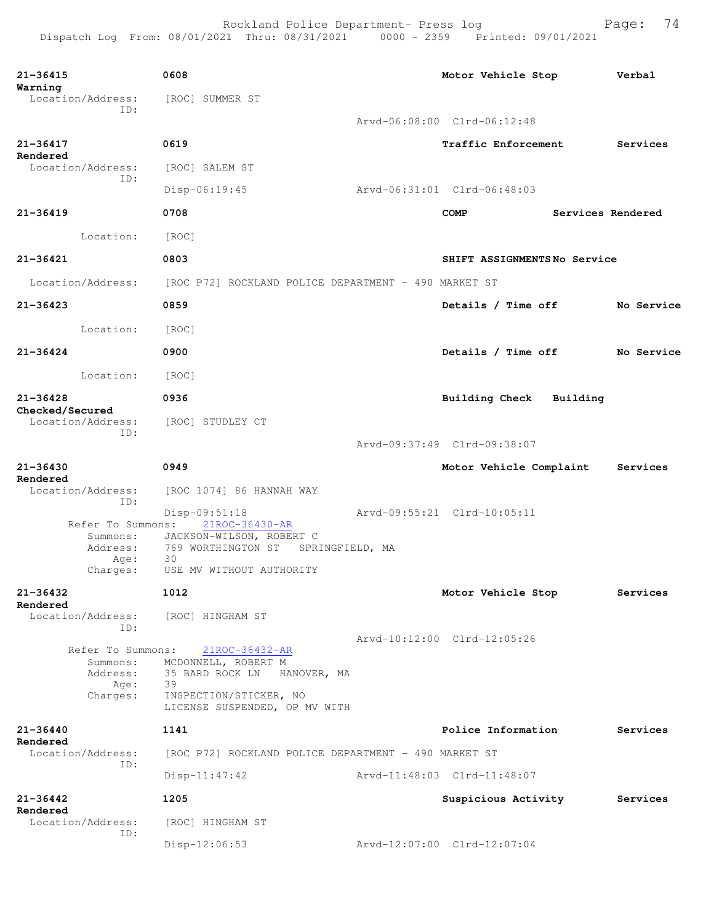| $21 - 36415$<br>Warning                                       | 0608                                                                                                                                           | Motor Vehicle Stop               | Verbal     |
|---------------------------------------------------------------|------------------------------------------------------------------------------------------------------------------------------------------------|----------------------------------|------------|
| Location/Address:<br>ID:                                      | [ROC] SUMMER ST                                                                                                                                |                                  |            |
|                                                               |                                                                                                                                                | Arvd-06:08:00 Clrd-06:12:48      |            |
| $21 - 36417$<br>Rendered                                      | 0619                                                                                                                                           | <b>Traffic Enforcement</b>       | Services   |
| Location/Address:<br>ID:                                      | [ROC] SALEM ST                                                                                                                                 |                                  |            |
|                                                               | $Disp-06:19:45$                                                                                                                                | Arvd-06:31:01 Clrd-06:48:03      |            |
| $21 - 36419$                                                  | 0708                                                                                                                                           | Services Rendered<br><b>COMP</b> |            |
| Location:                                                     | [ROC]                                                                                                                                          |                                  |            |
| 21-36421                                                      | 0803                                                                                                                                           | SHIFT ASSIGNMENTSNo Service      |            |
| Location/Address:                                             | [ROC P72] ROCKLAND POLICE DEPARTMENT - 490 MARKET ST                                                                                           |                                  |            |
| 21-36423                                                      | 0859                                                                                                                                           | Details / Time off               | No Service |
| Location:                                                     | [ROC]                                                                                                                                          |                                  |            |
| $21 - 36424$                                                  | 0900                                                                                                                                           | Details / Time off               | No Service |
| Location:                                                     | [ROC]                                                                                                                                          |                                  |            |
| 21-36428                                                      | 0936                                                                                                                                           | Building Check<br>Building       |            |
| Checked/Secured<br>Location/Address:<br>ID:                   | [ROC] STUDLEY CT                                                                                                                               |                                  |            |
|                                                               |                                                                                                                                                | Arvd-09:37:49 Clrd-09:38:07      |            |
| $21 - 36430$<br>Rendered                                      | 0949                                                                                                                                           | Motor Vehicle Complaint          | Services   |
| Location/Address:<br>ID:                                      | [ROC 1074] 86 HANNAH WAY                                                                                                                       |                                  |            |
| Refer To Summons:                                             | $Disp-09:51:18$<br>21ROC-36430-AR                                                                                                              | Arvd-09:55:21 Clrd-10:05:11      |            |
| Summons:<br>Address:<br>Age:                                  | JACKSON-WILSON, ROBERT C<br>769 WORTHINGTON ST<br>SPRINGFIELD, MA<br>30                                                                        |                                  |            |
| Charges:                                                      | USE MV WITHOUT AUTHORITY                                                                                                                       |                                  |            |
| $21 - 36432$<br>Rendered                                      | 1012                                                                                                                                           | Motor Vehicle Stop               | Services   |
| Location/Address:<br>ID:                                      | [ROC] HINGHAM ST                                                                                                                               |                                  |            |
| Refer To Summons:<br>Summons:<br>Address:<br>Age:<br>Charges: | $21ROC - 36432 - AR$<br>MCDONNELL, ROBERT M<br>35 BARD ROCK LN<br>HANOVER, MA<br>39<br>INSPECTION/STICKER, NO<br>LICENSE SUSPENDED, OP MV WITH | Arvd-10:12:00 Clrd-12:05:26      |            |
| $21 - 36440$                                                  | 1141                                                                                                                                           | Police Information               | Services   |
| Rendered<br>Location/Address:                                 | [ROC P72] ROCKLAND POLICE DEPARTMENT - 490 MARKET ST                                                                                           |                                  |            |
| ID:                                                           | $Disp-11:47:42$                                                                                                                                | Arvd-11:48:03 Clrd-11:48:07      |            |
| $21 - 36442$<br>Rendered                                      | 1205                                                                                                                                           | Suspicious Activity              | Services   |
| Location/Address:<br>ID:                                      | [ROC] HINGHAM ST                                                                                                                               |                                  |            |
|                                                               | $Disp-12:06:53$                                                                                                                                | Arvd-12:07:00 Clrd-12:07:04      |            |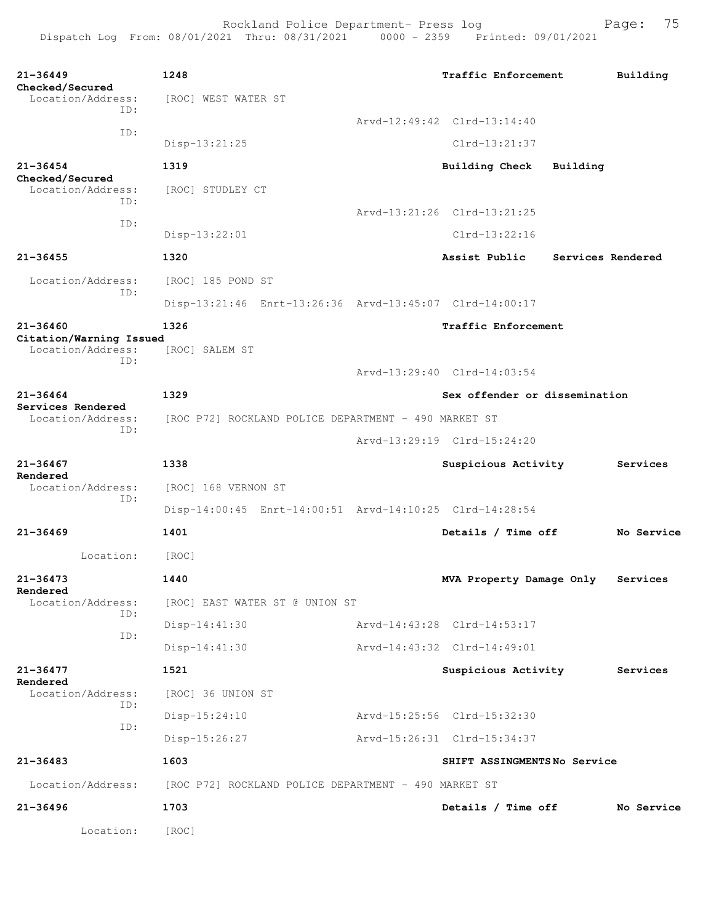```
21-36449 1248 Traffic Enforcement Building
Checked/Secured 
 Location/Address: [ROC] WEST WATER ST
           ID: 
                                   Arvd-12:49:42 Clrd-13:14:40
           ID: 
               Disp-13:21:25 Clrd-13:21:37
21-36454 1319 Building Check Building
Checked/Secured 
 Location/Address: [ROC] STUDLEY CT
           ID: 
          Arvd-13:21:26 Clrd-13:21:25
 ID: 
               Disp-13:22:01 Clrd-13:22:16
21-36455 1320 Assist Public Services Rendered
 Location/Address: [ROC] 185 POND ST
           ID: 
               Disp-13:21:46 Enrt-13:26:36 Arvd-13:45:07 Clrd-14:00:17
21-36460 1326 Traffic Enforcement
Citation/Warning Issued 
 Location/Address: [ROC] SALEM ST
           ID: 
                                   Arvd-13:29:40 Clrd-14:03:54
21-36464 1329 Sex offender or dissemination
Services Rendered 
 Location/Address: [ROC P72] ROCKLAND POLICE DEPARTMENT - 490 MARKET ST
 ID: 
                                   Arvd-13:29:19 Clrd-15:24:20
21-36467 1338 Suspicious Activity Services
Rendered 
              [ROC] 168 VERNON ST
           ID: 
               Disp-14:00:45 Enrt-14:00:51 Arvd-14:10:25 Clrd-14:28:54
21-36469 1401 Details / Time off No Service
       Location: [ROC] 
21-36473 1440 MVA Property Damage Only Services
Rendered 
  Location/Address: [ROC] EAST WATER ST @ UNION ST
           ID: 
               Disp-14:41:30 Arvd-14:43:28 Clrd-14:53:17
           ID: 
               Disp-14:41:30 Arvd-14:43:32 Clrd-14:49:01
21-36477 1521 Suspicious Activity Services
Rendered 
  Location/Address: [ROC] 36 UNION ST
           ID: 
                Disp-15:24:10 Arvd-15:25:56 Clrd-15:32:30
           ID: 
                Disp-15:26:27 Arvd-15:26:31 Clrd-15:34:37
21-36483 1603 SHIFT ASSINGMENTS No Service
  Location/Address: [ROC P72] ROCKLAND POLICE DEPARTMENT - 490 MARKET ST
21-36496 1703 Details / Time off No Service
       Location: [ROC]
```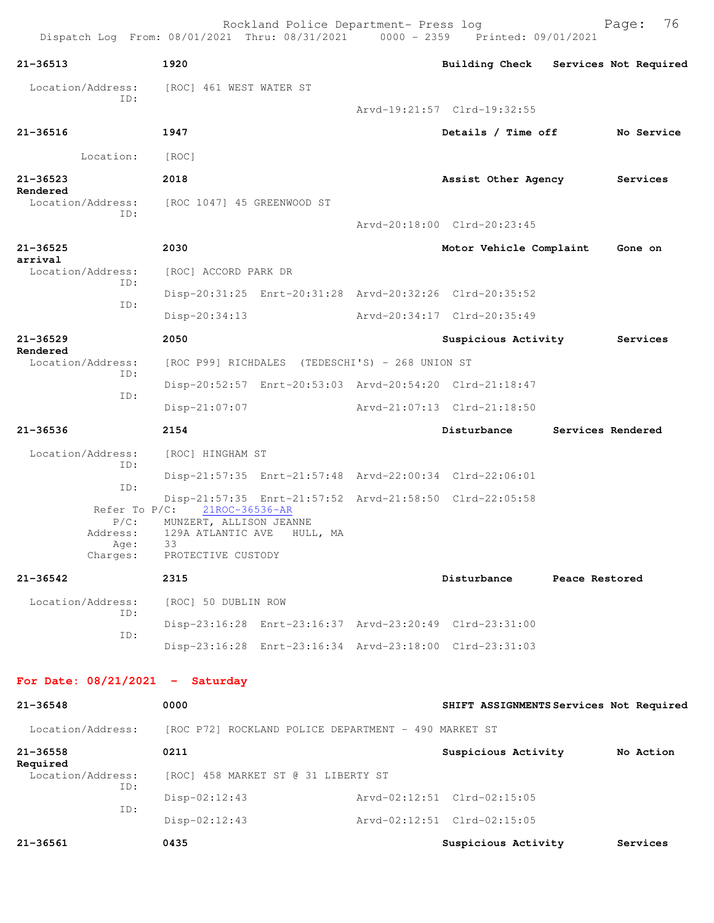|                                                          | Dispatch Log From: 08/01/2021 Thru: 08/31/2021 0000 - 2359 Printed: 09/01/2021             | Rockland Police Department- Press log |                                         |                   | Page:    | 76         |
|----------------------------------------------------------|--------------------------------------------------------------------------------------------|---------------------------------------|-----------------------------------------|-------------------|----------|------------|
| $21 - 36513$                                             | 1920                                                                                       |                                       | Building Check Services Not Required    |                   |          |            |
| Location/Address:                                        | [ROC] 461 WEST WATER ST                                                                    |                                       |                                         |                   |          |            |
| ID:                                                      |                                                                                            |                                       | Arvd-19:21:57 Clrd-19:32:55             |                   |          |            |
| $21 - 36516$                                             | 1947                                                                                       |                                       | Details / Time off                      |                   |          | No Service |
| Location:                                                | [ROC]                                                                                      |                                       |                                         |                   |          |            |
| 21-36523                                                 | 2018                                                                                       |                                       | Assist Other Agency                     |                   | Services |            |
| Rendered<br>Location/Address:<br>ID:                     | [ROC 1047] 45 GREENWOOD ST                                                                 |                                       | Arvd-20:18:00 Clrd-20:23:45             |                   |          |            |
| 21-36525                                                 | 2030                                                                                       |                                       | Motor Vehicle Complaint                 |                   | Gone on  |            |
| arrival<br>Location/Address:                             | [ROC] ACCORD PARK DR                                                                       |                                       |                                         |                   |          |            |
| ID:                                                      | Disp-20:31:25 Enrt-20:31:28 Arvd-20:32:26 Clrd-20:35:52                                    |                                       |                                         |                   |          |            |
| ID:                                                      | $Disp-20:34:13$                                                                            |                                       | Arvd-20:34:17 Clrd-20:35:49             |                   |          |            |
| $21 - 36529$                                             | 2050                                                                                       |                                       | Suspicious Activity                     |                   | Services |            |
| Rendered<br>Location/Address:                            | [ROC P99] RICHDALES (TEDESCHI'S) - 268 UNION ST                                            |                                       |                                         |                   |          |            |
| ID:                                                      | Disp-20:52:57 Enrt-20:53:03 Arvd-20:54:20 Clrd-21:18:47                                    |                                       |                                         |                   |          |            |
| ID:                                                      | Disp-21:07:07                                                                              |                                       | Arvd-21:07:13 Clrd-21:18:50             |                   |          |            |
| $21 - 36536$                                             | 2154                                                                                       |                                       | Disturbance                             | Services Rendered |          |            |
| Location/Address:                                        | [ROC] HINGHAM ST                                                                           |                                       |                                         |                   |          |            |
| ID:                                                      | Disp-21:57:35 Enrt-21:57:48 Arvd-22:00:34 Clrd-22:06:01                                    |                                       |                                         |                   |          |            |
| ID:                                                      | Disp-21:57:35 Enrt-21:57:52 Arvd-21:58:50 Clrd-22:05:58                                    |                                       |                                         |                   |          |            |
| Refer To P/C:<br>$P/C$ :<br>Address:<br>Age:<br>Charges: | 21ROC-36536-AR<br>MUNZERT, ALLISON JEANNE<br>129A ATLANTIC AVE<br>33<br>PROTECTIVE CUSTODY | HULL, MA                              |                                         |                   |          |            |
| $21 - 36542$                                             | 2315                                                                                       |                                       | Disturbance                             | Peace Restored    |          |            |
| Location/Address:                                        | [ROC] 50 DUBLIN ROW                                                                        |                                       |                                         |                   |          |            |
| ID:                                                      | Disp-23:16:28 Enrt-23:16:37 Arvd-23:20:49 Clrd-23:31:00                                    |                                       |                                         |                   |          |            |
| ID:                                                      | Disp-23:16:28 Enrt-23:16:34 Arvd-23:18:00 Clrd-23:31:03                                    |                                       |                                         |                   |          |            |
| For Date: $08/21/2021$ - Saturday                        |                                                                                            |                                       |                                         |                   |          |            |
| 21-36548                                                 | 0000                                                                                       |                                       | SHIFT ASSIGNMENTS Services Not Required |                   |          |            |
| Location/Address:                                        | [ROC P72] ROCKLAND POLICE DEPARTMENT - 490 MARKET ST                                       |                                       |                                         |                   |          |            |
| $21 - 36558$                                             | 0211                                                                                       |                                       | Suspicious Activity No Action           |                   |          |            |
| Required<br>Location/Address:                            | [ROC] 458 MARKET ST @ 31 LIBERTY ST                                                        |                                       |                                         |                   |          |            |
| ID:                                                      | $Disp-02:12:43$                                                                            |                                       | Arvd-02:12:51 Clrd-02:15:05             |                   |          |            |
| ID:                                                      | Disp-02:12:43                                                                              |                                       | Arvd-02:12:51 Clrd-02:15:05             |                   |          |            |
| 21-36561                                                 | 0435                                                                                       |                                       | Suspicious Activity                     |                   |          | Services   |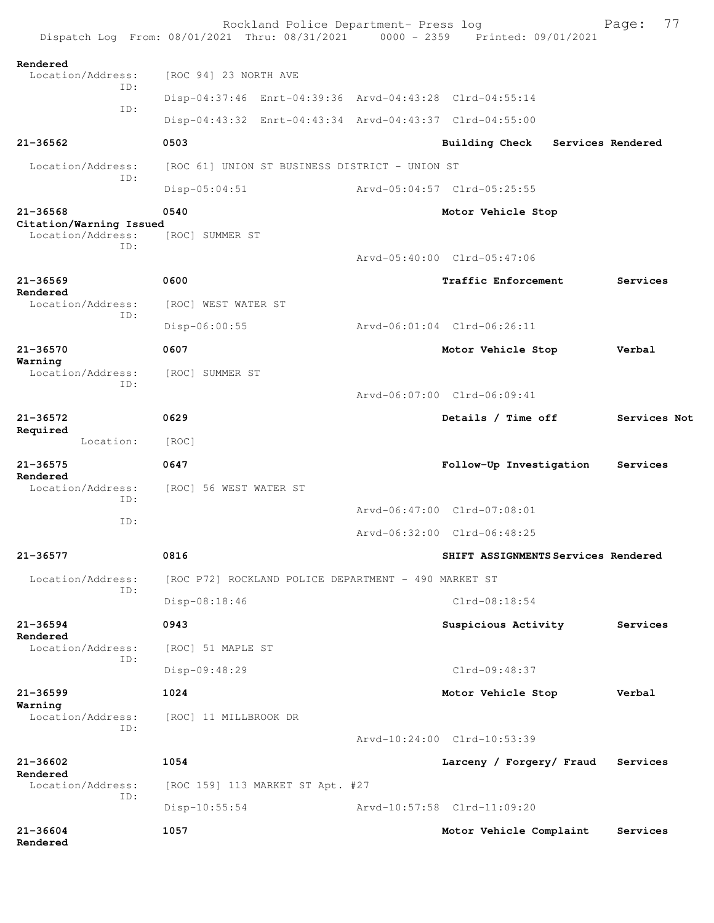|                                              | Rockland Police Department- Press log<br>Dispatch Log From: 08/01/2021 Thru: 08/31/2021 0000 - 2359 Printed: 09/01/2021 |                                     | 77<br>Page:       |
|----------------------------------------------|-------------------------------------------------------------------------------------------------------------------------|-------------------------------------|-------------------|
| Rendered<br>Location/Address:                | [ROC 94] 23 NORTH AVE                                                                                                   |                                     |                   |
| ID:                                          | Disp-04:37:46 Enrt-04:39:36 Arvd-04:43:28 Clrd-04:55:14                                                                 |                                     |                   |
| ID:                                          | Disp-04:43:32 Enrt-04:43:34 Arvd-04:43:37 Clrd-04:55:00                                                                 |                                     |                   |
| $21 - 36562$                                 | 0503                                                                                                                    | Building Check                      | Services Rendered |
| Location/Address:                            | [ROC 61] UNION ST BUSINESS DISTRICT - UNION ST                                                                          |                                     |                   |
| ID:                                          | $Disp-05:04:51$                                                                                                         | Arvd-05:04:57 Clrd-05:25:55         |                   |
| $21 - 36568$                                 | 0540                                                                                                                    | Motor Vehicle Stop                  |                   |
| Citation/Warning Issued<br>Location/Address: | [ROC] SUMMER ST                                                                                                         |                                     |                   |
| TD:                                          |                                                                                                                         | Arvd-05:40:00 Clrd-05:47:06         |                   |
| $21 - 36569$                                 | 0600                                                                                                                    | Traffic Enforcement                 | Services          |
| Rendered<br>Location/Address:                | [ROC] WEST WATER ST                                                                                                     |                                     |                   |
| ID:                                          | Disp-06:00:55                                                                                                           | Arvd-06:01:04 Clrd-06:26:11         |                   |
| 21-36570                                     | 0607                                                                                                                    | Motor Vehicle Stop                  | Verbal            |
| Warning<br>Location/Address:                 | [ROC] SUMMER ST                                                                                                         |                                     |                   |
| TD:                                          |                                                                                                                         | Arvd-06:07:00 Clrd-06:09:41         |                   |
| 21-36572                                     | 0629                                                                                                                    | Details / Time off                  | Services Not      |
| Required<br>Location:                        | [ROC]                                                                                                                   |                                     |                   |
| $21 - 36575$                                 | 0647                                                                                                                    | Follow-Up Investigation             | Services          |
| Rendered<br>Location/Address:<br>ID:         | [ROC] 56 WEST WATER ST                                                                                                  |                                     |                   |
| ID:                                          |                                                                                                                         | Arvd-06:47:00 Clrd-07:08:01         |                   |
|                                              |                                                                                                                         | Arvd-06:32:00 Clrd-06:48:25         |                   |
| 21-36577                                     | 0816                                                                                                                    | SHIFT ASSIGNMENTS Services Rendered |                   |
| Location/Address:<br>TD:                     | [ROC P72] ROCKLAND POLICE DEPARTMENT - 490 MARKET ST                                                                    |                                     |                   |
|                                              | Disp-08:18:46                                                                                                           | $Clrd-08:18:54$                     |                   |
| $21 - 36594$<br>Rendered                     | 0943                                                                                                                    | Suspicious Activity                 | Services          |
| Location/Address:<br>TD:                     | [ROC] 51 MAPLE ST                                                                                                       |                                     |                   |
|                                              | Disp-09:48:29                                                                                                           | Clrd-09:48:37                       |                   |
| $21 - 36599$                                 | 1024                                                                                                                    | Motor Vehicle Stop                  | Verbal            |
| Warning<br>Location/Address:<br>TD:          | [ROC] 11 MILLBROOK DR                                                                                                   |                                     |                   |
|                                              |                                                                                                                         | Arvd-10:24:00 Clrd-10:53:39         |                   |
| 21-36602<br>Rendered                         | 1054                                                                                                                    | Larceny / Forgery/ Fraud            | Services          |
| Location/Address:<br>TD:                     | [ROC 159] 113 MARKET ST Apt. #27                                                                                        |                                     |                   |
|                                              | $Disp-10:55:54$                                                                                                         | Arvd-10:57:58 Clrd-11:09:20         |                   |
| 21-36604<br>Rendered                         | 1057                                                                                                                    | Motor Vehicle Complaint             | Services          |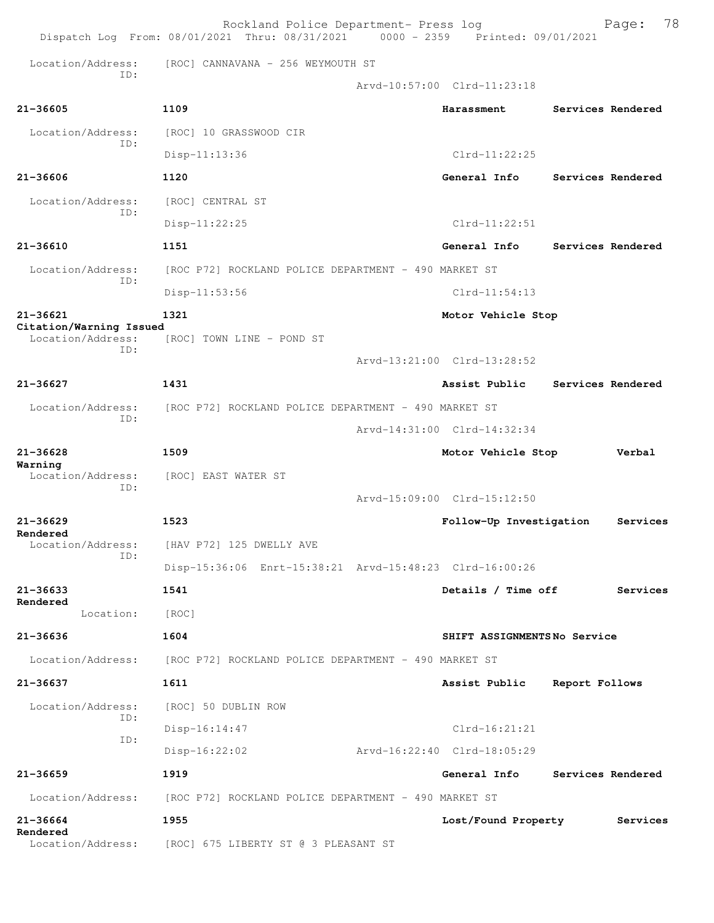|                                              | Rockland Police Department- Press log<br>Dispatch Log From: 08/01/2021 Thru: 08/31/2021 0000 - 2359 Printed: 09/01/2021 |                             |                   | Page:             | 78 |
|----------------------------------------------|-------------------------------------------------------------------------------------------------------------------------|-----------------------------|-------------------|-------------------|----|
| Location/Address:                            | [ROC] CANNAVANA - 256 WEYMOUTH ST                                                                                       |                             |                   |                   |    |
| TD:                                          |                                                                                                                         | Arvd-10:57:00 Clrd-11:23:18 |                   |                   |    |
| 21-36605                                     | 1109                                                                                                                    | Harassment                  |                   | Services Rendered |    |
| Location/Address:                            | [ROC] 10 GRASSWOOD CIR                                                                                                  |                             |                   |                   |    |
| ID:                                          | $Disp-11:13:36$                                                                                                         | $Clrd-11:22:25$             |                   |                   |    |
| 21-36606                                     | 1120                                                                                                                    | General Info                |                   | Services Rendered |    |
| Location/Address:                            | [ROC] CENTRAL ST                                                                                                        |                             |                   |                   |    |
| TD:                                          | $Disp-11:22:25$                                                                                                         | $Clrd-11:22:51$             |                   |                   |    |
| $21 - 36610$                                 | 1151                                                                                                                    | General Info                |                   | Services Rendered |    |
| Location/Address:                            | [ROC P72] ROCKLAND POLICE DEPARTMENT - 490 MARKET ST                                                                    |                             |                   |                   |    |
| ID:                                          | Disp-11:53:56                                                                                                           | $C1rd-11:54:13$             |                   |                   |    |
| 21-36621                                     | 1321                                                                                                                    | Motor Vehicle Stop          |                   |                   |    |
| Citation/Warning Issued<br>Location/Address: | [ROC] TOWN LINE - POND ST                                                                                               |                             |                   |                   |    |
| ID:                                          |                                                                                                                         | Arvd-13:21:00 Clrd-13:28:52 |                   |                   |    |
| $21 - 36627$                                 | 1431                                                                                                                    | Assist Public               |                   | Services Rendered |    |
| Location/Address:                            | [ROC P72] ROCKLAND POLICE DEPARTMENT - 490 MARKET ST                                                                    |                             |                   |                   |    |
| TD:                                          |                                                                                                                         | Arvd-14:31:00 Clrd-14:32:34 |                   |                   |    |
| $21 - 36628$                                 | 1509                                                                                                                    | Motor Vehicle Stop          |                   | Verbal            |    |
| Warning<br>Location/Address:                 | [ROC] EAST WATER ST                                                                                                     |                             |                   |                   |    |
| ID:                                          |                                                                                                                         | Arvd-15:09:00 Clrd-15:12:50 |                   |                   |    |
| $21 - 36629$                                 | 1523                                                                                                                    | Follow-Up Investigation     |                   | Services          |    |
| Rendered<br>Location/Address:                | [HAV P72] 125 DWELLY AVE                                                                                                |                             |                   |                   |    |
| ID:                                          | Disp-15:36:06 Enrt-15:38:21 Arvd-15:48:23 Clrd-16:00:26                                                                 |                             |                   |                   |    |
| $21 - 36633$                                 | 1541                                                                                                                    | Details / Time off          |                   | Services          |    |
| Rendered<br>Location:                        | [ROC]                                                                                                                   |                             |                   |                   |    |
| $21 - 36636$                                 | 1604                                                                                                                    | SHIFT ASSIGNMENTSNo Service |                   |                   |    |
| Location/Address:                            | [ROC P72] ROCKLAND POLICE DEPARTMENT - 490 MARKET ST                                                                    |                             |                   |                   |    |
| 21-36637                                     | 1611                                                                                                                    | Assist Public               | Report Follows    |                   |    |
| Location/Address:                            | [ROC] 50 DUBLIN ROW                                                                                                     |                             |                   |                   |    |
| ID:                                          | $Disp-16:14:47$                                                                                                         | $Clrd-16:21:21$             |                   |                   |    |
| ID:                                          | $Disp-16:22:02$                                                                                                         | Arvd-16:22:40 Clrd-18:05:29 |                   |                   |    |
| 21-36659                                     | 1919                                                                                                                    | General Info                | Services Rendered |                   |    |
| Location/Address:                            | [ROC P72] ROCKLAND POLICE DEPARTMENT - 490 MARKET ST                                                                    |                             |                   |                   |    |
| 21-36664                                     | 1955                                                                                                                    | Lost/Found Property         |                   | Services          |    |
| Rendered<br>Location/Address:                | [ROC] 675 LIBERTY ST @ 3 PLEASANT ST                                                                                    |                             |                   |                   |    |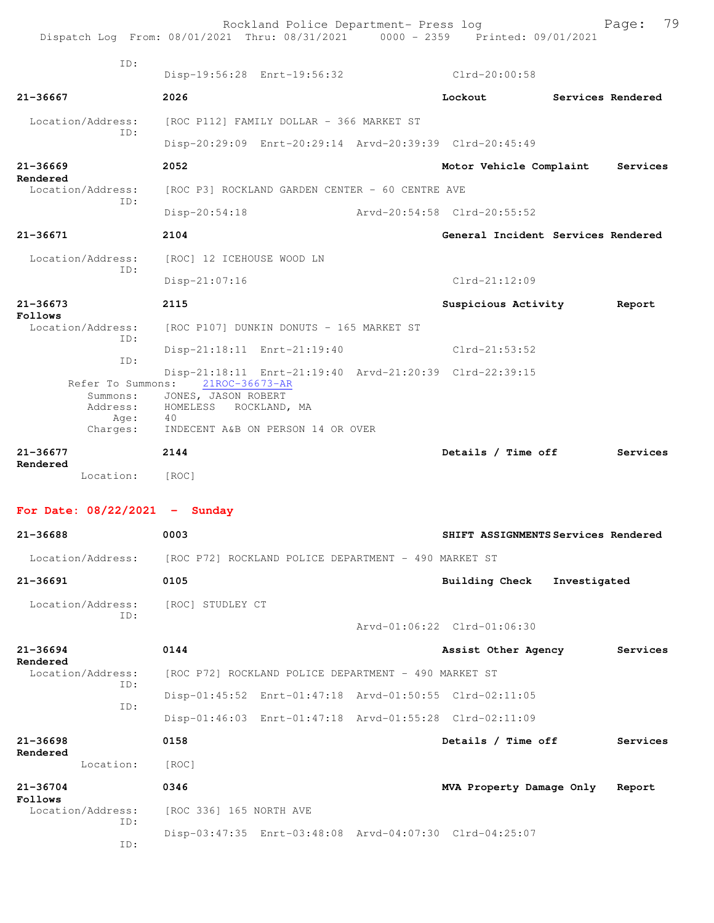| TD:<br>$Clrd-20:00:58$<br>Disp-19:56:28 Enrt-19:56:32<br>2026<br>21-36667<br>Lockout<br><b>Services Rendered</b><br>[ROC P112] FAMILY DOLLAR - 366 MARKET ST<br>Location/Address:<br>TD:<br>Disp-20:29:09 Enrt-20:29:14 Arvd-20:39:39 Clrd-20:45:49<br>$21 - 36669$<br>2052<br>Motor Vehicle Complaint<br>Services<br>Rendered<br>Location/Address:<br>[ROC P3] ROCKLAND GARDEN CENTER - 60 CENTRE AVE<br>ID:<br>$Disp-20:54:18$<br>Arvd-20:54:58 Clrd-20:55:52<br>21-36671<br>2104<br>General Incident Services Rendered<br>Location/Address:<br>[ROC] 12 ICEHOUSE WOOD LN<br>TD:<br>$Clrd-21:12:09$<br>Disp-21:07:16<br>$21 - 36673$<br>2115<br>Suspicious Activity<br>Report<br>Follows<br>Location/Address:<br>[ROC P107] DUNKIN DONUTS - 165 MARKET ST<br>TD:<br>Disp-21:18:11 Enrt-21:19:40<br>$Clrd-21:53:52$<br>ID:<br>Disp-21:18:11 Enrt-21:19:40 Arvd-21:20:39 Clrd-22:39:15<br>Refer To Summons:<br>21ROC-36673-AR<br>JONES, JASON ROBERT<br>Summons:<br>Address:<br>HOMELESS<br>ROCKLAND, MA<br>Age:<br>40<br>INDECENT A&B ON PERSON 14 OR OVER<br>Charges:<br>$21 - 36677$<br>2144<br>Details / Time off<br>Services<br>Rendered<br>Location:<br>[ROC]<br>For Date: $08/22/2021$ - Sunday<br>21-36688<br>0003<br>SHIFT ASSIGNMENTS Services Rendered<br>Location/Address: [ROC P72] ROCKLAND POLICE DEPARTMENT - 490 MARKET ST<br>0105<br>$21 - 36691$<br><b>Building Check</b><br>Investigated |                                                         |  |
|--------------------------------------------------------------------------------------------------------------------------------------------------------------------------------------------------------------------------------------------------------------------------------------------------------------------------------------------------------------------------------------------------------------------------------------------------------------------------------------------------------------------------------------------------------------------------------------------------------------------------------------------------------------------------------------------------------------------------------------------------------------------------------------------------------------------------------------------------------------------------------------------------------------------------------------------------------------------------------------------------------------------------------------------------------------------------------------------------------------------------------------------------------------------------------------------------------------------------------------------------------------------------------------------------------------------------------------------------------------------------------------------------------------|---------------------------------------------------------|--|
|                                                                                                                                                                                                                                                                                                                                                                                                                                                                                                                                                                                                                                                                                                                                                                                                                                                                                                                                                                                                                                                                                                                                                                                                                                                                                                                                                                                                              |                                                         |  |
|                                                                                                                                                                                                                                                                                                                                                                                                                                                                                                                                                                                                                                                                                                                                                                                                                                                                                                                                                                                                                                                                                                                                                                                                                                                                                                                                                                                                              |                                                         |  |
|                                                                                                                                                                                                                                                                                                                                                                                                                                                                                                                                                                                                                                                                                                                                                                                                                                                                                                                                                                                                                                                                                                                                                                                                                                                                                                                                                                                                              |                                                         |  |
|                                                                                                                                                                                                                                                                                                                                                                                                                                                                                                                                                                                                                                                                                                                                                                                                                                                                                                                                                                                                                                                                                                                                                                                                                                                                                                                                                                                                              |                                                         |  |
|                                                                                                                                                                                                                                                                                                                                                                                                                                                                                                                                                                                                                                                                                                                                                                                                                                                                                                                                                                                                                                                                                                                                                                                                                                                                                                                                                                                                              |                                                         |  |
|                                                                                                                                                                                                                                                                                                                                                                                                                                                                                                                                                                                                                                                                                                                                                                                                                                                                                                                                                                                                                                                                                                                                                                                                                                                                                                                                                                                                              |                                                         |  |
|                                                                                                                                                                                                                                                                                                                                                                                                                                                                                                                                                                                                                                                                                                                                                                                                                                                                                                                                                                                                                                                                                                                                                                                                                                                                                                                                                                                                              |                                                         |  |
|                                                                                                                                                                                                                                                                                                                                                                                                                                                                                                                                                                                                                                                                                                                                                                                                                                                                                                                                                                                                                                                                                                                                                                                                                                                                                                                                                                                                              |                                                         |  |
|                                                                                                                                                                                                                                                                                                                                                                                                                                                                                                                                                                                                                                                                                                                                                                                                                                                                                                                                                                                                                                                                                                                                                                                                                                                                                                                                                                                                              |                                                         |  |
|                                                                                                                                                                                                                                                                                                                                                                                                                                                                                                                                                                                                                                                                                                                                                                                                                                                                                                                                                                                                                                                                                                                                                                                                                                                                                                                                                                                                              |                                                         |  |
|                                                                                                                                                                                                                                                                                                                                                                                                                                                                                                                                                                                                                                                                                                                                                                                                                                                                                                                                                                                                                                                                                                                                                                                                                                                                                                                                                                                                              |                                                         |  |
|                                                                                                                                                                                                                                                                                                                                                                                                                                                                                                                                                                                                                                                                                                                                                                                                                                                                                                                                                                                                                                                                                                                                                                                                                                                                                                                                                                                                              |                                                         |  |
|                                                                                                                                                                                                                                                                                                                                                                                                                                                                                                                                                                                                                                                                                                                                                                                                                                                                                                                                                                                                                                                                                                                                                                                                                                                                                                                                                                                                              |                                                         |  |
|                                                                                                                                                                                                                                                                                                                                                                                                                                                                                                                                                                                                                                                                                                                                                                                                                                                                                                                                                                                                                                                                                                                                                                                                                                                                                                                                                                                                              |                                                         |  |
|                                                                                                                                                                                                                                                                                                                                                                                                                                                                                                                                                                                                                                                                                                                                                                                                                                                                                                                                                                                                                                                                                                                                                                                                                                                                                                                                                                                                              |                                                         |  |
|                                                                                                                                                                                                                                                                                                                                                                                                                                                                                                                                                                                                                                                                                                                                                                                                                                                                                                                                                                                                                                                                                                                                                                                                                                                                                                                                                                                                              |                                                         |  |
|                                                                                                                                                                                                                                                                                                                                                                                                                                                                                                                                                                                                                                                                                                                                                                                                                                                                                                                                                                                                                                                                                                                                                                                                                                                                                                                                                                                                              |                                                         |  |
|                                                                                                                                                                                                                                                                                                                                                                                                                                                                                                                                                                                                                                                                                                                                                                                                                                                                                                                                                                                                                                                                                                                                                                                                                                                                                                                                                                                                              |                                                         |  |
|                                                                                                                                                                                                                                                                                                                                                                                                                                                                                                                                                                                                                                                                                                                                                                                                                                                                                                                                                                                                                                                                                                                                                                                                                                                                                                                                                                                                              |                                                         |  |
|                                                                                                                                                                                                                                                                                                                                                                                                                                                                                                                                                                                                                                                                                                                                                                                                                                                                                                                                                                                                                                                                                                                                                                                                                                                                                                                                                                                                              |                                                         |  |
|                                                                                                                                                                                                                                                                                                                                                                                                                                                                                                                                                                                                                                                                                                                                                                                                                                                                                                                                                                                                                                                                                                                                                                                                                                                                                                                                                                                                              |                                                         |  |
|                                                                                                                                                                                                                                                                                                                                                                                                                                                                                                                                                                                                                                                                                                                                                                                                                                                                                                                                                                                                                                                                                                                                                                                                                                                                                                                                                                                                              |                                                         |  |
|                                                                                                                                                                                                                                                                                                                                                                                                                                                                                                                                                                                                                                                                                                                                                                                                                                                                                                                                                                                                                                                                                                                                                                                                                                                                                                                                                                                                              |                                                         |  |
| ID:                                                                                                                                                                                                                                                                                                                                                                                                                                                                                                                                                                                                                                                                                                                                                                                                                                                                                                                                                                                                                                                                                                                                                                                                                                                                                                                                                                                                          | Location/Address:<br>[ROC] STUDLEY CT                   |  |
| Arvd-01:06:22 Clrd-01:06:30                                                                                                                                                                                                                                                                                                                                                                                                                                                                                                                                                                                                                                                                                                                                                                                                                                                                                                                                                                                                                                                                                                                                                                                                                                                                                                                                                                                  |                                                         |  |
| 0144<br>$21 - 36694$<br>Assist Other Agency<br>Services<br>Rendered                                                                                                                                                                                                                                                                                                                                                                                                                                                                                                                                                                                                                                                                                                                                                                                                                                                                                                                                                                                                                                                                                                                                                                                                                                                                                                                                          |                                                         |  |
| Location/Address:<br>[ROC P72] ROCKLAND POLICE DEPARTMENT - 490 MARKET ST<br>TD:                                                                                                                                                                                                                                                                                                                                                                                                                                                                                                                                                                                                                                                                                                                                                                                                                                                                                                                                                                                                                                                                                                                                                                                                                                                                                                                             |                                                         |  |
| Disp-01:45:52 Enrt-01:47:18 Arvd-01:50:55 Clrd-02:11:05                                                                                                                                                                                                                                                                                                                                                                                                                                                                                                                                                                                                                                                                                                                                                                                                                                                                                                                                                                                                                                                                                                                                                                                                                                                                                                                                                      |                                                         |  |
|                                                                                                                                                                                                                                                                                                                                                                                                                                                                                                                                                                                                                                                                                                                                                                                                                                                                                                                                                                                                                                                                                                                                                                                                                                                                                                                                                                                                              | Disp-01:46:03 Enrt-01:47:18 Arvd-01:55:28 Clrd-02:11:09 |  |
| ID:                                                                                                                                                                                                                                                                                                                                                                                                                                                                                                                                                                                                                                                                                                                                                                                                                                                                                                                                                                                                                                                                                                                                                                                                                                                                                                                                                                                                          | $21 - 36698$<br>0158<br>Details / Time off              |  |
| Services                                                                                                                                                                                                                                                                                                                                                                                                                                                                                                                                                                                                                                                                                                                                                                                                                                                                                                                                                                                                                                                                                                                                                                                                                                                                                                                                                                                                     | Location:<br>[ROC]                                      |  |
| Rendered                                                                                                                                                                                                                                                                                                                                                                                                                                                                                                                                                                                                                                                                                                                                                                                                                                                                                                                                                                                                                                                                                                                                                                                                                                                                                                                                                                                                     | 21-36704<br>0346<br>MVA Property Damage Only<br>Report  |  |
|                                                                                                                                                                                                                                                                                                                                                                                                                                                                                                                                                                                                                                                                                                                                                                                                                                                                                                                                                                                                                                                                                                                                                                                                                                                                                                                                                                                                              | Follows<br>Location/Address:<br>[ROC 336] 165 NORTH AVE |  |
|                                                                                                                                                                                                                                                                                                                                                                                                                                                                                                                                                                                                                                                                                                                                                                                                                                                                                                                                                                                                                                                                                                                                                                                                                                                                                                                                                                                                              | ID:                                                     |  |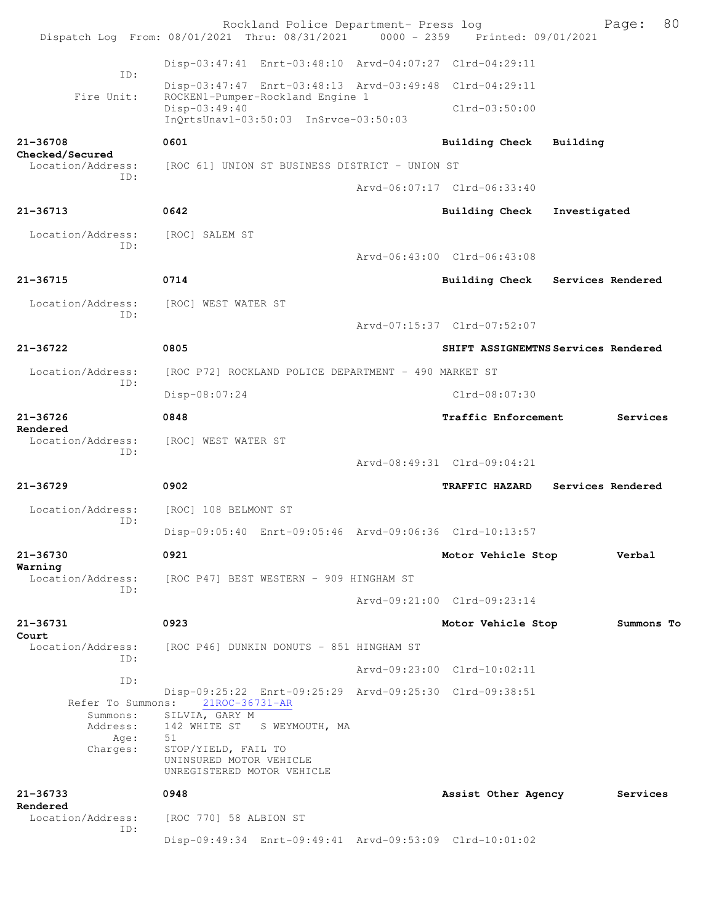|                                      | Rockland Police Department- Press log<br>Dispatch Log From: 08/01/2021 Thru: 08/31/2021 0000 - 2359 Printed: 09/01/2021 |                                     |                   | 80<br>Page: |
|--------------------------------------|-------------------------------------------------------------------------------------------------------------------------|-------------------------------------|-------------------|-------------|
|                                      | Disp-03:47:41 Enrt-03:48:10 Arvd-04:07:27 Clrd-04:29:11                                                                 |                                     |                   |             |
| ID:                                  | Disp-03:47:47 Enrt-03:48:13 Arvd-03:49:48 Clrd-04:29:11                                                                 |                                     |                   |             |
| Fire Unit:                           | ROCKEN1-Pumper-Rockland Engine 1<br>Disp-03:49:40<br>InQrtsUnavl-03:50:03 InSrvce-03:50:03                              | $Clrd-03:50:00$                     |                   |             |
| 21-36708                             | 0601                                                                                                                    | Building Check                      | Building          |             |
| Checked/Secured<br>Location/Address: | [ROC 61] UNION ST BUSINESS DISTRICT - UNION ST                                                                          |                                     |                   |             |
| ID:                                  |                                                                                                                         | Arvd-06:07:17 Clrd-06:33:40         |                   |             |
| 21-36713                             | 0642                                                                                                                    | <b>Building Check</b>               | Investigated      |             |
| Location/Address:                    | [ROC] SALEM ST                                                                                                          |                                     |                   |             |
| ID:                                  |                                                                                                                         | Arvd-06:43:00 Clrd-06:43:08         |                   |             |
| 21-36715                             | 0714                                                                                                                    | Building Check Services Rendered    |                   |             |
| Location/Address:                    | [ROC] WEST WATER ST                                                                                                     |                                     |                   |             |
| ID:                                  |                                                                                                                         | Arvd-07:15:37 Clrd-07:52:07         |                   |             |
| 21-36722                             | 0805                                                                                                                    | SHIFT ASSIGNEMTNS Services Rendered |                   |             |
| Location/Address:                    | [ROC P72] ROCKLAND POLICE DEPARTMENT - 490 MARKET ST                                                                    |                                     |                   |             |
| ID:                                  | Disp-08:07:24                                                                                                           | $Clrd-08:07:30$                     |                   |             |
| 21-36726                             | 0848                                                                                                                    | Traffic Enforcement                 |                   | Services    |
| Rendered<br>Location/Address:        | [ROC] WEST WATER ST                                                                                                     |                                     |                   |             |
| ID:                                  |                                                                                                                         | Arvd-08:49:31 Clrd-09:04:21         |                   |             |
| $21 - 36729$                         | 0902                                                                                                                    | TRAFFIC HAZARD                      | Services Rendered |             |
| Location/Address:                    |                                                                                                                         |                                     |                   |             |
| ID:                                  | [ROC] 108 BELMONT ST                                                                                                    |                                     |                   |             |
|                                      | Disp-09:05:40 Enrt-09:05:46 Arvd-09:06:36 Clrd-10:13:57                                                                 |                                     |                   |             |
| 21-36730<br>Warning                  | 0921                                                                                                                    | Motor Vehicle Stop                  |                   | Verbal      |
| Location/Address:<br>ID:             | [ROC P47] BEST WESTERN - 909 HINGHAM ST                                                                                 |                                     |                   |             |
|                                      |                                                                                                                         | Arvd-09:21:00 Clrd-09:23:14         |                   |             |
| 21-36731<br>Court                    | 0923                                                                                                                    | Motor Vehicle Stop                  |                   | Summons To  |
| Location/Address:<br>ID:             | [ROC P46] DUNKIN DONUTS – 851 HINGHAM ST                                                                                |                                     |                   |             |
| ID:                                  |                                                                                                                         | Arvd-09:23:00 Clrd-10:02:11         |                   |             |
| Refer To Summons:                    | Disp-09:25:22 Enrt-09:25:29 Arvd-09:25:30 Clrd-09:38:51<br>21ROC-36731-AR                                               |                                     |                   |             |
| Summons:<br>Address:                 | SILVIA, GARY M<br>142 WHITE ST S WEYMOUTH, MA                                                                           |                                     |                   |             |
| Age:<br>Charges:                     | 51<br>STOP/YIELD, FAIL TO                                                                                               |                                     |                   |             |
|                                      | UNINSURED MOTOR VEHICLE<br>UNREGISTERED MOTOR VEHICLE                                                                   |                                     |                   |             |
| 21-36733<br>Rendered                 | 0948                                                                                                                    | Assist Other Agency                 |                   | Services    |
| Location/Address:<br>ID:             | [ROC 770] 58 ALBION ST                                                                                                  |                                     |                   |             |
|                                      | Disp-09:49:34 Enrt-09:49:41 Arvd-09:53:09 Clrd-10:01:02                                                                 |                                     |                   |             |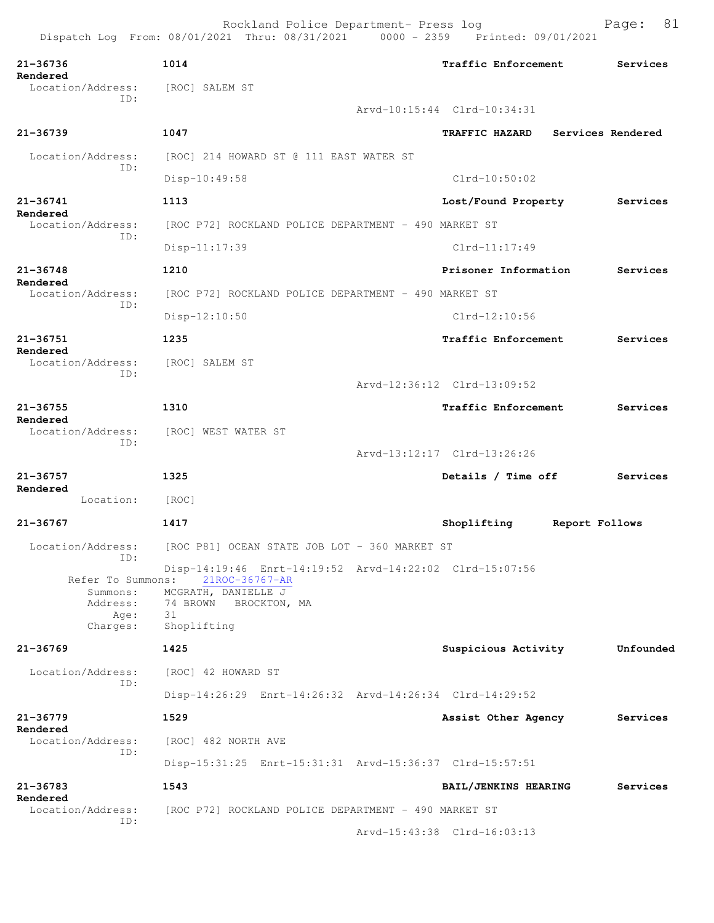|                               | Dispatch Log From: 08/01/2021 Thru: 08/31/2021                                              | 0000 - 2359 | Printed: 09/01/2021         |                |                   |
|-------------------------------|---------------------------------------------------------------------------------------------|-------------|-----------------------------|----------------|-------------------|
| 21-36736<br>Rendered          | 1014                                                                                        |             | Traffic Enforcement         |                | Services          |
| Location/Address:<br>ID:      | [ROC] SALEM ST                                                                              |             |                             |                |                   |
|                               |                                                                                             |             | Arvd-10:15:44 Clrd-10:34:31 |                |                   |
| $21 - 36739$                  | 1047                                                                                        |             | <b>TRAFFIC HAZARD</b>       |                | Services Rendered |
| Location/Address:<br>ID:      | [ROC] 214 HOWARD ST @ 111 EAST WATER ST                                                     |             |                             |                |                   |
|                               | Disp-10:49:58                                                                               |             | $C1rd-10:50:02$             |                |                   |
| $21 - 36741$<br>Rendered      | 1113                                                                                        |             | Lost/Found Property         |                | Services          |
| Location/Address:             | [ROC P72] ROCKLAND POLICE DEPARTMENT - 490 MARKET ST                                        |             |                             |                |                   |
| ID:                           | Disp-11:17:39                                                                               |             | $Clrd-11:17:49$             |                |                   |
| $21 - 36748$<br>Rendered      | 1210                                                                                        |             | Prisoner Information        |                | Services          |
| Location/Address:             | [ROC P72] ROCKLAND POLICE DEPARTMENT - 490 MARKET ST                                        |             |                             |                |                   |
| ID:                           | Disp-12:10:50                                                                               |             | $Clrd-12:10:56$             |                |                   |
| 21-36751                      | 1235                                                                                        |             | Traffic Enforcement         |                | Services          |
| Rendered<br>Location/Address: | [ROC] SALEM ST                                                                              |             |                             |                |                   |
| ID:                           |                                                                                             |             | Arvd-12:36:12 Clrd-13:09:52 |                |                   |
| $21 - 36755$                  | 1310                                                                                        |             | <b>Traffic Enforcement</b>  |                | Services          |
| Rendered<br>Location/Address: | [ROC] WEST WATER ST                                                                         |             |                             |                |                   |
| ID:                           |                                                                                             |             | Arvd-13:12:17 Clrd-13:26:26 |                |                   |
| 21-36757                      | 1325                                                                                        |             | Details / Time off          |                | Services          |
| Rendered<br>Location:         | [ROC]                                                                                       |             |                             |                |                   |
| $21 - 36767$                  | 1417                                                                                        |             | Shoplifting                 | Report Follows |                   |
| Location/Address:<br>ID:      | [ROC P81] OCEAN STATE JOB LOT - 360 MARKET ST                                               |             |                             |                |                   |
|                               | Disp-14:19:46 Enrt-14:19:52 Arvd-14:22:02 Clrd-15:07:56<br>Refer To Summons: 21ROC-36767-AR |             |                             |                |                   |
|                               | Summons: MCGRATH, DANIELLE J                                                                |             |                             |                |                   |
| Address:<br>Age:              | 74 BROWN<br>BROCKTON, MA<br>- 31                                                            |             |                             |                |                   |
| Charges:                      | Shoplifting                                                                                 |             |                             |                |                   |
| $21 - 36769$                  | 1425                                                                                        |             | Suspicious Activity         |                | Unfounded         |
| Location/Address:<br>ID:      | [ROC] 42 HOWARD ST                                                                          |             |                             |                |                   |
|                               | Disp-14:26:29 Enrt-14:26:32 Arvd-14:26:34 Clrd-14:29:52                                     |             |                             |                |                   |
| $21 - 36779$<br>Rendered      | 1529                                                                                        |             | Assist Other Agency         |                | Services          |
| Location/Address:<br>ID:      | [ROC] 482 NORTH AVE                                                                         |             |                             |                |                   |
|                               | Disp-15:31:25 Enrt-15:31:31 Arvd-15:36:37 Clrd-15:57:51                                     |             |                             |                |                   |
| 21-36783<br>Rendered          | 1543                                                                                        |             | BAIL/JENKINS HEARING        |                | Services          |
| Location/Address:             | [ROC P72] ROCKLAND POLICE DEPARTMENT - 490 MARKET ST                                        |             |                             |                |                   |
| ID:                           |                                                                                             |             | Arvd-15:43:38 Clrd-16:03:13 |                |                   |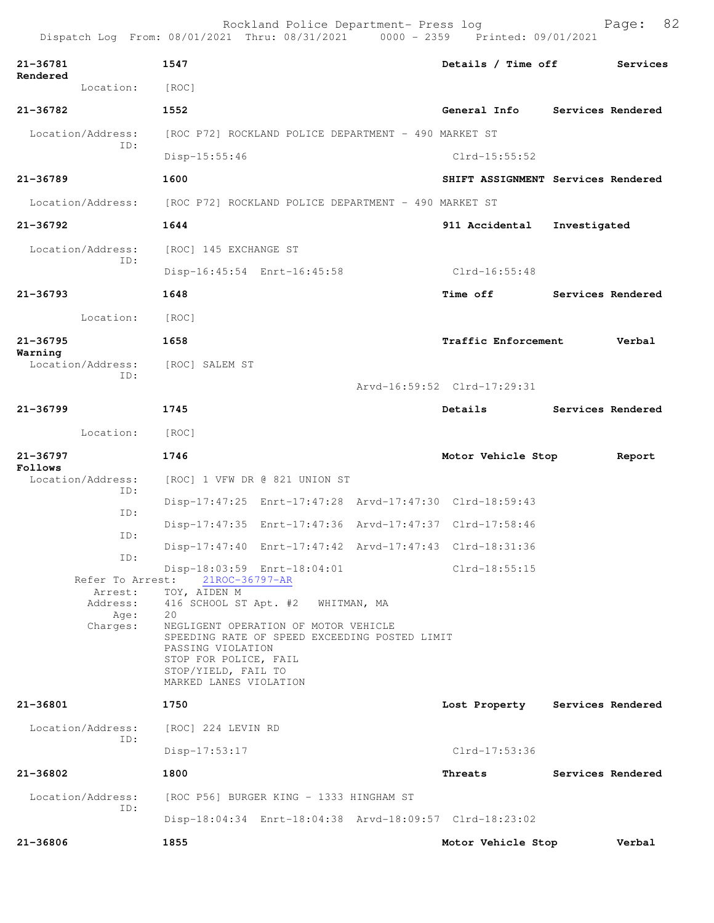|                                     | Rockland Police Department- Press log<br>Dispatch Log From: 08/01/2021 Thru: 08/31/2021 0000 - 2359 Printed: 09/01/2021                                                              |                             | 82<br>Page:                        |
|-------------------------------------|--------------------------------------------------------------------------------------------------------------------------------------------------------------------------------------|-----------------------------|------------------------------------|
| $21 - 36781$                        | 1547                                                                                                                                                                                 | Details / Time off          | Services                           |
| Rendered<br>Location:               | [ROC]                                                                                                                                                                                |                             |                                    |
| 21-36782                            | 1552                                                                                                                                                                                 |                             | General Info Services Rendered     |
| Location/Address:                   | [ROC P72] ROCKLAND POLICE DEPARTMENT - 490 MARKET ST                                                                                                                                 |                             |                                    |
| ID:                                 | Disp-15:55:46                                                                                                                                                                        | $Clrd-15:55:52$             |                                    |
| 21-36789                            | 1600                                                                                                                                                                                 |                             | SHIFT ASSIGNMENT Services Rendered |
| Location/Address:                   | [ROC P72] ROCKLAND POLICE DEPARTMENT - 490 MARKET ST                                                                                                                                 |                             |                                    |
| 21-36792                            | 1644                                                                                                                                                                                 | 911 Accidental              | Investigated                       |
| Location/Address:                   | [ROC] 145 EXCHANGE ST                                                                                                                                                                |                             |                                    |
| ID:                                 | Disp-16:45:54 Enrt-16:45:58                                                                                                                                                          | $Clrd-16:55:48$             |                                    |
| $21 - 36793$                        | 1648                                                                                                                                                                                 | Time off                    | Services Rendered                  |
| Location:                           | [ROC]                                                                                                                                                                                |                             |                                    |
| $21 - 36795$                        | 1658                                                                                                                                                                                 | Traffic Enforcement         | Verbal                             |
| Warning<br>Location/Address:<br>ID: | [ROC] SALEM ST                                                                                                                                                                       |                             |                                    |
|                                     |                                                                                                                                                                                      | Arvd-16:59:52 Clrd-17:29:31 |                                    |
| $21 - 36799$                        | 1745                                                                                                                                                                                 | Details                     | Services Rendered                  |
| Location:                           | [ROC]                                                                                                                                                                                |                             |                                    |
| $21 - 36797$<br>Follows             | 1746                                                                                                                                                                                 | Motor Vehicle Stop          | Report                             |
| Location/Address:<br>ID:            | [ROC] 1 VFW DR @ 821 UNION ST                                                                                                                                                        |                             |                                    |
| ID:                                 | Disp-17:47:25 Enrt-17:47:28 Arvd-17:47:30 Clrd-18:59:43                                                                                                                              |                             |                                    |
| ID:                                 | Disp-17:47:35 Enrt-17:47:36 Arvd-17:47:37 Clrd-17:58:46                                                                                                                              |                             |                                    |
| ID:                                 | Disp-17:47:40 Enrt-17:47:42 Arvd-17:47:43 Clrd-18:31:36                                                                                                                              |                             |                                    |
| Refer To Arrest:<br>Arrest:         | Disp-18:03:59 Enrt-18:04:01<br>21ROC-36797-AR<br>TOY, AIDEN M                                                                                                                        | Clrd-18:55:15               |                                    |
| Address:<br>Age:                    | 416 SCHOOL ST Apt. #2 WHITMAN, MA<br>20                                                                                                                                              |                             |                                    |
| Charges:                            | NEGLIGENT OPERATION OF MOTOR VEHICLE<br>SPEEDING RATE OF SPEED EXCEEDING POSTED LIMIT<br>PASSING VIOLATION<br>STOP FOR POLICE, FAIL<br>STOP/YIELD, FAIL TO<br>MARKED LANES VIOLATION |                             |                                    |
| 21-36801                            | 1750                                                                                                                                                                                 |                             | Lost Property Services Rendered    |
| Location/Address:<br>ID:            | [ROC] 224 LEVIN RD                                                                                                                                                                   |                             |                                    |
|                                     | Disp-17:53:17                                                                                                                                                                        | Clrd-17:53:36               |                                    |
| 21-36802                            | 1800                                                                                                                                                                                 | Threats                     | Services Rendered                  |
| Location/Address:                   | [ROC P56] BURGER KING - 1333 HINGHAM ST                                                                                                                                              |                             |                                    |
| TD:                                 | Disp-18:04:34 Enrt-18:04:38 Arvd-18:09:57 Clrd-18:23:02                                                                                                                              |                             |                                    |
| 21-36806                            | 1855                                                                                                                                                                                 | Motor Vehicle Stop          | Verbal                             |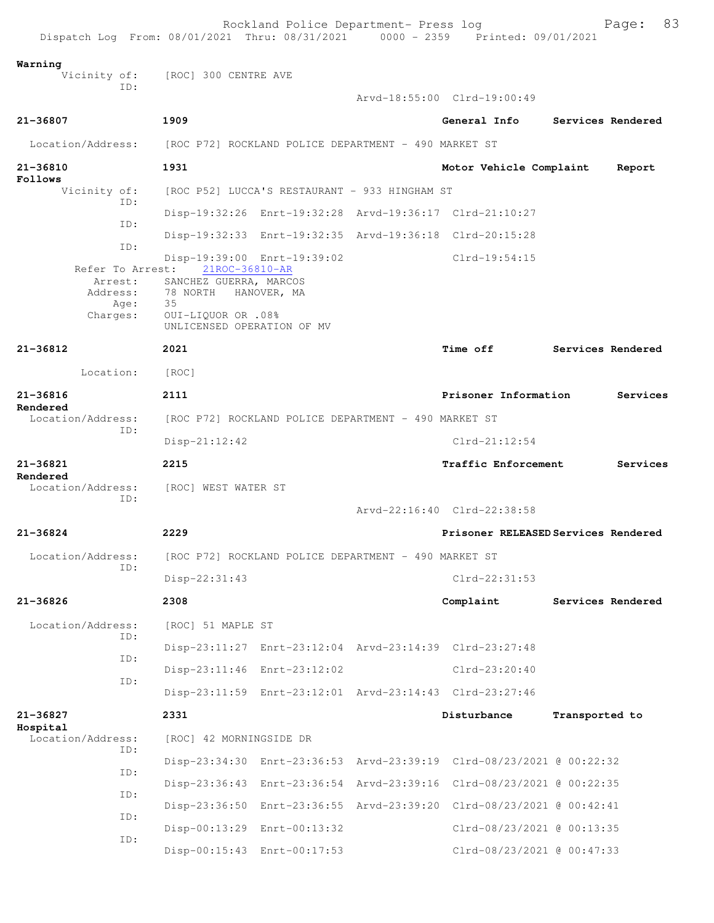| Dispatch Log From: 08/01/2021 Thru: 08/31/2021 0000 - 2359 Printed: 09/01/2021 |                                                                                     | Rockland Police Department- Press log                |                                                                      |                | Page:             | 83 |
|--------------------------------------------------------------------------------|-------------------------------------------------------------------------------------|------------------------------------------------------|----------------------------------------------------------------------|----------------|-------------------|----|
| Warning                                                                        | Vicinity of: [ROC] 300 CENTRE AVE                                                   |                                                      |                                                                      |                |                   |    |
| TD:                                                                            |                                                                                     |                                                      | Arvd-18:55:00 Clrd-19:00:49                                          |                |                   |    |
| 21-36807                                                                       | 1909                                                                                |                                                      | General Info                                                         |                | Services Rendered |    |
| Location/Address: [ROC P72] ROCKLAND POLICE DEPARTMENT - 490 MARKET ST         |                                                                                     |                                                      |                                                                      |                |                   |    |
| 21-36810                                                                       | 1931                                                                                |                                                      | Motor Vehicle Complaint                                              |                | Report            |    |
| Follows<br>Vicinity of:                                                        | [ROC P52] LUCCA'S RESTAURANT - 933 HINGHAM ST                                       |                                                      |                                                                      |                |                   |    |
| ID:                                                                            |                                                                                     |                                                      | Disp-19:32:26 Enrt-19:32:28 Arvd-19:36:17 Clrd-21:10:27              |                |                   |    |
| ID:                                                                            |                                                                                     |                                                      | Disp-19:32:33 Enrt-19:32:35 Arvd-19:36:18 Clrd-20:15:28              |                |                   |    |
| ID:                                                                            |                                                                                     | Disp-19:39:00 Enrt-19:39:02                          | $Clrd-19:54:15$                                                      |                |                   |    |
| Address:<br>Age:                                                               | Refer To Arrest: 21ROC-36810-AR<br>Arrest: SANCHEZ GUERRA, MARCOS<br>78 NORTH<br>35 | HANOVER, MA                                          |                                                                      |                |                   |    |
| Charges:                                                                       | 0UI-LIQUOR OR .08%<br>UNLICENSED OPERATION OF MV                                    |                                                      |                                                                      |                |                   |    |
| 21-36812                                                                       | 2021                                                                                |                                                      | <b>Time off</b>                                                      |                | Services Rendered |    |
| Location:                                                                      | [ROC]                                                                               |                                                      |                                                                      |                |                   |    |
| 21-36816<br>Rendered                                                           | 2111                                                                                |                                                      | Prisoner Information                                                 |                | Services          |    |
| Location/Address:<br>ID:                                                       | [ROC P72] ROCKLAND POLICE DEPARTMENT - 490 MARKET ST                                |                                                      |                                                                      |                |                   |    |
|                                                                                | $Disp-21:12:42$                                                                     |                                                      | $Clrd-21:12:54$                                                      |                |                   |    |
| 21-36821<br>Rendered                                                           | 2215                                                                                |                                                      | Traffic Enforcement                                                  |                | Services          |    |
| Location/Address:<br>ID:                                                       | [ROC] WEST WATER ST                                                                 |                                                      | Arvd-22:16:40 Clrd-22:38:58                                          |                |                   |    |
| 21-36824                                                                       | 2229                                                                                |                                                      | Prisoner RELEASED Services Rendered                                  |                |                   |    |
| Location/Address:                                                              |                                                                                     | [ROC P72] ROCKLAND POLICE DEPARTMENT - 490 MARKET ST |                                                                      |                |                   |    |
| ID:                                                                            | Disp-22:31:43                                                                       |                                                      | $C1rd-22:31:53$                                                      |                |                   |    |
| 21-36826                                                                       | 2308                                                                                |                                                      | Complaint                                                            |                | Services Rendered |    |
| Location/Address:                                                              | [ROC] 51 MAPLE ST                                                                   |                                                      |                                                                      |                |                   |    |
| ID:                                                                            |                                                                                     |                                                      | Disp-23:11:27 Enrt-23:12:04 Arvd-23:14:39 Clrd-23:27:48              |                |                   |    |
| ID:                                                                            |                                                                                     | Disp-23:11:46 Enrt-23:12:02                          | $Clrd-23:20:40$                                                      |                |                   |    |
| ID:                                                                            |                                                                                     |                                                      | Disp-23:11:59 Enrt-23:12:01 Arvd-23:14:43 Clrd-23:27:46              |                |                   |    |
| 21-36827                                                                       | 2331                                                                                |                                                      | Disturbance                                                          | Transported to |                   |    |
| Hospital<br>Location/Address:                                                  | [ROC] 42 MORNINGSIDE DR                                                             |                                                      |                                                                      |                |                   |    |
| TD:                                                                            |                                                                                     |                                                      | Disp-23:34:30 Enrt-23:36:53 Arvd-23:39:19 Clrd-08/23/2021 @ 00:22:32 |                |                   |    |
| ID:                                                                            |                                                                                     |                                                      | Disp-23:36:43 Enrt-23:36:54 Arvd-23:39:16 Clrd-08/23/2021 @ 00:22:35 |                |                   |    |
| ID:                                                                            |                                                                                     |                                                      | Disp-23:36:50 Enrt-23:36:55 Arvd-23:39:20 Clrd-08/23/2021 @ 00:42:41 |                |                   |    |
| ID:                                                                            |                                                                                     | Disp-00:13:29 Enrt-00:13:32                          | Clrd-08/23/2021 @ 00:13:35                                           |                |                   |    |
| ID:                                                                            |                                                                                     | Disp-00:15:43 Enrt-00:17:53                          | Clrd-08/23/2021 @ 00:47:33                                           |                |                   |    |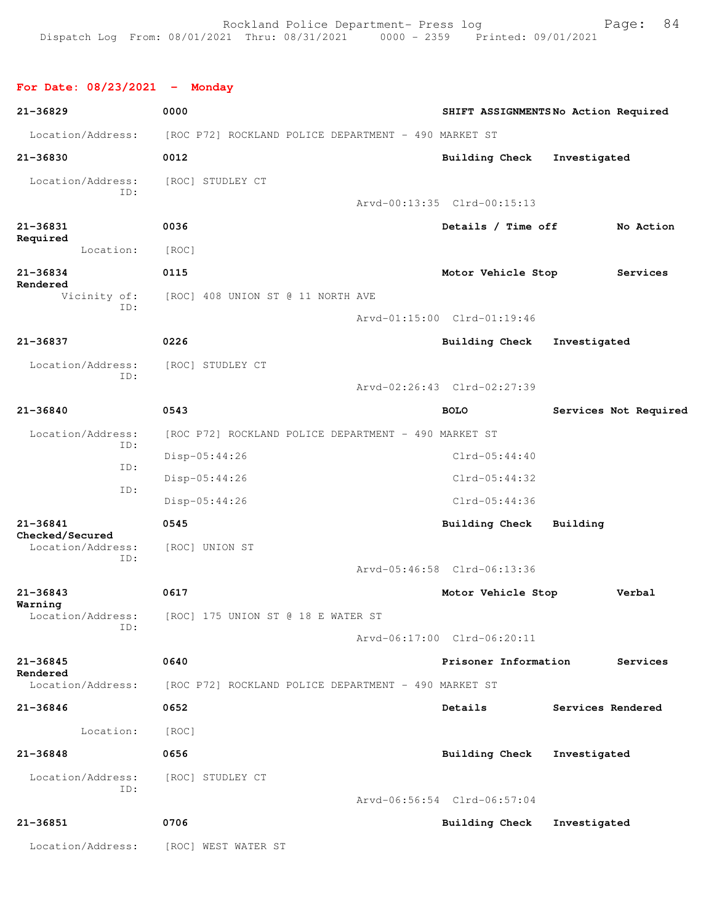## **For Date: 08/23/2021 - Monday**

| $21 - 36829$                    | 0000                                                 | SHIFT ASSIGNMENTSNo Action Required |                   |                       |
|---------------------------------|------------------------------------------------------|-------------------------------------|-------------------|-----------------------|
| Location/Address:               | [ROC P72] ROCKLAND POLICE DEPARTMENT - 490 MARKET ST |                                     |                   |                       |
| 21-36830                        | 0012                                                 | Building Check                      | Investigated      |                       |
| Location/Address:               | [ROC] STUDLEY CT                                     |                                     |                   |                       |
| ID:                             |                                                      | Arvd-00:13:35 Clrd-00:15:13         |                   |                       |
| $21 - 36831$                    | 0036                                                 | Details / Time off                  |                   | No Action             |
| Required<br>Location:           | [ROC]                                                |                                     |                   |                       |
| 21-36834                        | 0115                                                 | Motor Vehicle Stop                  |                   | Services              |
| Rendered<br>Vicinity of:        | [ROC] 408 UNION ST @ 11 NORTH AVE                    |                                     |                   |                       |
| ID:                             |                                                      | Arvd-01:15:00 Clrd-01:19:46         |                   |                       |
| 21-36837                        | 0226                                                 | <b>Building Check</b>               | Investigated      |                       |
| Location/Address:               | [ROC] STUDLEY CT                                     |                                     |                   |                       |
| ID:                             |                                                      | Arvd-02:26:43 Clrd-02:27:39         |                   |                       |
| $21 - 36840$                    | 0543                                                 | <b>BOLO</b>                         |                   | Services Not Required |
| Location/Address:               | [ROC P72] ROCKLAND POLICE DEPARTMENT - 490 MARKET ST |                                     |                   |                       |
| ID:                             | $Disp-05:44:26$                                      | $Clrd-05:44:40$                     |                   |                       |
| ID:                             | $Disp-05:44:26$                                      | $Clrd-05:44:32$                     |                   |                       |
| ID:                             | $Disp-05:44:26$                                      | $Clrd-05:44:36$                     |                   |                       |
| $21 - 36841$<br>Checked/Secured | 0545                                                 | <b>Building Check</b>               | Building          |                       |
| Location/Address:<br>ID:        | [ROC] UNION ST                                       |                                     |                   |                       |
|                                 |                                                      | Arvd-05:46:58 Clrd-06:13:36         |                   |                       |
| 21-36843                        | 0617                                                 | Motor Vehicle Stop                  |                   | Verbal                |
| Warning<br>Location/Address:    | [ROC] 175 UNION ST @ 18 E WATER ST                   |                                     |                   |                       |
| ID:                             |                                                      | Arvd-06:17:00 Clrd-06:20:11         |                   |                       |
| 21-36845<br>Rendered            | 0640                                                 | Prisoner Information                |                   | Services              |
| Location/Address:               | [ROC P72] ROCKLAND POLICE DEPARTMENT - 490 MARKET ST |                                     |                   |                       |
| $21 - 36846$                    | 0652                                                 | Details                             | Services Rendered |                       |
| Location:                       | [ROC]                                                |                                     |                   |                       |
| $21 - 36848$                    | 0656                                                 | <b>Building Check</b>               | Investigated      |                       |
| Location/Address:               | [ROC] STUDLEY CT                                     |                                     |                   |                       |
| ID:                             |                                                      | Arvd-06:56:54 Clrd-06:57:04         |                   |                       |
| $21 - 36851$                    | 0706                                                 | <b>Building Check</b>               | Investigated      |                       |
| Location/Address:               | [ROC] WEST WATER ST                                  |                                     |                   |                       |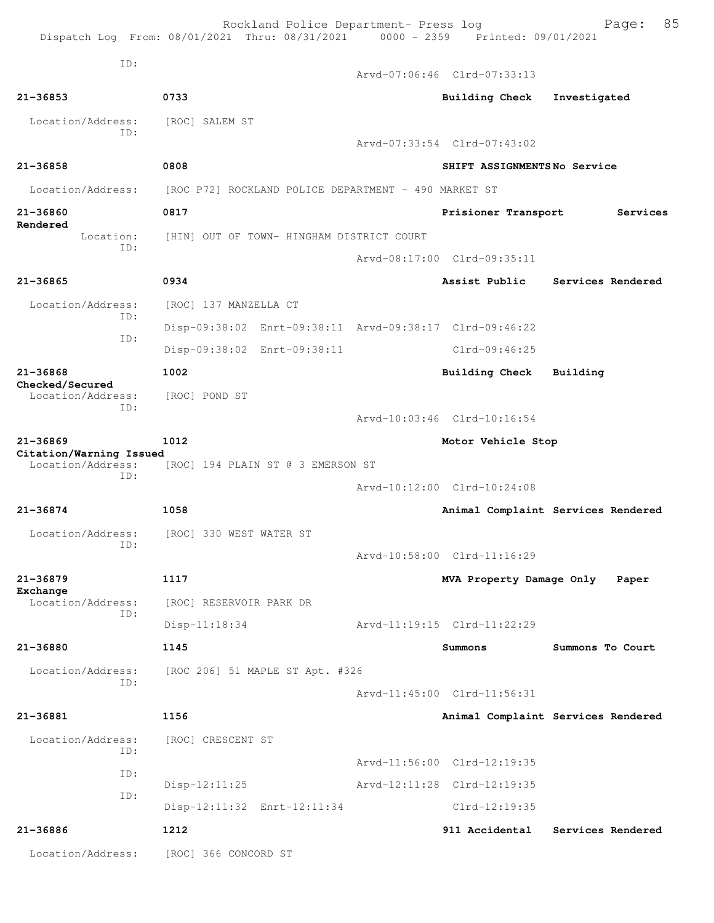|                                              | Rockland Police Department- Press log<br>Dispatch Log From: 08/01/2021 Thru: 08/31/2021 0000 - 2359 Printed: 09/01/2021 |                             | 85<br>Page:                        |
|----------------------------------------------|-------------------------------------------------------------------------------------------------------------------------|-----------------------------|------------------------------------|
| ID:                                          |                                                                                                                         | Arvd-07:06:46 Clrd-07:33:13 |                                    |
| 21-36853                                     | 0733                                                                                                                    | <b>Building Check</b>       | Investigated                       |
| Location/Address:<br>TD:                     | [ROC] SALEM ST                                                                                                          |                             |                                    |
|                                              |                                                                                                                         | Arvd-07:33:54 Clrd-07:43:02 |                                    |
| 21-36858                                     | 0808                                                                                                                    | SHIFT ASSIGNMENTSNo Service |                                    |
| Location/Address:                            | [ROC P72] ROCKLAND POLICE DEPARTMENT - 490 MARKET ST                                                                    |                             |                                    |
| 21-36860<br>Rendered                         | 0817                                                                                                                    | Prisioner Transport         | Services                           |
| Location:<br>TD:                             | [HIN] OUT OF TOWN- HINGHAM DISTRICT COURT                                                                               |                             |                                    |
|                                              |                                                                                                                         | Arvd-08:17:00 Clrd-09:35:11 |                                    |
| $21 - 36865$                                 | 0934                                                                                                                    | Assist Public               | Services Rendered                  |
| Location/Address:<br>ID:                     | [ROC] 137 MANZELLA CT                                                                                                   |                             |                                    |
| ID:                                          | Disp-09:38:02 Enrt-09:38:11 Arvd-09:38:17 Clrd-09:46:22                                                                 |                             |                                    |
|                                              | Disp-09:38:02 Enrt-09:38:11                                                                                             | $Clrd-09:46:25$             |                                    |
| $21 - 36868$<br>Checked/Secured              | 1002                                                                                                                    | <b>Building Check</b>       | Building                           |
| Location/Address:                            | [ROC] POND ST                                                                                                           |                             |                                    |
| ID:                                          |                                                                                                                         | Arvd-10:03:46 Clrd-10:16:54 |                                    |
| $21 - 36869$                                 | 1012                                                                                                                    | Motor Vehicle Stop          |                                    |
| Citation/Warning Issued<br>Location/Address: | [ROC] 194 PLAIN ST @ 3 EMERSON ST                                                                                       |                             |                                    |
| TD:                                          |                                                                                                                         | Arvd-10:12:00 Clrd-10:24:08 |                                    |
| 21-36874                                     | 1058                                                                                                                    |                             | Animal Complaint Services Rendered |
| Location/Address:                            | [ROC] 330 WEST WATER ST                                                                                                 |                             |                                    |
| ID:                                          |                                                                                                                         | Arvd-10:58:00 Clrd-11:16:29 |                                    |
| $21 - 36879$                                 | 1117                                                                                                                    | MVA Property Damage Only    | Paper                              |
| Exchange<br>Location/Address:                | [ROC] RESERVOIR PARK DR                                                                                                 |                             |                                    |
| ID:                                          | Disp-11:18:34                                                                                                           | Arvd-11:19:15 Clrd-11:22:29 |                                    |
| 21-36880                                     | 1145                                                                                                                    | Summons                     | Summons To Court                   |
| Location/Address:                            | [ROC 206] 51 MAPLE ST Apt. #326                                                                                         |                             |                                    |
| ID:                                          |                                                                                                                         | Arvd-11:45:00 Clrd-11:56:31 |                                    |
| 21-36881                                     | 1156                                                                                                                    |                             | Animal Complaint Services Rendered |
| Location/Address:<br>ID:                     | [ROC] CRESCENT ST                                                                                                       |                             |                                    |
|                                              |                                                                                                                         | Arvd-11:56:00 Clrd-12:19:35 |                                    |
| ID:<br>ID:                                   | $Disp-12:11:25$                                                                                                         | Arvd-12:11:28 Clrd-12:19:35 |                                    |
|                                              | Disp-12:11:32 Enrt-12:11:34                                                                                             | $Clrd-12:19:35$             |                                    |
| 21-36886                                     | 1212                                                                                                                    | 911 Accidental              | Services Rendered                  |
| Location/Address:                            | [ROC] 366 CONCORD ST                                                                                                    |                             |                                    |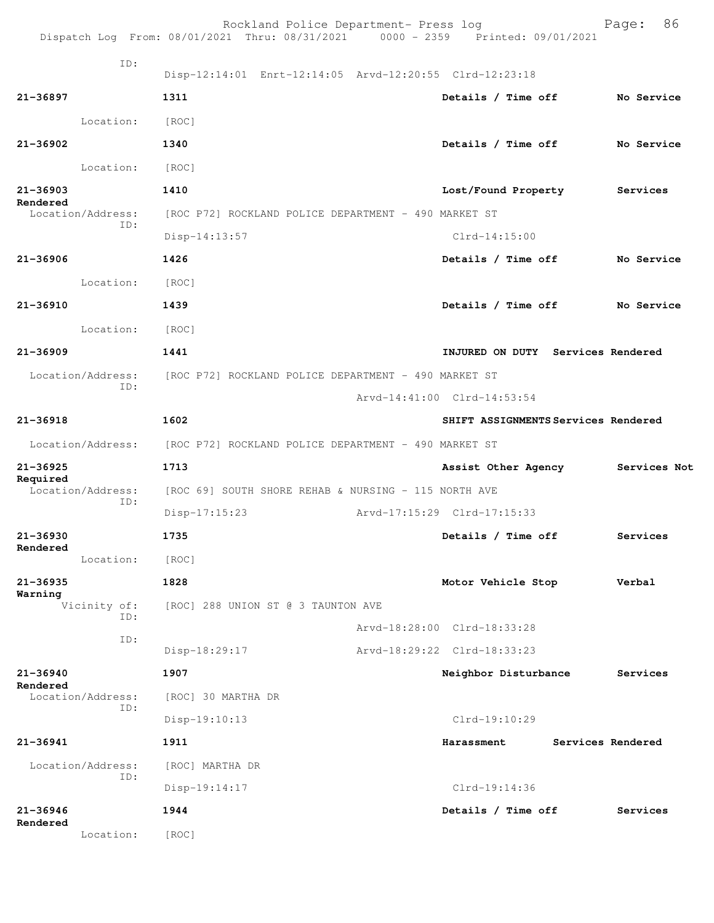|                               |                                    | Rockland Police Department- Press log<br>Dispatch Log From: 08/01/2021 Thru: 08/31/2021 0000 - 2359 Printed: 09/01/2021 | 86<br>Page:                         |
|-------------------------------|------------------------------------|-------------------------------------------------------------------------------------------------------------------------|-------------------------------------|
| ID:                           |                                    | Disp-12:14:01 Enrt-12:14:05 Arvd-12:20:55 Clrd-12:23:18                                                                 |                                     |
| 21-36897                      | 1311                               | Details / Time off                                                                                                      | No Service                          |
| Location:                     | [ROC]                              |                                                                                                                         |                                     |
| $21 - 36902$                  | 1340                               | Details / Time off                                                                                                      | No Service                          |
| Location:                     | [ROC]                              |                                                                                                                         |                                     |
| $21 - 36903$                  | 1410                               | Lost/Found Property                                                                                                     | Services                            |
| Rendered<br>Location/Address: |                                    | [ROC P72] ROCKLAND POLICE DEPARTMENT - 490 MARKET ST                                                                    |                                     |
| ID:                           | $Disp-14:13:57$                    | $Clrd-14:15:00$                                                                                                         |                                     |
| $21 - 36906$                  | 1426                               | Details / Time off                                                                                                      | No Service                          |
| Location:                     | [ROC]                              |                                                                                                                         |                                     |
| $21 - 36910$                  | 1439                               | Details / Time off                                                                                                      | No Service                          |
| Location:                     | [ROC]                              |                                                                                                                         |                                     |
| $21 - 36909$                  | 1441                               |                                                                                                                         | INJURED ON DUTY Services Rendered   |
| Location/Address:             |                                    | [ROC P72] ROCKLAND POLICE DEPARTMENT - 490 MARKET ST                                                                    |                                     |
| ID:                           |                                    | Arvd-14:41:00 Clrd-14:53:54                                                                                             |                                     |
| $21 - 36918$                  | 1602                               |                                                                                                                         | SHIFT ASSIGNMENTS Services Rendered |
| Location/Address:             |                                    | [ROC P72] ROCKLAND POLICE DEPARTMENT - 490 MARKET ST                                                                    |                                     |
| 21-36925                      | 1713                               | Assist Other Agency                                                                                                     | Services Not                        |
| Required<br>Location/Address: |                                    | [ROC 69] SOUTH SHORE REHAB & NURSING - 115 NORTH AVE                                                                    |                                     |
| ID:                           | $Disp-17:15:23$                    | Arvd-17:15:29 Clrd-17:15:33                                                                                             |                                     |
| 21-36930<br>Rendered          | 1735                               | Details / Time off                                                                                                      | Services                            |
| Location:                     | [ROC]                              |                                                                                                                         |                                     |
| $21 - 36935$<br>Warning       | 1828                               | Motor Vehicle Stop                                                                                                      | Verbal                              |
| Vicinity of:<br>ID:           | [ROC] 288 UNION ST @ 3 TAUNTON AVE |                                                                                                                         |                                     |
| ID:                           |                                    | Arvd-18:28:00 Clrd-18:33:28                                                                                             |                                     |
|                               | Disp-18:29:17                      | Arvd-18:29:22 Clrd-18:33:23                                                                                             |                                     |
| 21-36940<br>Rendered          | 1907                               | Neighbor Disturbance                                                                                                    | Services                            |
| Location/Address:<br>ID:      | [ROC] 30 MARTHA DR                 |                                                                                                                         |                                     |
|                               | Disp-19:10:13                      | $Clrd-19:10:29$                                                                                                         |                                     |
| $21 - 36941$                  | 1911                               | Harassment                                                                                                              | Services Rendered                   |
| Location/Address:<br>ID:      | [ROC] MARTHA DR                    |                                                                                                                         |                                     |
|                               | $Disp-19:14:17$                    | Clrd-19:14:36                                                                                                           |                                     |
| $21 - 36946$<br>Rendered      | 1944                               | Details / Time off                                                                                                      | Services                            |
| Location:                     | [ROC]                              |                                                                                                                         |                                     |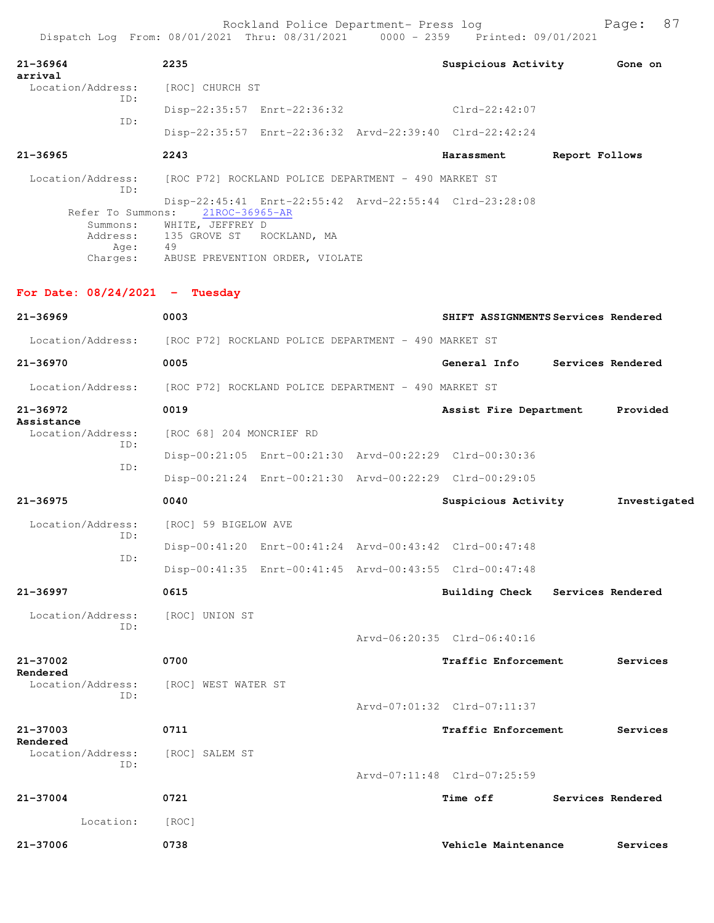| $21 - 36964$                        | 2235                                                 | Suspicious Activity                                     | Gone on        |
|-------------------------------------|------------------------------------------------------|---------------------------------------------------------|----------------|
| arrival<br>Location/Address:<br>TD: | [ROC] CHURCH ST                                      |                                                         |                |
| TD:                                 | Disp-22:35:57 Enrt-22:36:32                          | $Clrd-22:42:07$                                         |                |
|                                     |                                                      | Disp-22:35:57 Enrt-22:36:32 Arvd-22:39:40 Clrd-22:42:24 |                |
| $21 - 36965$                        | 2243                                                 | Harassment                                              | Report Follows |
| Location/Address:<br>TD:            | [ROC P72] ROCKLAND POLICE DEPARTMENT - 490 MARKET ST |                                                         |                |
| Refer To Summons:                   | 21ROC-36965-AR                                       | Disp-22:45:41 Enrt-22:55:42 Arvd-22:55:44 Clrd-23:28:08 |                |
| Summons:                            | WHITE, JEFFREY D                                     |                                                         |                |
|                                     | Address: 135 GROVE ST ROCKLAND, MA                   |                                                         |                |
| Age:                                | 49                                                   |                                                         |                |

Charges: ABUSE PREVENTION ORDER, VIOLATE

## **For Date: 08/24/2021 - Tuesday**

| $21 - 36969$                  | 0003                                                    |                             | SHIFT ASSIGNMENTS Services Rendered |
|-------------------------------|---------------------------------------------------------|-----------------------------|-------------------------------------|
| Location/Address:             | [ROC P72] ROCKLAND POLICE DEPARTMENT - 490 MARKET ST    |                             |                                     |
| $21 - 36970$                  | 0005                                                    | General Info                | Services Rendered                   |
| Location/Address:             | [ROC P72] ROCKLAND POLICE DEPARTMENT - 490 MARKET ST    |                             |                                     |
| $21 - 36972$<br>Assistance    | 0019                                                    | Assist Fire Department      | Provided                            |
| Location/Address:<br>TD:      | [ROC 68] 204 MONCRIEF RD                                |                             |                                     |
| ID:                           | Disp-00:21:05 Enrt-00:21:30 Arvd-00:22:29 Clrd-00:30:36 |                             |                                     |
|                               | Disp-00:21:24 Enrt-00:21:30 Arvd-00:22:29 Clrd-00:29:05 |                             |                                     |
| $21 - 36975$                  | 0040                                                    | Suspicious Activity         | Investigated                        |
| Location/Address:             | [ROC] 59 BIGELOW AVE                                    |                             |                                     |
| ID:                           | Disp-00:41:20 Enrt-00:41:24 Arvd-00:43:42 Clrd-00:47:48 |                             |                                     |
| ID:                           | Disp-00:41:35 Enrt-00:41:45 Arvd-00:43:55 Clrd-00:47:48 |                             |                                     |
| $21 - 36997$                  | 0615                                                    |                             | Building Check Services Rendered    |
| Location/Address:             | [ROC] UNION ST                                          |                             |                                     |
| ID:                           |                                                         | Arvd-06:20:35 Clrd-06:40:16 |                                     |
| 21-37002                      | 0700                                                    | Traffic Enforcement         | Services                            |
| Rendered<br>Location/Address: | [ROC] WEST WATER ST                                     |                             |                                     |
| ID:                           |                                                         | Arvd-07:01:32 Clrd-07:11:37 |                                     |
| $21 - 37003$                  | 0711                                                    | Traffic Enforcement         | Services                            |
| Rendered<br>Location/Address: | [ROC] SALEM ST                                          |                             |                                     |
| ID:                           |                                                         | Arvd-07:11:48 Clrd-07:25:59 |                                     |
| $21 - 37004$                  | 0721                                                    | <b>Time off</b>             | Services Rendered                   |
| Location:                     | [ROC]                                                   |                             |                                     |
| $21 - 37006$                  | 0738                                                    | Vehicle Maintenance         | Services                            |
|                               |                                                         |                             |                                     |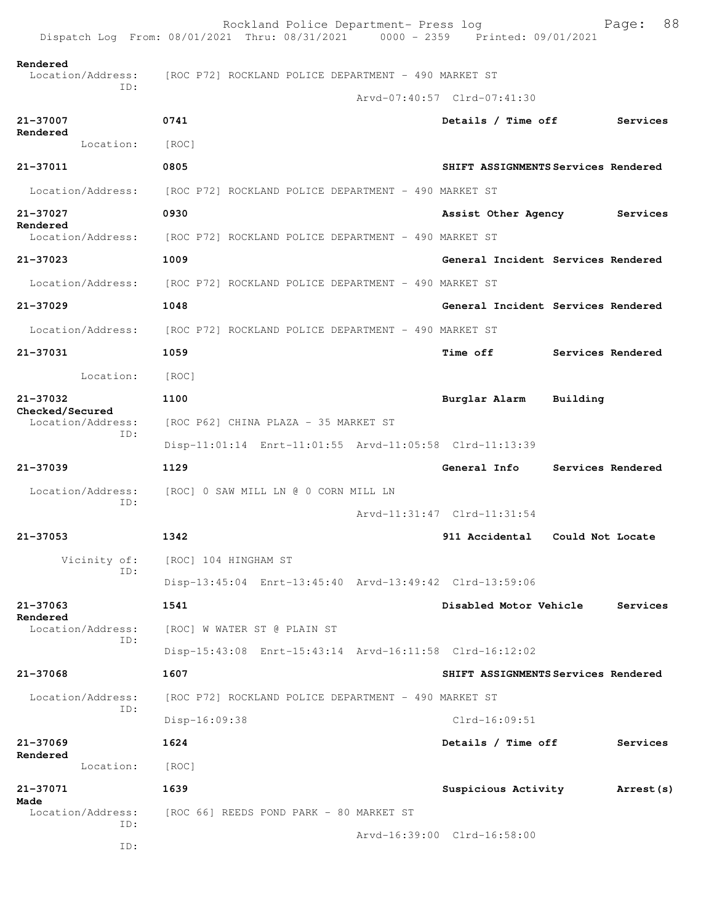|                                      | Rockland Police Department- Press log<br>Dispatch Log From: 08/01/2021 Thru: 08/31/2021 0000 - 2359 Printed: 09/01/2021 | 88<br>Page:                         |  |  |  |  |
|--------------------------------------|-------------------------------------------------------------------------------------------------------------------------|-------------------------------------|--|--|--|--|
| Rendered<br>Location/Address:        | [ROC P72] ROCKLAND POLICE DEPARTMENT - 490 MARKET ST                                                                    |                                     |  |  |  |  |
| ID:                                  |                                                                                                                         | Arvd-07:40:57 Clrd-07:41:30         |  |  |  |  |
| 21-37007                             | 0741                                                                                                                    | Details / Time off<br>Services      |  |  |  |  |
| Rendered<br>Location:                | [ROC]                                                                                                                   |                                     |  |  |  |  |
| 21-37011                             | 0805                                                                                                                    | SHIFT ASSIGNMENTS Services Rendered |  |  |  |  |
| Location/Address:                    | [ROC P72] ROCKLAND POLICE DEPARTMENT - 490 MARKET ST                                                                    |                                     |  |  |  |  |
| 21-37027                             | 0930                                                                                                                    | Assist Other Agency<br>Services     |  |  |  |  |
| Rendered<br>Location/Address:        | [ROC P72] ROCKLAND POLICE DEPARTMENT - 490 MARKET ST                                                                    |                                     |  |  |  |  |
| 21-37023                             | 1009                                                                                                                    | General Incident Services Rendered  |  |  |  |  |
| Location/Address:                    | [ROC P72] ROCKLAND POLICE DEPARTMENT - 490 MARKET ST                                                                    |                                     |  |  |  |  |
| 21-37029                             | 1048                                                                                                                    | General Incident Services Rendered  |  |  |  |  |
| Location/Address:                    | [ROC P72] ROCKLAND POLICE DEPARTMENT - 490 MARKET ST                                                                    |                                     |  |  |  |  |
| 21-37031                             | 1059                                                                                                                    | Time off<br>Services Rendered       |  |  |  |  |
| Location:                            | [ROC]                                                                                                                   |                                     |  |  |  |  |
| 21-37032                             | 1100                                                                                                                    | Burglar Alarm<br>Building           |  |  |  |  |
| Checked/Secured<br>Location/Address: | [ROC P62] CHINA PLAZA - 35 MARKET ST                                                                                    |                                     |  |  |  |  |
| ID:                                  | Disp-11:01:14 Enrt-11:01:55 Arvd-11:05:58 Clrd-11:13:39                                                                 |                                     |  |  |  |  |
| $21 - 37039$                         | 1129                                                                                                                    | General Info<br>Services Rendered   |  |  |  |  |
| Location/Address:                    | [ROC] 0 SAW MILL LN @ 0 CORN MILL LN                                                                                    |                                     |  |  |  |  |
| ID:                                  |                                                                                                                         | Arvd-11:31:47 Clrd-11:31:54         |  |  |  |  |
| 21-37053                             | 1342                                                                                                                    | 911 Accidental<br>Could Not Locate  |  |  |  |  |
| Vicinity of:<br>ID:                  | [ROC] 104 HINGHAM ST                                                                                                    |                                     |  |  |  |  |
|                                      | Disp-13:45:04 Enrt-13:45:40 Arvd-13:49:42 Clrd-13:59:06                                                                 |                                     |  |  |  |  |
| 21-37063<br>Rendered                 | 1541                                                                                                                    | Disabled Motor Vehicle<br>Services  |  |  |  |  |
| Location/Address:<br>ID:             | [ROC] W WATER ST @ PLAIN ST                                                                                             |                                     |  |  |  |  |
|                                      | Disp-15:43:08 Enrt-15:43:14 Arvd-16:11:58 Clrd-16:12:02                                                                 |                                     |  |  |  |  |
| 21-37068                             | 1607                                                                                                                    | SHIFT ASSIGNMENTS Services Rendered |  |  |  |  |
| Location/Address:<br>ID:             | [ROC P72] ROCKLAND POLICE DEPARTMENT - 490 MARKET ST                                                                    |                                     |  |  |  |  |
|                                      | Disp-16:09:38                                                                                                           | $Clrd-16:09:51$                     |  |  |  |  |
| 21-37069<br>Rendered                 | 1624                                                                                                                    | Details / Time off<br>Services      |  |  |  |  |
| Location:                            | [ROC]                                                                                                                   |                                     |  |  |  |  |
| 21-37071<br>Made                     | 1639                                                                                                                    | Suspicious Activity<br>Arrest (s)   |  |  |  |  |
| Location/Address:<br>ID:             | [ROC 66] REEDS POND PARK - 80 MARKET ST                                                                                 |                                     |  |  |  |  |
| ID:                                  |                                                                                                                         | Arvd-16:39:00 Clrd-16:58:00         |  |  |  |  |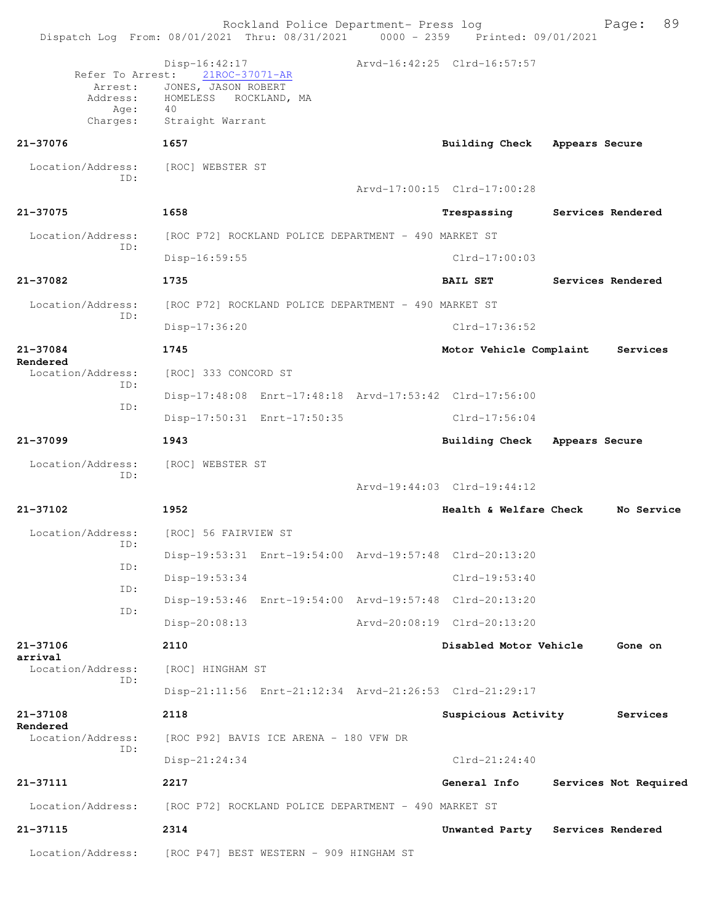|                                     | Rockland Police Department- Press log<br>Dispatch Log From: 08/01/2021 Thru: 08/31/2021 0000 - 2359 Printed: 09/01/2021 |                             | 89<br>Page:           |
|-------------------------------------|-------------------------------------------------------------------------------------------------------------------------|-----------------------------|-----------------------|
| Refer To Arrest:<br>Arrest:<br>Age: | Disp-16:42:17<br>21ROC-37071-AR<br>JONES, JASON ROBERT<br>Address: HOMELESS<br>ROCKLAND, MA<br>40                       | Arvd-16:42:25 Clrd-16:57:57 |                       |
| Charges:<br>21-37076                | Straight Warrant<br>1657                                                                                                | Building Check              |                       |
|                                     |                                                                                                                         |                             | Appears Secure        |
| Location/Address:<br>ID:            | [ROC] WEBSTER ST                                                                                                        |                             |                       |
|                                     |                                                                                                                         | Arvd-17:00:15 Clrd-17:00:28 |                       |
| 21-37075                            | 1658                                                                                                                    | Trespassing                 | Services Rendered     |
| Location/Address:<br>ID:            | [ROC P72] ROCKLAND POLICE DEPARTMENT - 490 MARKET ST                                                                    |                             |                       |
|                                     | $Disp-16:59:55$                                                                                                         | $Clrd-17:00:03$             |                       |
| 21-37082                            | 1735                                                                                                                    | BAIL SET                    | Services Rendered     |
| Location/Address:<br>TD:            | [ROC P72] ROCKLAND POLICE DEPARTMENT - 490 MARKET ST                                                                    |                             |                       |
|                                     | Disp-17:36:20                                                                                                           | $Clrd-17:36:52$             |                       |
| 21-37084<br>Rendered                | 1745                                                                                                                    | Motor Vehicle Complaint     | Services              |
| Location/Address:                   | [ROC] 333 CONCORD ST                                                                                                    |                             |                       |
| ID:                                 | Disp-17:48:08 Enrt-17:48:18 Arvd-17:53:42 Clrd-17:56:00                                                                 |                             |                       |
| ID:                                 | Disp-17:50:31 Enrt-17:50:35                                                                                             | $Clrd-17:56:04$             |                       |
| 21-37099                            | 1943                                                                                                                    | <b>Building Check</b>       | Appears Secure        |
| Location/Address:                   | [ROC] WEBSTER ST                                                                                                        |                             |                       |
| ID:                                 |                                                                                                                         | Arvd-19:44:03 Clrd-19:44:12 |                       |
| 21-37102                            | 1952                                                                                                                    | Health & Welfare Check      | No Service            |
|                                     | Location/Address: [ROC] 56 FAIRVIEW ST                                                                                  |                             |                       |
| ID:                                 | Disp-19:53:31 Enrt-19:54:00 Arvd-19:57:48 Clrd-20:13:20                                                                 |                             |                       |
| ID:                                 | Disp-19:53:34                                                                                                           | $Clrd-19:53:40$             |                       |
| ID:                                 | Disp-19:53:46 Enrt-19:54:00 Arvd-19:57:48 Clrd-20:13:20                                                                 |                             |                       |
| ID:                                 | Disp-20:08:13                                                                                                           | Arvd-20:08:19 Clrd-20:13:20 |                       |
| 21-37106                            | 2110                                                                                                                    | Disabled Motor Vehicle      | Gone on               |
| arrival<br>Location/Address:        | [ROC] HINGHAM ST                                                                                                        |                             |                       |
| ID:                                 | Disp-21:11:56 Enrt-21:12:34 Arvd-21:26:53 Clrd-21:29:17                                                                 |                             |                       |
| $21 - 37108$                        | 2118                                                                                                                    | Suspicious Activity         | Services              |
| Rendered<br>Location/Address:       | [ROC P92] BAVIS ICE ARENA - 180 VFW DR                                                                                  |                             |                       |
| ID:                                 | Disp-21:24:34                                                                                                           | $Clrd-21:24:40$             |                       |
| 21-37111                            | 2217                                                                                                                    | General Info                | Services Not Required |
| Location/Address:                   | [ROC P72] ROCKLAND POLICE DEPARTMENT - 490 MARKET ST                                                                    |                             |                       |
| 21-37115                            | 2314                                                                                                                    | Unwanted Party              | Services Rendered     |
| Location/Address:                   | [ROC P47] BEST WESTERN - 909 HINGHAM ST                                                                                 |                             |                       |
|                                     |                                                                                                                         |                             |                       |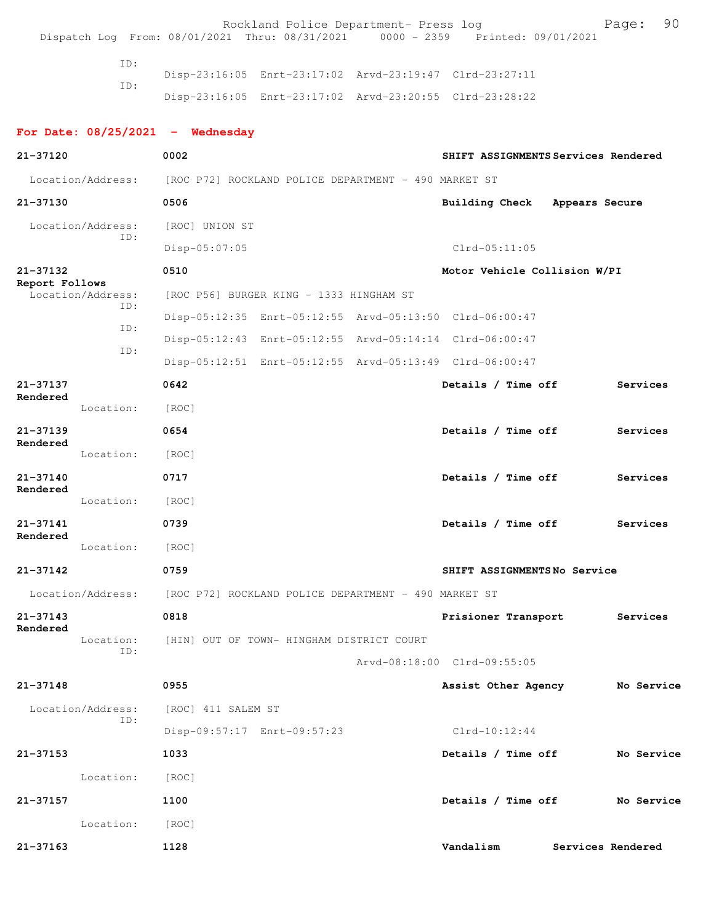|                                     |                 | Dispatch Log From: 08/01/2021 Thru: 08/31/2021 0000 - 2359 Printed: 09/01/2021 | Rockland Police Department- Press log                   |                                                         |                   | 90<br>Page: |
|-------------------------------------|-----------------|--------------------------------------------------------------------------------|---------------------------------------------------------|---------------------------------------------------------|-------------------|-------------|
|                                     |                 |                                                                                |                                                         |                                                         |                   |             |
|                                     | ID:             |                                                                                | Disp-23:16:05 Enrt-23:17:02 Arvd-23:19:47 Clrd-23:27:11 |                                                         |                   |             |
|                                     | ID:             |                                                                                |                                                         | Disp-23:16:05 Enrt-23:17:02 Arvd-23:20:55 Clrd-23:28:22 |                   |             |
|                                     |                 | For Date: $08/25/2021$ - Wednesday                                             |                                                         |                                                         |                   |             |
| 21-37120                            |                 | 0002                                                                           |                                                         | SHIFT ASSIGNMENTS Services Rendered                     |                   |             |
| Location/Address:                   |                 | [ROC P72] ROCKLAND POLICE DEPARTMENT - 490 MARKET ST                           |                                                         |                                                         |                   |             |
| 21-37130                            |                 | 0506                                                                           |                                                         | Building Check                                          | Appears Secure    |             |
| Location/Address:                   |                 | [ROC] UNION ST                                                                 |                                                         |                                                         |                   |             |
|                                     | ID:             | Disp-05:07:05                                                                  |                                                         | $Clrd-05:11:05$                                         |                   |             |
| 21-37132                            |                 | 0510                                                                           |                                                         | Motor Vehicle Collision W/PI                            |                   |             |
| Report Follows<br>Location/Address: |                 |                                                                                | [ROC P56] BURGER KING - 1333 HINGHAM ST                 |                                                         |                   |             |
|                                     | ID:             |                                                                                |                                                         | Disp-05:12:35 Enrt-05:12:55 Arvd-05:13:50 Clrd-06:00:47 |                   |             |
|                                     | ID:             |                                                                                | Disp-05:12:43 Enrt-05:12:55 Arvd-05:14:14 Clrd-06:00:47 |                                                         |                   |             |
|                                     | ID:             |                                                                                |                                                         | Disp-05:12:51 Enrt-05:12:55 Arvd-05:13:49 Clrd-06:00:47 |                   |             |
| 21-37137<br>Rendered                |                 | 0642                                                                           |                                                         | Details / Time off                                      |                   | Services    |
|                                     | Location:       | [ROC]                                                                          |                                                         |                                                         |                   |             |
| $21 - 37139$                        |                 | 0654                                                                           |                                                         | Details / Time off                                      |                   | Services    |
| Rendered                            | Location:       | [ROC]                                                                          |                                                         |                                                         |                   |             |
| 21-37140                            |                 | 0717                                                                           |                                                         | Details / Time off                                      |                   | Services    |
| Rendered                            | Location:       | [ROC]                                                                          |                                                         |                                                         |                   |             |
| $21 - 37141$                        |                 | 0739                                                                           |                                                         | Details / Time off                                      |                   | Services    |
| Rendered                            | Location:       | [ROC]                                                                          |                                                         |                                                         |                   |             |
| 21-37142                            |                 | 0759                                                                           |                                                         | SHIFT ASSIGNMENTSNo Service                             |                   |             |
|                                     |                 | Location/Address: [ROC P72] ROCKLAND POLICE DEPARTMENT - 490 MARKET ST         |                                                         |                                                         |                   |             |
| 21-37143                            |                 | 0818                                                                           |                                                         | Prisioner Transport                                     |                   | Services    |
| Rendered                            | Location:       | [HIN] OUT OF TOWN- HINGHAM DISTRICT COURT                                      |                                                         |                                                         |                   |             |
|                                     | ID:             |                                                                                |                                                         | Arvd-08:18:00 Clrd-09:55:05                             |                   |             |
| 21-37148                            |                 | 0955                                                                           |                                                         | Assist Other Agency                                     |                   | No Service  |
| Location/Address:                   |                 | [ROC] 411 SALEM ST                                                             |                                                         |                                                         |                   |             |
|                                     | ID:             |                                                                                | Disp-09:57:17 Enrt-09:57:23                             | $Clrd-10:12:44$                                         |                   |             |
| 21-37153                            |                 | 1033                                                                           |                                                         | Details / Time off                                      |                   | No Service  |
|                                     | Location:       | [ROC]                                                                          |                                                         |                                                         |                   |             |
| $21 - 37157$                        |                 | 1100                                                                           |                                                         | Details / Time off                                      |                   | No Service  |
|                                     | Location: [ROC] |                                                                                |                                                         |                                                         |                   |             |
| 21-37163                            |                 | 1128                                                                           |                                                         | Vandalism                                               | Services Rendered |             |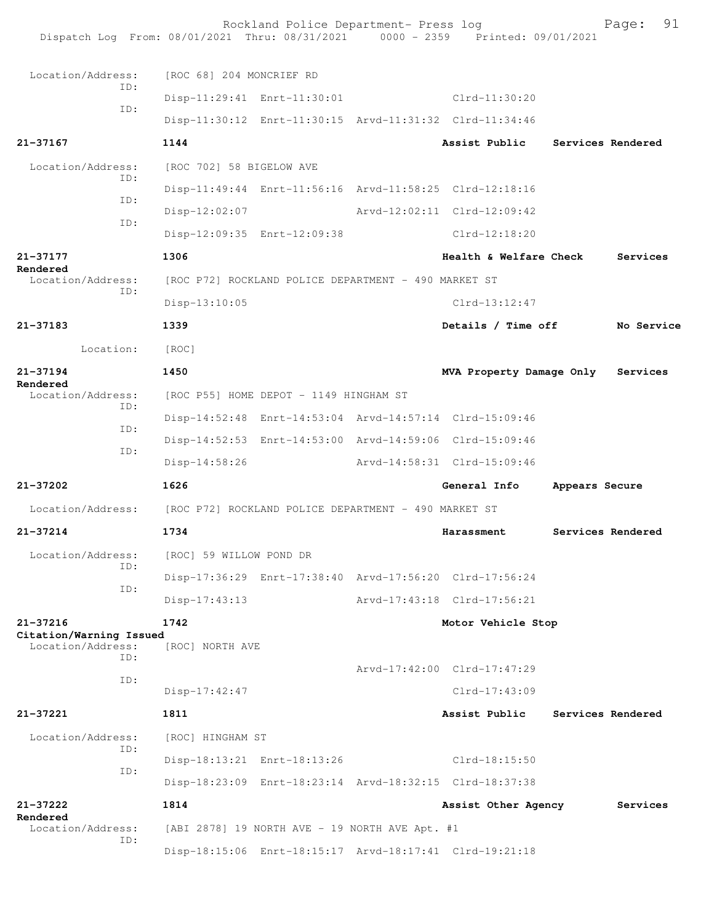| Dispatch Log From: 08/01/2021 Thru: 08/31/2021 0000 - 2359 Printed: 09/01/2021 |                                                      | Rockland Police Department- Press log                |                                                         |                | 91<br>Page:       |
|--------------------------------------------------------------------------------|------------------------------------------------------|------------------------------------------------------|---------------------------------------------------------|----------------|-------------------|
| Location/Address:                                                              | [ROC 68] 204 MONCRIEF RD                             |                                                      |                                                         |                |                   |
| ID:                                                                            |                                                      | Disp-11:29:41 Enrt-11:30:01                          | Clrd-11:30:20                                           |                |                   |
| ID:                                                                            |                                                      |                                                      | Disp-11:30:12 Enrt-11:30:15 Arvd-11:31:32 Clrd-11:34:46 |                |                   |
| 21-37167                                                                       | 1144                                                 |                                                      | Assist Public                                           |                | Services Rendered |
| Location/Address:                                                              | [ROC 702] 58 BIGELOW AVE                             |                                                      |                                                         |                |                   |
| TD:                                                                            |                                                      |                                                      | Disp-11:49:44 Enrt-11:56:16 Arvd-11:58:25 Clrd-12:18:16 |                |                   |
| ID:                                                                            | Disp-12:02:07                                        |                                                      | Arvd-12:02:11 Clrd-12:09:42                             |                |                   |
| ID:                                                                            |                                                      | Disp-12:09:35 Enrt-12:09:38                          | Clrd-12:18:20                                           |                |                   |
| $21 - 37177$                                                                   | 1306                                                 |                                                      | Health & Welfare Check                                  |                | Services          |
| Rendered<br>Location/Address:                                                  |                                                      | [ROC P72] ROCKLAND POLICE DEPARTMENT - 490 MARKET ST |                                                         |                |                   |
| ID:                                                                            | $Disp-13:10:05$                                      |                                                      | $Clrd-13:12:47$                                         |                |                   |
| $21 - 37183$                                                                   | 1339                                                 |                                                      | Details / Time off                                      |                | No Service        |
| Location:                                                                      | [ROC]                                                |                                                      |                                                         |                |                   |
| $21 - 37194$                                                                   | 1450                                                 |                                                      | MVA Property Damage Only                                |                | Services          |
| Rendered<br>Location/Address:                                                  |                                                      | [ROC P55] HOME DEPOT - 1149 HINGHAM ST               |                                                         |                |                   |
| ID:                                                                            |                                                      |                                                      | Disp-14:52:48 Enrt-14:53:04 Arvd-14:57:14 Clrd-15:09:46 |                |                   |
| ID:                                                                            |                                                      |                                                      | Disp-14:52:53 Enrt-14:53:00 Arvd-14:59:06 Clrd-15:09:46 |                |                   |
| ID:                                                                            | $Disp-14:58:26$                                      |                                                      | Arvd-14:58:31 Clrd-15:09:46                             |                |                   |
| 21-37202                                                                       | 1626                                                 |                                                      | General Info                                            | Appears Secure |                   |
| Location/Address:                                                              | [ROC P72] ROCKLAND POLICE DEPARTMENT - 490 MARKET ST |                                                      |                                                         |                |                   |
| $21 - 37214$                                                                   | 1734                                                 |                                                      | Harassment                                              |                | Services Rendered |
| Location/Address:                                                              | [ROC] 59 WILLOW POND DR                              |                                                      |                                                         |                |                   |
| TD:                                                                            |                                                      |                                                      | Disp-17:36:29 Enrt-17:38:40 Arvd-17:56:20 Clrd-17:56:24 |                |                   |
| ID:                                                                            | $Disp-17:43:13$                                      |                                                      | Arvd-17:43:18 Clrd-17:56:21                             |                |                   |
| 21-37216                                                                       | 1742                                                 |                                                      | Motor Vehicle Stop                                      |                |                   |
| Citation/Warning Issued<br>Location/Address:                                   | [ROC] NORTH AVE                                      |                                                      |                                                         |                |                   |
| TD:                                                                            |                                                      |                                                      | Arvd-17:42:00 Clrd-17:47:29                             |                |                   |
| ID:                                                                            | $Disp-17:42:47$                                      |                                                      | $Clrd-17:43:09$                                         |                |                   |
| 21-37221                                                                       | 1811                                                 |                                                      | Assist Public                                           |                | Services Rendered |
| Location/Address:                                                              | [ROC] HINGHAM ST                                     |                                                      |                                                         |                |                   |
| ID:                                                                            |                                                      | Disp-18:13:21 Enrt-18:13:26                          | Clrd-18:15:50                                           |                |                   |
| ID:                                                                            |                                                      |                                                      | Disp-18:23:09 Enrt-18:23:14 Arvd-18:32:15 Clrd-18:37:38 |                |                   |
| 21-37222                                                                       | 1814                                                 |                                                      | Assist Other Agency                                     |                | Services          |
| Rendered<br>Location/Address:                                                  |                                                      | [ABI 2878] 19 NORTH AVE - 19 NORTH AVE Apt. #1       |                                                         |                |                   |
| ID:                                                                            |                                                      |                                                      | Disp-18:15:06 Enrt-18:15:17 Arvd-18:17:41 Clrd-19:21:18 |                |                   |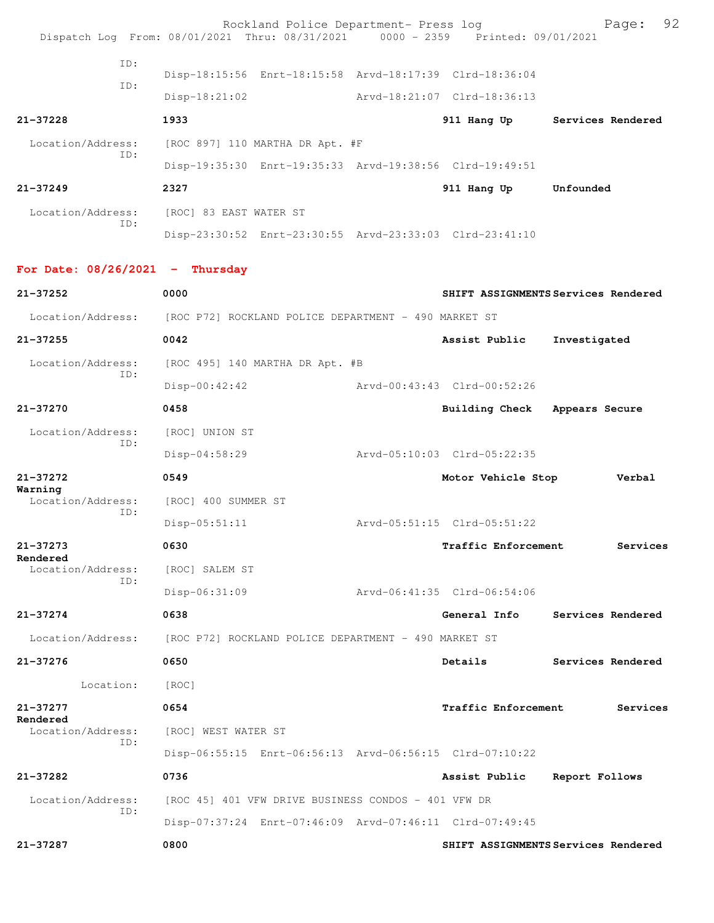|                                   | Rockland Police Department- Press log<br>Dispatch Log From: 08/01/2021 Thru: 08/31/2021 0000 - 2359 Printed: 09/01/2021 |                               | 92<br>Page:                         |
|-----------------------------------|-------------------------------------------------------------------------------------------------------------------------|-------------------------------|-------------------------------------|
| TD:                               | Disp-18:15:56 Enrt-18:15:58 Arvd-18:17:39 Clrd-18:36:04                                                                 |                               |                                     |
| ID:                               |                                                                                                                         |                               |                                     |
|                                   | $Disp-18:21:02$                                                                                                         | Arvd-18:21:07 Clrd-18:36:13   |                                     |
| $21 - 37228$                      | 1933                                                                                                                    |                               | 911 Hang Up Services Rendered       |
| Location/Address:<br>ID:          | [ROC 897] 110 MARTHA DR Apt. #F                                                                                         |                               |                                     |
|                                   | Disp-19:35:30 Enrt-19:35:33 Arvd-19:38:56 Clrd-19:49:51                                                                 |                               |                                     |
| $21 - 37249$                      | 2327                                                                                                                    | 911 Hang Up Unfounded         |                                     |
| Location/Address:<br>TD:          | [ROC] 83 EAST WATER ST                                                                                                  |                               |                                     |
|                                   | Disp-23:30:52 Enrt-23:30:55 Arvd-23:33:03 Clrd-23:41:10                                                                 |                               |                                     |
| For Date: $08/26/2021$ - Thursday |                                                                                                                         |                               |                                     |
| $21 - 37252$                      | 0000                                                                                                                    |                               | SHIFT ASSIGNMENTS Services Rendered |
| Location/Address:                 | [ROC P72] ROCKLAND POLICE DEPARTMENT - 490 MARKET ST                                                                    |                               |                                     |
| $21 - 37255$                      | 0042                                                                                                                    | Assist Public                 | Investigated                        |
| Location/Address:<br>ID:          | [ROC 495] 140 MARTHA DR Apt. #B                                                                                         |                               |                                     |
|                                   | $Disp-00:42:42$                                                                                                         | Arvd-00:43:43 Clrd-00:52:26   |                                     |
| 21-37270                          | 0458                                                                                                                    | Building Check Appears Secure |                                     |
| Location/Address:                 | [ROC] UNION ST                                                                                                          |                               |                                     |
| ID:                               | $Disp-04:58:29$                                                                                                         | Arvd-05:10:03 Clrd-05:22:35   |                                     |
| $21 - 37272$                      | 0549                                                                                                                    | Motor Vehicle Stop            | Verbal                              |
| Warning<br>Location/Address:      | [ROC] 400 SUMMER ST                                                                                                     |                               |                                     |
| ID:                               | $Disp-05:51:11$                                                                                                         | Arvd-05:51:15 Clrd-05:51:22   |                                     |
| 21-37273                          | 0630                                                                                                                    | <b>Traffic Enforcement</b>    | Services                            |
| Rendered<br>Location/Address:     | [ROC] SALEM ST                                                                                                          |                               |                                     |
| ID:                               | Disp-06:31:09                                                                                                           | Arvd-06:41:35 Clrd-06:54:06   |                                     |
| 21-37274                          | 0638                                                                                                                    | General Info                  | Services Rendered                   |
| Location/Address:                 | [ROC P72] ROCKLAND POLICE DEPARTMENT - 490 MARKET ST                                                                    |                               |                                     |
| 21-37276                          | 0650                                                                                                                    | Details                       | Services Rendered                   |
| Location:                         | [ROC]                                                                                                                   |                               |                                     |
| 21-37277                          | 0654                                                                                                                    | Traffic Enforcement           | Services                            |
| Rendered<br>Location/Address:     | [ROC] WEST WATER ST                                                                                                     |                               |                                     |
| TD:                               | Disp-06:55:15 Enrt-06:56:13 Arvd-06:56:15 Clrd-07:10:22                                                                 |                               |                                     |
| 21-37282                          | 0736                                                                                                                    | Assist Public                 | Report Follows                      |
| Location/Address:                 | [ROC 45] 401 VFW DRIVE BUSINESS CONDOS - 401 VFW DR                                                                     |                               |                                     |
| ID:                               | Disp-07:37:24 Enrt-07:46:09 Arvd-07:46:11 Clrd-07:49:45                                                                 |                               |                                     |
| 21-37287                          | 0800                                                                                                                    |                               | SHIFT ASSIGNMENTS Services Rendered |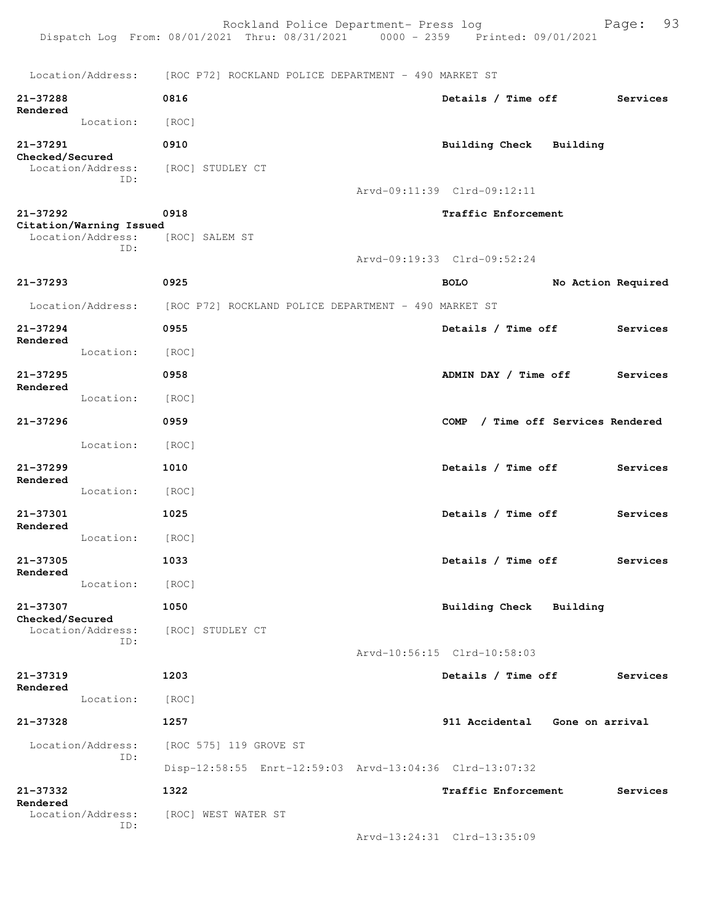|                                              |                    |                        | Rockland Police Department- Press log<br>Dispatch Log From: 08/01/2021 Thru: 08/31/2021   0000 - 2359   Printed: 09/01/2021 |             |                                |                              | 93<br>Page: |
|----------------------------------------------|--------------------|------------------------|-----------------------------------------------------------------------------------------------------------------------------|-------------|--------------------------------|------------------------------|-------------|
|                                              |                    |                        | Location/Address: [ROC P72] ROCKLAND POLICE DEPARTMENT - 490 MARKET ST                                                      |             |                                |                              |             |
| $21 - 37288$<br>Rendered                     | 0816               |                        |                                                                                                                             |             | Details / Time off             |                              | Services    |
|                                              | Location:<br>[ROC] |                        |                                                                                                                             |             |                                |                              |             |
| 21-37291<br>Checked/Secured                  | 0910               |                        |                                                                                                                             |             | Building Check                 | Building                     |             |
| Location/Address:                            | ID:                | [ROC] STUDLEY CT       |                                                                                                                             |             |                                |                              |             |
|                                              |                    |                        |                                                                                                                             |             | Arvd-09:11:39 Clrd-09:12:11    |                              |             |
| 21-37292                                     | 0918               |                        |                                                                                                                             |             | Traffic Enforcement            |                              |             |
| Citation/Warning Issued<br>Location/Address: | ID:                | [ROC] SALEM ST         |                                                                                                                             |             |                                |                              |             |
|                                              |                    |                        |                                                                                                                             |             | Arvd-09:19:33 Clrd-09:52:24    |                              |             |
| $21 - 37293$                                 | 0925               |                        |                                                                                                                             | <b>BOLO</b> |                                | No Action Required           |             |
| Location/Address:                            |                    |                        | [ROC P72] ROCKLAND POLICE DEPARTMENT - 490 MARKET ST                                                                        |             |                                |                              |             |
| 21-37294                                     | 0955               |                        |                                                                                                                             |             | Details / Time off             |                              | Services    |
| Rendered                                     | Location:<br>[ROC] |                        |                                                                                                                             |             |                                |                              |             |
| 21-37295                                     | 0958               |                        |                                                                                                                             |             | ADMIN DAY / Time off           |                              | Services    |
| Rendered                                     | Location:<br>[ROC] |                        |                                                                                                                             |             |                                |                              |             |
| 21-37296                                     | 0959               |                        |                                                                                                                             | <b>COMP</b> |                                | / Time off Services Rendered |             |
|                                              | Location:<br>[ROC] |                        |                                                                                                                             |             |                                |                              |             |
| $21 - 37299$                                 | 1010               |                        |                                                                                                                             |             | Details / Time off             |                              | Services    |
| Rendered                                     | Location:<br>[ROC] |                        |                                                                                                                             |             |                                |                              |             |
| 21-37301                                     | 1025               |                        |                                                                                                                             |             | Details / Time off             |                              | Services    |
| Rendered                                     | Location:<br>[ROC] |                        |                                                                                                                             |             |                                |                              |             |
| $21 - 37305$                                 | 1033               |                        |                                                                                                                             |             | Details / Time off             |                              | Services    |
| Rendered                                     | Location:<br>[ROC] |                        |                                                                                                                             |             |                                |                              |             |
| 21-37307                                     | 1050               |                        |                                                                                                                             |             | Building Check Building        |                              |             |
| Checked/Secured<br>Location/Address:         |                    | [ROC] STUDLEY CT       |                                                                                                                             |             |                                |                              |             |
|                                              | ID:                |                        |                                                                                                                             |             | Arvd-10:56:15 Clrd-10:58:03    |                              |             |
| 21-37319                                     | 1203               |                        |                                                                                                                             |             | Details / Time off             |                              | Services    |
| Rendered                                     | Location:<br>[ROC] |                        |                                                                                                                             |             |                                |                              |             |
| 21-37328                                     | 1257               |                        |                                                                                                                             |             | 911 Accidental Gone on arrival |                              |             |
| Location/Address:                            |                    | [ROC 575] 119 GROVE ST |                                                                                                                             |             |                                |                              |             |
|                                              | ID:                |                        | Disp-12:58:55 Enrt-12:59:03 Arvd-13:04:36 Clrd-13:07:32                                                                     |             |                                |                              |             |
| $21 - 37332$                                 | 1322               |                        |                                                                                                                             |             | <b>Traffic Enforcement</b>     |                              | Services    |
| Rendered<br>Location/Address:                |                    | [ROC] WEST WATER ST    |                                                                                                                             |             |                                |                              |             |
|                                              | ID:                |                        |                                                                                                                             |             | Arvd-13:24:31 Clrd-13:35:09    |                              |             |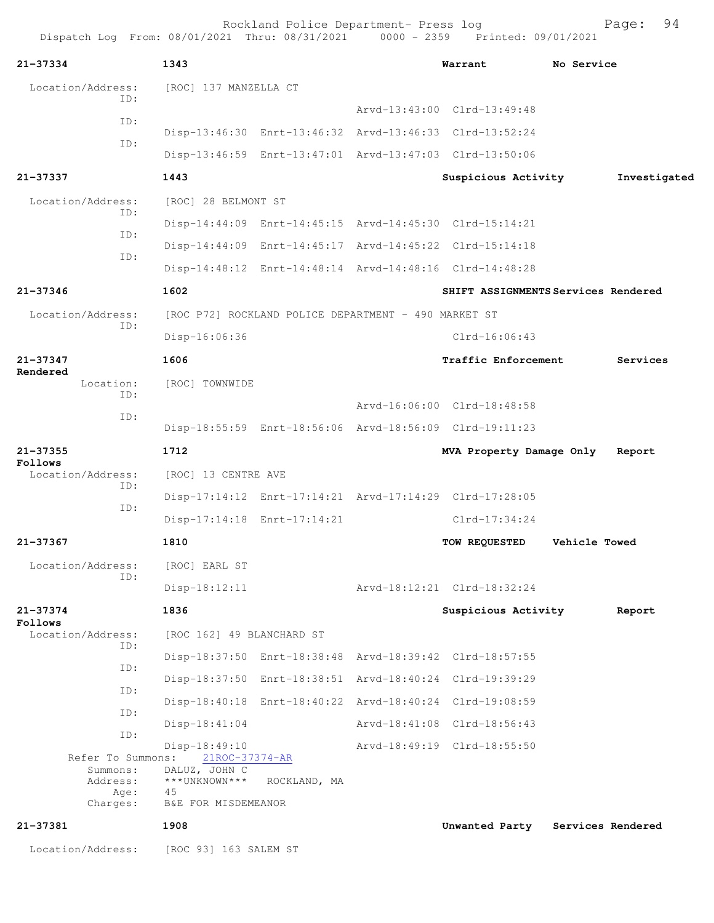| 21-37334                      | 1343                            |                                                         | Warrant                                                 | No Service           |                   |
|-------------------------------|---------------------------------|---------------------------------------------------------|---------------------------------------------------------|----------------------|-------------------|
| Location/Address:<br>TD:      | [ROC] 137 MANZELLA CT           |                                                         |                                                         |                      |                   |
|                               |                                 |                                                         | Arvd-13:43:00 Clrd-13:49:48                             |                      |                   |
| ID:                           |                                 | Disp-13:46:30 Enrt-13:46:32 Arvd-13:46:33 Clrd-13:52:24 |                                                         |                      |                   |
| ID:                           |                                 | Disp-13:46:59 Enrt-13:47:01 Arvd-13:47:03 Clrd-13:50:06 |                                                         |                      |                   |
| 21-37337                      | 1443                            |                                                         | Suspicious Activity                                     |                      | Investigated      |
| Location/Address:             | [ROC] 28 BELMONT ST             |                                                         |                                                         |                      |                   |
| ID:                           |                                 |                                                         | Disp-14:44:09 Enrt-14:45:15 Arvd-14:45:30 Clrd-15:14:21 |                      |                   |
| ID:                           |                                 | Disp-14:44:09 Enrt-14:45:17 Arvd-14:45:22 Clrd-15:14:18 |                                                         |                      |                   |
| ID:                           |                                 |                                                         | Disp-14:48:12 Enrt-14:48:14 Arvd-14:48:16 Clrd-14:48:28 |                      |                   |
| 21-37346                      | 1602                            |                                                         | SHIFT ASSIGNMENTS Services Rendered                     |                      |                   |
| Location/Address:             |                                 | [ROC P72] ROCKLAND POLICE DEPARTMENT - 490 MARKET ST    |                                                         |                      |                   |
| ID:                           | Disp-16:06:36                   |                                                         | $Clrd-16:06:43$                                         |                      |                   |
| 21-37347                      | 1606                            |                                                         | Traffic Enforcement                                     |                      | Services          |
| Rendered<br>Location:         | [ROC] TOWNWIDE                  |                                                         |                                                         |                      |                   |
| ID:                           |                                 |                                                         | Arvd-16:06:00 Clrd-18:48:58                             |                      |                   |
| ID:                           |                                 |                                                         | Disp-18:55:59 Enrt-18:56:06 Arvd-18:56:09 Clrd-19:11:23 |                      |                   |
| 21-37355                      | 1712                            |                                                         | MVA Property Damage Only                                |                      | Report            |
| Follows<br>Location/Address:  | [ROC] 13 CENTRE AVE             |                                                         |                                                         |                      |                   |
| ID:                           |                                 |                                                         | Disp-17:14:12 Enrt-17:14:21 Arvd-17:14:29 Clrd-17:28:05 |                      |                   |
| ID:                           |                                 | Disp-17:14:18 Enrt-17:14:21                             | $Clrd-17:34:24$                                         |                      |                   |
| 21-37367                      | 1810                            |                                                         | TOW REQUESTED                                           | <b>Vehicle Towed</b> |                   |
| Location/Address:             | [ROC] EARL ST                   |                                                         |                                                         |                      |                   |
| ID:                           | $Disp-18:12:11$                 |                                                         | Arvd-18:12:21 Clrd-18:32:24                             |                      |                   |
| 21-37374                      | 1836                            |                                                         | Suspicious Activity                                     |                      | Report            |
| Follows<br>Location/Address:  | [ROC 162] 49 BLANCHARD ST       |                                                         |                                                         |                      |                   |
| ID:                           |                                 |                                                         | Disp-18:37:50 Enrt-18:38:48 Arvd-18:39:42 Clrd-18:57:55 |                      |                   |
| ID:                           |                                 |                                                         | Disp-18:37:50 Enrt-18:38:51 Arvd-18:40:24 Clrd-19:39:29 |                      |                   |
| ID:                           |                                 |                                                         | Disp-18:40:18 Enrt-18:40:22 Arvd-18:40:24 Clrd-19:08:59 |                      |                   |
| ID:                           | $Disp-18:41:04$                 |                                                         | Arvd-18:41:08 Clrd-18:56:43                             |                      |                   |
| ID:                           | Disp-18:49:10                   |                                                         | Arvd-18:49:19 Clrd-18:55:50                             |                      |                   |
| Refer To Summons:<br>Summons: | 21ROC-37374-AR<br>DALUZ, JOHN C |                                                         |                                                         |                      |                   |
| Address:<br>Age:              | ***UNKNOWN***<br>45             | ROCKLAND, MA                                            |                                                         |                      |                   |
| Charges:                      | B&E FOR MISDEMEANOR             |                                                         |                                                         |                      |                   |
| 21-37381                      | 1908                            |                                                         | Unwanted Party                                          |                      | Services Rendered |
| Location/Address:             | [ROC 93] 163 SALEM ST           |                                                         |                                                         |                      |                   |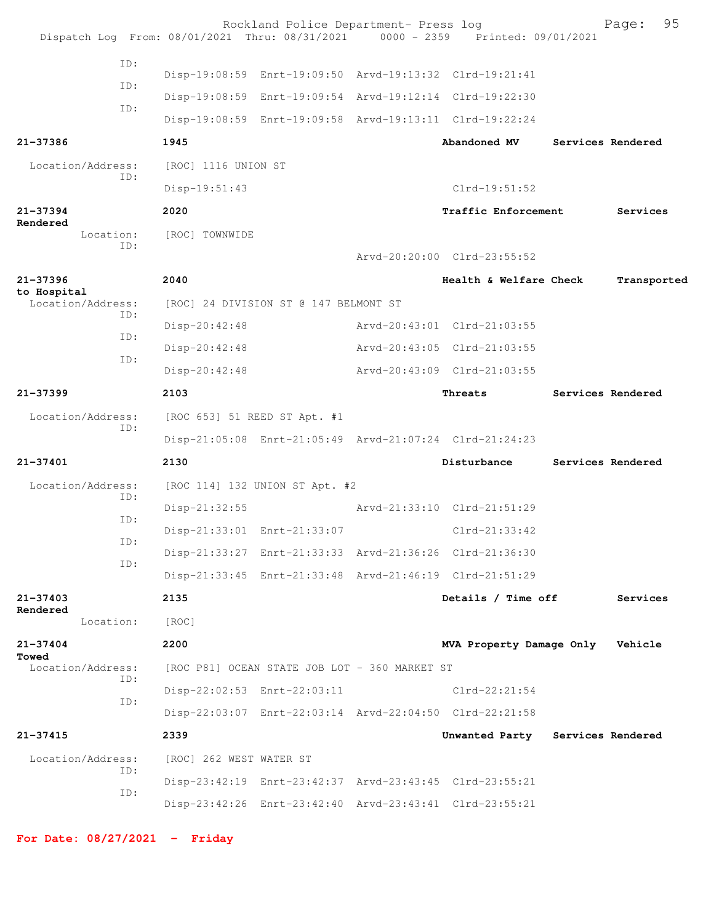|                                  |     |                              | Rockland Police Department- Press log         | Dispatch Log From: 08/01/2021 Thru: 08/31/2021 0000 - 2359 Printed: 09/01/2021 | 95<br>Page:       |  |
|----------------------------------|-----|------------------------------|-----------------------------------------------|--------------------------------------------------------------------------------|-------------------|--|
|                                  | ID: |                              |                                               | Disp-19:08:59 Enrt-19:09:50 Arvd-19:13:32 Clrd-19:21:41                        |                   |  |
|                                  | ID: |                              |                                               | Disp-19:08:59 Enrt-19:09:54 Arvd-19:12:14 Clrd-19:22:30                        |                   |  |
|                                  | ID: |                              |                                               | Disp-19:08:59 Enrt-19:09:58 Arvd-19:13:11 Clrd-19:22:24                        |                   |  |
| 21-37386                         |     | 1945                         |                                               | Abandoned MV                                                                   | Services Rendered |  |
| Location/Address:                |     | [ROC] 1116 UNION ST          |                                               |                                                                                |                   |  |
|                                  | ID: | $Disp-19:51:43$              |                                               | Clrd-19:51:52                                                                  |                   |  |
| $21 - 37394$                     |     | 2020                         |                                               | <b>Traffic Enforcement</b>                                                     | Services          |  |
| Rendered<br>Location:            | TD: | [ROC] TOWNWIDE               |                                               | Arvd-20:20:00 Clrd-23:55:52                                                    |                   |  |
| $21 - 37396$                     |     | 2040                         |                                               | Health & Welfare Check                                                         | Transported       |  |
| to Hospital<br>Location/Address: |     |                              |                                               |                                                                                |                   |  |
|                                  | ID: | Disp-20:42:48                | [ROC] 24 DIVISION ST @ 147 BELMONT ST         | Arvd-20:43:01 Clrd-21:03:55                                                    |                   |  |
|                                  | ID: | $Disp-20:42:48$              |                                               | Arvd-20:43:05 Clrd-21:03:55                                                    |                   |  |
|                                  | ID: | Disp-20:42:48                |                                               | Arvd-20:43:09 Clrd-21:03:55                                                    |                   |  |
| $21 - 37399$                     |     | 2103                         |                                               | Threats                                                                        | Services Rendered |  |
|                                  |     | [ROC 653] 51 REED ST Apt. #1 |                                               |                                                                                |                   |  |
| Location/Address:<br>ID:         |     |                              |                                               | Disp-21:05:08 Enrt-21:05:49 Arvd-21:07:24 Clrd-21:24:23                        |                   |  |
| $21 - 37401$                     |     | 2130                         |                                               | Disturbance                                                                    | Services Rendered |  |
| Location/Address:                |     |                              | [ROC 114] 132 UNION ST Apt. #2                |                                                                                |                   |  |
|                                  | ID: | $Disp-21:32:55$              |                                               | Arvd-21:33:10 Clrd-21:51:29                                                    |                   |  |
|                                  | TD: |                              | Disp-21:33:01 Enrt-21:33:07                   | Clrd-21:33:42                                                                  |                   |  |
|                                  | ID: |                              |                                               | Disp-21:33:27 Enrt-21:33:33 Arvd-21:36:26 Clrd-21:36:30                        |                   |  |
|                                  | ID: |                              |                                               | Disp-21:33:45 Enrt-21:33:48 Arvd-21:46:19 Clrd-21:51:29                        |                   |  |
| $21 - 37403$                     |     | 2135                         |                                               | Details / Time off                                                             | Services          |  |
| Rendered<br>Location:            |     | [ROC]                        |                                               |                                                                                |                   |  |
| $21 - 37404$                     |     | 2200                         |                                               | MVA Property Damage Only Vehicle                                               |                   |  |
| Towed<br>Location/Address:       |     |                              | [ROC P81] OCEAN STATE JOB LOT - 360 MARKET ST |                                                                                |                   |  |
|                                  | TD: |                              | Disp-22:02:53 Enrt-22:03:11                   | $Clrd-22:21:54$                                                                |                   |  |
|                                  | ID: |                              |                                               | Disp-22:03:07 Enrt-22:03:14 Arvd-22:04:50 Clrd-22:21:58                        |                   |  |
| $21 - 37415$                     |     | 2339                         |                                               | Unwanted Party Services Rendered                                               |                   |  |
| Location/Address:                |     | [ROC] 262 WEST WATER ST      |                                               |                                                                                |                   |  |
|                                  | ID: |                              |                                               | Disp-23:42:19 Enrt-23:42:37 Arvd-23:43:45 Clrd-23:55:21                        |                   |  |
|                                  | ID: |                              |                                               | Disp-23:42:26 Enrt-23:42:40 Arvd-23:43:41 Clrd-23:55:21                        |                   |  |
|                                  |     |                              |                                               |                                                                                |                   |  |

**For Date: 08/27/2021 - Friday**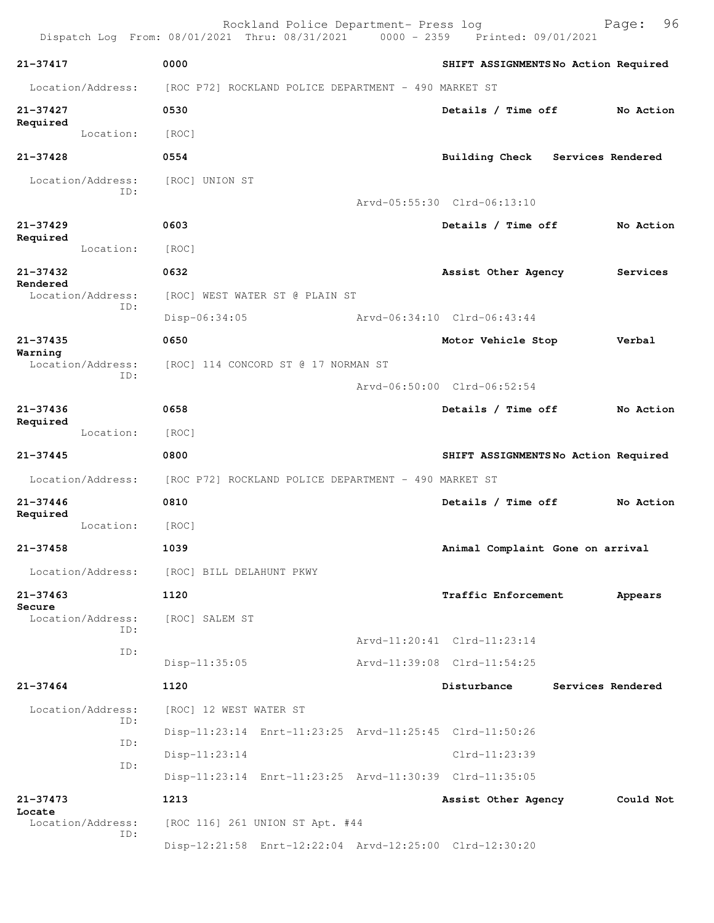|                               | Rockland Police Department- Press log<br>Dispatch Log From: 08/01/2021 Thru: 08/31/2021 0000 - 2359 Printed: 09/01/2021 |                                     | 96<br>Page:       |
|-------------------------------|-------------------------------------------------------------------------------------------------------------------------|-------------------------------------|-------------------|
| 21-37417                      | 0000                                                                                                                    | SHIFT ASSIGNMENTSNo Action Required |                   |
| Location/Address:             | [ROC P72] ROCKLAND POLICE DEPARTMENT - 490 MARKET ST                                                                    |                                     |                   |
| $21 - 37427$                  | 0530                                                                                                                    | Details / Time off                  | No Action         |
| Required<br>Location:         | [ROC]                                                                                                                   |                                     |                   |
| $21 - 37428$                  | 0554                                                                                                                    | Building Check                      | Services Rendered |
| Location/Address:             | [ROC] UNION ST                                                                                                          |                                     |                   |
| ID:                           |                                                                                                                         | Arvd-05:55:30 Clrd-06:13:10         |                   |
| $21 - 37429$                  | 0603                                                                                                                    | Details / Time off                  | No Action         |
| Required<br>Location:         | [ROC]                                                                                                                   |                                     |                   |
| $21 - 37432$                  | 0632                                                                                                                    | Assist Other Agency                 | Services          |
| Rendered<br>Location/Address: | [ROC] WEST WATER ST @ PLAIN ST                                                                                          |                                     |                   |
| ID:                           | Disp-06:34:05                                                                                                           | Arvd-06:34:10 Clrd-06:43:44         |                   |
| $21 - 37435$                  | 0650                                                                                                                    | Motor Vehicle Stop                  | Verbal            |
| Warning<br>Location/Address:  | [ROC] 114 CONCORD ST @ 17 NORMAN ST                                                                                     |                                     |                   |
| ID:                           |                                                                                                                         | Arvd-06:50:00 Clrd-06:52:54         |                   |
| $21 - 37436$                  | 0658                                                                                                                    | Details / Time off                  | No Action         |
| Required<br>Location:         | [ROC]                                                                                                                   |                                     |                   |
| 21-37445                      | 0800                                                                                                                    | SHIFT ASSIGNMENTSNo Action Required |                   |
| Location/Address:             | [ROC P72] ROCKLAND POLICE DEPARTMENT - 490 MARKET ST                                                                    |                                     |                   |
| $21 - 37446$                  | 0810                                                                                                                    | Details / Time off                  | No Action         |
| Required<br>Location:         | [ROC]                                                                                                                   |                                     |                   |
| $21 - 37458$                  | 1039                                                                                                                    | Animal Complaint Gone on arrival    |                   |
| Location/Address:             | [ROC] BILL DELAHUNT PKWY                                                                                                |                                     |                   |
| $21 - 37463$                  | 1120                                                                                                                    | Traffic Enforcement                 | Appears           |
| Secure<br>Location/Address:   | [ROC] SALEM ST                                                                                                          |                                     |                   |
| ID:                           |                                                                                                                         | Arvd-11:20:41 Clrd-11:23:14         |                   |
| ID:                           | $Disp-11:35:05$                                                                                                         | Arvd-11:39:08 Clrd-11:54:25         |                   |
| $21 - 37464$                  | 1120                                                                                                                    | Disturbance                         | Services Rendered |
| Location/Address:             | [ROC] 12 WEST WATER ST                                                                                                  |                                     |                   |
| ID:                           | Disp-11:23:14 Enrt-11:23:25 Arvd-11:25:45 Clrd-11:50:26                                                                 |                                     |                   |
| ID:                           | Disp-11:23:14                                                                                                           | Clrd-11:23:39                       |                   |
| ID:                           | Disp-11:23:14 Enrt-11:23:25 Arvd-11:30:39 Clrd-11:35:05                                                                 |                                     |                   |
| $21 - 37473$                  | 1213                                                                                                                    | Assist Other Agency                 | Could Not         |
| Locate<br>Location/Address:   | [ROC 116] 261 UNION ST Apt. #44                                                                                         |                                     |                   |
| ID:                           | Disp-12:21:58 Enrt-12:22:04 Arvd-12:25:00 Clrd-12:30:20                                                                 |                                     |                   |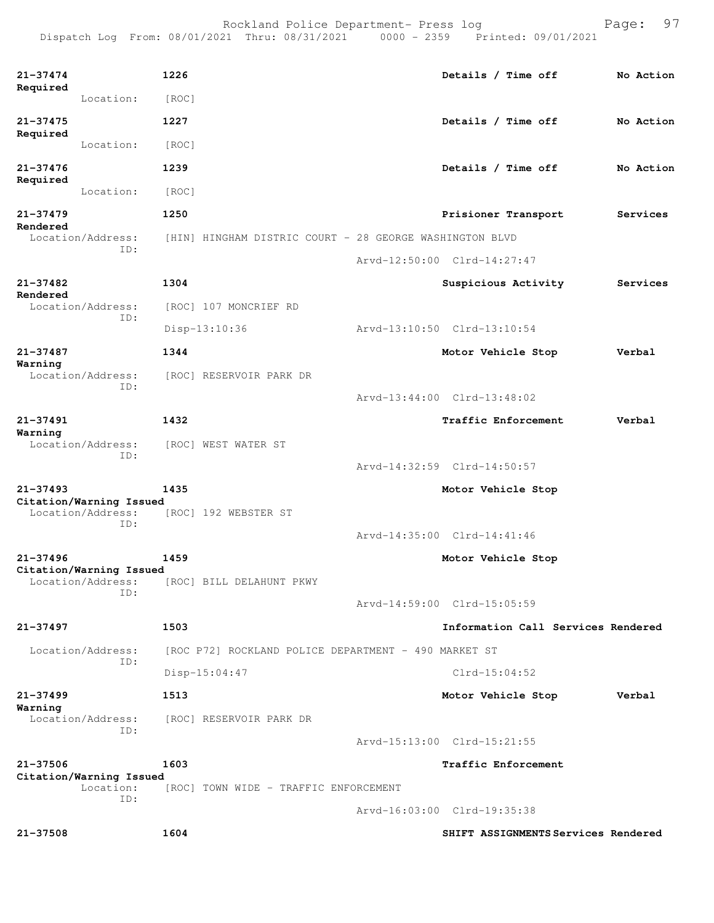Dispatch Log From: 08/01/2021 Thru: 08/31/2021 0000 - 2359 Printed: 09/01/2021

| 21-37474                |                          | 1226                                                    | Details / Time off                  | No Action |
|-------------------------|--------------------------|---------------------------------------------------------|-------------------------------------|-----------|
| Required                | Location:                | [ROC]                                                   |                                     |           |
| $21 - 37475$            |                          | 1227                                                    | Details / Time off                  | No Action |
| Required                | Location:                | [ROC]                                                   |                                     |           |
| 21-37476                |                          | 1239                                                    | Details / Time off                  | No Action |
| Required                | Location:                | [ROC]                                                   |                                     |           |
| $21 - 37479$            |                          | 1250                                                    | Prisioner Transport                 | Services  |
| Rendered                | Location/Address:        | [HIN] HINGHAM DISTRIC COURT - 28 GEORGE WASHINGTON BLVD |                                     |           |
|                         | ID:                      |                                                         | Arvd-12:50:00 Clrd-14:27:47         |           |
| $21 - 37482$            |                          | 1304                                                    | Suspicious Activity                 | Services  |
| Rendered                | Location/Address:<br>ID: | [ROC] 107 MONCRIEF RD                                   |                                     |           |
|                         |                          | Disp-13:10:36                                           | Arvd-13:10:50 Clrd-13:10:54         |           |
| $21 - 37487$            |                          | 1344                                                    | Motor Vehicle Stop                  | Verbal    |
| Warning                 | Location/Address:<br>ID: | [ROC] RESERVOIR PARK DR                                 |                                     |           |
|                         |                          |                                                         | Arvd-13:44:00 Clrd-13:48:02         |           |
| $21 - 37491$<br>Warning |                          | 1432                                                    | Traffic Enforcement                 | Verbal    |
|                         | Location/Address:<br>ID: | [ROC] WEST WATER ST                                     |                                     |           |
|                         |                          |                                                         | Arvd-14:32:59 Clrd-14:50:57         |           |
| 21-37493                | Citation/Warning Issued  | 1435                                                    | Motor Vehicle Stop                  |           |
|                         | Location/Address:<br>ID: | [ROC] 192 WEBSTER ST                                    |                                     |           |
|                         |                          |                                                         | Arvd-14:35:00 Clrd-14:41:46         |           |
| $21 - 37496$            | Citation/Warning Issued  | 1459                                                    | Motor Vehicle Stop                  |           |
|                         | Location/Address:<br>ID: | [ROC] BILL DELAHUNT PKWY                                |                                     |           |
|                         |                          |                                                         | Arvd-14:59:00 Clrd-15:05:59         |           |
| $21 - 37497$            |                          | 1503                                                    | Information Call Services Rendered  |           |
|                         | Location/Address:<br>ID: | [ROC P72] ROCKLAND POLICE DEPARTMENT - 490 MARKET ST    |                                     |           |
|                         |                          | $Disp-15:04:47$                                         | $Clrd-15:04:52$                     |           |
| $21 - 37499$<br>Warning |                          | 1513                                                    | Motor Vehicle Stop                  | Verbal    |
|                         | Location/Address:<br>TD: | [ROC] RESERVOIR PARK DR                                 |                                     |           |
|                         |                          |                                                         | Arvd-15:13:00 Clrd-15:21:55         |           |
| 21-37506                | Citation/Warning Issued  | 1603                                                    | Traffic Enforcement                 |           |
|                         | Location:<br>ID:         | [ROC] TOWN WIDE - TRAFFIC ENFORCEMENT                   |                                     |           |
|                         |                          |                                                         | Arvd-16:03:00 Clrd-19:35:38         |           |
| $21 - 37508$            |                          | 1604                                                    | SHIFT ASSIGNMENTS Services Rendered |           |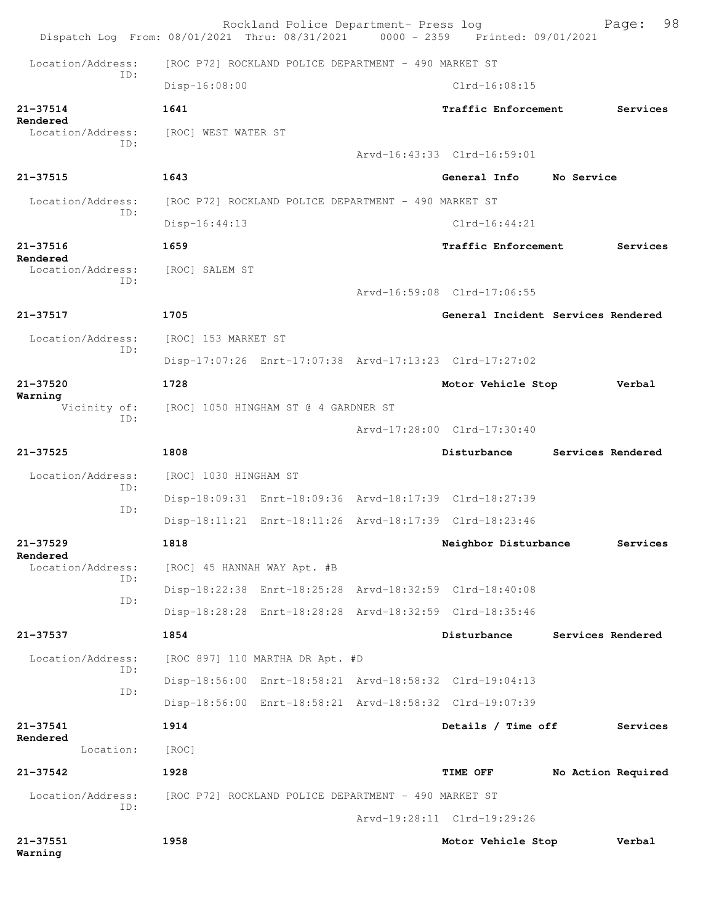|                                | Rockland Police Department- Press log<br>Dispatch Log From: 08/01/2021 Thru: 08/31/2021 0000 - 2359 Printed: 09/01/2021 | 98<br>Page:                           |
|--------------------------------|-------------------------------------------------------------------------------------------------------------------------|---------------------------------------|
| Location/Address:              | [ROC P72] ROCKLAND POLICE DEPARTMENT - 490 MARKET ST                                                                    |                                       |
| T.D:                           | Disp-16:08:00                                                                                                           | $Clrd-16:08:15$                       |
| $21 - 37514$                   | 1641                                                                                                                    | Traffic Enforcement<br>Services       |
| Rendered<br>Location/Address:  | [ROC] WEST WATER ST                                                                                                     |                                       |
| ID:                            |                                                                                                                         | Arvd-16:43:33 Clrd-16:59:01           |
| $21 - 37515$                   | 1643                                                                                                                    | General Info<br>No Service            |
| Location/Address:              | [ROC P72] ROCKLAND POLICE DEPARTMENT - 490 MARKET ST                                                                    |                                       |
| TD:                            | $Disp-16:44:13$                                                                                                         | $Clrd-16:44:21$                       |
| $21 - 37516$                   | 1659                                                                                                                    | Traffic Enforcement<br>Services       |
| Rendered<br>Location/Address:  | [ROC] SALEM ST                                                                                                          |                                       |
| TD:                            |                                                                                                                         | Arvd-16:59:08 Clrd-17:06:55           |
| 21-37517                       | 1705                                                                                                                    | General Incident Services Rendered    |
| Location/Address:              | [ROC] 153 MARKET ST                                                                                                     |                                       |
| ID:                            | Disp-17:07:26 Enrt-17:07:38 Arvd-17:13:23 Clrd-17:27:02                                                                 |                                       |
| $21 - 37520$                   | 1728                                                                                                                    | Motor Vehicle Stop<br>Verbal          |
| Warning<br>Vicinity of:<br>TD: | [ROC] 1050 HINGHAM ST @ 4 GARDNER ST                                                                                    |                                       |
|                                |                                                                                                                         | Arvd-17:28:00 Clrd-17:30:40           |
| $21 - 37525$                   | 1808                                                                                                                    | Disturbance<br>Services Rendered      |
| Location/Address:<br>TD:       | [ROC] 1030 HINGHAM ST                                                                                                   |                                       |
| ID:                            | Disp-18:09:31 Enrt-18:09:36 Arvd-18:17:39 Clrd-18:27:39                                                                 |                                       |
|                                | Disp-18:11:21 Enrt-18:11:26 Arvd-18:17:39 Clrd-18:23:46                                                                 |                                       |
| 21-37529<br>Rendered           | 1818                                                                                                                    | Neighbor Disturbance<br>Services      |
| Location/Address:<br>ID:       | [ROC] 45 HANNAH WAY Apt. #B                                                                                             |                                       |
| ID:                            | Disp-18:22:38 Enrt-18:25:28 Arvd-18:32:59 Clrd-18:40:08                                                                 |                                       |
|                                | Disp-18:28:28 Enrt-18:28:28 Arvd-18:32:59 Clrd-18:35:46                                                                 |                                       |
| 21-37537                       | 1854                                                                                                                    | Disturbance<br>Services Rendered      |
| Location/Address:<br>ID:       | [ROC 897] 110 MARTHA DR Apt. #D                                                                                         |                                       |
| ID:                            | Disp-18:56:00 Enrt-18:58:21 Arvd-18:58:32 Clrd-19:04:13                                                                 |                                       |
|                                | Disp-18:56:00 Enrt-18:58:21 Arvd-18:58:32 Clrd-19:07:39                                                                 |                                       |
| 21-37541<br>Rendered           | 1914                                                                                                                    | Details / Time off<br>Services        |
| Location:                      | [ROC]                                                                                                                   |                                       |
|                                |                                                                                                                         |                                       |
| $21 - 37542$                   | 1928                                                                                                                    | <b>TIME OFF</b><br>No Action Required |
| Location/Address:<br>ID:       | [ROC P72] ROCKLAND POLICE DEPARTMENT - 490 MARKET ST                                                                    |                                       |
|                                |                                                                                                                         | Arvd-19:28:11 Clrd-19:29:26           |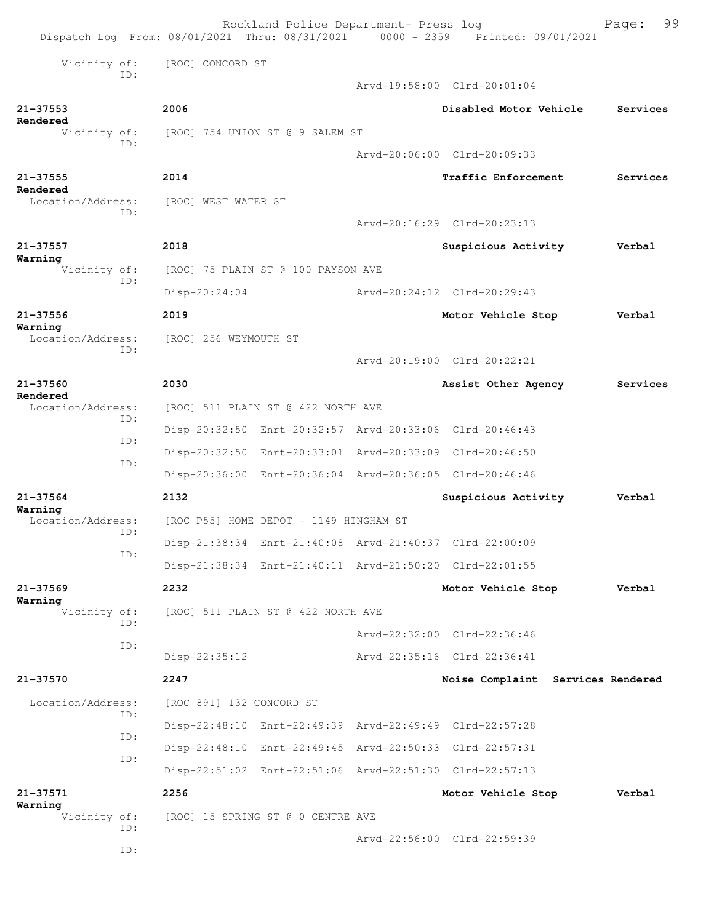|                               |                          | Rockland Police Department- Press log                   | Dispatch Log From: 08/01/2021 Thru: 08/31/2021 0000 - 2359 Printed: 09/01/2021 | 99<br>Page:                       |
|-------------------------------|--------------------------|---------------------------------------------------------|--------------------------------------------------------------------------------|-----------------------------------|
| Vicinity of:                  | [ROC] CONCORD ST         |                                                         |                                                                                |                                   |
| TD:                           |                          |                                                         | Arvd-19:58:00 Clrd-20:01:04                                                    |                                   |
| $21 - 37553$                  | 2006                     |                                                         | Disabled Motor Vehicle                                                         | Services                          |
| Rendered<br>Vicinity of:      |                          | [ROC] 754 UNION ST @ 9 SALEM ST                         |                                                                                |                                   |
| ID:                           |                          |                                                         | Arvd-20:06:00 Clrd-20:09:33                                                    |                                   |
| $21 - 37555$                  | 2014                     |                                                         | Traffic Enforcement                                                            | Services                          |
| Rendered<br>Location/Address: | [ROC] WEST WATER ST      |                                                         |                                                                                |                                   |
| ID:                           |                          |                                                         | Arvd-20:16:29 Clrd-20:23:13                                                    |                                   |
| $21 - 37557$                  | 2018                     |                                                         | Suspicious Activity                                                            | Verbal                            |
| Warning<br>Vicinity of:       |                          | [ROC] 75 PLAIN ST @ 100 PAYSON AVE                      |                                                                                |                                   |
| ID:                           | Disp-20:24:04            |                                                         | Arvd-20:24:12 Clrd-20:29:43                                                    |                                   |
| $21 - 37556$                  | 2019                     |                                                         | Motor Vehicle Stop                                                             | Verbal                            |
| Warning<br>Location/Address:  | [ROC] 256 WEYMOUTH ST    |                                                         |                                                                                |                                   |
| ID:                           |                          |                                                         | Arvd-20:19:00 Clrd-20:22:21                                                    |                                   |
| 21-37560                      | 2030                     |                                                         | Assist Other Agency                                                            | Services                          |
| Rendered<br>Location/Address: |                          | [ROC] 511 PLAIN ST @ 422 NORTH AVE                      |                                                                                |                                   |
| TD:                           |                          |                                                         | Disp-20:32:50 Enrt-20:32:57 Arvd-20:33:06 Clrd-20:46:43                        |                                   |
| ID:                           |                          |                                                         | Disp-20:32:50 Enrt-20:33:01 Arvd-20:33:09 Clrd-20:46:50                        |                                   |
| ID:                           |                          |                                                         | Disp-20:36:00 Enrt-20:36:04 Arvd-20:36:05 Clrd-20:46:46                        |                                   |
| $21 - 37564$                  | 2132                     |                                                         | Suspicious Activity                                                            | Verbal                            |
| Warning<br>Location/Address:  |                          | [ROC P55] HOME DEPOT - 1149 HINGHAM ST                  |                                                                                |                                   |
| ID:                           |                          | Disp-21:38:34 Enrt-21:40:08 Arvd-21:40:37 Clrd-22:00:09 |                                                                                |                                   |
| ID:                           |                          |                                                         | Disp-21:38:34 Enrt-21:40:11 Arvd-21:50:20 Clrd-22:01:55                        |                                   |
| $21 - 37569$                  | 2232                     |                                                         | Motor Vehicle Stop                                                             | Verbal                            |
| Warning<br>Vicinity of:       |                          | [ROC] 511 PLAIN ST @ 422 NORTH AVE                      |                                                                                |                                   |
| ID:                           |                          |                                                         | Arvd-22:32:00 Clrd-22:36:46                                                    |                                   |
| ID:                           | $Disp-22:35:12$          |                                                         | Arvd-22:35:16 Clrd-22:36:41                                                    |                                   |
| 21-37570                      | 2247                     |                                                         |                                                                                | Noise Complaint Services Rendered |
| Location/Address:             | [ROC 891] 132 CONCORD ST |                                                         |                                                                                |                                   |
| ID:                           |                          |                                                         | Disp-22:48:10 Enrt-22:49:39 Arvd-22:49:49 Clrd-22:57:28                        |                                   |
| ID:                           |                          |                                                         | Disp-22:48:10 Enrt-22:49:45 Arvd-22:50:33 Clrd-22:57:31                        |                                   |
| ID:                           |                          |                                                         | Disp-22:51:02 Enrt-22:51:06 Arvd-22:51:30 Clrd-22:57:13                        |                                   |
| $21 - 37571$                  | 2256                     |                                                         | Motor Vehicle Stop                                                             | Verbal                            |
| Warning<br>Vicinity of:       |                          | [ROC] 15 SPRING ST @ 0 CENTRE AVE                       |                                                                                |                                   |
| ID:                           |                          |                                                         | Arvd-22:56:00 Clrd-22:59:39                                                    |                                   |
| ID:                           |                          |                                                         |                                                                                |                                   |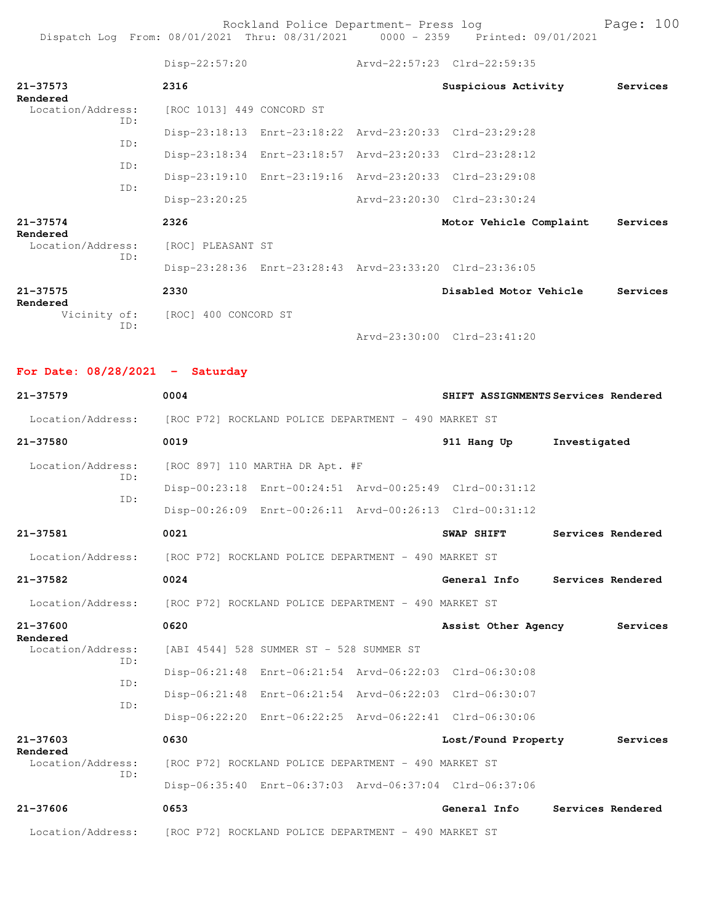Rockland Police Department- Press log entitled and Page: 100 Dispatch Log From: 08/01/2021 Thru: 08/31/2021 0000 - 2359 Printed: 09/01/2021

|                          | $Disp-22:57:20$                                         | Arvd-22:57:23 Clrd-22:59:35 |                         |          |
|--------------------------|---------------------------------------------------------|-----------------------------|-------------------------|----------|
| $21 - 37573$<br>Rendered | 2316                                                    |                             | Suspicious Activity     | Services |
| Location/Address:<br>ID: | [ROC 1013] 449 CONCORD ST                               |                             |                         |          |
| TD:                      | Disp-23:18:13 Enrt-23:18:22 Arvd-23:20:33 Clrd-23:29:28 |                             |                         |          |
| TD:                      | Disp-23:18:34 Enrt-23:18:57 Arvd-23:20:33 Clrd-23:28:12 |                             |                         |          |
| TD:                      | Disp-23:19:10 Enrt-23:19:16 Arvd-23:20:33 Clrd-23:29:08 |                             |                         |          |
|                          | Disp-23:20:25                                           | Arvd-23:20:30 Clrd-23:30:24 |                         |          |
| $21 - 37574$<br>Rendered | 2326                                                    |                             | Motor Vehicle Complaint | Services |
| Location/Address:<br>TD: | [ROC] PLEASANT ST                                       |                             |                         |          |
|                          | Disp-23:28:36 Enrt-23:28:43 Arvd-23:33:20 Clrd-23:36:05 |                             |                         |          |
| $21 - 37575$<br>Rendered | 2330                                                    |                             | Disabled Motor Vehicle  | Services |
| TD:                      | Vicinity of: [ROC] 400 CONCORD ST                       |                             |                         |          |
|                          |                                                         | Arvd-23:30:00 Clrd-23:41:20 |                         |          |

**For Date: 08/28/2021 - Saturday**

| $21 - 37579$             | 0004                                                 |                                                      | SHIFT ASSIGNMENTS Services Rendered                     |                   |                   |
|--------------------------|------------------------------------------------------|------------------------------------------------------|---------------------------------------------------------|-------------------|-------------------|
| Location/Address:        |                                                      | [ROC P72] ROCKLAND POLICE DEPARTMENT - 490 MARKET ST |                                                         |                   |                   |
| 21-37580                 | 0019                                                 |                                                      | 911 Hang Up                                             | Investigated      |                   |
| Location/Address:<br>TD: |                                                      | [ROC 897] 110 MARTHA DR Apt. #F                      |                                                         |                   |                   |
| TD:                      |                                                      |                                                      | Disp-00:23:18 Enrt-00:24:51 Arvd-00:25:49 Clrd-00:31:12 |                   |                   |
|                          |                                                      |                                                      | Disp-00:26:09 Enrt-00:26:11 Arvd-00:26:13 Clrd-00:31:12 |                   |                   |
| 21-37581                 | 0021                                                 |                                                      | SWAP SHIFT                                              | Services Rendered |                   |
| Location/Address:        | [ROC P72] ROCKLAND POLICE DEPARTMENT - 490 MARKET ST |                                                      |                                                         |                   |                   |
| $21 - 37582$             | 0024                                                 |                                                      | General Info                                            |                   | Services Rendered |
| Location/Address:        |                                                      | [ROC P72] ROCKLAND POLICE DEPARTMENT - 490 MARKET ST |                                                         |                   |                   |
| $21 - 37600$<br>Rendered | 0620                                                 |                                                      | Assist Other Agency                                     |                   | Services          |
| Location/Address:<br>ID: |                                                      | [ABI 4544] 528 SUMMER ST - 528 SUMMER ST             |                                                         |                   |                   |
| TD:                      |                                                      |                                                      | Disp-06:21:48 Enrt-06:21:54 Arvd-06:22:03 Clrd-06:30:08 |                   |                   |
| TD:                      |                                                      |                                                      | Disp-06:21:48 Enrt-06:21:54 Arvd-06:22:03 Clrd-06:30:07 |                   |                   |
|                          |                                                      |                                                      | Disp-06:22:20 Enrt-06:22:25 Arvd-06:22:41 Clrd-06:30:06 |                   |                   |
| $21 - 37603$<br>Rendered | 0630                                                 |                                                      | Lost/Found Property                                     |                   | Services          |
| Location/Address:<br>ID: |                                                      | [ROC P72] ROCKLAND POLICE DEPARTMENT - 490 MARKET ST |                                                         |                   |                   |
|                          |                                                      |                                                      | Disp-06:35:40 Enrt-06:37:03 Arvd-06:37:04 Clrd-06:37:06 |                   |                   |
| $21 - 37606$             | 0653                                                 |                                                      | General Info                                            |                   | Services Rendered |
| Location/Address:        |                                                      | [ROC P72] ROCKLAND POLICE DEPARTMENT - 490 MARKET ST |                                                         |                   |                   |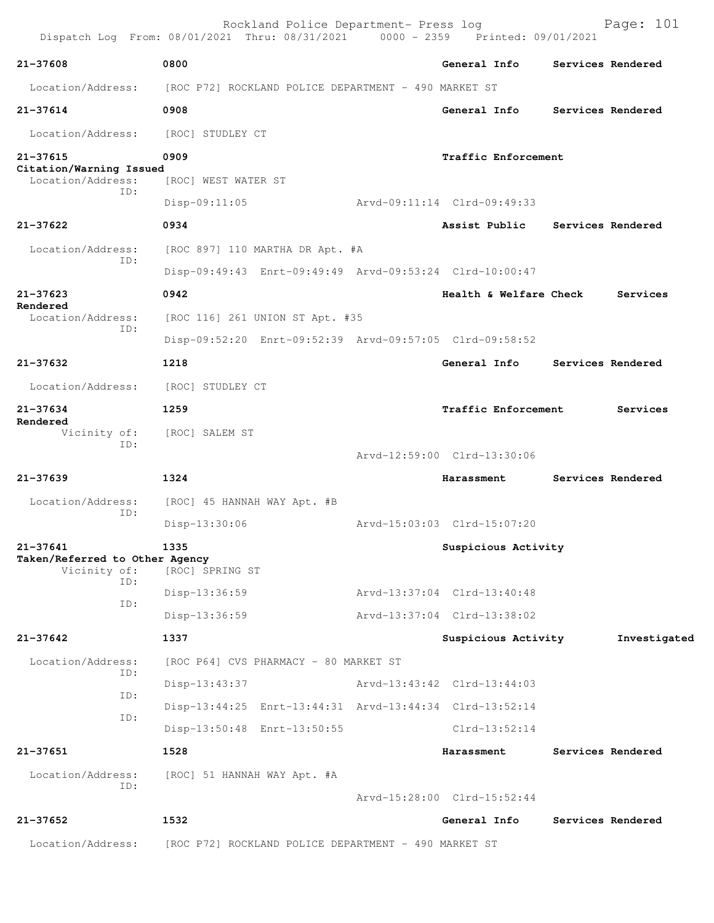|                                              | Rockland Police Department- Press log<br>Dispatch Log From: 08/01/2021 Thru: 08/31/2021 0000 - 2359 Printed: 09/01/2021 |                             | Page: 101         |
|----------------------------------------------|-------------------------------------------------------------------------------------------------------------------------|-----------------------------|-------------------|
| 21-37608                                     | 0800                                                                                                                    | General Info                | Services Rendered |
| Location/Address:                            | [ROC P72] ROCKLAND POLICE DEPARTMENT - 490 MARKET ST                                                                    |                             |                   |
| 21-37614                                     | 0908                                                                                                                    | General Info                | Services Rendered |
| Location/Address:                            | [ROC] STUDLEY CT                                                                                                        |                             |                   |
| 21-37615                                     | 0909                                                                                                                    | Traffic Enforcement         |                   |
| Citation/Warning Issued<br>Location/Address: | [ROC] WEST WATER ST                                                                                                     |                             |                   |
| ID:                                          | $Disp-09:11:05$                                                                                                         | Arvd-09:11:14 Clrd-09:49:33 |                   |
| 21-37622                                     | 0934                                                                                                                    | Assist Public               | Services Rendered |
| Location/Address:                            | [ROC 897] 110 MARTHA DR Apt. #A                                                                                         |                             |                   |
| ID:                                          | Disp-09:49:43 Enrt-09:49:49 Arvd-09:53:24 Clrd-10:00:47                                                                 |                             |                   |
| 21-37623                                     | 0942                                                                                                                    | Health & Welfare Check      | Services          |
| Rendered<br>Location/Address:                | [ROC 116] 261 UNION ST Apt. #35                                                                                         |                             |                   |
| ID:                                          | Disp-09:52:20 Enrt-09:52:39 Arvd-09:57:05 Clrd-09:58:52                                                                 |                             |                   |
| 21-37632                                     | 1218                                                                                                                    | General Info                | Services Rendered |
| Location/Address:                            | [ROC] STUDLEY CT                                                                                                        |                             |                   |
| 21-37634                                     | 1259                                                                                                                    | Traffic Enforcement         | Services          |
| Rendered<br>Vicinity of:<br>ID:              | [ROC] SALEM ST                                                                                                          |                             |                   |
|                                              |                                                                                                                         | Arvd-12:59:00 Clrd-13:30:06 |                   |
| 21-37639                                     | 1324                                                                                                                    | Harassment                  | Services Rendered |
| Location/Address:<br>ID:                     | [ROC] 45 HANNAH WAY Apt. #B                                                                                             |                             |                   |
|                                              | Disp-13:30:06                                                                                                           | Arvd-15:03:03 Clrd-15:07:20 |                   |
| 21-37641<br>Taken/Referred to Other Agency   | 1335                                                                                                                    | Suspicious Activity         |                   |
| Vicinity of:<br>ID:                          | [ROC] SPRING ST                                                                                                         |                             |                   |
| ID:                                          | Disp-13:36:59                                                                                                           | Arvd-13:37:04 Clrd-13:40:48 |                   |
|                                              | Disp-13:36:59                                                                                                           | Arvd-13:37:04 Clrd-13:38:02 |                   |
| 21-37642                                     | 1337                                                                                                                    | Suspicious Activity         | Investigated      |
| Location/Address:<br>ID:                     | [ROC P64] CVS PHARMACY - 80 MARKET ST                                                                                   |                             |                   |
| ID:                                          | $Disp-13:43:37$                                                                                                         | Arvd-13:43:42 Clrd-13:44:03 |                   |
| ID:                                          | Disp-13:44:25 Enrt-13:44:31 Arvd-13:44:34 Clrd-13:52:14                                                                 |                             |                   |
|                                              | Disp-13:50:48 Enrt-13:50:55                                                                                             | $Clrd-13:52:14$             |                   |
| 21-37651                                     | 1528                                                                                                                    | Harassment                  | Services Rendered |
| Location/Address:<br>ID:                     | [ROC] 51 HANNAH WAY Apt. #A                                                                                             |                             |                   |
|                                              |                                                                                                                         | Arvd-15:28:00 Clrd-15:52:44 |                   |
| 21-37652                                     | 1532                                                                                                                    | General Info                | Services Rendered |
| Location/Address:                            | [ROC P72] ROCKLAND POLICE DEPARTMENT - 490 MARKET ST                                                                    |                             |                   |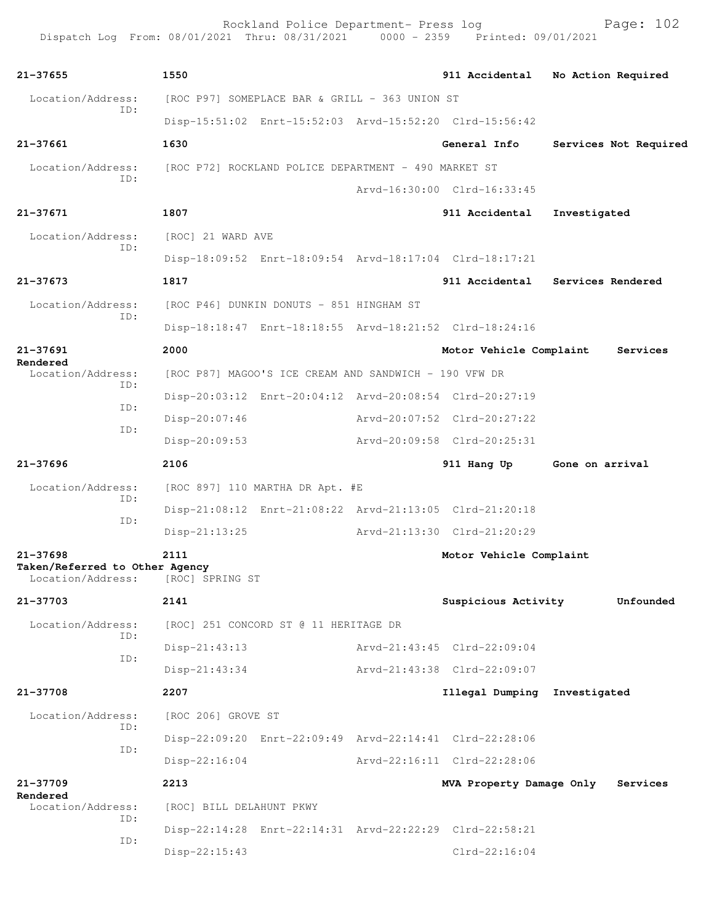Rockland Police Department- Press log entitled and Page: 102 Dispatch Log From: 08/01/2021 Thru: 08/31/2021 0000 - 2359 Printed: 09/01/2021

| 21-37655                                                            | 1550                                                    |                             | 911 Accidental           | No Action Required    |
|---------------------------------------------------------------------|---------------------------------------------------------|-----------------------------|--------------------------|-----------------------|
| Location/Address:                                                   | [ROC P97] SOMEPLACE BAR & GRILL - 363 UNION ST          |                             |                          |                       |
| ID:                                                                 | Disp-15:51:02 Enrt-15:52:03 Arvd-15:52:20 Clrd-15:56:42 |                             |                          |                       |
| 21-37661                                                            | 1630                                                    |                             | General Info             | Services Not Required |
| Location/Address:                                                   | [ROC P72] ROCKLAND POLICE DEPARTMENT - 490 MARKET ST    |                             |                          |                       |
| ID:                                                                 |                                                         | Arvd-16:30:00 Clrd-16:33:45 |                          |                       |
| 21-37671                                                            | 1807                                                    |                             | 911 Accidental           | Investigated          |
| Location/Address:                                                   | [ROC] 21 WARD AVE                                       |                             |                          |                       |
| ID:                                                                 | Disp-18:09:52 Enrt-18:09:54 Arvd-18:17:04 Clrd-18:17:21 |                             |                          |                       |
| 21-37673                                                            | 1817                                                    |                             | 911 Accidental           | Services Rendered     |
| Location/Address:                                                   | [ROC P46] DUNKIN DONUTS - 851 HINGHAM ST                |                             |                          |                       |
| ID:                                                                 | Disp-18:18:47 Enrt-18:18:55 Arvd-18:21:52 Clrd-18:24:16 |                             |                          |                       |
| 21-37691                                                            | 2000                                                    |                             | Motor Vehicle Complaint  | Services              |
| Rendered<br>Location/Address:                                       | [ROC P87] MAGOO'S ICE CREAM AND SANDWICH - 190 VFW DR   |                             |                          |                       |
| ID:<br>ID:                                                          | Disp-20:03:12 Enrt-20:04:12 Arvd-20:08:54 Clrd-20:27:19 |                             |                          |                       |
|                                                                     | $Disp-20:07:46$                                         | Arvd-20:07:52 Clrd-20:27:22 |                          |                       |
| ID:                                                                 | Disp-20:09:53                                           | Arvd-20:09:58 Clrd-20:25:31 |                          |                       |
| $21 - 37696$                                                        | 2106                                                    |                             | 911 Hang Up              | Gone on arrival       |
| Location/Address:                                                   | [ROC 897] 110 MARTHA DR Apt. #E                         |                             |                          |                       |
| ID:                                                                 | Disp-21:08:12 Enrt-21:08:22 Arvd-21:13:05 Clrd-21:20:18 |                             |                          |                       |
| ID:                                                                 | Disp-21:13:25                                           | Arvd-21:13:30 Clrd-21:20:29 |                          |                       |
| $21 - 37698$<br>Taken/Referred to Other Agency<br>Location/Address: | 2111<br>[ROC] SPRING ST                                 |                             | Motor Vehicle Complaint  |                       |
| 21-37703                                                            | 2141                                                    |                             | Suspicious Activity      | Unfounded             |
| Location/Address:                                                   | [ROC] 251 CONCORD ST @ 11 HERITAGE DR                   |                             |                          |                       |
| ID:<br>ID:                                                          | $Disp-21:43:13$                                         | Arvd-21:43:45 Clrd-22:09:04 |                          |                       |
|                                                                     | $Disp-21:43:34$                                         | Arvd-21:43:38 Clrd-22:09:07 |                          |                       |
| 21-37708                                                            | 2207                                                    |                             | Illegal Dumping          | Investigated          |
| Location/Address:                                                   | [ROC 206] GROVE ST                                      |                             |                          |                       |
| ID:<br>ID:                                                          | Disp-22:09:20 Enrt-22:09:49 Arvd-22:14:41 Clrd-22:28:06 |                             |                          |                       |
|                                                                     | $Disp-22:16:04$                                         | Arvd-22:16:11 Clrd-22:28:06 |                          |                       |
| 21-37709                                                            | 2213                                                    |                             | MVA Property Damage Only | Services              |
| Rendered<br>Location/Address:                                       | [ROC] BILL DELAHUNT PKWY                                |                             |                          |                       |
| ID:                                                                 | Disp-22:14:28 Enrt-22:14:31 Arvd-22:22:29 Clrd-22:58:21 |                             |                          |                       |
| ID:                                                                 | Disp-22:15:43                                           |                             | $Clrd-22:16:04$          |                       |
|                                                                     |                                                         |                             |                          |                       |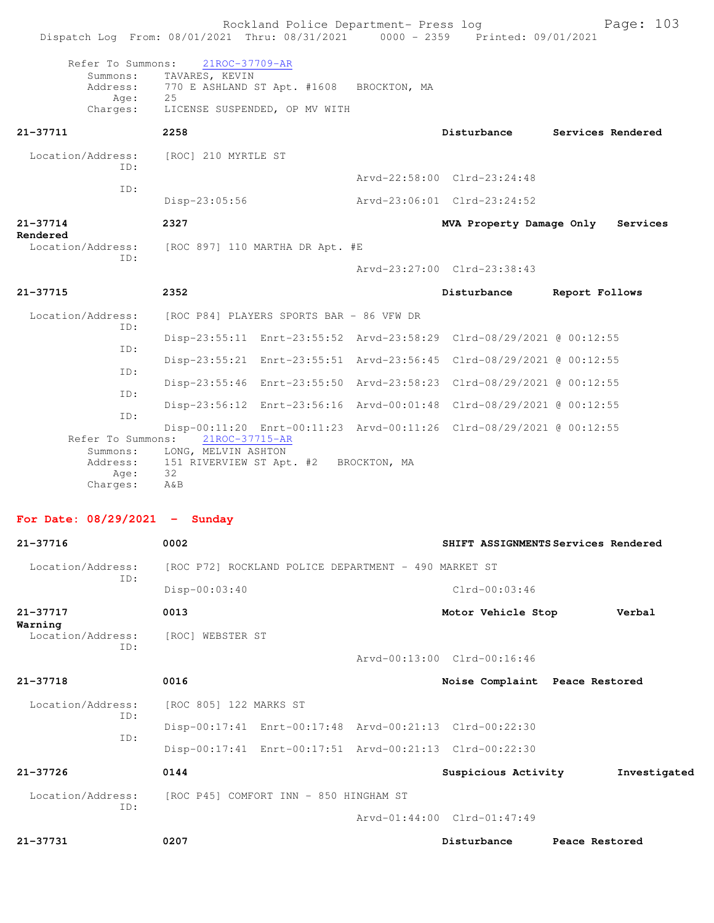| Dispatch Log From: 08/01/2021 Thru: 08/31/2021 0000 - 2359 Printed: 09/01/2021 |                                                    | Rockland Police Department- Press log                   |                                                                      |                | Page: 103         |
|--------------------------------------------------------------------------------|----------------------------------------------------|---------------------------------------------------------|----------------------------------------------------------------------|----------------|-------------------|
| Refer To Summons:                                                              | 21ROC-37709-AR                                     |                                                         |                                                                      |                |                   |
| Summons:<br>Address:<br>Age:                                                   | TAVARES, KEVIN<br>25                               | 770 E ASHLAND ST Apt. #1608 BROCKTON, MA                |                                                                      |                |                   |
| Charges:                                                                       |                                                    | LICENSE SUSPENDED, OP MV WITH                           |                                                                      |                |                   |
| 21-37711                                                                       | 2258                                               |                                                         | Disturbance                                                          |                | Services Rendered |
| Location/Address:<br>ID:                                                       | [ROC] 210 MYRTLE ST                                |                                                         |                                                                      |                |                   |
| ID:                                                                            |                                                    |                                                         | Arvd-22:58:00 Clrd-23:24:48                                          |                |                   |
|                                                                                | Disp-23:05:56                                      |                                                         | Arvd-23:06:01 Clrd-23:24:52                                          |                |                   |
| 21-37714<br>Rendered                                                           | 2327                                               |                                                         | MVA Property Damage Only                                             |                | Services          |
| Location/Address:<br>ID:                                                       |                                                    | [ROC 897] 110 MARTHA DR Apt. #E                         |                                                                      |                |                   |
|                                                                                |                                                    |                                                         | Arvd-23:27:00 Clrd-23:38:43                                          |                |                   |
| 21-37715                                                                       | 2352                                               |                                                         | Disturbance                                                          | Report Follows |                   |
| Location/Address:                                                              |                                                    | [ROC P84] PLAYERS SPORTS BAR - 86 VFW DR                |                                                                      |                |                   |
| ID:                                                                            |                                                    |                                                         | Disp-23:55:11 Enrt-23:55:52 Arvd-23:58:29 Clrd-08/29/2021 @ 00:12:55 |                |                   |
| ID:                                                                            |                                                    |                                                         | Disp-23:55:21 Enrt-23:55:51 Arvd-23:56:45 Clrd-08/29/2021 @ 00:12:55 |                |                   |
| ID:                                                                            |                                                    |                                                         | Disp-23:55:46 Enrt-23:55:50 Arvd-23:58:23 Clrd-08/29/2021 @ 00:12:55 |                |                   |
| ID:                                                                            |                                                    |                                                         | Disp-23:56:12 Enrt-23:56:16 Arvd-00:01:48 Clrd-08/29/2021 @ 00:12:55 |                |                   |
| ID:                                                                            |                                                    |                                                         | Disp-00:11:20 Enrt-00:11:23 Arvd-00:11:26 Clrd-08/29/2021 @ 00:12:55 |                |                   |
| Refer To Summons:<br>Summons:<br>Address:<br>Age:<br>Charges:                  | 21ROC-37715-AR<br>LONG, MELVIN ASHTON<br>32<br>AδB | 151 RIVERVIEW ST Apt. #2 BROCKTON, MA                   |                                                                      |                |                   |
| For Date: $08/29/2021 -$ Sunday                                                |                                                    |                                                         |                                                                      |                |                   |
| 21-37716                                                                       | 0002                                               |                                                         | SHIFT ASSIGNMENTS Services Rendered                                  |                |                   |
| Location/Address:                                                              |                                                    | [ROC P72] ROCKLAND POLICE DEPARTMENT - 490 MARKET ST    |                                                                      |                |                   |
| ID:                                                                            | Disp-00:03:40                                      |                                                         | Clrd-00:03:46                                                        |                |                   |
| 21-37717                                                                       | 0013                                               |                                                         | Motor Vehicle Stop                                                   |                | Verbal            |
| Warning<br>Location/Address:<br>ID:                                            | [ROC] WEBSTER ST                                   |                                                         |                                                                      |                |                   |
|                                                                                |                                                    |                                                         | Arvd-00:13:00 Clrd-00:16:46                                          |                |                   |
| 21-37718                                                                       | 0016                                               |                                                         | Noise Complaint Peace Restored                                       |                |                   |
| Location/Address:<br>ID:                                                       | [ROC 805] 122 MARKS ST                             |                                                         |                                                                      |                |                   |
| ID:                                                                            |                                                    | Disp-00:17:41 Enrt-00:17:48 Arvd-00:21:13 Clrd-00:22:30 |                                                                      |                |                   |
|                                                                                |                                                    |                                                         | Disp-00:17:41 Enrt-00:17:51 Arvd-00:21:13 Clrd-00:22:30              |                |                   |
| 21-37726                                                                       | 0144                                               |                                                         | Suspicious Activity                                                  |                | Investigated      |
| Location/Address:                                                              |                                                    | [ROC P45] COMFORT INN - 850 HINGHAM ST                  |                                                                      |                |                   |
| ID:                                                                            |                                                    |                                                         | Arvd-01:44:00 Clrd-01:47:49                                          |                |                   |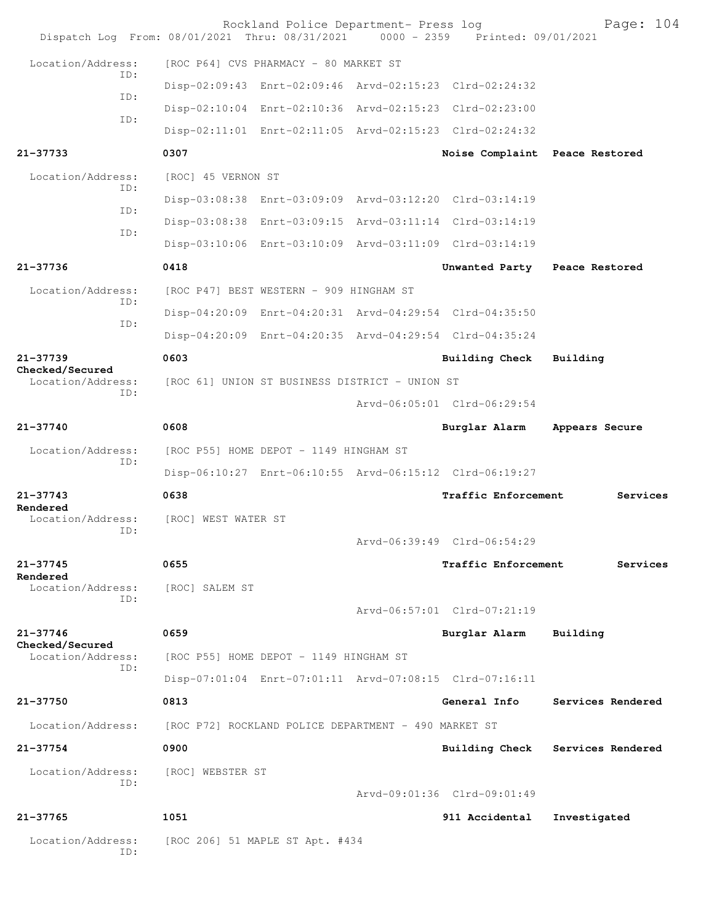| Dispatch Log From: 08/01/2021 Thru: 08/31/2021 0000 - 2359 Printed: 09/01/2021 |                                                      | Rockland Police Department- Press log |                                                         | Page: 104         |
|--------------------------------------------------------------------------------|------------------------------------------------------|---------------------------------------|---------------------------------------------------------|-------------------|
| Location/Address:                                                              | [ROC P64] CVS PHARMACY - 80 MARKET ST                |                                       |                                                         |                   |
| TD:                                                                            |                                                      |                                       | Disp-02:09:43 Enrt-02:09:46 Arvd-02:15:23 Clrd-02:24:32 |                   |
| ID:                                                                            |                                                      |                                       | Disp-02:10:04 Enrt-02:10:36 Arvd-02:15:23 Clrd-02:23:00 |                   |
| ID:                                                                            |                                                      |                                       | Disp-02:11:01 Enrt-02:11:05 Arvd-02:15:23 Clrd-02:24:32 |                   |
| 21-37733                                                                       | 0307                                                 |                                       | Noise Complaint Peace Restored                          |                   |
| Location/Address:<br>TD:                                                       | [ROC] 45 VERNON ST                                   |                                       |                                                         |                   |
| ID:                                                                            |                                                      |                                       | Disp-03:08:38 Enrt-03:09:09 Arvd-03:12:20 Clrd-03:14:19 |                   |
| ID:                                                                            |                                                      |                                       | Disp-03:08:38 Enrt-03:09:15 Arvd-03:11:14 Clrd-03:14:19 |                   |
|                                                                                |                                                      |                                       | Disp-03:10:06 Enrt-03:10:09 Arvd-03:11:09 Clrd-03:14:19 |                   |
| 21-37736                                                                       | 0418                                                 |                                       | Unwanted Party Peace Restored                           |                   |
| Location/Address:<br>TD:                                                       | [ROC P47] BEST WESTERN - 909 HINGHAM ST              |                                       |                                                         |                   |
| ID:                                                                            |                                                      |                                       | Disp-04:20:09 Enrt-04:20:31 Arvd-04:29:54 Clrd-04:35:50 |                   |
|                                                                                |                                                      |                                       | Disp-04:20:09 Enrt-04:20:35 Arvd-04:29:54 Clrd-04:35:24 |                   |
| 21-37739<br>Checked/Secured                                                    | 0603                                                 |                                       | <b>Building Check</b>                                   | Building          |
| Location/Address:<br>TD:                                                       | [ROC 61] UNION ST BUSINESS DISTRICT - UNION ST       |                                       |                                                         |                   |
|                                                                                |                                                      |                                       | Arvd-06:05:01 Clrd-06:29:54                             |                   |
| 21-37740                                                                       | 0608                                                 |                                       | Burglar Alarm                                           | Appears Secure    |
| Location/Address:<br>ID:                                                       | [ROC P55] HOME DEPOT - 1149 HINGHAM ST               |                                       |                                                         |                   |
|                                                                                |                                                      |                                       | Disp-06:10:27 Enrt-06:10:55 Arvd-06:15:12 Clrd-06:19:27 |                   |
| $21 - 37743$<br>Rendered                                                       | 0638                                                 |                                       | Traffic Enforcement                                     | Services          |
| Location/Address:<br>ID:                                                       | [ROC] WEST WATER ST                                  |                                       |                                                         |                   |
|                                                                                |                                                      |                                       | Arvd-06:39:49 Clrd-06:54:29                             |                   |
| 21-37745<br>Rendered                                                           | 0655                                                 |                                       | <b>Traffic Enforcement</b>                              | Services          |
| Location/Address:<br>ID:                                                       | [ROC] SALEM ST                                       |                                       |                                                         |                   |
|                                                                                |                                                      |                                       | Arvd-06:57:01 Clrd-07:21:19                             |                   |
| 21-37746                                                                       | 0659                                                 |                                       | Burglar Alarm                                           | Building          |
| Checked/Secured<br>Location/Address:<br>ID:                                    | [ROC P55] HOME DEPOT - 1149 HINGHAM ST               |                                       |                                                         |                   |
|                                                                                |                                                      |                                       | Disp-07:01:04 Enrt-07:01:11 Arvd-07:08:15 Clrd-07:16:11 |                   |
| 21-37750                                                                       | 0813                                                 |                                       | General Info                                            | Services Rendered |
| Location/Address:                                                              | [ROC P72] ROCKLAND POLICE DEPARTMENT - 490 MARKET ST |                                       |                                                         |                   |
| $21 - 37754$                                                                   | 0900                                                 |                                       | <b>Building Check</b>                                   | Services Rendered |
| Location/Address:<br>ID:                                                       | [ROC] WEBSTER ST                                     |                                       |                                                         |                   |
|                                                                                |                                                      |                                       | Arvd-09:01:36 Clrd-09:01:49                             |                   |
| 21-37765                                                                       | 1051                                                 |                                       | 911 Accidental                                          | Investigated      |
| Location/Address:<br>ID:                                                       | [ROC 206] 51 MAPLE ST Apt. #434                      |                                       |                                                         |                   |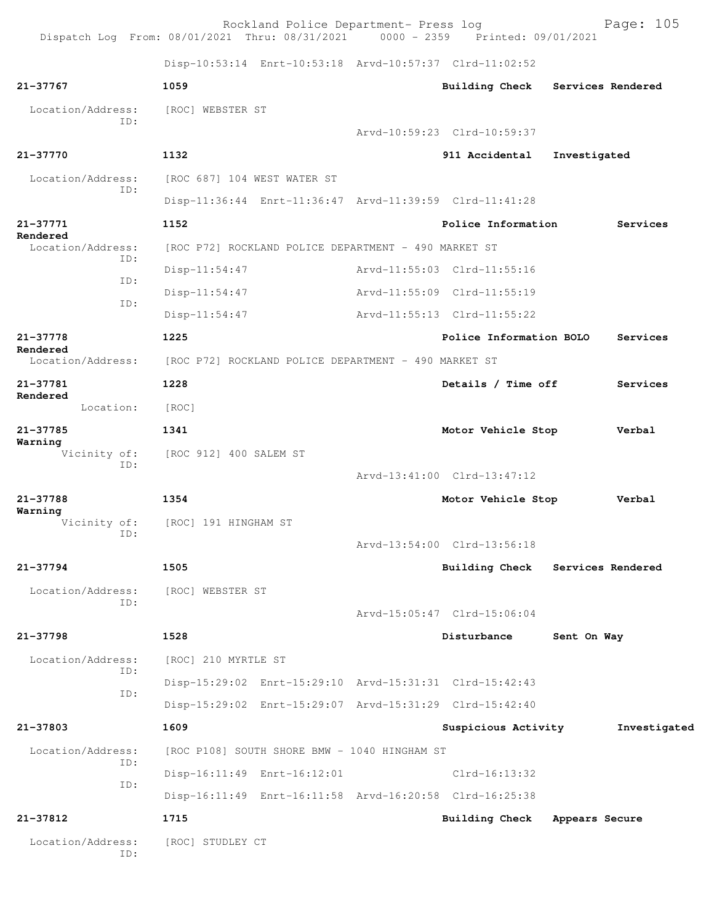|                               | Rockland Police Department- Press log<br>Dispatch Log From: 08/01/2021 Thru: 08/31/2021 0000 - 2359 Printed: 09/01/2021 |                                  |                | Page: 105         |
|-------------------------------|-------------------------------------------------------------------------------------------------------------------------|----------------------------------|----------------|-------------------|
|                               | Disp-10:53:14 Enrt-10:53:18 Arvd-10:57:37 Clrd-11:02:52                                                                 |                                  |                |                   |
| 21-37767                      | 1059                                                                                                                    | <b>Building Check</b>            |                | Services Rendered |
| Location/Address:             | [ROC] WEBSTER ST                                                                                                        |                                  |                |                   |
| ID:                           |                                                                                                                         | Arvd-10:59:23 Clrd-10:59:37      |                |                   |
| 21-37770                      | 1132                                                                                                                    | 911 Accidental                   | Investigated   |                   |
| Location/Address:             | [ROC 687] 104 WEST WATER ST                                                                                             |                                  |                |                   |
| ID:                           | Disp-11:36:44 Enrt-11:36:47 Arvd-11:39:59 Clrd-11:41:28                                                                 |                                  |                |                   |
| 21-37771                      | 1152                                                                                                                    | Police Information               |                | Services          |
| Rendered<br>Location/Address: | [ROC P72] ROCKLAND POLICE DEPARTMENT - 490 MARKET ST                                                                    |                                  |                |                   |
| ID:                           | Disp-11:54:47                                                                                                           | Arvd-11:55:03 Clrd-11:55:16      |                |                   |
| ID:                           | $Disp-11:54:47$                                                                                                         | Arvd-11:55:09 Clrd-11:55:19      |                |                   |
| ID:                           | $Disp-11:54:47$                                                                                                         | Arvd-11:55:13 Clrd-11:55:22      |                |                   |
| 21-37778                      | 1225                                                                                                                    | Police Information BOLO          |                | Services          |
| Rendered<br>Location/Address: | [ROC P72] ROCKLAND POLICE DEPARTMENT - 490 MARKET ST                                                                    |                                  |                |                   |
| 21-37781                      | 1228                                                                                                                    | Details / Time off               |                | Services          |
| Rendered<br>Location:         | [ROC]                                                                                                                   |                                  |                |                   |
| 21-37785                      | 1341                                                                                                                    | Motor Vehicle Stop               |                | Verbal            |
| Warning<br>Vicinity of:       | [ROC 912] 400 SALEM ST                                                                                                  |                                  |                |                   |
| ID:                           |                                                                                                                         | Arvd-13:41:00 Clrd-13:47:12      |                |                   |
| 21-37788                      | 1354                                                                                                                    | Motor Vehicle Stop               |                | Verbal            |
| Warning<br>Vicinity of:       | [ROC] 191 HINGHAM ST                                                                                                    |                                  |                |                   |
| ID:                           |                                                                                                                         | Arvd-13:54:00 Clrd-13:56:18      |                |                   |
| 21-37794                      | 1505                                                                                                                    | Building Check Services Rendered |                |                   |
| Location/Address:             | [ROC] WEBSTER ST                                                                                                        |                                  |                |                   |
| TD:                           |                                                                                                                         | Arvd-15:05:47 Clrd-15:06:04      |                |                   |
| 21-37798                      | 1528                                                                                                                    | Disturbance                      | Sent On Way    |                   |
| Location/Address:             | [ROC] 210 MYRTLE ST                                                                                                     |                                  |                |                   |
| ID:                           | Disp-15:29:02 Enrt-15:29:10 Arvd-15:31:31 Clrd-15:42:43                                                                 |                                  |                |                   |
| ID:                           | Disp-15:29:02 Enrt-15:29:07 Arvd-15:31:29 Clrd-15:42:40                                                                 |                                  |                |                   |
| 21-37803                      | 1609                                                                                                                    | Suspicious Activity              |                | Investigated      |
| Location/Address:             | [ROC P108] SOUTH SHORE BMW - 1040 HINGHAM ST                                                                            |                                  |                |                   |
| ID:                           | Disp-16:11:49 Enrt-16:12:01                                                                                             | $Clrd-16:13:32$                  |                |                   |
| ID:                           | Disp-16:11:49 Enrt-16:11:58 Arvd-16:20:58 Clrd-16:25:38                                                                 |                                  |                |                   |
| 21-37812                      | 1715                                                                                                                    | <b>Building Check</b>            | Appears Secure |                   |
| Location/Address:             | [ROC] STUDLEY CT                                                                                                        |                                  |                |                   |
| ID:                           |                                                                                                                         |                                  |                |                   |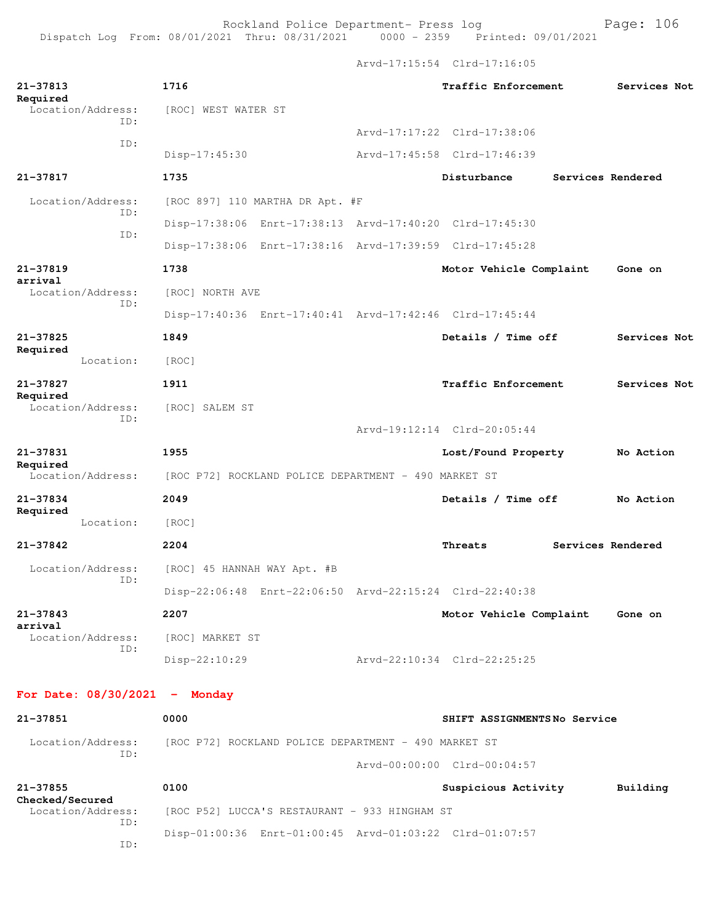Arvd-17:15:54 Clrd-17:16:05

| 21-37813<br>Required                        | 1716                                                    | Traffic Enforcement         | Services Not      |
|---------------------------------------------|---------------------------------------------------------|-----------------------------|-------------------|
| Location/Address:<br>TD:                    | [ROC] WEST WATER ST                                     |                             |                   |
|                                             |                                                         | Arvd-17:17:22 Clrd-17:38:06 |                   |
| ID:                                         | $Disp-17:45:30$                                         | Arvd-17:45:58 Clrd-17:46:39 |                   |
| 21-37817                                    | 1735                                                    | Disturbance                 | Services Rendered |
| Location/Address:<br>ID:                    | [ROC 897] 110 MARTHA DR Apt. #F                         |                             |                   |
| ID:                                         | Disp-17:38:06 Enrt-17:38:13 Arvd-17:40:20 Clrd-17:45:30 |                             |                   |
|                                             | Disp-17:38:06 Enrt-17:38:16 Arvd-17:39:59 Clrd-17:45:28 |                             |                   |
| 21-37819                                    | 1738                                                    | Motor Vehicle Complaint     | Gone on           |
| arrival<br>Location/Address:                | [ROC] NORTH AVE                                         |                             |                   |
| ID:                                         | Disp-17:40:36 Enrt-17:40:41 Arvd-17:42:46 Clrd-17:45:44 |                             |                   |
| 21-37825                                    | 1849                                                    | Details / Time off          | Services Not      |
| Required<br>Location:                       | [ROC]                                                   |                             |                   |
| 21-37827<br>Required                        | 1911                                                    | Traffic Enforcement         | Services Not      |
| Location/Address:<br>ID:                    | [ROC] SALEM ST                                          |                             |                   |
|                                             |                                                         | Arvd-19:12:14 Clrd-20:05:44 |                   |
| 21-37831                                    | 1955                                                    | Lost/Found Property         | No Action         |
| Required<br>Location/Address:               | [ROC P72] ROCKLAND POLICE DEPARTMENT - 490 MARKET ST    |                             |                   |
| 21-37834<br>Required                        | 2049                                                    | Details / Time off          | No Action         |
| Location:                                   | [ROC]                                                   |                             |                   |
| 21-37842                                    | 2204                                                    | Threats                     | Services Rendered |
| Location/Address:<br>TD:                    | [ROC] 45 HANNAH WAY Apt. #B                             |                             |                   |
|                                             | Disp-22:06:48 Enrt-22:06:50                             | Arvd-22:15:24 Clrd-22:40:38 |                   |
| 21-37843<br>arrival                         | 2207                                                    | Motor Vehicle Complaint     | Gone on           |
| Location/Address:<br>ID:                    | [ROC] MARKET ST                                         |                             |                   |
|                                             | Disp-22:10:29                                           | Arvd-22:10:34 Clrd-22:25:25 |                   |
| For Date: $08/30/2021$ - Monday             |                                                         |                             |                   |
| 21-37851                                    | 0000                                                    | SHIFT ASSIGNMENTSNo Service |                   |
| Location/Address:                           | [ROC P72] ROCKLAND POLICE DEPARTMENT - 490 MARKET ST    |                             |                   |
| ID:                                         |                                                         | Arvd-00:00:00 Clrd-00:04:57 |                   |
| 21-37855                                    | 0100                                                    | Suspicious Activity         | Building          |
| Checked/Secured<br>Location/Address:<br>ID: | [ROC P52] LUCCA'S RESTAURANT - 933 HINGHAM ST           |                             |                   |
| ID:                                         | Disp-01:00:36 Enrt-01:00:45 Arvd-01:03:22 Clrd-01:07:57 |                             |                   |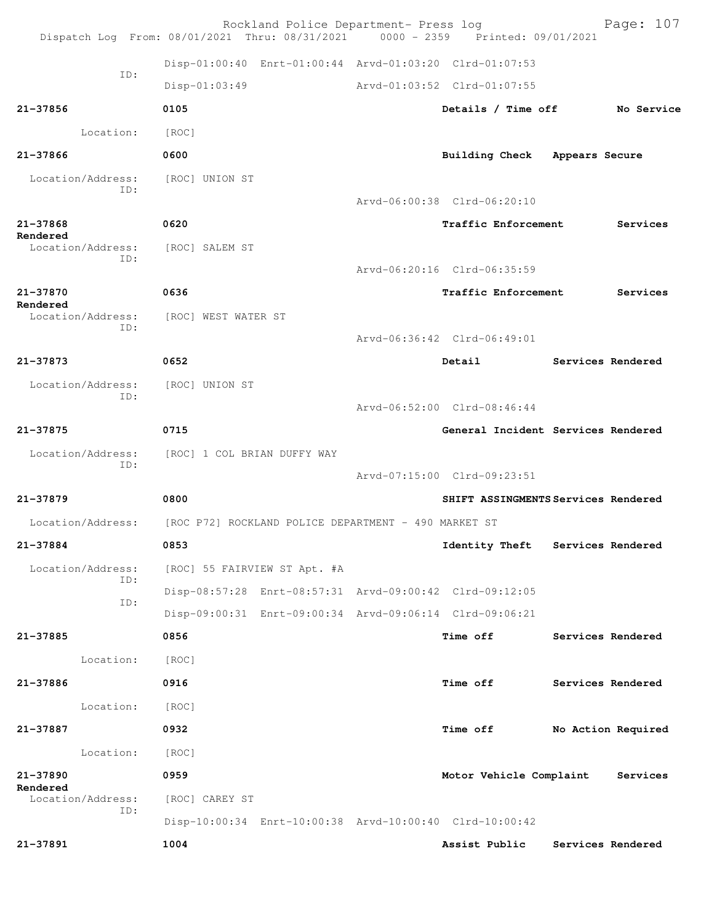|                               | Rockland Police Department- Press log<br>Dispatch Log From: 08/01/2021 Thru: 08/31/2021   0000 - 2359   Printed: 09/01/2021 |                               | Page: 107                           |
|-------------------------------|-----------------------------------------------------------------------------------------------------------------------------|-------------------------------|-------------------------------------|
|                               | Disp-01:00:40 Enrt-01:00:44 Arvd-01:03:20 Clrd-01:07:53                                                                     |                               |                                     |
| TD:                           | Disp-01:03:49                                                                                                               | Arvd-01:03:52 Clrd-01:07:55   |                                     |
| 21-37856                      | 0105                                                                                                                        | Details / Time off            | No Service                          |
| Location:                     | [ROC]                                                                                                                       |                               |                                     |
| 21-37866                      | 0600                                                                                                                        | Building Check Appears Secure |                                     |
| Location/Address:             | [ROC] UNION ST                                                                                                              |                               |                                     |
| TD:                           |                                                                                                                             | Arvd-06:00:38 Clrd-06:20:10   |                                     |
| 21-37868                      | 0620                                                                                                                        | Traffic Enforcement           | Services                            |
| Rendered<br>Location/Address: | [ROC] SALEM ST                                                                                                              |                               |                                     |
| TD:                           |                                                                                                                             | Arvd-06:20:16 Clrd-06:35:59   |                                     |
| 21-37870                      | 0636                                                                                                                        | Traffic Enforcement           | Services                            |
| Rendered<br>Location/Address: | [ROC] WEST WATER ST                                                                                                         |                               |                                     |
| ID:                           |                                                                                                                             | Arvd-06:36:42 Clrd-06:49:01   |                                     |
| $21 - 37873$                  | 0652                                                                                                                        | Detail                        | Services Rendered                   |
| Location/Address:             | [ROC] UNION ST                                                                                                              |                               |                                     |
| TD:                           |                                                                                                                             | Arvd-06:52:00 Clrd-08:46:44   |                                     |
| $21 - 37875$                  | 0715                                                                                                                        |                               | General Incident Services Rendered  |
| Location/Address:<br>ID:      | [ROC] 1 COL BRIAN DUFFY WAY                                                                                                 |                               |                                     |
|                               |                                                                                                                             | Arvd-07:15:00 Clrd-09:23:51   |                                     |
| 21-37879                      | 0800                                                                                                                        |                               | SHIFT ASSINGMENTS Services Rendered |
| Location/Address:             | [ROC P72] ROCKLAND POLICE DEPARTMENT - 490 MARKET ST                                                                        |                               |                                     |
| 21-37884                      | 0853                                                                                                                        | <b>Identity Theft</b>         | Services Rendered                   |
| Location/Address:<br>ID:      | [ROC] 55 FAIRVIEW ST Apt. #A                                                                                                |                               |                                     |
| ID:                           | Disp-08:57:28 Enrt-08:57:31 Arvd-09:00:42 Clrd-09:12:05                                                                     |                               |                                     |
|                               | Disp-09:00:31 Enrt-09:00:34 Arvd-09:06:14 Clrd-09:06:21                                                                     |                               |                                     |
| 21-37885                      | 0856                                                                                                                        | <b>Time off</b>               | Services Rendered                   |
| Location:                     | [ROC]                                                                                                                       |                               |                                     |
| 21-37886                      | 0916                                                                                                                        | Time off                      | Services Rendered                   |
| Location:                     | [ROC]                                                                                                                       |                               |                                     |
| 21-37887                      | 0932                                                                                                                        | <b>Time off</b>               | No Action Required                  |
| Location:                     | [ROC]                                                                                                                       |                               |                                     |
| 21-37890<br>Rendered          | 0959                                                                                                                        | Motor Vehicle Complaint       | Services                            |
| Location/Address:<br>ID:      | [ROC] CAREY ST                                                                                                              |                               |                                     |
|                               | Disp-10:00:34 Enrt-10:00:38 Arvd-10:00:40 Clrd-10:00:42                                                                     |                               |                                     |
| 21-37891                      | 1004                                                                                                                        | Assist Public                 | Services Rendered                   |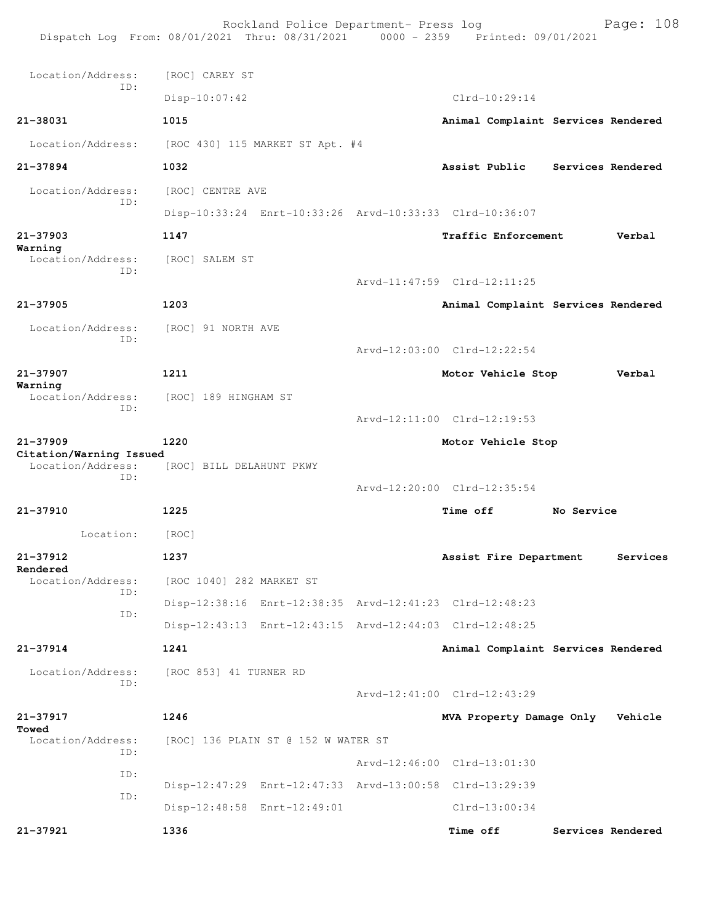Rockland Police Department- Press log Page: 108 Dispatch Log From: 08/01/2021 Thru: 08/31/2021 0000 - 2359 Printed: 09/01/2021 Location/Address: [ROC] CAREY ST ID: Disp-10:07:42 Clrd-10:29:14 **21-38031 1015 Animal Complaint Services Rendered** Location/Address: [ROC 430] 115 MARKET ST Apt. #4 **21-37894 1032 Assist Public Services Rendered** Location/Address: [ROC] CENTRE AVE ID: Disp-10:33:24 Enrt-10:33:26 Arvd-10:33:33 Clrd-10:36:07 **21-37903 1147 Traffic Enforcement Verbal Warning**  Location/Address: [ROC] SALEM ST ID: Arvd-11:47:59 Clrd-12:11:25 **21-37905 1203 Animal Complaint Services Rendered** Location/Address: [ROC] 91 NORTH AVE ID: Arvd-12:03:00 Clrd-12:22:54 **21-37907 1211 Motor Vehicle Stop Verbal Warning**  Location/Address: [ROC] 189 HINGHAM ST ID: Arvd-12:11:00 Clrd-12:19:53 **21-37909 1220 Motor Vehicle Stop Citation/Warning Issued**  [ROC] BILL DELAHUNT PKWY ID: Arvd-12:20:00 Clrd-12:35:54 **21-37910 1225 Time off No Service** Location: [ROC] **21-37912 1237 Assist Fire Department Services Rendered**  Location/Address: [ROC 1040] 282 MARKET ST ID: Disp-12:38:16 Enrt-12:38:35 Arvd-12:41:23 Clrd-12:48:23 ID: Disp-12:43:13 Enrt-12:43:15 Arvd-12:44:03 Clrd-12:48:25 **21-37914 1241 Animal Complaint Services Rendered** Location/Address: [ROC 853] 41 TURNER RD ID: Arvd-12:41:00 Clrd-12:43:29 **21-37917 1246 MVA Property Damage Only Vehicle Towed**  Location/Address: [ROC] 136 PLAIN ST @ 152 W WATER ST ID: Arvd-12:46:00 Clrd-13:01:30 ID: Disp-12:47:29 Enrt-12:47:33 Arvd-13:00:58 Clrd-13:29:39 ID: Disp-12:48:58 Enrt-12:49:01 Clrd-13:00:34 **21-37921 1336 Time off Services Rendered**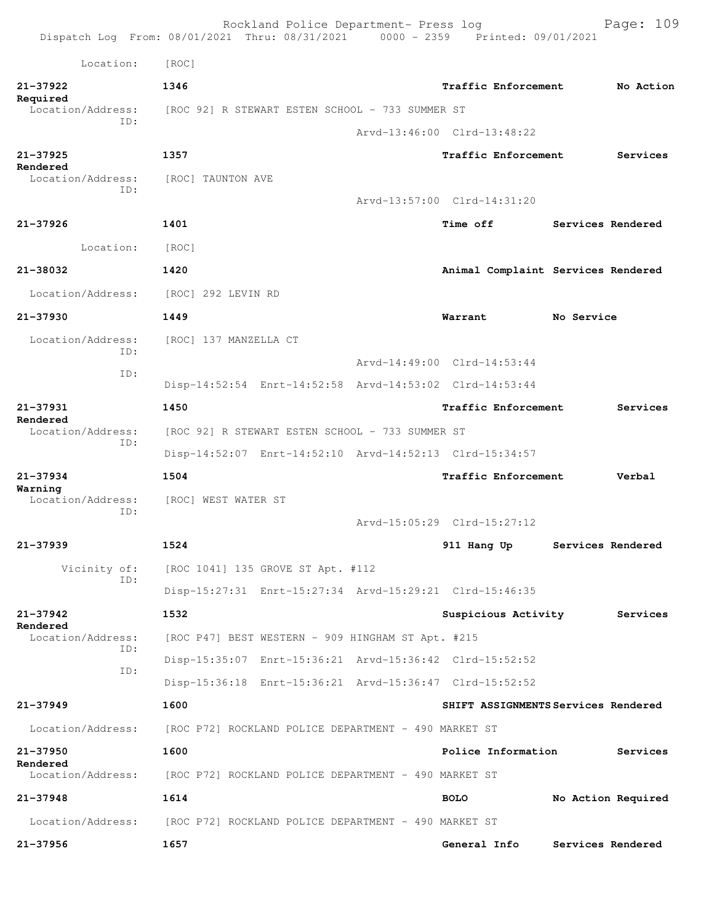|                               | Rockland Police Department- Press log<br>Dispatch Log From: 08/01/2021 Thru: 08/31/2021 0000 - 2359 Printed: 09/01/2021 |  |                             | Page: 109                           |
|-------------------------------|-------------------------------------------------------------------------------------------------------------------------|--|-----------------------------|-------------------------------------|
| Location:                     | [ROC]                                                                                                                   |  |                             |                                     |
| $21 - 37922$                  | 1346                                                                                                                    |  | <b>Traffic Enforcement</b>  | No Action                           |
| Required<br>Location/Address: | [ROC 92] R STEWART ESTEN SCHOOL - 733 SUMMER ST                                                                         |  |                             |                                     |
| TD:                           |                                                                                                                         |  | Arvd-13:46:00 Clrd-13:48:22 |                                     |
| $21 - 37925$                  | 1357                                                                                                                    |  | <b>Traffic Enforcement</b>  | Services                            |
| Rendered<br>Location/Address: | [ROC] TAUNTON AVE                                                                                                       |  |                             |                                     |
| TD:                           |                                                                                                                         |  | Arvd-13:57:00 Clrd-14:31:20 |                                     |
| $21 - 37926$                  | 1401                                                                                                                    |  | <b>Time off</b>             | Services Rendered                   |
| Location:                     | [ROC]                                                                                                                   |  |                             |                                     |
| 21-38032                      | 1420                                                                                                                    |  |                             | Animal Complaint Services Rendered  |
| Location/Address:             | [ROC] 292 LEVIN RD                                                                                                      |  |                             |                                     |
| 21-37930                      | 1449                                                                                                                    |  | Warrant                     | No Service                          |
| Location/Address:             | [ROC] 137 MANZELLA CT                                                                                                   |  |                             |                                     |
| TD:                           |                                                                                                                         |  | Arvd-14:49:00 Clrd-14:53:44 |                                     |
| TD:                           | Disp-14:52:54 Enrt-14:52:58 Arvd-14:53:02 Clrd-14:53:44                                                                 |  |                             |                                     |
| 21-37931                      | 1450                                                                                                                    |  | <b>Traffic Enforcement</b>  | Services                            |
| Rendered<br>Location/Address: | [ROC 92] R STEWART ESTEN SCHOOL - 733 SUMMER ST                                                                         |  |                             |                                     |
| ID:                           | Disp-14:52:07 Enrt-14:52:10 Arvd-14:52:13 Clrd-15:34:57                                                                 |  |                             |                                     |
| $21 - 37934$                  | 1504                                                                                                                    |  | <b>Traffic Enforcement</b>  | Verbal                              |
| Warning<br>Location/Address:  | [ROC] WEST WATER ST                                                                                                     |  |                             |                                     |
| TD:                           |                                                                                                                         |  | Arvd-15:05:29 Clrd-15:27:12 |                                     |
| 21-37939                      | 1524                                                                                                                    |  | 911 Hang Up                 | Services Rendered                   |
| Vicinity of:                  | [ROC 1041] 135 GROVE ST Apt. #112                                                                                       |  |                             |                                     |
| ID:                           | Disp-15:27:31 Enrt-15:27:34 Arvd-15:29:21 Clrd-15:46:35                                                                 |  |                             |                                     |
| $21 - 37942$                  | 1532                                                                                                                    |  | Suspicious Activity         | Services                            |
| Rendered<br>Location/Address: | [ROC P47] BEST WESTERN - 909 HINGHAM ST Apt. #215                                                                       |  |                             |                                     |
| ID:<br>ID:                    | Disp-15:35:07 Enrt-15:36:21 Arvd-15:36:42 Clrd-15:52:52                                                                 |  |                             |                                     |
|                               | Disp-15:36:18 Enrt-15:36:21 Arvd-15:36:47 Clrd-15:52:52                                                                 |  |                             |                                     |
| 21-37949                      | 1600                                                                                                                    |  |                             | SHIFT ASSIGNMENTS Services Rendered |
| Location/Address:             | [ROC P72] ROCKLAND POLICE DEPARTMENT - 490 MARKET ST                                                                    |  |                             |                                     |
| 21-37950                      | 1600                                                                                                                    |  | Police Information          | Services                            |
| Rendered<br>Location/Address: | [ROC P72] ROCKLAND POLICE DEPARTMENT - 490 MARKET ST                                                                    |  |                             |                                     |
| $21 - 37948$                  | 1614                                                                                                                    |  | <b>BOLO</b>                 | No Action Required                  |
| Location/Address:             | [ROC P72] ROCKLAND POLICE DEPARTMENT - 490 MARKET ST                                                                    |  |                             |                                     |
| 21-37956                      | 1657                                                                                                                    |  | General Info                | Services Rendered                   |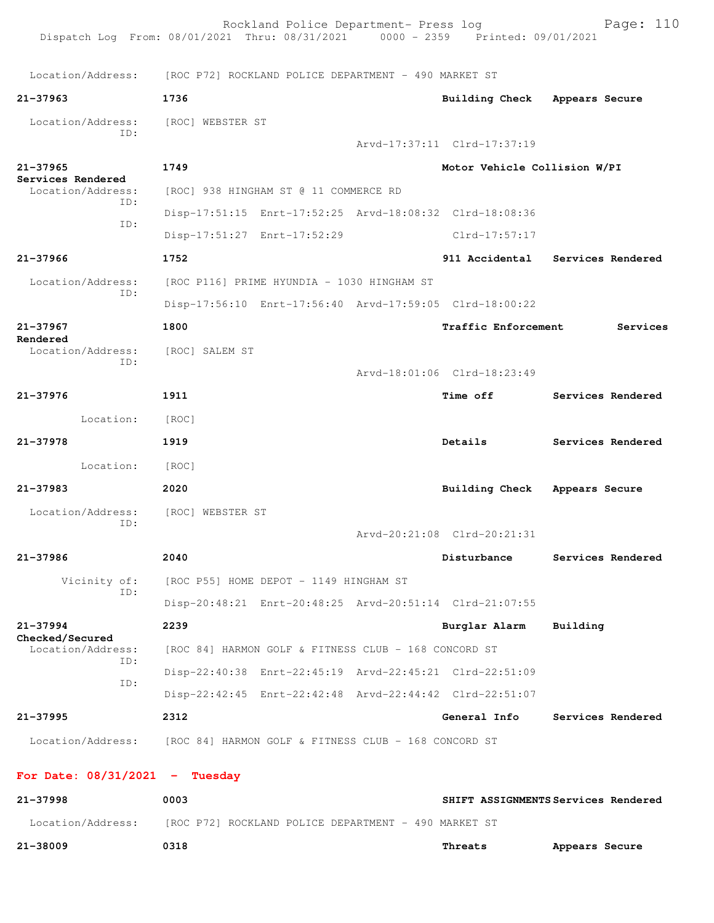| Dispatch Log From: 08/01/2021 Thru: 08/31/2021 0000 - 2359 Printed: 09/01/2021 |                                            | Rockland Police Department- Press log                |                                                         | Page: 110                        |
|--------------------------------------------------------------------------------|--------------------------------------------|------------------------------------------------------|---------------------------------------------------------|----------------------------------|
| Location/Address: [ROC P72] ROCKLAND POLICE DEPARTMENT - 490 MARKET ST         |                                            |                                                      |                                                         |                                  |
| $21 - 37963$                                                                   | 1736                                       |                                                      | Building Check Appears Secure                           |                                  |
| Location/Address:<br>ID:                                                       | [ROC] WEBSTER ST                           |                                                      | Arvd-17:37:11 Clrd-17:37:19                             |                                  |
| 21-37965<br>Services Rendered<br>Location/Address:                             | 1749                                       |                                                      | Motor Vehicle Collision W/PI                            |                                  |
|                                                                                |                                            | [ROC] 938 HINGHAM ST @ 11 COMMERCE RD                |                                                         |                                  |
| ID:                                                                            |                                            |                                                      | Disp-17:51:15 Enrt-17:52:25 Arvd-18:08:32 Clrd-18:08:36 |                                  |
| ID:                                                                            |                                            | Disp-17:51:27 Enrt-17:52:29                          | Clrd-17:57:17                                           |                                  |
| $21 - 37966$                                                                   | 1752                                       |                                                      |                                                         | 911 Accidental Services Rendered |
| Location/Address:                                                              | [ROC P116] PRIME HYUNDIA - 1030 HINGHAM ST |                                                      |                                                         |                                  |
| ID:                                                                            |                                            |                                                      | Disp-17:56:10 Enrt-17:56:40 Arvd-17:59:05 Clrd-18:00:22 |                                  |
| 21-37967                                                                       | 1800                                       |                                                      | <b>Traffic Enforcement</b>                              | Services                         |
| Rendered<br>Location/Address:<br>ID:                                           | [ROC] SALEM ST                             |                                                      | Arvd-18:01:06 Clrd-18:23:49                             |                                  |
| 21-37976                                                                       | 1911                                       |                                                      | <b>Time off</b>                                         | Services Rendered                |
| Location:                                                                      | [ROC]                                      |                                                      |                                                         |                                  |
| 21-37978                                                                       | 1919                                       |                                                      | Details                                                 | Services Rendered                |
| Location:                                                                      | [ROC]                                      |                                                      |                                                         |                                  |
| 21-37983                                                                       | 2020                                       |                                                      | Building Check Appears Secure                           |                                  |
|                                                                                | [ROC] WEBSTER ST                           |                                                      |                                                         |                                  |
| Location/Address:<br>ID:                                                       |                                            |                                                      | Arvd-20:21:08 Clrd-20:21:31                             |                                  |
| $21 - 37986$                                                                   | 2040                                       |                                                      | Disturbance                                             | Services Rendered                |
| Vicinity of:                                                                   | [ROC P55] HOME DEPOT - 1149 HINGHAM ST     |                                                      |                                                         |                                  |
| ID:                                                                            |                                            |                                                      | Disp-20:48:21 Enrt-20:48:25 Arvd-20:51:14 Clrd-21:07:55 |                                  |
| $21 - 37994$                                                                   | 2239                                       |                                                      | Burglar Alarm                                           | Building                         |
| Checked/Secured<br>Location/Address:<br>ID:<br>ID:                             |                                            | [ROC 84] HARMON GOLF & FITNESS CLUB - 168 CONCORD ST |                                                         |                                  |
|                                                                                |                                            |                                                      | Disp-22:40:38 Enrt-22:45:19 Arvd-22:45:21 Clrd-22:51:09 |                                  |
|                                                                                |                                            |                                                      | Disp-22:42:45 Enrt-22:42:48 Arvd-22:44:42 Clrd-22:51:07 |                                  |
| $21 - 37995$                                                                   | 2312                                       |                                                      | General Info                                            | Services Rendered                |
| Location/Address: [ROC 84] HARMON GOLF & FITNESS CLUB - 168 CONCORD ST         |                                            |                                                      |                                                         |                                  |
| For Date: $08/31/2021$ - Tuesday                                               |                                            |                                                      |                                                         |                                  |
| 21.27000                                                                       | 0002                                       |                                                      | CCTCUMETUMC.                                            |                                  |

| 21-37998          | 0003                                                 |         | SHIFT ASSIGNMENTS Services Rendered |
|-------------------|------------------------------------------------------|---------|-------------------------------------|
| Location/Address: | [ROC P72] ROCKLAND POLICE DEPARTMENT - 490 MARKET ST |         |                                     |
| 21-38009          | 0318                                                 | Threats | Appears Secure                      |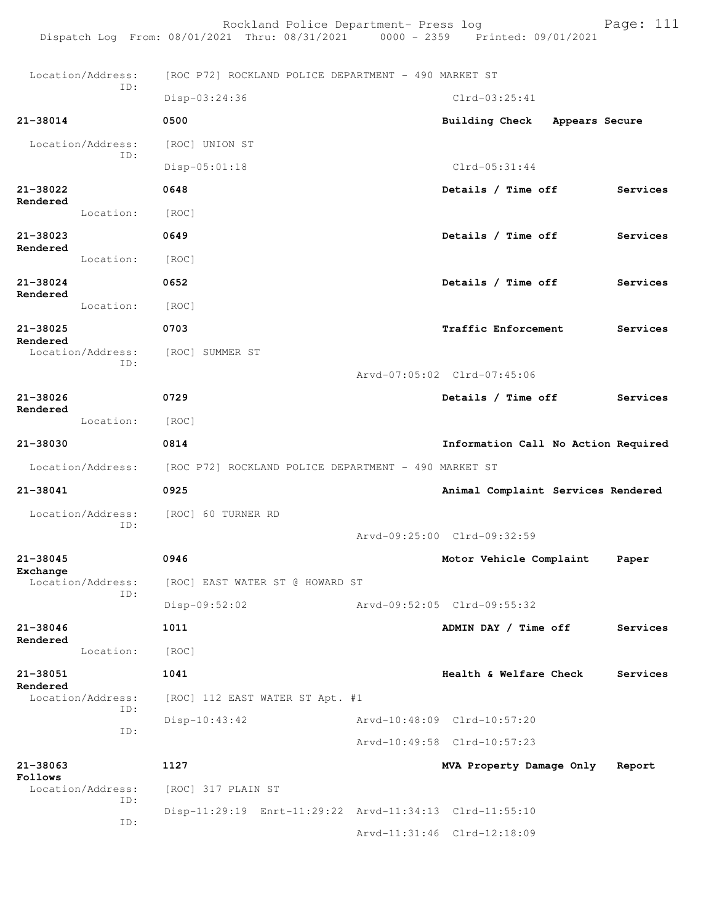Rockland Police Department- Press log Bookland Police Department- Press log<br>21 Thru: 08/31/2021 0000 - 2359 Printed: 09/01/2021 Dispatch Log From: 08/01/2021 Thru: 08/31/2021 Location/Address: [ROC P72] ROCKLAND POLICE DEPARTMENT - 490 MARKET ST ID: Disp-03:24:36 Clrd-03:25:41 **21-38014 0500 Building Check Appears Secure** Location/Address: [ROC] UNION ST ID: Disp-05:01:18 Clrd-05:31:44 **21-38022 0648 Details / Time off Services Rendered**  Location: [ROC] **21-38023 0649 Details / Time off Services Rendered**  Location: [ROC] **21-38024 0652 Details / Time off Services Rendered**  Location: [ROC] **21-38025 0703 Traffic Enforcement Services Rendered**  Location/Address: [ROC] SUMMER ST ID: Arvd-07:05:02 Clrd-07:45:06 **21-38026 0729 Details / Time off Services Rendered**  Location: [ROC] **21-38030 0814 Information Call No Action Required** Location/Address: [ROC P72] ROCKLAND POLICE DEPARTMENT - 490 MARKET ST **21-38041 0925 Animal Complaint Services Rendered** Location/Address: [ROC] 60 TURNER RD ID: Arvd-09:25:00 Clrd-09:32:59 **21-38045 0946 Motor Vehicle Complaint Paper Exchange**  [ROC] EAST WATER ST @ HOWARD ST ID: Disp-09:52:02 Arvd-09:52:05 Clrd-09:55:32 **21-38046 1011 ADMIN DAY / Time off Services Rendered**  Location: [ROC] **21-38051 1041 Health & Welfare Check Services Rendered**  Location/Address: [ROC] 112 EAST WATER ST Apt. #1 ID: Disp-10:43:42 Arvd-10:48:09 Clrd-10:57:20 ID: Arvd-10:49:58 Clrd-10:57:23 **21-38063 1127 MVA Property Damage Only Report Follows**  Location/Address: [ROC] 317 PLAIN ST ID: Disp-11:29:19 Enrt-11:29:22 Arvd-11:34:13 Clrd-11:55:10 ID: Arvd-11:31:46 Clrd-12:18:09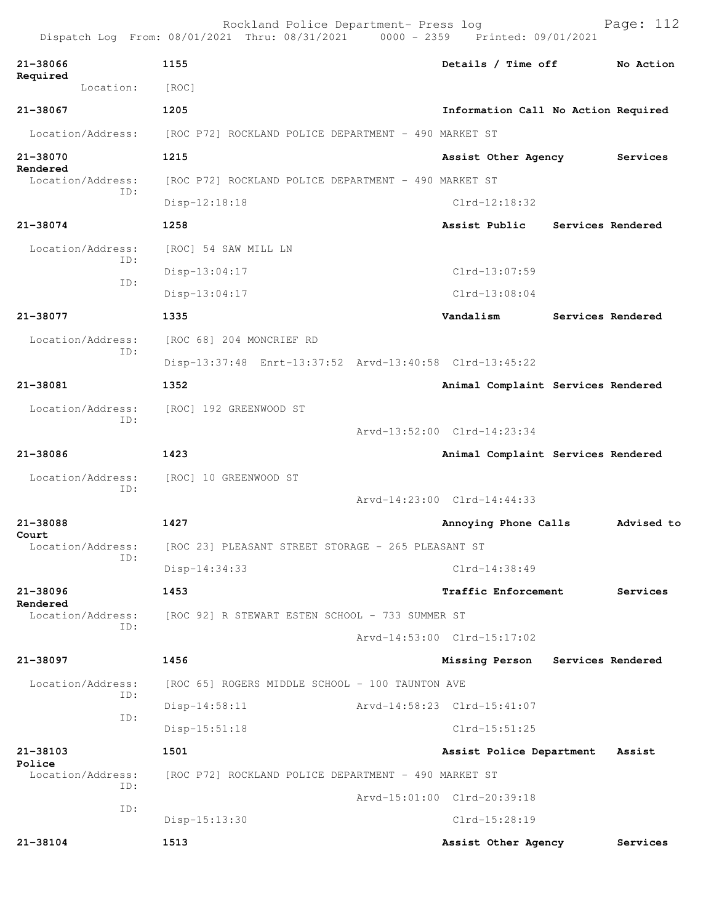|                               | Rockland Police Department- Press log<br>Dispatch Log From: 08/01/2021 Thru: 08/31/2021 0000 - 2359 Printed: 09/01/2021 |                                     | Page: 112         |  |  |
|-------------------------------|-------------------------------------------------------------------------------------------------------------------------|-------------------------------------|-------------------|--|--|
| 21-38066                      | 1155                                                                                                                    | Details / Time off                  | No Action         |  |  |
| Required<br>Location:         | [ROC]                                                                                                                   |                                     |                   |  |  |
| 21-38067                      | 1205                                                                                                                    | Information Call No Action Required |                   |  |  |
| Location/Address:             | [ROC P72] ROCKLAND POLICE DEPARTMENT - 490 MARKET ST                                                                    |                                     |                   |  |  |
| 21-38070                      | 1215                                                                                                                    | Assist Other Agency                 | Services          |  |  |
| Rendered<br>Location/Address: | [ROC P72] ROCKLAND POLICE DEPARTMENT - 490 MARKET ST                                                                    |                                     |                   |  |  |
| TD:                           | $Disp-12:18:18$                                                                                                         | $Clrd-12:18:32$                     |                   |  |  |
| 21-38074                      | 1258                                                                                                                    | Assist Public                       | Services Rendered |  |  |
| Location/Address:             | [ROC] 54 SAW MILL LN                                                                                                    |                                     |                   |  |  |
| ID:                           | Disp-13:04:17                                                                                                           | Clrd-13:07:59                       |                   |  |  |
| TD:                           | $Disp-13:04:17$                                                                                                         | $Clrd-13:08:04$                     |                   |  |  |
| 21-38077                      | 1335                                                                                                                    | Vandalism                           | Services Rendered |  |  |
| Location/Address:             | [ROC 68] 204 MONCRIEF RD                                                                                                |                                     |                   |  |  |
| ID:                           | Disp-13:37:48 Enrt-13:37:52 Arvd-13:40:58 Clrd-13:45:22                                                                 |                                     |                   |  |  |
| 21-38081                      | 1352                                                                                                                    | Animal Complaint Services Rendered  |                   |  |  |
| Location/Address:             | [ROC] 192 GREENWOOD ST                                                                                                  |                                     |                   |  |  |
| ID:                           |                                                                                                                         | Arvd-13:52:00 Clrd-14:23:34         |                   |  |  |
| 21-38086                      | 1423                                                                                                                    | Animal Complaint Services Rendered  |                   |  |  |
| Location/Address:             | [ROC] 10 GREENWOOD ST                                                                                                   |                                     |                   |  |  |
| ID:                           |                                                                                                                         | Arvd-14:23:00 Clrd-14:44:33         |                   |  |  |
| 21-38088                      | 1427                                                                                                                    | Advised to<br>Annoying Phone Calls  |                   |  |  |
| Court<br>Location/Address:    | [ROC 23] PLEASANT STREET STORAGE - 265 PLEASANT ST                                                                      |                                     |                   |  |  |
| ID:                           | Disp-14:34:33                                                                                                           | Clrd-14:38:49                       |                   |  |  |
| 21-38096                      | 1453                                                                                                                    | Traffic Enforcement                 | Services          |  |  |
| Rendered<br>Location/Address: | [ROC 92] R STEWART ESTEN SCHOOL - 733 SUMMER ST                                                                         |                                     |                   |  |  |
| ID:                           |                                                                                                                         | Arvd-14:53:00 Clrd-15:17:02         |                   |  |  |
| 21-38097                      | 1456                                                                                                                    | Missing Person                      | Services Rendered |  |  |
| Location/Address:             | [ROC 65] ROGERS MIDDLE SCHOOL - 100 TAUNTON AVE                                                                         |                                     |                   |  |  |
| ID:                           | $Disp-14:58:11$                                                                                                         | Arvd-14:58:23 Clrd-15:41:07         |                   |  |  |
| ID:                           | $Disp-15:51:18$                                                                                                         | Clrd-15:51:25                       |                   |  |  |
| 21-38103                      | 1501                                                                                                                    | Assist Police Department            | Assist            |  |  |
| Police<br>Location/Address:   | [ROC P72] ROCKLAND POLICE DEPARTMENT - 490 MARKET ST                                                                    |                                     |                   |  |  |
| ID:                           |                                                                                                                         | Arvd-15:01:00 Clrd-20:39:18         |                   |  |  |
| ID:                           | $Disp-15:13:30$                                                                                                         | Clrd-15:28:19                       |                   |  |  |
| 21-38104                      | 1513                                                                                                                    | Assist Other Agency                 | Services          |  |  |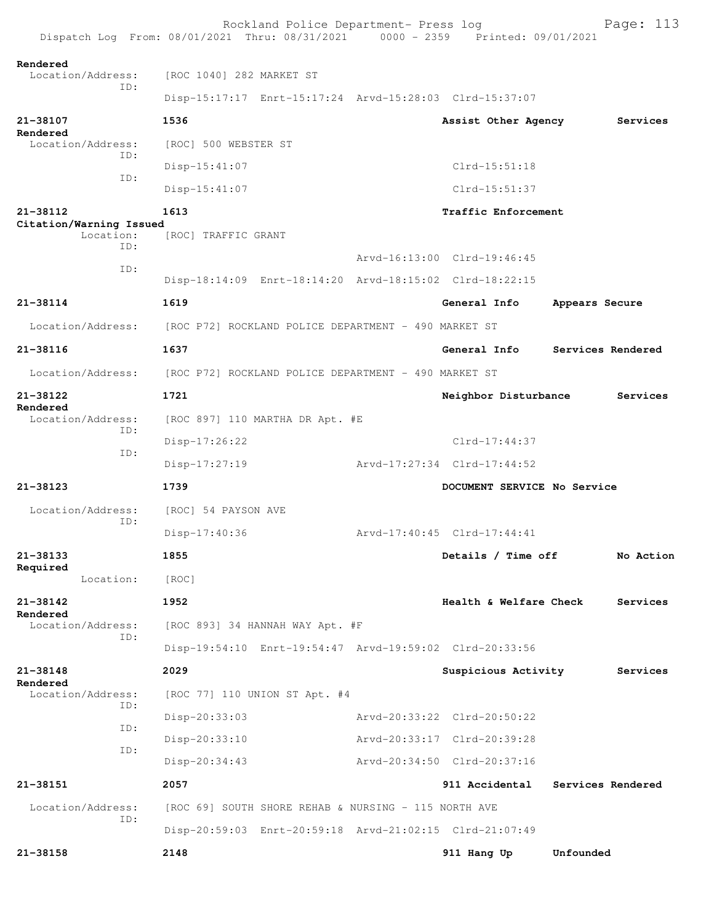|                                             | Rockland Police Department- Press log<br>Dispatch Log From: 08/01/2021 Thru: 08/31/2021 0000 - 2359 Printed: 09/01/2021 |  |                             | Page: 113         |  |
|---------------------------------------------|-------------------------------------------------------------------------------------------------------------------------|--|-----------------------------|-------------------|--|
| Rendered<br>Location/Address:               | [ROC 1040] 282 MARKET ST                                                                                                |  |                             |                   |  |
| TD:                                         | Disp-15:17:17 Enrt-15:17:24 Arvd-15:28:03 Clrd-15:37:07                                                                 |  |                             |                   |  |
| 21-38107<br>Rendered                        | 1536                                                                                                                    |  | Assist Other Agency         | Services          |  |
| Location/Address:<br>ID:                    | [ROC] 500 WEBSTER ST                                                                                                    |  |                             |                   |  |
| ID:                                         | Disp-15:41:07                                                                                                           |  | $Clrd-15:51:18$             |                   |  |
|                                             | $Disp-15:41:07$                                                                                                         |  | Clrd-15:51:37               |                   |  |
| 21-38112                                    | 1613                                                                                                                    |  | Traffic Enforcement         |                   |  |
| Citation/Warning Issued<br>Location:<br>TD: | [ROC] TRAFFIC GRANT                                                                                                     |  |                             |                   |  |
| ID:                                         |                                                                                                                         |  | Arvd-16:13:00 Clrd-19:46:45 |                   |  |
|                                             | Disp-18:14:09 Enrt-18:14:20 Arvd-18:15:02 Clrd-18:22:15                                                                 |  |                             |                   |  |
| 21-38114                                    | 1619                                                                                                                    |  | General Info                | Appears Secure    |  |
| Location/Address:                           | [ROC P72] ROCKLAND POLICE DEPARTMENT - 490 MARKET ST                                                                    |  |                             |                   |  |
| 21-38116                                    | 1637                                                                                                                    |  | General Info                | Services Rendered |  |
| Location/Address:                           | [ROC P72] ROCKLAND POLICE DEPARTMENT - 490 MARKET ST                                                                    |  |                             |                   |  |
| 21-38122<br>Rendered                        | 1721                                                                                                                    |  | Neighbor Disturbance        | Services          |  |
| Location/Address:<br>ID:                    | [ROC 897] 110 MARTHA DR Apt. #E                                                                                         |  |                             |                   |  |
| ID:                                         | $Disp-17:26:22$                                                                                                         |  | $Clrd-17:44:37$             |                   |  |
|                                             | $Disp-17:27:19$                                                                                                         |  | Arvd-17:27:34 Clrd-17:44:52 |                   |  |
| 21-38123                                    | 1739                                                                                                                    |  | DOCUMENT SERVICE No Service |                   |  |
| Location/Address:<br>TD:                    | [ROC] 54 PAYSON AVE                                                                                                     |  |                             |                   |  |
|                                             | Disp-17:40:36                                                                                                           |  | Arvd-17:40:45 Clrd-17:44:41 |                   |  |
| 21-38133<br>Required                        | 1855                                                                                                                    |  | Details / Time off          | No Action         |  |
| Location:                                   | [ROC]                                                                                                                   |  |                             |                   |  |
| 21-38142<br>Rendered                        | 1952                                                                                                                    |  | Health & Welfare Check      | Services          |  |
| Location/Address:<br>ID:                    | [ROC 893] 34 HANNAH WAY Apt. #F                                                                                         |  |                             |                   |  |
|                                             | Disp-19:54:10 Enrt-19:54:47 Arvd-19:59:02 Clrd-20:33:56                                                                 |  |                             |                   |  |
| 21-38148<br>Rendered                        | 2029                                                                                                                    |  | Suspicious Activity         | Services          |  |
| Location/Address:<br>ID:                    | [ROC 77] 110 UNION ST Apt. #4                                                                                           |  |                             |                   |  |
| ID:                                         | Disp-20:33:03                                                                                                           |  | Arvd-20:33:22 Clrd-20:50:22 |                   |  |
| ID:                                         | Disp-20:33:10                                                                                                           |  | Arvd-20:33:17 Clrd-20:39:28 |                   |  |
|                                             | Disp-20:34:43                                                                                                           |  | Arvd-20:34:50 Clrd-20:37:16 |                   |  |
| 21-38151                                    | 2057                                                                                                                    |  | 911 Accidental              | Services Rendered |  |
| Location/Address:<br>ID:                    | [ROC 69] SOUTH SHORE REHAB & NURSING - 115 NORTH AVE                                                                    |  |                             |                   |  |
|                                             | Disp-20:59:03 Enrt-20:59:18 Arvd-21:02:15 Clrd-21:07:49                                                                 |  |                             |                   |  |
| 21-38158                                    | 2148                                                                                                                    |  | 911 Hang Up                 | Unfounded         |  |